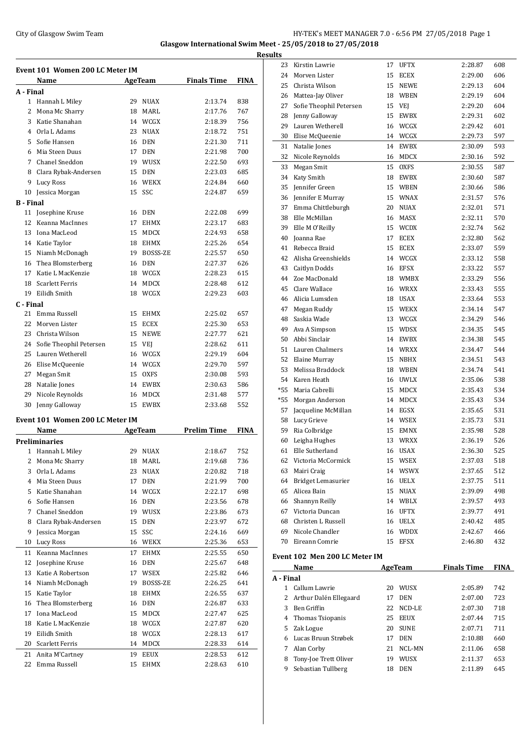## City of Glasgow Swim Team HY-TEK's MEET MANAGER 7.0 - 6:56 PM 27/05/2018 Page 1 **Glasgow International Swim Meet - 25/05/2018 to 27/05/2018**

**Results**

|                  | Event 101 Women 200 LC Meter IM<br>Name |    | <b>AgeTeam</b>      | <b>Finals Time</b> | <b>FINA</b> |
|------------------|-----------------------------------------|----|---------------------|--------------------|-------------|
| A - Final        |                                         |    |                     |                    |             |
|                  | 1 Hannah L Miley                        | 29 | <b>NUAX</b>         | 2:13.74            | 838         |
| 2                | Mona Mc Sharry                          | 18 | MARL                | 2:17.76            | 767         |
| 3                | Katie Shanahan                          |    | 14 WCGX             | 2:18.39            | 756         |
|                  | 4 Orla L Adams                          | 23 | <b>NUAX</b>         | 2:18.72            | 751         |
| 5                | Sofie Hansen                            | 16 | DEN                 | 2:21.30            | 711         |
| 6                | Mia Steen Duus                          | 17 | <b>DEN</b>          | 2:21.98            | 700         |
| 7                | Chanel Sneddon                          | 19 | WUSX                | 2:22.50            | 693         |
| 8                | Clara Rybak-Andersen                    | 15 | DEN                 | 2:23.03            | 685         |
| 9                | Lucy Ross                               |    | 16 WEKX             | 2:24.84            | 660         |
| 10               | Jessica Morgan                          | 15 | SSC                 | 2:24.87            | 659         |
| <b>B</b> - Final |                                         |    |                     |                    |             |
| 11               | Josephine Kruse                         | 16 | DEN                 | 2:22.08            | 699         |
| 12               | Keanna MacInnes                         | 17 | <b>EHMX</b>         | 2:23.17            | 683         |
| 13               | Iona MacLeod                            | 15 | MDCX                | 2:24.93            | 658         |
|                  | 14 Katie Taylor                         | 18 | <b>EHMX</b>         | 2:25.26            | 654         |
| 15               | Niamh McDonagh                          | 19 | BOSSS-ZE            | 2:25.57            | 650         |
| 16               | Thea Blomsterberg                       | 16 | DEN                 | 2:27.37            | 626         |
| 17               | Katie L MacKenzie                       | 18 | WCGX                | 2:28.23            | 615         |
| 18               | <b>Scarlett Ferris</b>                  | 14 |                     |                    |             |
|                  | Eilidh Smith                            |    | <b>MDCX</b><br>WCGX | 2:28.48            | 612         |
| 19               |                                         | 18 |                     | 2:29.23            | 603         |
| C - Final        |                                         |    |                     |                    |             |
| 21               | Emma Russell                            | 15 | EHMX                | 2:25.02            | 657         |
| 22               | Morven Lister                           | 15 | ECEX                | 2:25.30            | 653         |
| 23               | Christa Wilson                          | 15 | <b>NEWE</b>         | 2:27.77            | 621         |
| 24               | Sofie Theophil Petersen                 | 15 | VEJ                 | 2:28.62            | 611         |
| 25               | Lauren Wetherell                        | 16 | WCGX                | 2:29.19            | 604         |
| 26               | Elise McQueenie                         |    | 14 WCGX             | 2:29.70            | 597         |
| 27               | Megan Smit                              | 15 | <b>OXFS</b>         | 2:30.08            | 593         |
| 28               | Natalie Jones                           | 14 | EWBX                | 2:30.63            | 586         |
| 29               | Nicole Reynolds                         | 16 | MDCX                | 2:31.48            | 577         |
| 30               | Jenny Galloway                          | 15 | <b>EWBX</b>         | 2:33.68            | 552         |
|                  | Event 101 Women 200 LC Meter IM         |    |                     |                    |             |
|                  | Name                                    |    | <b>AgeTeam</b>      | <b>Prelim Time</b> | FINA        |
|                  | <b>Preliminaries</b>                    |    | 29 NUAX             |                    |             |
|                  | 1 Hannah L Miley                        |    |                     | 2:18.67            | 752         |
|                  | 2 Mona Mc Sharry                        |    | 18 MARL             | 2:19.68            | 736         |
| 3                | Orla L Adams                            | 23 | $\rm NUAX$          | 2:20.82            | 718         |
| 4                | Mia Steen Duus                          | 17 | DEN                 | 2:21.99            | 700         |
| 5                | Katie Shanahan                          |    | 14 WCGX             | 2:22.17            | 698         |
| 6                | Sofie Hansen                            | 16 | DEN                 | 2:23.56            | 678         |
| 7                | Chanel Sneddon                          |    | 19 WUSX             | 2:23.86            | 673         |
| 8                | Clara Rybak-Andersen                    | 15 | DEN                 | 2:23.97            | 672         |
| 9                | Jessica Morgan                          | 15 | SSC                 | 2:24.16            | 669         |
| 10               | Lucy Ross                               | 16 | WEKX                | 2:25.36            | 653         |
| 11               | Keanna MacInnes                         | 17 | EHMX                | 2:25.55            | 650         |
| 12               | Josephine Kruse                         | 16 | DEN                 | 2:25.67            | 648         |
| 13               | Katie A Robertson                       | 17 | WSEX                | 2:25.82            | 646         |
| 14               | Niamh McDonagh                          | 19 | BOSSS-ZE            | 2:26.25            | 641         |
| 15               | Katie Taylor                            | 18 | EHMX                | 2:26.55            | 637         |
| 16               | Thea Blomsterberg                       | 16 | <b>DEN</b>          | 2:26.87            | 633         |
| 17               | Iona MacLeod                            | 15 | MDCX                | 2:27.47            | 625         |
| 18               | Katie L MacKenzie                       | 18 | WCGX                | 2:27.87            | 620         |
| 19               | Eilidh Smith                            | 18 | WCGX                | 2:28.13            | 617         |
| 20               | Scarlett Ferris                         | 14 | MDCX                | 2:28.33            | 614         |
| 21               | Anita M'Cartney                         | 19 | EEUX                | 2:28.53            | 612         |
| 22               | Emma Russell                            | 15 | EHMX                | 2:28.63            | 610         |
|                  |                                         |    |                     |                    |             |

| <u>uits</u>    |                               |    |                |                    |             |
|----------------|-------------------------------|----|----------------|--------------------|-------------|
| 23             | Kirstin Lawrie                |    | 17 UFTX        | 2:28.87            | 608         |
| 24             | Morven Lister                 | 15 | ECEX           | 2:29.00            | 606         |
| 25             | Christa Wilson                | 15 | <b>NEWE</b>    | 2:29.13            | 604         |
| 26             | Mattea-Jay Oliver             | 18 | WBEN           | 2:29.19            | 604         |
| 27             | Sofie Theophil Petersen       | 15 | VEJ            | 2:29.20            | 604         |
| 28             | Jenny Galloway                | 15 | <b>EWBX</b>    | 2:29.31            | 602         |
| 29             | Lauren Wetherell              | 16 | WCGX           | 2:29.42            | 601         |
| 30             | Elise McQueenie               |    | 14 WCGX        | 2:29.73            | 597         |
| 31             | Natalie Jones                 | 14 | EWBX           | 2:30.09            | 593         |
| 32             | Nicole Reynolds               | 16 | MDCX           | 2:30.16            | 592         |
| 33             | Megan Smit                    | 15 | <b>OXFS</b>    | 2:30.55            | 587         |
| 34             | Katy Smith                    | 18 | EWBX           | 2:30.60            | 587         |
| 35             | Jennifer Green                | 15 | WBEN           | 2:30.66            | 586         |
| 36             | Jennifer E Murray             | 15 | <b>WNAX</b>    | 2:31.57            | 576         |
| 37             |                               | 20 | NUAX           | 2:32.01            | 571         |
|                | Emma Chittleburgh             |    |                |                    |             |
| 38             | Elle McMillan                 | 16 | MASX           | 2:32.11            | 570         |
| 39             | Elle M O'Reilly               | 15 | WCDX           | 2:32.74            | 562         |
| 40             | Joanna Rae                    | 17 | ECEX           | 2:32.80            | 562         |
| 41             | Rebecca Braid                 | 15 | ECEX           | 2:33.07            | 559         |
| 42             | Alisha Greenshields           | 14 | WCGX           | 2:33.12            | 558         |
| 43             | Caitlyn Dodds                 | 16 | <b>EFSX</b>    | 2:33.22            | 557         |
| 44             | Zoe MacDonald                 | 18 | WMBX           | 2:33.29            | 556         |
| 45             | Clare Wallace                 | 16 | WRXX           | 2:33.43            | 555         |
| 46             | Alicia Lumsden                |    | 18 USAX        | 2:33.64            | 553         |
| 47             | Megan Ruddy                   |    | 15 WEKX        | 2:34.14            | 547         |
| 48             | Saskia Wade                   | 13 | WCGX           | 2:34.29            | 546         |
| 49             | Ava A Simpson                 | 15 | WDSX           | 2:34.35            | 545         |
| 50             | Abbi Sinclair                 | 14 | EWBX           | 2:34.38            | 545         |
| 51             | Lauren Chalmers               |    | 14 WRXX        | 2:34.47            | 544         |
| 52             | Elaine Murray                 | 15 | NBHX           | 2:34.51            | 543         |
| 53             | Melissa Braddock              | 18 | WBEN           | 2:34.74            | 541         |
| 54             | Karen Heath                   | 16 | <b>UWLX</b>    | 2:35.06            | 538         |
| *55            | Maria Cabrelli                | 15 | MDCX           | 2:35.43            | 534         |
| $*55$          | Morgan Anderson               | 14 | MDCX           | 2:35.43            | 534         |
| 57             | Jacqueline McMillan           |    | 14 EGSX        | 2:35.65            | 531         |
| 58             | Lucy Grieve                   |    | 14 WSEX        | 2:35.73            | 531         |
| 59             | Ria Colbridge                 | 15 | EMNX           | 2:35.98            | 528         |
| 60             | Leigha Hughes                 | 13 | WRXX           | 2:36.19            | 526         |
| 61             | Elle Sutherland               |    | 16 USAX        | 2:36.30            | 525         |
|                | 62 Victoria McCormick         |    | 15 WSEX        | 2:37.03            | 518         |
| 63             | Mairi Craig                   |    | 14 WSWX        | 2:37.65            | 512         |
|                | 64 Bridget Lemasurier         |    | 16 UELX        | 2:37.75            | 511         |
|                | 65 Alicea Bain                |    | 15 NUAX        | 2:39.09            | 498         |
|                | 66 Shannyn Reilly             |    | 14 WBLX        | 2:39.57            | 493         |
|                | 67 Victoria Duncan            |    | 16 UFTX        | 2:39.77            | 491         |
| 68             | Christen L Russell            |    | 16 UELX        | 2:40.42            | 485         |
|                | 69 Nicole Chandler            |    | 16 WDDX        | 2:42.67            | 466         |
|                | 70 Eireann Comrie             | 15 | <b>EFSX</b>    | 2:46.80            | 432         |
|                |                               |    |                |                    |             |
|                | Event 102 Men 200 LC Meter IM |    |                |                    |             |
|                | Name                          |    | <b>AgeTeam</b> | <b>Finals Time</b> | <b>FINA</b> |
| A - Final      |                               |    |                |                    |             |
| $\mathbf{1}$   | Callum Lawrie                 |    | 20 WUSX        | 2:05.89            | 742         |
| $\overline{2}$ | Arthur Dalén Ellegaard        |    | 17 DEN         | 2:07.00            | 723         |
|                | 3 Ben Griffin                 |    | 22 NCD-LE      | 2:07.30            | 718         |
|                | 4 Thomas Tsiopanis            |    | 25 EEUX        | 2:07.44            | 715         |
|                | 5 Zak Logue                   |    | 20 SUNE        | 2:07.71            | 711         |
|                | 6 Lucas Bruun Strøbek         |    | 17 DEN         | 2:10.88            | 660         |
| 7              | Alan Corby                    | 21 | NCL-MN         | 2:11.06            | 658         |
| 8              | Tony-Joe Trett Oliver         |    | 19 WUSX        | 2:11.37            | 653         |
| 9              | Sebastian Tullberg            |    | 18 DEN         | 2:11.89            | 645         |
|                |                               |    |                |                    |             |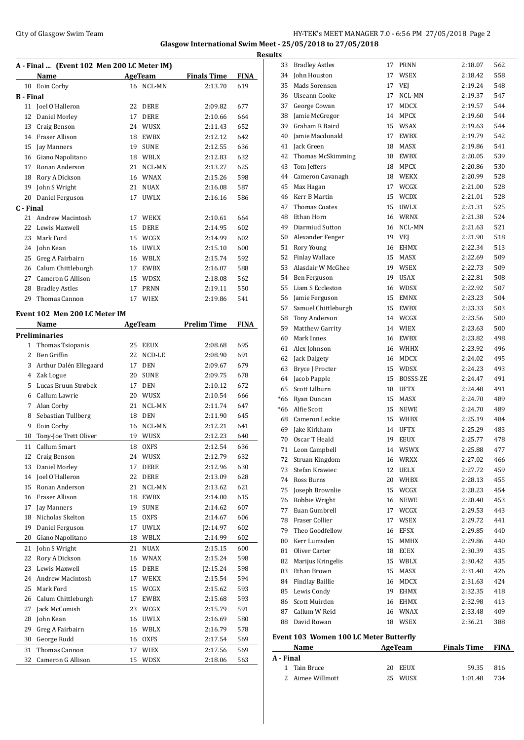## City of Glasgow Swim Team HY-TEK's MEET MANAGER 7.0 - 6:56 PM 27/05/2018 Page 2 **Glasgow International Swim Meet - 25/05/2018 to 27/05/2018**

**A - Final ... (Event 102 Men 200 LC Meter IM) Name Age Team Finals Time FINA** Eoin Corby 16 NCL-MN 2:13.70 619 **B - Final** Joel O'Halleron 22 DERE 2:09.82 677 Daniel Morley 17 DERE 2:10.66 664 Craig Benson 24 WUSX 2:11.43 652 Fraser Allison 18 EWBX 2:12.12 642 Jay Manners 19 SUNE 2:12.55 636 Giano Napolitano 18 WBLX 2:12.83 632 Ronan Anderson 21 NCL-MN 2:13.27 625 Rory A Dickson 16 WNAX 2:15.26 598 John S Wright 21 NUAX 2:16.08 587 Daniel Ferguson 17 UWLX 2:16.16 586 **C - Final** Andrew Macintosh 17 WEKX 2:10.61 664 Lewis Maxwell 15 DERE 2:14.95 602 Mark Ford 15 WCGX 2:14.99 602 John Kean 16 UWLX 2:15.10 600 Greg A Fairbairn 16 WBLX 2:15.74 592 Calum Chittleburgh 17 EWBX 2:16.07 588 Cameron G Allison 15 WDSX 2:18.08 562 Bradley Astles 17 PRNN 2:19.11 550 Thomas Cannon 17 WIEX 2:19.86 541 **Event 102 Men 200 LC Meter IM Name Age Team Prelim Time FINA Preliminaries** Thomas Tsiopanis 25 EEUX 2:08.68 695 Ben Griffin 22 NCD-LE 2:08.90 691 3 Arthur Dalén Ellegaard 17 DEN 2:09.67 679 Zak Logue 20 SUNE 2:09.75 678 Lucas Bruun Strøbek 17 DEN 2:10.12 672 Callum Lawrie 20 WUSX 2:10.54 666 Alan Corby 21 NCL-MN 2:11.74 647 Sebastian Tullberg 18 DEN 2:11.90 645 Eoin Corby 16 NCL-MN 2:12.21 641 Tony-Joe Trett Oliver 19 WUSX 2:12.23 640 11 Callum Smart 18 OXFS 2:12.54 636 Craig Benson 24 WUSX 2:12.79 632 Daniel Morley 17 DERE 2:12.96 630 Joel O'Halleron 22 DERE 2:13.09 628 Ronan Anderson 21 NCL-MN 2:13.62 621 Fraser Allison 18 EWBX 2:14.00 615 Jay Manners 19 SUNE 2:14.62 607 Nicholas Skelton 15 OXFS 2:14.67 606 Daniel Ferguson 17 UWLX J2:14.97 602 Giano Napolitano 18 WBLX 2:14.99 602 John S Wright 21 NUAX 2:15.15 600 Rory A Dickson 16 WNAX 2:15.24 598 Lewis Maxwell 15 DERE J2:15.24 598 Andrew Macintosh 17 WEKX 2:15.54 594 Mark Ford 15 WCGX 2:15.62 593 Calum Chittleburgh 17 EWBX 2:15.68 593 Jack McComish 23 WCGX 2:15.79 591 John Kean 16 UWLX 2:16.69 580 Greg A Fairbairn 16 WBLX 2:16.79 578 George Rudd 16 OXFS 2:17.54 569 Thomas Cannon 17 WIEX 2:17.56 569 Cameron G Allison 15 WDSX 2:18.06 563

| 33  | <b>Bradley Astles</b>                  |    |             |         |     |
|-----|----------------------------------------|----|-------------|---------|-----|
|     |                                        |    | 17 PRNN     | 2:18.07 | 562 |
| 34  | John Houston                           | 17 | WSEX        | 2:18.42 | 558 |
| 35  | Mads Sorensen                          | 17 | VEJ         | 2:19.24 | 548 |
| 36  | Uiseann Cooke                          | 17 | NCL-MN      | 2:19.37 | 547 |
| 37  | George Cowan                           | 17 | <b>MDCX</b> | 2:19.57 | 544 |
| 38  | Jamie McGregor                         | 14 | <b>MPCX</b> | 2:19.60 | 544 |
| 39  | Graham R Baird                         | 15 | WSAX        | 2:19.63 | 544 |
| 40  | Jamie Macdonald                        | 17 | <b>EWBX</b> | 2:19.79 | 542 |
| 41  | Jack Green                             | 18 | MASX        | 2:19.86 | 541 |
| 42  | Thomas McSkimming                      | 18 | EWBX        | 2:20.05 | 539 |
| 43  | Tom Jeffers                            | 18 | <b>MPCX</b> | 2:20.86 | 530 |
|     | 44 Cameron Cavanagh                    |    | 18 WEKX     | 2:20.99 | 528 |
| 45  | Max Hagan                              | 17 | WCGX        | 2:21.00 | 528 |
| 46  | Kerr B Martin                          | 15 | <b>WCDX</b> | 2:21.01 | 528 |
| 47  | <b>Thomas Coates</b>                   | 15 | <b>UWLX</b> | 2:21.31 | 525 |
| 48  | Ethan Horn                             | 16 | WRNX        | 2:21.38 | 524 |
| 49  | Diarmiud Sutton                        | 16 | NCL-MN      | 2:21.63 | 521 |
| 50  | Alexander Fenger                       | 19 | VEJ         | 2:21.90 | 518 |
| 51  | Rory Young                             | 16 | <b>EHMX</b> | 2:22.34 | 513 |
| 52  | <b>Finlay Wallace</b>                  | 15 | <b>MASX</b> | 2:22.69 | 509 |
| 53  | Alasdair W McGhee                      | 19 | WSEX        | 2:22.73 | 509 |
|     | 54 Ben Ferguson                        | 19 | USAX        | 2:22.81 | 508 |
| 55  | Liam S Eccleston                       | 16 | WDSX        | 2:22.92 | 507 |
|     | 56 Jamie Ferguson                      | 15 | <b>EMNX</b> | 2:23.23 | 504 |
| 57  | Samuel Chittleburgh                    | 15 | <b>EWBX</b> | 2:23.33 | 503 |
| 58  | Tony Anderson                          | 14 | WCGX        | 2:23.56 | 500 |
| 59  | Matthew Garrity                        | 14 | WIEX        | 2:23.63 | 500 |
| 60  | Mark Innes                             | 16 | EWBX        | 2:23.82 | 498 |
| 61  | Alex Johnson                           | 16 | WHHX        | 2:23.92 | 496 |
| 62  | Jack Dalgety                           | 16 | <b>MDCX</b> | 2:24.02 | 495 |
| 63  | Bryce J Procter                        | 15 | <b>WDSX</b> | 2:24.23 | 493 |
| 64  | Jacob Papple                           | 15 | BOSSS-ZE    | 2:24.47 | 491 |
|     | 65 Scott Lilburn                       | 18 | <b>UFTX</b> | 2:24.48 | 491 |
| *66 | Ryan Duncan                            | 15 | MASX        | 2:24.70 | 489 |
|     | *66 Alfie Scott                        | 15 | <b>NEWE</b> | 2:24.70 | 489 |
|     | 68 Cameron Leckie                      | 15 | WHBX        | 2:25.19 | 484 |
| 69  | Jake Kirkham                           | 14 | <b>UFTX</b> | 2:25.29 | 483 |
| 70  | Oscar T Heald                          | 19 | <b>EEUX</b> | 2:25.77 | 478 |
| 71  | Leon Campbell                          | 14 | WSWX        | 2:25.88 | 477 |
| 72  | Struan Kingdom                         | 16 | WRXX        | 2:27.02 | 466 |
| 73  | Stefan Krawiec                         | 12 | <b>UELX</b> | 2:27.72 | 459 |
|     | 74 Ross Burns                          | 20 | <b>WHBX</b> | 2:28.13 | 455 |
| 75  | Joseph Brownlie                        | 15 | WCGX        | 2:28.23 | 454 |
|     | 76 Robbie Wright                       | 16 | NEWE        | 2:28.40 | 453 |
| 77  | Euan Gumbrell                          | 17 | WCGX        | 2:29.53 | 443 |
|     | 78 Fraser Collier                      | 17 | WSEX        | 2:29.72 | 441 |
| 79  | Theo Goodfellow                        | 16 | <b>EFSX</b> | 2:29.85 | 440 |
|     | 80 Kerr Lumsden                        | 15 | MMHX        | 2:29.86 | 440 |
| 81  | Oliver Carter                          | 18 | ECEX        | 2:30.39 | 435 |
| 82  | Marijus Kringelis                      | 15 | WBLX        | 2:30.42 | 435 |
| 83  | Ethan Brown                            | 15 | MASX        | 2:31.40 | 426 |
| 84  | Findlay Baillie                        | 16 | MDCX        | 2:31.63 | 424 |
| 85  | Lewis Condy                            | 19 | EHMX        | 2:32.35 | 418 |
| 86  | Scott Muirden                          | 16 | <b>EHMX</b> | 2:32.98 | 413 |
| 87  | Callum W Reid                          | 16 | <b>WNAX</b> | 2:33.48 | 409 |
|     | 88 David Rowan                         |    | 18 WSEX     | 2:36.21 | 388 |
|     | Event 103 Women 100 LC Meter Butterfly |    |             |         |     |

| Name             |  | AgeTeam |                    |     |                                                 |
|------------------|--|---------|--------------------|-----|-------------------------------------------------|
| A - Final        |  |         |                    |     |                                                 |
| 1 Tain Bruce     |  |         |                    |     |                                                 |
| 2 Aimee Willmott |  |         |                    | 734 |                                                 |
|                  |  |         | 20 EEUX<br>25 WUSX |     | <b>Finals Time FINA</b><br>59.35 816<br>1:01.48 |

l.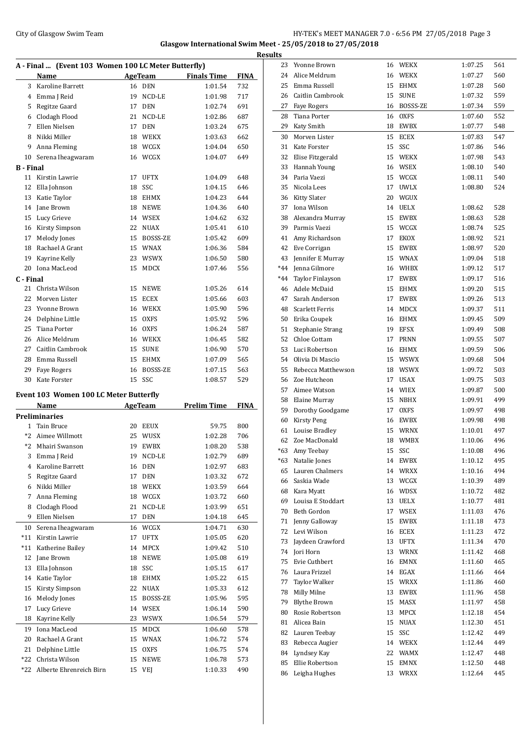## City of Glasgow Swim Team HY-TEK's MEET MANAGER 7.0 - 6:56 PM 27/05/2018 Page 3 **Glasgow International Swim Meet - 25/05/2018 to 27/05/2018 Results**

| A - Final  (Event 103 Women 100 LC Meter Butterfly) |                                               |    |                |                    |             |  |  |
|-----------------------------------------------------|-----------------------------------------------|----|----------------|--------------------|-------------|--|--|
|                                                     | Name                                          |    | <b>AgeTeam</b> | <b>Finals Time</b> | <b>FINA</b> |  |  |
| 3                                                   | Karoline Barrett                              | 16 | <b>DEN</b>     | 1:01.54            | 732         |  |  |
| 4                                                   | Emma J Reid                                   | 19 | NCD-LE         | 1:01.98            | 717         |  |  |
| 5                                                   | Regitze Gaard                                 | 17 | <b>DEN</b>     | 1:02.74            | 691         |  |  |
| 6                                                   | Clodagh Flood                                 | 21 | NCD-LE         | 1:02.86            | 687         |  |  |
| 7                                                   | Ellen Nielsen                                 | 17 | <b>DEN</b>     | 1:03.24            | 675         |  |  |
| 8                                                   | Nikki Miller                                  | 18 | <b>WEKX</b>    | 1:03.63            | 662         |  |  |
| 9                                                   | Anna Fleming                                  | 18 | WCGX           | 1:04.04            | 650         |  |  |
| 10                                                  | Serena Iheagwaram                             | 16 | WCGX           | 1:04.07            | 649         |  |  |
| B - Final                                           |                                               |    |                |                    |             |  |  |
| 11                                                  | Kirstin Lawrie                                | 17 | <b>UFTX</b>    | 1:04.09            | 648         |  |  |
| 12                                                  | Ella Johnson                                  | 18 | SSC            | 1:04.15            | 646         |  |  |
| 13                                                  | Katie Taylor                                  | 18 | <b>EHMX</b>    | 1:04.23            | 644         |  |  |
| 14                                                  | Jane Brown                                    | 18 | <b>NEWE</b>    | 1:04.36            | 640         |  |  |
| 15                                                  | Lucy Grieve                                   | 14 | WSEX           | 1:04.62            | 632         |  |  |
| 16                                                  | Kirsty Simpson                                | 22 | <b>NUAX</b>    | 1:05.41            | 610         |  |  |
| 17                                                  | Melody Jones                                  | 15 | BOSSS-ZE       | 1:05.42            | 609         |  |  |
| 18                                                  | Rachael A Grant                               |    | 15 WNAX        | 1:06.36            | 584         |  |  |
| 19                                                  | Kayrine Kelly                                 | 23 | <b>WSWX</b>    | 1:06.50            | 580         |  |  |
| 20                                                  | Iona MacLeod                                  | 15 | <b>MDCX</b>    | 1:07.46            | 556         |  |  |
| C - Final                                           |                                               |    |                |                    |             |  |  |
| 21                                                  | Christa Wilson                                | 15 | <b>NEWE</b>    | 1:05.26            | 614         |  |  |
| 22                                                  | Morven Lister                                 | 15 | <b>ECEX</b>    | 1:05.66            | 603         |  |  |
| 23                                                  | Yvonne Brown                                  |    | 16 WEKX        | 1:05.90            | 596         |  |  |
| 24                                                  | Delphine Little                               | 15 | <b>OXFS</b>    | 1:05.92            | 596         |  |  |
| 25                                                  | Tiana Porter                                  | 16 | <b>OXFS</b>    | 1:06.24            | 587         |  |  |
| 26                                                  | Alice Meldrum                                 |    | 16 WEKX        | 1:06.45            | 582         |  |  |
| 27                                                  | Caitlin Cambrook                              | 15 | <b>SUNE</b>    | 1:06.90            | 570         |  |  |
| 28                                                  | Emma Russell                                  | 15 | <b>EHMX</b>    | 1:07.09            | 565         |  |  |
| 29                                                  | <b>Faye Rogers</b>                            | 16 | BOSSS-ZE       | 1:07.15            | 563         |  |  |
| 30                                                  | Kate Forster                                  | 15 | SSC            | 1:08.57            | 529         |  |  |
|                                                     |                                               |    |                |                    |             |  |  |
|                                                     | <b>Event 103 Women 100 LC Meter Butterfly</b> |    |                |                    |             |  |  |
|                                                     | Name<br><b>Preliminaries</b>                  |    | <b>AgeTeam</b> | <b>Prelim Time</b> | <b>FINA</b> |  |  |
| $\mathbf{1}$                                        | <b>Tain Bruce</b>                             | 20 | <b>EEUX</b>    | 59.75              | 800         |  |  |
| $*2$                                                | Aimee Willmott                                | 25 | <b>WUSX</b>    | 1:02.28            | 706         |  |  |
| $*2$                                                |                                               | 19 |                |                    |             |  |  |
|                                                     | Mhairi Swanson                                |    | <b>EWBX</b>    | 1:08.20            | 538         |  |  |
| 3                                                   | Emma J Reid<br>Karoline Barrett               | 19 | NCD-LE         | 1:02.79<br>1:02.97 | 689         |  |  |
| 4                                                   |                                               | 16 | DEN            |                    | 683         |  |  |
| 5                                                   | Regitze Gaard                                 | 17 | DEN            | 1:03.32            | 672         |  |  |
| 6                                                   | Nikki Miller                                  | 18 | WEKX           | 1:03.59            | 664         |  |  |
| 7                                                   | Anna Fleming                                  | 18 | WCGX           | 1:03.72            | 660         |  |  |
| 8                                                   | Clodagh Flood                                 | 21 | NCD-LE         | 1:03.99            | 651         |  |  |
| 9                                                   | Ellen Nielsen                                 | 17 | DEN            | 1:04.18            | 645         |  |  |
| 10                                                  | Serena Iheagwaram                             | 16 | WCGX           | 1:04.71            | 630         |  |  |
| $*11$                                               | Kirstin Lawrie                                | 17 | UFTX           | 1:05.05            | 620         |  |  |
| $*11$                                               | Katherine Bailey                              | 14 | MPCX           | 1:09.42            | 510         |  |  |
| 12                                                  | Jane Brown                                    | 18 | NEWE           | 1:05.08            | 619         |  |  |
| 13                                                  | Ella Johnson                                  | 18 | SSC            | 1:05.15            | 617         |  |  |
| 14                                                  | Katie Taylor                                  | 18 | EHMX           | 1:05.22            | 615         |  |  |
| 15                                                  | <b>Kirsty Simpson</b>                         | 22 | NUAX           | 1:05.33            | 612         |  |  |
| 16                                                  | Melody Jones                                  | 15 | BOSSS-ZE       | 1:05.96            | 595         |  |  |
| 17                                                  | Lucy Grieve                                   | 14 | WSEX           | 1:06.14            | 590         |  |  |
| 18                                                  | Kayrine Kelly                                 | 23 | WSWX           | 1:06.54            | 579         |  |  |
| 19                                                  | Iona MacLeod                                  | 15 | MDCX           | 1:06.60            | 578         |  |  |
| 20                                                  | Rachael A Grant                               | 15 | WNAX           | 1:06.72            | 574         |  |  |
| 21                                                  | Delphine Little                               | 15 | <b>OXFS</b>    | 1:06.75            | 574         |  |  |
| *22                                                 | Christa Wilson                                | 15 | NEWE           | 1:06.78            | 573         |  |  |
| *22                                                 | Alberte Ehrenreich Birn                       | 15 | VEJ            | 1:10.33            | 490         |  |  |

| 23    | Yvonne Brown            | 16 | <b>WEKX</b> | 1:07.25 | 561 |
|-------|-------------------------|----|-------------|---------|-----|
| 24    | Alice Meldrum           | 16 | <b>WEKX</b> | 1:07.27 | 560 |
| 25    | Emma Russell            | 15 | <b>EHMX</b> | 1:07.28 | 560 |
| 26    | Caitlin Cambrook        | 15 | <b>SUNE</b> | 1:07.32 | 559 |
| 27    | <b>Faye Rogers</b>      | 16 | BOSSS-ZE    | 1:07.34 | 559 |
| 28    | Tiana Porter            | 16 | <b>OXFS</b> | 1:07.60 | 552 |
| 29    | Katy Smith              | 18 | <b>EWBX</b> | 1:07.77 | 548 |
| 30    | Morven Lister           | 15 | <b>ECEX</b> | 1:07.83 | 547 |
| 31    | Kate Forster            | 15 | SSC         | 1:07.86 | 546 |
| 32    | Elise Fitzgerald        | 15 | WEKX        | 1:07.98 | 543 |
| 33    | Hannah Young            | 16 | WSEX        | 1:08.10 | 540 |
| 34    | Paria Vaezi             | 15 | WCGX        | 1:08.11 | 540 |
| 35    | Nicola Lees             | 17 | <b>UWLX</b> | 1:08.80 | 524 |
| 36    | <b>Kitty Slater</b>     | 20 | WGUX        |         |     |
| 37    | Iona Wilson             | 14 | <b>UELX</b> | 1:08.62 | 528 |
| 38    | Alexandra Murray        | 15 | <b>EWBX</b> | 1:08.63 | 528 |
| 39    | Parmis Vaezi            | 15 | WCGX        | 1:08.74 | 525 |
| 41    | Amy Richardson          | 17 | EKOX        | 1:08.92 | 521 |
| 42    | Eve Corrigan            | 15 | EWBX        | 1:08.97 | 520 |
| 43    | Jennifer E Murray       | 15 | WNAX        | 1:09.04 | 518 |
| $*44$ | Jenna Gilmore           |    | 16 WHBX     | 1:09.12 | 517 |
| $*44$ | <b>Taylor Finlayson</b> | 17 | <b>EWBX</b> | 1:09.17 | 516 |
| 46    | Adele McDaid            | 15 | EHMX        | 1:09.20 | 515 |
| 47    | Sarah Anderson          |    | 17 EWBX     | 1:09.26 | 513 |
| 48    | Scarlett Ferris         | 14 | MDCX        | 1:09.37 | 511 |
| 50    | Erika Coupek            | 16 | <b>EHMX</b> | 1:09.45 | 509 |
| 51    | <b>Stephanie Strang</b> | 19 | <b>EFSX</b> | 1:09.49 | 508 |
| 52    | Chloe Cottam            | 17 | <b>PRNN</b> | 1:09.55 | 507 |
| 53    | Luci Robertson          | 16 | <b>EHMX</b> | 1:09.59 | 506 |
| 54    | Olivia Di Mascio        | 15 | <b>WSWX</b> | 1:09.68 | 504 |
| 55    | Rebecca Matthewson      |    | 18 WSWX     | 1:09.72 | 503 |
| 56    | Zoe Hutcheon            | 17 | <b>USAX</b> | 1:09.75 | 503 |
| 57    | Aimee Watson            | 14 | <b>WIEX</b> | 1:09.87 | 500 |
| 58    | Elaine Murray           | 15 | NBHX        | 1:09.91 | 499 |
| 59    | Dorothy Goodgame        | 17 | <b>OXFS</b> | 1:09.97 | 498 |
| 60    | <b>Kirsty Peng</b>      |    | 16 EWBX     | 1:09.98 | 498 |
| 61    | Louise Bradley          |    | 15 WRNX     | 1:10.01 | 497 |
| 62    | Zoe MacDonald           | 18 | <b>WMBX</b> | 1:10.06 | 496 |
| *63   | Amy Teebay              | 15 | SSC         | 1:10.08 | 496 |
| $*63$ | Natalie Jones           | 14 | EWBX        | 1:10.12 | 495 |
| 65    | Lauren Chalmers         | 14 | WRXX        | 1:10.16 | 494 |
| 66    | Saskia Wade             | 13 | WCGX        | 1:10.39 | 489 |
| 68    | Kara Myatt              | 16 | <b>WDSX</b> | 1:10.72 | 482 |
| 69    | Louisa E Stoddart       |    | 13 UELX     | 1:10.77 | 481 |
| 70    | Beth Gordon             |    | 17 WSEX     | 1:11.03 | 476 |
| 71    | Jenny Galloway          | 15 | EWBX        | 1:11.18 | 473 |
| 72    | Levi Wilson             |    | 16 ECEX     | 1:11.23 | 472 |
| 73    | Jaydeen Crawford        |    | 13 UFTX     | 1:11.34 | 470 |
| 74    | Jori Horn               |    | 13 WRNX     | 1:11.42 | 468 |
| 75    | Evie Cuthbert           | 16 | EMNX        | 1:11.60 | 465 |
| 76    | Laura Frizzel           | 14 | EGAX        | 1:11.66 | 464 |
| 77    | <b>Taylor Walker</b>    | 15 | WRXX        | 1:11.86 | 460 |
| 78    | Milly Milne             | 13 | EWBX        | 1:11.96 | 458 |
| 79    | <b>Blythe Brown</b>     | 15 | MASX        | 1:11.97 | 458 |
| 80    | Rosie Robertson         | 13 | MPCX        | 1:12.18 | 454 |
| 81    | Alicea Bain             | 15 | <b>NUAX</b> | 1:12.30 | 451 |
| 82    | Lauren Teebay           | 15 | SSC         | 1:12.42 | 449 |
| 83    | Rebecca Augier          |    | 14 WEKX     | 1:12.44 | 449 |
| 84    | Lyndsey Kay             | 22 | WAMX        | 1:12.47 | 448 |
| 85    | Ellie Robertson         |    | 15 EMNX     | 1:12.50 | 448 |
| 86    | Leigha Hughes           |    | 13 WRXX     | 1:12.64 | 445 |
|       |                         |    |             |         |     |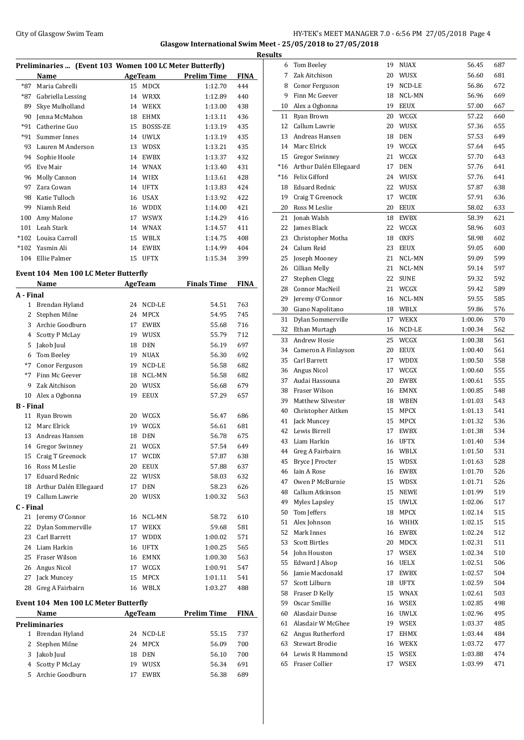## City of Glasgow Swim Team HY-TEK's MEET MANAGER 7.0 - 6:56 PM 27/05/2018 Page 4 **Glasgow International Swim Meet - 25/05/2018 to 27/05/2018 Results**

| Preliminaries  (Event 103 Women 100 LC Meter Butterfly) |                   |    |             |                    |             |  |
|---------------------------------------------------------|-------------------|----|-------------|--------------------|-------------|--|
|                                                         | Name              |    | AgeTeam     | <b>Prelim Time</b> | <b>FINA</b> |  |
| *87                                                     | Maria Cabrelli    | 15 | <b>MDCX</b> | 1:12.70            | 444         |  |
| *87                                                     | Gabriella Lessing | 14 | <b>WRXX</b> | 1:12.89            | 440         |  |
| 89                                                      | Skye Mulholland   | 14 | <b>WEKX</b> | 1:13.00            | 438         |  |
| 90                                                      | Jenna McMahon     | 18 | <b>EHMX</b> | 1:13.11            | 436         |  |
| $*91$                                                   | Catherine Guo     | 15 | BOSSS-ZE    | 1:13.19            | 435         |  |
| $*91$                                                   | Summer Innes      | 14 | <b>UWLX</b> | 1:13.19            | 435         |  |
| 93                                                      | Lauren M Anderson | 13 | <b>WDSX</b> | 1:13.21            | 435         |  |
| 94                                                      | Sophie Hoole      | 14 | <b>EWBX</b> | 1:13.37            | 432         |  |
| 95                                                      | Eve Mair          | 14 | <b>WNAX</b> | 1:13.40            | 431         |  |
| 96                                                      | Molly Cannon      | 14 | <b>WIEX</b> | 1:13.61            | 428         |  |
| 97                                                      | Zara Cowan        | 14 | <b>UFTX</b> | 1:13.83            | 424         |  |
| 98                                                      | Katie Tulloch     | 16 | <b>USAX</b> | 1:13.92            | 422         |  |
| 99                                                      | Niamh Reid        | 16 | <b>WDDX</b> | 1:14.00            | 421         |  |
| 100                                                     | Amy Malone        | 17 | <b>WSWX</b> | 1:14.29            | 416         |  |
| 101                                                     | Leah Stark        | 14 | <b>WNAX</b> | 1:14.57            | 411         |  |
| $*102$                                                  | Louisa Carroll    | 15 | WBLX        | 1:14.75            | 408         |  |
| $*102$                                                  | Yasmin Ali        | 14 | <b>EWBX</b> | 1:14.99            | 404         |  |
| 104                                                     | Ellie Palmer      | 15 | <b>UFTX</b> | 1:15.34            | 399         |  |

## **Event 104 Men 100 LC Meter Butterfly**

|                  | Name                                 |    | <b>AgeTeam</b> | <b>Finals Time</b> | <b>FINA</b> |
|------------------|--------------------------------------|----|----------------|--------------------|-------------|
| A - Final        |                                      |    |                |                    |             |
| $\mathbf{1}$     | Brendan Hyland                       | 24 | NCD-LE         | 54.51              | 763         |
| 2                | Stephen Milne                        | 24 | <b>MPCX</b>    | 54.95              | 745         |
| 3                | Archie Goodburn                      | 17 | <b>EWBX</b>    | 55.68              | 716         |
| 4                | <b>Scotty P McLay</b>                | 19 | WUSX           | 55.79              | 712         |
| 5                | Jakob Juul                           | 18 | <b>DEN</b>     | 56.19              | 697         |
| 6                | Tom Beeley                           | 19 | <b>NUAX</b>    | 56.30              | 692         |
| $*7$             | Conor Ferguson                       | 19 | NCD-LE         | 56.58              | 682         |
| $*7$             | Finn Mc Geever                       | 18 | NCL-MN         | 56.58              | 682         |
| 9                | Zak Aitchison                        | 20 | WUSX           | 56.68              | 679         |
| 10               | Alex a Ogbonna                       | 19 | <b>EEUX</b>    | 57.29              | 657         |
| <b>B</b> - Final |                                      |    |                |                    |             |
| 11               | Ryan Brown                           | 20 | WCGX           | 56.47              | 686         |
| 12               | Marc Elrick                          | 19 | WCGX           | 56.61              | 681         |
| 13               | Andreas Hansen                       | 18 | <b>DEN</b>     | 56.78              | 675         |
|                  | 14 Gregor Swinney                    | 21 | WCGX           | 57.54              | 649         |
| 15               | Craig T Greenock                     | 17 | <b>WCDX</b>    | 57.87              | 638         |
| 16               | Ross M Leslie                        | 20 | <b>EEUX</b>    | 57.88              | 637         |
| 17               | <b>Eduard Rednic</b>                 | 22 | <b>WUSX</b>    | 58.03              | 632         |
| 18               | Arthur Dalén Ellegaard               | 17 | <b>DEN</b>     | 58.23              | 626         |
| 19               | Callum Lawrie                        | 20 | WUSX           | 1:00.32            | 563         |
| C - Final        |                                      |    |                |                    |             |
| 21               | Jeremy O'Connor                      | 16 | NCL-MN         | 58.72              | 610         |
| 22               | Dylan Sommerville                    | 17 | <b>WEKX</b>    | 59.68              | 581         |
| 23               | Carl Barrett                         | 17 | <b>WDDX</b>    | 1:00.02            | 571         |
| 24               | Liam Harkin                          | 16 | <b>UFTX</b>    | 1:00.25            | 565         |
| 25               | Fraser Wilson                        | 16 | <b>EMNX</b>    | 1:00.30            | 563         |
| 26               | Angus Nicol                          | 17 | WCGX           | 1:00.91            | 547         |
| 27               | Jack Muncey                          | 15 | <b>MPCX</b>    | 1:01.11            | 541         |
| 28               | Greg A Fairbairn                     | 16 | <b>WBLX</b>    | 1:03.27            | 488         |
|                  | Event 104 Men 100 LC Meter Butterfly |    |                |                    |             |
|                  | Name                                 |    | AgeTeam        | <b>Prelim Time</b> | <b>FINA</b> |
|                  | <b>Preliminaries</b>                 |    |                |                    |             |
| 1                | Brendan Hyland                       | 24 | NCD-LE         | 55.15              | 737         |
| 2                | Stephen Milne                        | 24 | <b>MPCX</b>    | 56.09              | 700         |
| 3                | Jakob Juul                           | 18 | <b>DEN</b>     | 56.10              | 700         |
| 4                | <b>Scotty P McLay</b>                | 19 | WUSX           | 56.34              | 691         |
| 5                | Archie Goodburn                      | 17 | <b>EWBX</b>    | 56.38              | 689         |

| ults  |                        |    |             |         |     |
|-------|------------------------|----|-------------|---------|-----|
| 6     | Tom Beeley             | 19 | NUAX        | 56.45   | 687 |
| 7     | Zak Aitchison          | 20 | <b>WUSX</b> | 56.60   | 681 |
| 8     | Conor Ferguson         | 19 | NCD-LE      | 56.86   | 672 |
| 9     | Finn Mc Geever         | 18 | NCL-MN      | 56.96   | 669 |
| 10    | Alex a Ogbonna         | 19 | <b>EEUX</b> | 57.00   | 667 |
| 11    | Ryan Brown             | 20 | <b>WCGX</b> | 57.22   | 660 |
| 12    | Callum Lawrie          | 20 | <b>WUSX</b> | 57.36   | 655 |
| 13    | Andreas Hansen         |    |             |         |     |
|       |                        | 18 | <b>DEN</b>  | 57.53   | 649 |
| 14    | Marc Elrick            | 19 | WCGX        | 57.64   | 645 |
| 15    | <b>Gregor Swinney</b>  | 21 | WCGX        | 57.70   | 643 |
| $*16$ | Arthur Dalén Ellegaard | 17 | <b>DEN</b>  | 57.76   | 641 |
| $*16$ | Felix Gifford          | 24 | WUSX        | 57.76   | 641 |
| 18    | <b>Eduard Rednic</b>   | 22 | <b>WUSX</b> | 57.87   | 638 |
| 19    | Craig T Greenock       | 17 | <b>WCDX</b> | 57.91   | 636 |
| 20    | Ross M Leslie          | 20 | <b>EEUX</b> | 58.02   | 633 |
| 21    | Jonah Walsh            | 18 | EWBX        | 58.39   | 621 |
| 22    | James Black            | 22 | WCGX        | 58.96   | 603 |
| 23    | Christopher Motha      | 18 | <b>OXFS</b> | 58.98   | 602 |
| 24    | Calum Reid             | 23 | <b>EEUX</b> | 59.05   | 600 |
| 25    | Joseph Mooney          | 21 | NCL-MN      | 59.09   | 599 |
| 26    | Cillian Melly          | 21 | NCL-MN      | 59.14   | 597 |
| 27    | Stephen Clegg          | 22 | <b>SUNE</b> | 59.32   | 592 |
| 28    | Connor MacNeil         | 21 | WCGX        | 59.42   | 589 |
| 29    | Jeremy O'Connor        | 16 | NCL-MN      | 59.55   | 585 |
| 30    | Giano Napolitano       |    | 18 WBLX     | 59.86   | 576 |
| 31    | Dylan Sommerville      | 17 | <b>WEKX</b> | 1:00.06 | 570 |
|       |                        |    |             |         |     |
| 32    | Ethan Murtagh          | 16 | NCD-LE      | 1:00.34 | 562 |
| 33    | <b>Andrew Hosie</b>    | 25 | WCGX        | 1:00.38 | 561 |
| 34    | Cameron A Finlayson    | 20 | <b>EEUX</b> | 1:00.40 | 561 |
| 35    | Carl Barrett           | 17 | <b>WDDX</b> | 1:00.50 | 558 |
| 36    | Angus Nicol            | 17 | WCGX        | 1:00.60 | 555 |
| 37    | Audai Hassouna         | 20 | EWBX        | 1:00.61 | 555 |
| 38    | <b>Fraser Wilson</b>   | 16 | <b>EMNX</b> | 1:00.85 | 548 |
| 39    | Matthew Silvester      | 18 | <b>WBEN</b> | 1:01.03 | 543 |
| 40    | Christopher Aitken     | 15 | <b>MPCX</b> | 1:01.13 | 541 |
| 41    | Jack Muncey            | 15 | <b>MPCX</b> | 1:01.32 | 536 |
| 42    | Lewis Birrell          | 17 | EWBX        | 1:01.38 | 534 |
| 43    | Liam Harkin            | 16 | <b>UFTX</b> | 1:01.40 | 534 |
| 44    | Greg A Fairbairn       | 16 | WBLX        | 1:01.50 | 531 |
| 45    | Bryce J Procter        | 15 | WDSX        | 1:01.63 | 528 |
| 46    | Iain A Rose            | 16 | EWBX        | 1:01.70 | 526 |
| 47    | Owen P McBurnie        | 15 | WDSX        | 1:01.71 | 526 |
| 48    | Callum Atkinson        | 15 | NEWE        | 1:01.99 | 519 |
| 49    | Myles Lapsley          | 15 | <b>UWLX</b> | 1:02.06 | 517 |
| 50    | Tom Jeffers            | 18 | MPCX        | 1:02.14 | 515 |
| 51    | Alex Johnson           | 16 | WHHX        | 1:02.15 | 515 |
| 52    | Mark Innes             |    | <b>EWBX</b> |         |     |
|       |                        | 16 |             | 1:02.24 | 512 |
| 53    | <b>Scott Birtles</b>   | 20 | MDCX        | 1:02.31 | 511 |
| 54    | John Houston           | 17 | WSEX        | 1:02.34 | 510 |
| 55    | Edward J Alsop         | 16 | UELX        | 1:02.51 | 506 |
| 56    | Jamie Macdonald        | 17 | EWBX        | 1:02.57 | 504 |
| 57    | Scott Lilburn          | 18 | UFTX        | 1:02.59 | 504 |
| 58    | Fraser D Kelly         | 15 | WNAX        | 1:02.61 | 503 |
| 59    | Oscar Smillie          | 16 | WSEX        | 1:02.85 | 498 |
| 60    | Alasdair Dunse         | 16 | UWLX        | 1:02.96 | 495 |
| 61    | Alasdair W McGhee      | 19 | WSEX        | 1:03.37 | 485 |
| 62    | Angus Rutherford       | 17 | EHMX        | 1:03.44 | 484 |
| 63    | <b>Stewart Brodie</b>  | 16 | WEKX        | 1:03.72 | 477 |
| 64    | Lewis R Hammond        | 15 | WSEX        | 1:03.88 | 474 |
| 65    | Fraser Collier         | 17 | WSEX        | 1:03.99 | 471 |
|       |                        |    |             |         |     |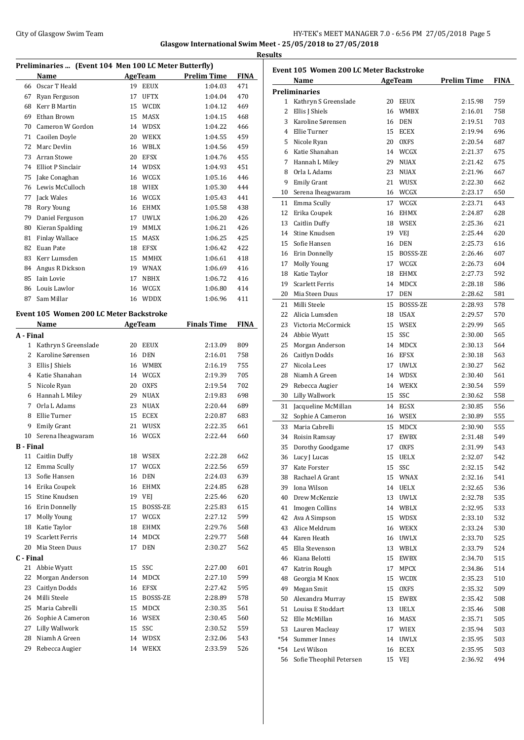## City of Glasgow Swim Team Team Team Fermion City of Glasgow Swim Team Fermion City of Glasgow Swim Team Fermion City of Glasgow Swim Team Fermion City of Glasgow Swim Team Fermion City of Glasgow Swim Team Fermion City of **Glasgow International Swim Meet - 25/05/2018 to 27/05/2018 Results**

|                  | Preliminaries  (Event 104 Men 100 LC Meter Butterfly) |    |                |                    |             |
|------------------|-------------------------------------------------------|----|----------------|--------------------|-------------|
|                  | <b>Name</b>                                           |    | <b>AgeTeam</b> | <b>Prelim Time</b> | <b>FINA</b> |
|                  | 66 Oscar T Heald                                      | 19 | <b>EEUX</b>    | 1:04.03            | 471         |
|                  | 67 Ryan Ferguson                                      |    | 17 UFTX        | 1:04.04            | 470         |
|                  | 68 Kerr B Martin                                      |    | 15 WCDX        | 1:04.12            | 469         |
| 69               | Ethan Brown                                           |    | 15 MASX        | 1:04.15            | 468         |
|                  | 70 Cameron W Gordon                                   |    | 14 WDSX        | 1:04.22            | 466         |
|                  | 71 Caoilen Doyle                                      |    | 20 WEKX        | 1:04.55            | 459         |
| 72               | Marc Devlin                                           |    | 16 WBLX        | 1:04.56            | 459         |
| 73               | Arran Stowe                                           |    | 20 EFSX        | 1:04.76            | 455         |
|                  | 74 Elliot P Sinclair                                  |    | 14 WDSX        | 1:04.93            | 451         |
| 75               | Jake Conaghan                                         |    | 16 WCGX        | 1:05.16            | 446         |
| 76               | Lewis McCulloch                                       |    | 18 WIEX        | 1:05.30            | 444         |
| 77               | Jack Wales                                            |    | 16 WCGX        | 1:05.43            | 441         |
| 78               | Rory Young                                            |    | 16 EHMX        | 1:05.58            | 438         |
|                  | 79 Daniel Ferguson                                    |    | 17 UWLX        | 1:06.20            | 426         |
| 80               | Kieran Spalding                                       |    | 19 MMLX        | 1:06.21            | 426         |
| 81               | <b>Finlay Wallace</b>                                 |    | 15 MASX        | 1:06.25            | 425         |
| 82               | Euan Pate                                             |    | 18 EFSX        | 1:06.42            | 422         |
| 83               | Kerr Lumsden                                          | 15 | <b>MMHX</b>    | 1:06.61            | 418         |
| 84               | Angus R Dickson                                       |    | 19 WNAX        | 1:06.69            | 416         |
| 85               | Iain Lovie                                            | 17 | <b>NBHX</b>    | 1:06.72            | 416         |
| 86               | Louis Lawlor                                          |    | 16 WCGX        | 1:06.80            | 414         |
| 87               | Sam Millar                                            |    |                |                    |             |
|                  |                                                       |    | 16 WDDX        | 1:06.96            | 411         |
|                  | Event 105 Women 200 LC Meter Backstroke               |    |                |                    |             |
|                  | Name                                                  |    | <b>AgeTeam</b> | <b>Finals Time</b> | <b>FINA</b> |
| A - Final        |                                                       |    |                |                    |             |
| $\mathbf{1}$     | Kathryn S Greenslade                                  | 20 | EEUX           | 2:13.09            | 809         |
| $\overline{2}$   | Karoline Sørensen                                     |    | 16 DEN         | 2:16.01            | 758         |
|                  | 3 Ellis J Shiels                                      |    | 16 WMBX        | 2:16.19            | 755         |
|                  | 4 Katie Shanahan                                      |    | 14 WCGX        | 2:19.39            | 705         |
| 5                | Nicole Ryan                                           | 20 | <b>OXFS</b>    | 2:19.54            | 702         |
| 6                | Hannah L Miley                                        | 29 | <b>NUAX</b>    | 2:19.83            | 698         |
| 7                | Orla L Adams                                          | 23 | <b>NUAX</b>    | 2:20.44            | 689         |
| 8                | Ellie Turner                                          |    | 15 ECEX        | 2:20.87            | 683         |
| 9                | <b>Emily Grant</b>                                    | 21 | WUSX           | 2:22.35            | 661         |
| 10               | Serena Iheagwaram                                     |    | 16 WCGX        | 2:22.44            | 660         |
| <b>B</b> - Final |                                                       |    |                |                    |             |
| 11               | <b>Caitlin Duffy</b>                                  | 18 | WSEX           | 2:22.28            | 662         |
| 12               | Emma Scully                                           | 17 | WCGX           | 2:22.56            | 659         |
| 13               | Sofie Hansen                                          | 16 | DEN            | 2:24.03            | 639         |
| 14               | Erika Coupek                                          | 16 | <b>EHMX</b>    | 2:24.85            | 628         |
| 15               | Stine Knudsen                                         |    | 19 VEJ         | 2:25.46            | 620         |
| 16               | Erin Donnelly                                         | 15 | BOSSS-ZE       | 2:25.83            | 615         |
| 17               | <b>Molly Young</b>                                    | 17 | WCGX           | 2:27.12            | 599         |
| 18               | Katie Taylor                                          | 18 | EHMX           | 2:29.76            | 568         |
| 19               | <b>Scarlett Ferris</b>                                | 14 | <b>MDCX</b>    | 2:29.77            | 568         |
| 20               | Mia Steen Duus                                        | 17 | <b>DEN</b>     | 2:30.27            | 562         |
| C - Final        |                                                       |    |                |                    |             |
| 21               | Abbie Wyatt                                           | 15 | SSC            | 2:27.00            | 601         |
| 22               | Morgan Anderson                                       | 14 | MDCX           | 2:27.10            | 599         |
|                  |                                                       |    |                |                    |             |
| 23               | Caitlyn Dodds<br>Milli Steele                         | 16 | EFSX           | 2:27.42            | 595         |
| 24               |                                                       | 15 | BOSSS-ZE       | 2:28.89            | 578         |
| 25               | Maria Cabrelli                                        | 15 | MDCX           | 2:30.35            | 561         |
| 26               | Sophie A Cameron                                      |    | 16 WSEX        | 2:30.45            | 560         |
| 27               | Lilly Wallwork                                        | 15 | SSC            | 2:30.52            | 559         |
| 28               | Niamh A Green                                         | 14 | <b>WDSX</b>    | 2:32.06            | 543         |
| 29               | Rebecca Augier                                        | 14 | WEKX           | 2:33.59            | 526         |

| Event 105 Women 200 LC Meter Backstroke |                         |    |             |                    |      |  |  |
|-----------------------------------------|-------------------------|----|-------------|--------------------|------|--|--|
|                                         | Name                    |    | AgeTeam     | <b>Prelim Time</b> | FINA |  |  |
|                                         | <b>Preliminaries</b>    |    |             |                    |      |  |  |
|                                         | 1 Kathryn S Greenslade  |    | 20 EEUX     | 2:15.98            | 759  |  |  |
| 2                                       | Ellis J Shiels          |    | 16 WMBX     | 2:16.01            | 758  |  |  |
|                                         | 3 Karoline Sørensen     |    | 16 DEN      | 2:19.51            | 703  |  |  |
|                                         | 4 Ellie Turner          |    | 15 ECEX     | 2:19.94            | 696  |  |  |
|                                         | 5 Nicole Ryan           |    | 20 OXFS     | 2:20.54            | 687  |  |  |
| 6                                       | Katie Shanahan          | 14 | WCGX        | 2:21.37            | 675  |  |  |
| 7                                       | Hannah L Miley          | 29 | <b>NUAX</b> | 2:21.42            | 675  |  |  |
| 8                                       | Orla L Adams            | 23 | <b>NUAX</b> | 2:21.96            | 667  |  |  |
| 9                                       | <b>Emily Grant</b>      | 21 | WUSX        | 2:22.30            | 662  |  |  |
| 10                                      | Serena Iheagwaram       |    | 16 WCGX     | 2:23.17            | 650  |  |  |
|                                         | 11 Emma Scully          | 17 | WCGX        | 2:23.71            | 643  |  |  |
| 12                                      | Erika Coupek            | 16 | EHMX        | 2:24.87            | 628  |  |  |
| 13                                      | <b>Caitlin Duffy</b>    |    | 18 WSEX     | 2:25.36            | 621  |  |  |
| 14                                      | Stine Knudsen           |    | 19 VEJ      | 2:25.44            | 620  |  |  |
| 15                                      | Sofie Hansen            | 16 | DEN         | 2:25.73            | 616  |  |  |
|                                         |                         |    | 15 BOSSS-ZE | 2:26.46            | 607  |  |  |
|                                         | 16 Erin Donnelly        |    |             |                    |      |  |  |
|                                         | 17 Molly Young          |    | 17 WCGX     | 2:26.73            | 604  |  |  |
|                                         | 18 Katie Taylor         | 18 | EHMX        | 2:27.73            | 592  |  |  |
| 19                                      | <b>Scarlett Ferris</b>  | 14 | <b>MDCX</b> | 2:28.18            | 586  |  |  |
|                                         | 20 Mia Steen Duus       |    | 17 DEN      | 2:28.62            | 581  |  |  |
| 21                                      | Milli Steele            |    | 15 BOSSS-ZE | 2:28.93            | 578  |  |  |
| 22                                      | Alicia Lumsden          |    | 18 USAX     | 2:29.57            | 570  |  |  |
|                                         | 23 Victoria McCormick   | 15 | <b>WSEX</b> | 2:29.99            | 565  |  |  |
|                                         | 24 Abbie Wyatt          | 15 | SSC         | 2:30.00            | 565  |  |  |
| 25                                      | Morgan Anderson         | 14 | <b>MDCX</b> | 2:30.13            | 564  |  |  |
| 26                                      | Caitlyn Dodds           |    | 16 EFSX     | 2:30.18            | 563  |  |  |
| 27                                      | Nicola Lees             |    | 17 UWLX     | 2:30.27            | 562  |  |  |
| 28                                      | Niamh A Green           |    | 14 WDSX     | 2:30.40            | 561  |  |  |
|                                         | 29 Rebecca Augier       |    | 14 WEKX     | 2:30.54            | 559  |  |  |
| 30                                      | Lilly Wallwork          |    | 15 SSC      | 2:30.62            | 558  |  |  |
| 31                                      | Jacqueline McMillan     |    | 14 EGSX     | 2:30.85            | 556  |  |  |
| 32                                      | Sophie A Cameron        |    | 16 WSEX     | 2:30.89            | 555  |  |  |
| 33                                      | Maria Cabrelli          |    | 15 MDCX     | 2:30.90            | 555  |  |  |
|                                         | 34 Roisin Ramsay        | 17 | EWBX        | 2:31.48            | 549  |  |  |
| 35                                      | Dorothy Goodgame        | 17 | <b>OXFS</b> | 2:31.99            | 543  |  |  |
|                                         | 36 Lucy J Lucas         |    | 15 UELX     | 2:32.07            | 542  |  |  |
| 37                                      | Kate Forster            | 15 | SSC         | 2:32.15            | 542  |  |  |
| 38                                      | Rachael A Grant         | 15 | WNAX        | 2:32.16            | 541  |  |  |
| 39                                      | Iona Wilson             |    | 14 UELX     | 2:32.65            | 536  |  |  |
| 40                                      | Drew McKenzie           |    | 13 UWLX     | 2:32.78            | 535  |  |  |
| 41                                      | Imogen Collins          |    | 14 WBLX     | 2:32.95            | 533  |  |  |
| 42                                      | Ava A Simpson           |    | 15 WDSX     | 2:33.10            | 532  |  |  |
|                                         | 43 Alice Meldrum        |    | 16 WEKX     | 2:33.24            | 530  |  |  |
|                                         | 44 Karen Heath          |    | 16 UWLX     | 2:33.70            | 525  |  |  |
| 45                                      | Ella Stevenson          |    | 13 WBLX     |                    |      |  |  |
|                                         |                         |    |             | 2:33.79            | 524  |  |  |
| 46                                      | Kiana Belotti           | 15 | EWBX        | 2:34.70            | 515  |  |  |
| 47                                      | Katrin Rough            | 17 | MPCX        | 2:34.86            | 514  |  |  |
| 48                                      | Georgia M Knox          | 15 | <b>WCDX</b> | 2:35.23            | 510  |  |  |
|                                         | 49 Megan Smit           | 15 | <b>OXFS</b> | 2:35.32            | 509  |  |  |
|                                         | 50 Alexandra Murray     |    | 15 EWBX     | 2:35.42            | 508  |  |  |
|                                         | 51 Louisa E Stoddart    | 13 | UELX        | 2:35.46            | 508  |  |  |
|                                         | 52 Elle McMillan        |    | 16 MASX     | 2:35.71            | 505  |  |  |
|                                         | 53 Lauren Macleay       |    | 17 WIEX     | 2:35.94            | 503  |  |  |
|                                         | *54 Summer Innes        |    | 14 UWLX     | 2:35.95            | 503  |  |  |
|                                         | *54 Levi Wilson         |    | 16 ECEX     | 2:35.95            | 503  |  |  |
| 56                                      | Sofie Theophil Petersen |    | 15 VEJ      | 2:36.92            | 494  |  |  |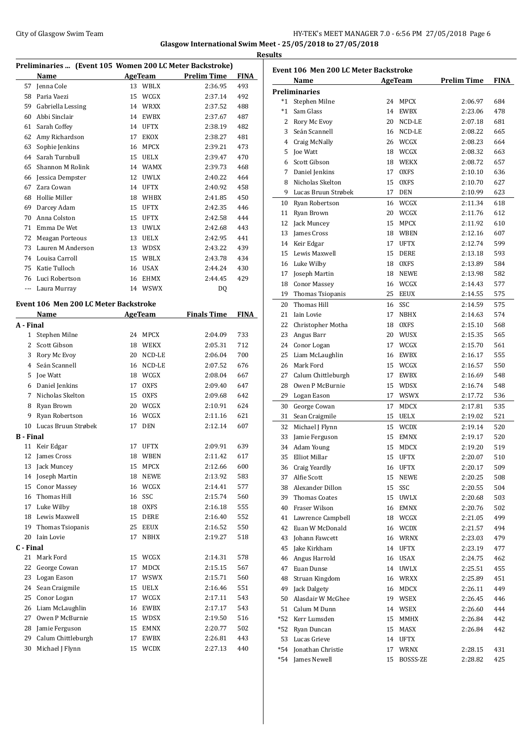## City of Glasgow Swim Team Team Team Fermion City of Glasgow Swim Team Fermion City of Glasgow Swim Team Fermion City of Glasgow Swim Team Fermion City of Glasgow Swim Team Fermion City of Glasgow Swim Team Fermion City of **Glasgow International Swim Meet - 25/05/2018 to 27/05/2018 Results**

| Preliminaries  (Event 105 Women 200 LC Meter Backstroke) |                                       |    |                |                    |             |
|----------------------------------------------------------|---------------------------------------|----|----------------|--------------------|-------------|
|                                                          | Name                                  |    | AgeTeam        | <b>Prelim Time</b> | <b>FINA</b> |
| 57                                                       | Jenna Cole                            |    | 13 WBLX        | 2:36.95            | 493         |
| 58                                                       | Paria Vaezi                           | 15 | WCGX           | 2:37.14            | 492         |
| 59                                                       | Gabriella Lessing                     |    | 14 WRXX        | 2:37.52            | 488         |
| 60                                                       | Abbi Sinclair                         | 14 | <b>EWBX</b>    | 2:37.67            | 487         |
| 61                                                       | Sarah Coffey                          | 14 | <b>UFTX</b>    | 2:38.19            | 482         |
| 62                                                       | Amy Richardson                        | 17 | EKOX           | 2:38.27            | 481         |
| 63                                                       | Sophie Jenkins                        | 16 | <b>MPCX</b>    | 2:39.21            | 473         |
| 64                                                       | Sarah Turnbull                        |    | 15 UELX        | 2:39.47            | 470         |
| 65                                                       | Shannon M Rolink                      |    | 14 WAMX        | 2:39.73            | 468         |
| 66                                                       | Jessica Dempster                      | 12 | UWLX           | 2:40.22            | 464         |
| 67                                                       | Zara Cowan                            | 14 | UFTX           | 2:40.92            | 458         |
| 68                                                       | Hollie Miller                         | 18 | WHBX           | 2:41.85            | 450         |
| 69                                                       | Darcey Adam                           | 15 | <b>UFTX</b>    | 2:42.35            | 446         |
| 70                                                       | Anna Colston                          | 15 | <b>UFTX</b>    | 2:42.58            | 444         |
| 71                                                       | Emma De Wet                           | 13 | <b>UWLX</b>    | 2:42.68            | 443         |
|                                                          |                                       |    |                |                    |             |
| 72                                                       | <b>Meagan Porteous</b>                | 13 | <b>UELX</b>    | 2:42.95            | 441         |
| 73                                                       | Lauren M Anderson                     | 13 | <b>WDSX</b>    | 2:43.22            | 439         |
|                                                          | 74 Louisa Carroll                     | 15 | WBLX           | 2:43.78            | 434         |
| 75                                                       | Katie Tulloch                         | 16 | <b>USAX</b>    | 2:44.24            | 430         |
| 76                                                       | Luci Robertson                        | 16 | <b>EHMX</b>    | 2:44.45            | 429         |
| $---$                                                    | Laura Murray                          |    | 14 WSWX        | DQ                 |             |
|                                                          | Event 106 Men 200 LC Meter Backstroke |    |                |                    |             |
|                                                          | <b>Name</b>                           |    | <b>AgeTeam</b> | <b>Finals Time</b> | <b>FINA</b> |
| A - Final                                                |                                       |    |                |                    |             |
| $\mathbf{1}$                                             | Stephen Milne                         | 24 | <b>MPCX</b>    | 2:04.09            | 733         |
|                                                          | 2 Scott Gibson                        | 18 | WEKX           | 2:05.31            | 712         |
| 3                                                        | Rory Mc Evoy                          | 20 | NCD-LE         | 2:06.04            | 700         |
| $\overline{4}$                                           | Seán Scannell                         | 16 | NCD-LE         | 2:07.52            | 676         |
| 5                                                        | Joe Watt                              | 18 | WCGX           | 2:08.04            | 667         |
|                                                          | 6 Daniel Jenkins                      | 17 | <b>OXFS</b>    | 2:09.40            | 647         |
| 7                                                        | Nicholas Skelton                      | 15 | <b>OXFS</b>    | 2:09.68            | 642         |
| 8                                                        | Ryan Brown                            |    | 20 WCGX        | 2:10.91            | 624         |
| 9                                                        | Ryan Robertson                        | 16 | WCGX           | 2:11.16            | 621         |
| 10                                                       | Lucas Bruun Strøbek                   | 17 | <b>DEN</b>     | 2:12.14            | 607         |
| <b>B</b> - Final                                         |                                       |    |                |                    |             |
|                                                          |                                       |    |                |                    |             |
|                                                          | 11 Keir Edgar                         |    | 17 UFTX        | 2:09.91<br>2:11.42 | 639<br>617  |
|                                                          | 12 James Cross                        |    | 18 WBEN        |                    |             |
| 13                                                       | Jack Muncey                           | 15 | MPCX           | 2:12.66            | 600         |
| 14                                                       | Joseph Martin                         | 18 | <b>NEWE</b>    | 2:13.92            | 583         |
| 15                                                       | <b>Conor Massey</b>                   | 16 | WCGX           | 2:14.41            | 577         |
| 16                                                       | Thomas Hill                           | 16 | SSC            | 2:15.74            | 560         |
| 17                                                       | Luke Wilby                            | 18 | <b>OXFS</b>    | 2:16.18            | 555         |
| 18                                                       | Lewis Maxwell                         | 15 | DERE           | 2:16.40            | 552         |
| 19                                                       | Thomas Tsiopanis                      | 25 | EEUX           | 2:16.52            | 550         |
| 20                                                       | Iain Lovie                            | 17 | NBHX           | 2:19.27            | 518         |
| C - Final                                                |                                       |    |                |                    |             |
| 21                                                       | Mark Ford                             | 15 | WCGX           | 2:14.31            | 578         |
| 22                                                       | George Cowan                          | 17 | MDCX           | 2:15.15            | 567         |
| 23                                                       | Logan Eason                           | 17 | WSWX           | 2:15.71            | 560         |
| 24                                                       | Sean Craigmile                        | 15 | UELX           | 2:16.46            | 551         |
| 25                                                       | Conor Logan                           | 17 | <b>WCGX</b>    | 2:17.11            | 543         |
| 26                                                       | Liam McLaughlin                       | 16 | EWBX           | 2:17.17            | 543         |
| 27                                                       | Owen P McBurnie                       | 15 | WDSX           | 2:19.50            | 516         |
| 28                                                       | Jamie Ferguson                        | 15 | EMNX           | 2:20.77            | 502         |
| 29                                                       | Calum Chittleburgh                    | 17 | EWBX           | 2:26.81            | 443         |
| 30                                                       | Michael J Flynn                       | 15 | <b>WCDX</b>    | 2:27.13            | 440         |

|      | Event 106 Men 200 LC Meter Backstroke |    |             |                    |             |  |  |
|------|---------------------------------------|----|-------------|--------------------|-------------|--|--|
|      | Name                                  |    | AgeTeam     | <b>Prelim Time</b> | <b>FINA</b> |  |  |
|      | <b>Preliminaries</b>                  |    |             |                    |             |  |  |
|      | *1 Stephen Milne                      | 24 | MPCX        | 2:06.97            | 684         |  |  |
| $*1$ | Sam Glass                             | 14 | <b>EWBX</b> | 2:23.06            | 478         |  |  |
|      | 2 Rory Mc Evoy                        | 20 | NCD-LE      | 2:07.18            | 681         |  |  |
|      | 3 Seán Scannell                       | 16 | NCD-LE      | 2:08.22            | 665         |  |  |
|      | 4 Craig McNally                       | 26 | WCGX        | 2:08.23            | 664         |  |  |
| 5.   | <b>Joe Watt</b>                       | 18 | WCGX        | 2:08.32            | 663         |  |  |
| 6    | Scott Gibson                          | 18 | WEKX        | 2:08.72            | 657         |  |  |
| 7    | Daniel Jenkins                        | 17 | <b>OXFS</b> | 2:10.10            | 636         |  |  |
| 8    | Nicholas Skelton                      | 15 | <b>OXFS</b> | 2:10.70            | 627         |  |  |
|      | 9 Lucas Bruun Strøbek                 | 17 | DEN         | 2:10.99            | 623         |  |  |
|      | 10 Ryan Robertson                     | 16 | WCGX        | 2:11.34            | 618         |  |  |
|      | 11 Ryan Brown                         | 20 | WCGX        | 2:11.76            | 612         |  |  |
|      | 12 Jack Muncey                        | 15 | <b>MPCX</b> | 2:11.92            | 610         |  |  |
| 13   | James Cross                           | 18 | WBEN        | 2:12.16            | 607         |  |  |
|      | 14 Keir Edgar                         | 17 | <b>UFTX</b> | 2:12.74            | 599         |  |  |
|      | 15 Lewis Maxwell                      | 15 | <b>DERE</b> | 2:13.18            | 593         |  |  |
|      | 16 Luke Wilby                         | 18 | <b>OXFS</b> | 2:13.89            | 584         |  |  |
| 17   | Joseph Martin                         | 18 | <b>NEWE</b> | 2:13.98            | 582         |  |  |
| 18   | <b>Conor Massey</b>                   | 16 | WCGX        | 2:14.43            | 577         |  |  |
|      | 19 Thomas Tsiopanis                   | 25 | EEUX        | 2:14.55            | 575         |  |  |
| 20   | Thomas Hill                           | 16 | SSC         | 2:14.59            | 575         |  |  |
| 21   | Iain Lovie                            | 17 | <b>NBHX</b> | 2:14.63            | 574         |  |  |
| 22   | Christopher Motha                     | 18 | <b>OXFS</b> | 2:15.10            | 568         |  |  |
| 23   | Angus Barr                            | 20 | WUSX        | 2:15.35            | 565         |  |  |
| 24   | Conor Logan                           | 17 | WCGX        | 2:15.70            | 561         |  |  |
| 25   | Liam McLaughlin                       | 16 | EWBX        | 2:16.17            | 555         |  |  |
| 26   | Mark Ford                             | 15 | WCGX        | 2:16.57            | 550         |  |  |
| 27   | Calum Chittleburgh                    | 17 | EWBX        | 2:16.69            | 548         |  |  |
| 28   | Owen P McBurnie                       | 15 | <b>WDSX</b> | 2:16.74            | 548         |  |  |
|      | 29 Logan Eason                        | 17 | WSWX        | 2:17.72            | 536         |  |  |
| 30   | George Cowan                          | 17 | MDCX        | 2:17.81            | 535         |  |  |
| 31   | Sean Craigmile                        | 15 | <b>UELX</b> | 2:19.02            | 521         |  |  |
| 32   | Michael J Flynn                       | 15 | <b>WCDX</b> | 2:19.14            | 520         |  |  |
| 33   | Jamie Ferguson                        | 15 | <b>EMNX</b> | 2:19.17            | 520         |  |  |
| 34   | Adam Young                            | 15 | <b>MDCX</b> | 2:19.20            | 519         |  |  |
|      | 35 Elliot Millar                      | 15 | <b>UFTX</b> | 2:20.07            | 510         |  |  |
| 36   | Craig Yeardly                         | 16 | <b>UFTX</b> | 2:20.17            | 509         |  |  |
| 37   | Alfie Scott                           | 15 | NEWE        | 2:20.25            | 508         |  |  |
|      | 38 Alexander Dillon                   | 15 | SSC         | 2:20.55            | 504         |  |  |
|      | 39 Thomas Coates                      | 15 | <b>UWLX</b> | 2:20.68            | 503         |  |  |
|      | 40 Fraser Wilson                      | 16 | EMNX        | 2:20.76            | 502         |  |  |
|      | 41 Lawrence Campbell                  |    | 18 WCGX     | 2:21.05            | 499         |  |  |
|      | 42 Euan W McDonald                    |    | 16 WCDX     | 2:21.57            | 494         |  |  |
|      | 43 Johann Fawcett                     |    | 16 WRNX     | 2:23.03            | 479         |  |  |
|      | 45 Jake Kirkham                       | 14 | <b>UFTX</b> | 2:23.19            | 477         |  |  |
| 46   | Angus Harrold                         | 16 | <b>USAX</b> | 2:24.75            | 462         |  |  |
| 47   | Euan Dunse                            | 14 | <b>UWLX</b> | 2:25.51            | 455         |  |  |
| 48   | Struan Kingdom                        | 16 | WRXX        | 2:25.89            | 451         |  |  |
| 49   | Jack Dalgety                          | 16 | MDCX        | 2:26.11            | 449         |  |  |
| 50   | Alasdair W McGhee                     | 19 | WSEX        | 2:26.45            | 446         |  |  |
|      | 51 Calum M Dunn                       | 14 | WSEX        | 2:26.60            | 444         |  |  |
|      | *52 Kerr Lumsden                      | 15 | MMHX        | 2:26.84            | 442         |  |  |
|      | *52 Ryan Duncan                       | 15 | MASX        | 2:26.84            | 442         |  |  |
|      | 53 Lucas Grieve                       | 14 | <b>UFTX</b> |                    |             |  |  |
|      | *54 Jonathan Christie                 | 17 | WRNX        | 2:28.15            | 431         |  |  |
| *54  | James Newell                          | 15 | BOSSS-ZE    | 2:28.82            | 425         |  |  |
|      |                                       |    |             |                    |             |  |  |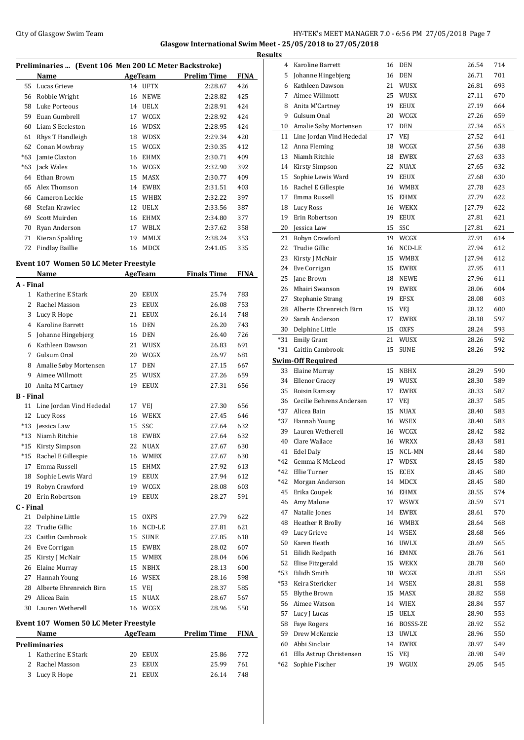## City of Glasgow Swim Team HY-TEK's MEET MANAGER 7.0 - 6:56 PM 27/05/2018 Page 7 **Glasgow International Swim Meet - 25/05/2018 to 27/05/2018 Results**

| Preliminaries  (Event 106 Men 200 LC Meter Backstroke) |                  |    |             |                    |             |  |
|--------------------------------------------------------|------------------|----|-------------|--------------------|-------------|--|
|                                                        | Name             |    | AgeTeam     | <b>Prelim Time</b> | <b>FINA</b> |  |
| 55                                                     | Lucas Grieve     | 14 | <b>UFTX</b> | 2:28.67            | 426         |  |
| 56                                                     | Robbie Wright    | 16 | <b>NEWE</b> | 2:28.82            | 425         |  |
| 58                                                     | Luke Porteous    | 14 | <b>UELX</b> | 2:28.91            | 424         |  |
| 59                                                     | Euan Gumbrell    | 17 | WCGX        | 2:28.92            | 424         |  |
| 60                                                     | Liam S Eccleston | 16 | <b>WDSX</b> | 2:28.95            | 424         |  |
| 61                                                     | Rhys T Handleigh | 18 | <b>WDSX</b> | 2:29.34            | 420         |  |
| 62                                                     | Conan Mowbray    | 15 | WCGX        | 2:30.35            | 412         |  |
| $*63$                                                  | Jamie Claxton    | 16 | <b>EHMX</b> | 2:30.71            | 409         |  |
| $*63$                                                  | Jack Wales       | 16 | WCGX        | 2:32.90            | 392         |  |
| 64                                                     | Ethan Brown      | 15 | <b>MASX</b> | 2:30.77            | 409         |  |
| 65                                                     | Alex Thomson     | 14 | <b>EWBX</b> | 2:31.51            | 403         |  |
| 66                                                     | Cameron Leckie   | 15 | <b>WHBX</b> | 2:32.22            | 397         |  |
| 68                                                     | Stefan Krawiec   | 12 | <b>UELX</b> | 2:33.56            | 387         |  |
| 69                                                     | Scott Muirden    | 16 | <b>EHMX</b> | 2:34.80            | 377         |  |
| 70                                                     | Ryan Anderson    | 17 | WBLX        | 2:37.62            | 358         |  |
| 71                                                     | Kieran Spalding  | 19 | <b>MMLX</b> | 2:38.24            | 353         |  |
| 72                                                     | Findlay Baillie  | 16 | <b>MDCX</b> | 2:41.05            | 335         |  |

# **Event 107 Women 50 LC Meter Freestyle**

|                  | Name                                         |    | <b>AgeTeam</b> | <b>Finals Time</b> | <b>FINA</b> |
|------------------|----------------------------------------------|----|----------------|--------------------|-------------|
| A - Final        |                                              |    |                |                    |             |
| 1                | Katherine E Stark                            | 20 | EEUX           | 25.74              | 783         |
| $\overline{c}$   | Rachel Masson                                |    | 23 EEUX        | 26.08              | 753         |
| 3                | Lucy R Hope                                  |    | 21 EEUX        | 26.14              | 748         |
|                  | 4 Karoline Barrett                           |    | 16 DEN         | 26.20              | 743         |
| 5                | Johanne Hingebjerg                           | 16 | DEN            | 26.40              | 726         |
| 6                | Kathleen Dawson                              |    | 21 WUSX        | 26.83              | 691         |
| 7                | Gulsum Onal                                  |    | 20 WCGX        | 26.97              | 681         |
| 8                | Amalie Søby Mortensen                        | 17 | <b>DEN</b>     | 27.15              | 667         |
| 9                | Aimee Willmott                               |    | 25 WUSX        | 27.26              | 659         |
| 10               | Anita M'Cartney                              | 19 | EEUX           | 27.31              | 656         |
| <b>B</b> - Final |                                              |    |                |                    |             |
| 11               | Line Jordan Vind Hededal                     | 17 | VEJ            | 27.30              | 656         |
| 12               | Lucy Ross                                    | 16 | <b>WEKX</b>    | 27.45              | 646         |
| $*13$            | Jessica Law                                  | 15 | SSC            | 27.64              | 632         |
| $*13$            | Niamh Ritchie                                |    | 18 EWBX        | 27.64              | 632         |
| $*15$            | <b>Kirsty Simpson</b>                        |    | 22 NUAX        | 27.67              | 630         |
| $*15$            | Rachel E Gillespie                           |    | 16 WMBX        | 27.67              | 630         |
| 17               | Emma Russell                                 | 15 | EHMX           | 27.92              | 613         |
| 18               | Sophie Lewis Ward                            | 19 | <b>EEUX</b>    | 27.94              | 612         |
| 19               | Robyn Crawford                               |    | 19 WCGX        | 28.08              | 603         |
| 20               | Erin Robertson                               | 19 | <b>EEUX</b>    | 28.27              | 591         |
| C - Final        |                                              |    |                |                    |             |
| 21               | Delphine Little                              |    | 15 OXFS        | 27.79              | 622         |
| 22               | Trudie Gillic                                |    | 16 NCD-LE      | 27.81              | 621         |
| 23               | Caitlin Cambrook                             |    | 15 SUNE        | 27.85              | 618         |
|                  | 24 Eve Corrigan                              |    | 15 EWBX        | 28.02              | 607         |
| 25               | Kirsty J McNair                              |    | 15 WMBX        | 28.04              | 606         |
| 26               | Elaine Murray                                |    | 15 NBHX        | 28.13              | 600         |
| 27               | Hannah Young                                 |    | 16 WSEX        | 28.16              | 598         |
| 28               | Alberte Ehrenreich Birn                      |    | 15 VEI         | 28.37              | 585         |
| 29               | Alicea Bain                                  | 15 | <b>NUAX</b>    | 28.67              | 567         |
| 30               | Lauren Wetherell                             |    | 16 WCGX        | 28.96              | 550         |
|                  | <b>Event 107 Women 50 LC Meter Freestyle</b> |    |                |                    |             |
|                  | Name                                         |    | <b>AgeTeam</b> | <b>Prelim Time</b> | <b>FINA</b> |
|                  | <b>Preliminaries</b>                         |    |                |                    |             |
| $\mathbf{1}$     | Katherine E Stark                            |    | 20 EEUX        | 25.86              | 772         |
| 2                | Rachel Masson                                | 23 | EEUX           | 25.99              | 761         |
| 3                | Lucy R Hope                                  | 21 | <b>EEUX</b>    | 26.14              | 748         |
|                  |                                              |    |                |                    |             |

|       | 4 Karoline Barrett          |    | 16 DEN      | 26.54   | 714 |
|-------|-----------------------------|----|-------------|---------|-----|
|       | 5 Johanne Hingebjerg        |    | 16 DEN      | 26.71   | 701 |
|       | 6 Kathleen Dawson           |    | 21 WUSX     | 26.81   | 693 |
|       | 7 Aimee Willmott            |    | 25 WUSX     | 27.11   | 670 |
|       | 8 Anita M'Cartney           |    | 19 EEUX     | 27.19   | 664 |
| 9.    | Gulsum Onal                 |    | 20 WCGX     | 27.26   | 659 |
|       | 10 Amalie Søby Mortensen    |    | 17 DEN      | 27.34   | 653 |
|       |                             |    |             |         | 641 |
|       | 11 Line Jordan Vind Hededal | 17 | VEJ         | 27.52   |     |
|       | 12 Anna Fleming             |    | 18 WCGX     | 27.56   | 638 |
|       | 13 Niamh Ritchie            |    | 18 EWBX     | 27.63   | 633 |
|       | 14 Kirsty Simpson           | 22 | <b>NUAX</b> | 27.65   | 632 |
| 15    | Sophie Lewis Ward           |    | 19 EEUX     | 27.68   | 630 |
|       | 16 Rachel E Gillespie       |    | 16 WMBX     | 27.78   | 623 |
| 17    | Emma Russell                |    | 15 EHMX     | 27.79   | 622 |
|       | 18 Lucy Ross                |    | 16 WEKX     | [27.79] | 622 |
|       | 19 Erin Robertson           |    | 19 EEUX     | 27.81   | 621 |
|       | 20 Jessica Law              |    | 15 SSC      | J27.81  | 621 |
| 21    | Robyn Crawford              | 19 | <b>WCGX</b> | 27.91   | 614 |
| 22    | Trudie Gillic               |    | 16 NCD-LE   | 27.94   | 612 |
| 23    | Kirsty J McNair             |    | 15 WMBX     | [27.94] | 612 |
| 24    | Eve Corrigan                |    | 15 EWBX     | 27.95   | 611 |
| 25    | Jane Brown                  |    | 18 NEWE     | 27.96   | 611 |
|       | 26 Mhairi Swanson           |    | 19 EWBX     | 28.06   | 604 |
| 27    | Stephanie Strang            |    | 19 EFSX     | 28.08   | 603 |
|       | 28 Alberte Ehrenreich Birn  |    | 15 VEI      | 28.12   | 600 |
|       | 29 Sarah Anderson           | 17 | EWBX        | 28.18   | 597 |
|       | 30 Delphine Little          |    | 15 OXFS     | 28.24   | 593 |
|       | *31 Emily Grant             | 21 | WUSX        | 28.26   | 592 |
| *31   | Caitlin Cambrook            | 15 | <b>SUNE</b> | 28.26   | 592 |
|       | <b>Swim-Off Required</b>    |    |             |         |     |
|       | 33 Elaine Murray            |    | 15 NBHX     | 28.29   | 590 |
|       | 34 Ellenor Gracey           |    | 19 WUSX     | 28.30   | 589 |
| 35    | Roisin Ramsay               | 17 | <b>EWBX</b> | 28.33   | 587 |
| 36    | Cecilie Behrens Andersen    |    | 17 VEI      | 28.37   | 585 |
|       | *37 Alicea Bain             |    | 15 NUAX     | 28.40   | 583 |
|       |                             |    |             |         |     |
|       |                             |    |             |         |     |
|       | *37 Hannah Young            |    | 16 WSEX     | 28.40   | 583 |
| 39    | Lauren Wetherell            |    | 16 WCGX     | 28.42   | 582 |
| 40    | Clare Wallace               |    | 16 WRXX     | 28.43   | 581 |
| 41    | <b>Edel Daly</b>            | 15 | NCL-MN      | 28.44   | 580 |
| *42   | Gemma K McLeod              | 17 | WDSX        | 28.45   | 580 |
|       | *42 Ellie Turner            | 15 | ECEX        | 28.45   | 580 |
| $*42$ | Morgan Anderson             | 14 | MDCX        | 28.45   | 580 |
|       | 45 Erika Coupek             |    | 16 EHMX     | 28.55   | 574 |
|       | 46 Amy Malone               | 17 | WSWX        | 28.59   | 571 |
| 47    | Natalie Jones               | 14 | EWBX        | 28.61   | 570 |
| 48    | Heather R Brolly            |    | 16 WMBX     | 28.64   | 568 |
| 49    | Lucy Grieve                 |    | 14 WSEX     | 28.68   | 566 |
| 50    | Karen Heath                 |    | 16 UWLX     | 28.69   | 565 |
| 51    | Eilidh Redpath              |    | 16 EMNX     | 28.76   | 561 |
| 52    | Elise Fitzgerald            |    | 15 WEKX     | 28.78   | 560 |
| $*53$ | Eilidh Smith                |    | 18 WCGX     | 28.81   | 558 |
|       | *53 Keira Stericker         |    | 14 WSEX     | 28.81   | 558 |
| 55    | <b>Blythe Brown</b>         |    | 15 MASX     | 28.82   | 558 |
| 56    | Aimee Watson                |    | 14 WIEX     | 28.84   | 557 |
| 57    | Lucy J Lucas                |    | 15 UELX     | 28.90   | 553 |
| 58    | <b>Faye Rogers</b>          |    | 16 BOSSS-ZE | 28.92   | 552 |
| 59    | Drew McKenzie               | 13 | <b>UWLX</b> | 28.96   | 550 |
| 60    | Abbi Sinclair               | 14 | EWBX        | 28.97   | 549 |
| 61    | Ella Astrup Christensen     | 15 |             | 28.98   | 549 |
| $*62$ | Sophie Fischer              | 19 | VEJ<br>WGUX | 29.05   | 545 |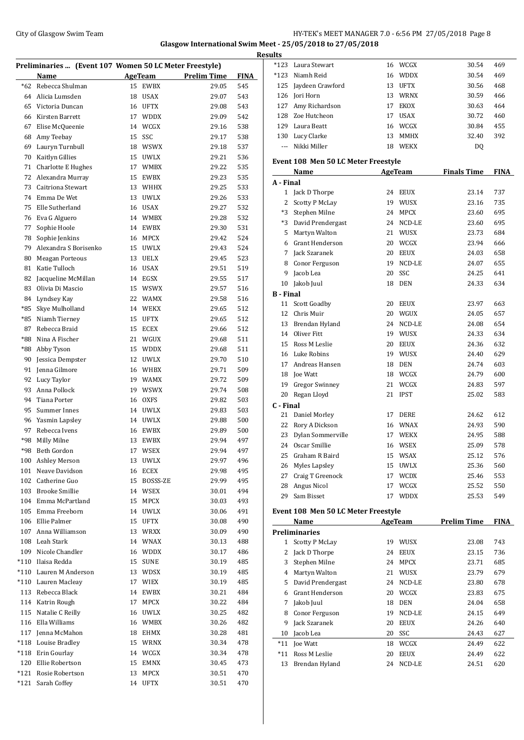## City of Glasgow Swim Team Team Team Fermi Manager 2001 of Glasgow Swim Team Fermi Manager 2001 8 Page 8 **Glasgow International Swim Meet - 25/05/2018 to 27/05/2018**

| Preliminaries  (Event 107 Women 50 LC Meter Freestyle) |                           |    |                |                    |             |  |
|--------------------------------------------------------|---------------------------|----|----------------|--------------------|-------------|--|
|                                                        | Name                      |    | <b>AgeTeam</b> | <b>Prelim Time</b> | <b>FINA</b> |  |
| $*62$                                                  | Rebecca Shulman           | 15 | <b>EWBX</b>    | 29.05              | 545         |  |
| 64                                                     | Alicia Lumsden            | 18 | <b>USAX</b>    | 29.07              | 543         |  |
| 65                                                     | Victoria Duncan           | 16 | <b>UFTX</b>    | 29.08              | 543         |  |
| 66                                                     | Kirsten Barrett           | 17 | <b>WDDX</b>    | 29.09              | 542         |  |
| 67                                                     | Elise McQueenie           | 14 | WCGX           | 29.16              | 538         |  |
| 68                                                     | Amy Teebay                | 15 | SSC            | 29.17              | 538         |  |
| 69                                                     | Lauryn Turnbull           | 18 | <b>WSWX</b>    | 29.18              | 537         |  |
| 70                                                     | Kaitlyn Gillies           | 15 | <b>UWLX</b>    | 29.21              | 536         |  |
| 71                                                     | <b>Charlotte E Hughes</b> | 17 | <b>WMBX</b>    | 29.22              | 535         |  |
| 72                                                     | Alexandra Murray          | 15 | <b>EWBX</b>    | 29.23              | 535         |  |
| 73                                                     | Caitriona Stewart         | 13 | WHHX           | 29.25              | 533         |  |
| 74                                                     | Emma De Wet               | 13 | <b>UWLX</b>    | 29.26              | 533         |  |
| 75                                                     | Elle Sutherland           | 16 | USAX           | 29.27              | 532         |  |
| 76                                                     | Eva G Alguero             |    | 14 WMBX        | 29.28              | 532         |  |
| 77                                                     | Sophie Hoole              | 14 | EWBX           | 29.30              | 531         |  |
| 78                                                     | Sophie Jenkins            | 16 | MPCX           | 29.42              | 524         |  |
| 79                                                     | Alexandra S Borisenko     | 15 | <b>UWLX</b>    | 29.43              | 524         |  |
| 80                                                     | <b>Meagan Porteous</b>    | 13 | <b>UELX</b>    | 29.45              | 523         |  |
| 81                                                     | Katie Tulloch             | 16 | <b>USAX</b>    | 29.51              | 519         |  |
| 82                                                     | Jacqueline McMillan       | 14 | EGSX           | 29.55              | 517         |  |
| 83                                                     | Olivia Di Mascio          | 15 | <b>WSWX</b>    | 29.57              | 516         |  |
| 84                                                     | Lyndsey Kay               | 22 | <b>WAMX</b>    | 29.58              | 516         |  |
| *85                                                    | Skye Mulholland           | 14 | WEKX           | 29.65              | 512         |  |
| *85                                                    | Niamh Tierney             | 15 | <b>UFTX</b>    | 29.65              | 512         |  |
| 87                                                     | Rebecca Braid             | 15 | <b>ECEX</b>    | 29.66              | 512         |  |
| *88                                                    | Nina A Fischer            | 21 | WGUX           | 29.68              | 511         |  |
| *88                                                    | Abby Tyson                | 15 | WDDX           | 29.68              | 511         |  |
| 90                                                     | Jessica Dempster          | 12 | <b>UWLX</b>    | 29.70              | 510         |  |
| 91                                                     | Jenna Gilmore             | 16 | <b>WHBX</b>    | 29.71              | 509         |  |
| 92                                                     | Lucy Taylor               | 19 | <b>WAMX</b>    | 29.72              | 509         |  |
| 93                                                     | Anna Pollock              | 19 | <b>WSWX</b>    | 29.74              | 508         |  |
| 94                                                     | Tiana Porter              | 16 | <b>OXFS</b>    | 29.82              | 503         |  |
| 95                                                     | Summer Innes              | 14 | <b>UWLX</b>    | 29.83              | 503         |  |
| 96                                                     | Yasmin Lapsley            | 14 | <b>UWLX</b>    | 29.88              | 500         |  |
| 97                                                     | Rebecca Ivens             | 16 | <b>EWBX</b>    | 29.89              | 500         |  |
| *98                                                    | Milly Milne               | 13 | EWBX           | 29.94              | 497         |  |
| *98                                                    | Beth Gordon               |    | 17 WSEX        | 29.94              | 497         |  |
| 100                                                    | Ashley Merson             | 13 | UWLX           | 29.97              | 496         |  |
| 101                                                    | Neave Davidson            | 16 | ECEX           | 29.98              | 495         |  |
|                                                        | 102 Catherine Guo         |    | 15 BOSSS-ZE    | 29.99              | 495         |  |
|                                                        | 103 Brooke Smillie        |    | 14 WSEX        | 30.01              | 494         |  |
|                                                        | 104 Emma McPartland       | 15 | MPCX           | 30.03              | 493         |  |
| 105                                                    | Emma Freeborn             | 14 | <b>UWLX</b>    | 30.06              | 491         |  |
|                                                        | 106 Ellie Palmer          | 15 | UFTX           | 30.08              | 490         |  |
| 107                                                    | Anna Williamson           |    | 13 WRXX        | 30.09              | 490         |  |
|                                                        | 108 Leah Stark            |    | 14 WNAX        | 30.13              | 488         |  |
| 109                                                    | Nicole Chandler           |    | 16 WDDX        | 30.17              | 486         |  |
| $*110$                                                 | Ilaisa Redda              | 15 | <b>SUNE</b>    | 30.19              | 485         |  |
| $*110$                                                 | Lauren M Anderson         |    | 13 WDSX        | 30.19              | 485         |  |
| $*110$                                                 | Lauren Macleay            | 17 | WIEX           | 30.19              | 485         |  |
|                                                        | 113 Rebecca Black         | 14 | EWBX           | 30.21              | 484         |  |
|                                                        | 114 Katrin Rough          | 17 | MPCX           | 30.22              | 484         |  |
| 115                                                    | Natalie C Reilly          | 16 | UWLX           | 30.25              | 482         |  |
|                                                        | 116 Ella Williams         | 16 | WMBX           | 30.26              | 482         |  |
| 117                                                    | Jenna McMahon             |    | 18 EHMX        | 30.28              | 481         |  |
|                                                        | *118 Louise Bradley       | 15 | <b>WRNX</b>    | 30.34              | 478         |  |
|                                                        | *118 Erin Gourlay         |    | 14 WCGX        | 30.34              | 478         |  |
|                                                        | 120 Ellie Robertson       |    | 15 EMNX        | 30.45              | 473         |  |
| $*121$                                                 | Rosie Robertson           | 13 | MPCX           | 30.51              | 470         |  |
| *121                                                   | Sarah Coffey              | 14 | UFTX           | 30.51              | 470         |  |

| <b>Results</b>   |                                             |          |                    |                    |             |
|------------------|---------------------------------------------|----------|--------------------|--------------------|-------------|
|                  | *123 Laura Stewart                          |          | 16 WCGX            | 30.54              | 469         |
|                  | *123 Niamh Reid                             |          | 16 WDDX            | 30.54              | 469         |
|                  | 125 Jaydeen Crawford                        |          | 13 UFTX            | 30.56              | 468         |
|                  | 126 Jori Horn                               |          | 13 WRNX            | 30.59              | 466         |
|                  | 127 Amy Richardson                          |          | 17 EKOX            | 30.63              | 464         |
|                  | 128 Zoe Hutcheon                            |          | 17 USAX            | 30.72              | 460         |
|                  | 129 Laura Beatt                             |          | 16 WCGX            | 30.84              | 455         |
|                  | 130 Lucy Clarke                             |          | 13 MMHX            | 32.40              | 392         |
| $---$            | Nikki Miller                                |          | 18 WEKX            | DQ                 |             |
|                  | Event 108 Men 50 LC Meter Freestyle<br>Name |          | AgeTeam            | <b>Finals Time</b> | <b>FINA</b> |
| A - Final        |                                             |          |                    |                    |             |
|                  | 1 Jack D Thorpe                             |          | 24 EEUX            | 23.14              | 737         |
|                  | 2 Scotty P McLay                            |          | 19 WUSX            | 23.16              | 735         |
|                  | *3 Stephen Milne                            |          | 24 MPCX            | 23.60              | 695         |
|                  | *3 David Prendergast                        |          | 24 NCD-LE          | 23.60              | 695         |
|                  | 5 Martyn Walton                             |          | 21 WUSX            | 23.73              | 684         |
|                  | 6 Grant Henderson                           |          | 20 WCGX            | 23.94              | 666         |
|                  | 7 Jack Szaranek                             |          | 20 EEUX            | 24.03              | 658         |
|                  | 8 Conor Ferguson                            |          | 19 NCD-LE          | 24.07              | 655         |
| 9                | Jacob Lea                                   |          | 20 SSC             | 24.25              | 641         |
| 10               | Jakob Juul                                  |          | 18 DEN             | 24.33              | 634         |
| <b>B</b> - Final |                                             |          |                    |                    |             |
| 11               | Scott Goadby                                |          | 20 EEUX            | 23.97              | 663         |
|                  | 12 Chris Muir                               |          | 20 WGUX            | 24.05              | 657         |
|                  | 13 Brendan Hyland                           |          | 24 NCD-LE          | 24.08              | 654         |
|                  | 14 Oliver Fitt                              |          | 19 WUSX            | 24.33              | 634         |
|                  | 15 Ross M Leslie                            |          | 20 EEUX            | 24.36              | 632         |
|                  | 16 Luke Robins                              |          | 19 WUSX            | 24.40              | 629         |
|                  | 17 Andreas Hansen                           |          | 18 DEN             | 24.74              | 603         |
|                  | 18 Joe Watt                                 |          | 18 WCGX            | 24.79              | 600         |
| 19               | <b>Gregor Swinney</b>                       |          | 21 WCGX            | 24.83              | 597         |
| 20               | Regan Lloyd                                 |          | 21 IPST            | 25.02              | 583         |
| C - Final        |                                             |          |                    |                    |             |
| 21               | Daniel Morley                               |          | 17 DERE            | 24.62              | 612         |
| 22               | Rory A Dickson                              |          | 16 WNAX            | 24.93              | 590         |
|                  | 23 Dylan Sommerville                        |          | 17 WEKX            | 24.95              | 588         |
|                  | 24 Oscar Smillie                            |          | 16 WSEX            | 25.09              | 578         |
|                  |                                             |          |                    |                    |             |
| 25               | Graham R Baird<br>26 Myles Lapsley          |          | 15 WSAX<br>15 UWLX | 25.12<br>25.36     | 576<br>560  |
|                  |                                             |          |                    |                    |             |
| 27               | Craig T Greenock                            |          | 17 WCDX            | 25.46              | 553         |
| 28<br>29         | Angus Nicol<br>Sam Bisset                   | 17       | WCGX<br>17 WDDX    | 25.52              | 550         |
|                  |                                             |          |                    | 25.53              | 549         |
|                  | Event 108 Men 50 LC Meter Freestyle<br>Name |          | <b>AgeTeam</b>     | <b>Prelim Time</b> | <b>FINA</b> |
|                  | <b>Preliminaries</b>                        |          |                    |                    |             |
| 1                | <b>Scotty P McLay</b>                       |          | 19 WUSX            | 23.08              | 743         |
| 2                | Jack D Thorpe                               | 24       | EEUX               | 23.15              | 736         |
| 3                | Stephen Milne                               |          | 24 MPCX            | 23.71              | 685         |
|                  | 4 Martyn Walton                             |          | 21 WUSX            | 23.79              | 679         |
|                  | 5 David Prendergast                         |          | 24 NCD-LE          | 23.80              | 678         |
|                  | 6 Grant Henderson                           |          | 20 WCGX            | 23.83              | 675         |
| 7                | Jakob Juul                                  |          | 18 DEN             | 24.04              | 658         |
|                  | 8 Conor Ferguson                            |          | 19 NCD-LE          | 24.15              | 649         |
|                  |                                             |          |                    |                    |             |
| 9                | Jack Szaranek                               | 20       | EEUX               | 24.26              |             |
|                  |                                             |          |                    |                    |             |
|                  | 10 Jacob Lea                                |          | 20 SSC             | 24.43              | 640<br>627  |
| $*11$<br>*11     | Joe Watt<br>Ross M Leslie                   | 18<br>20 | WCGX<br>EEUX       | 24.49<br>24.49     | 622<br>622  |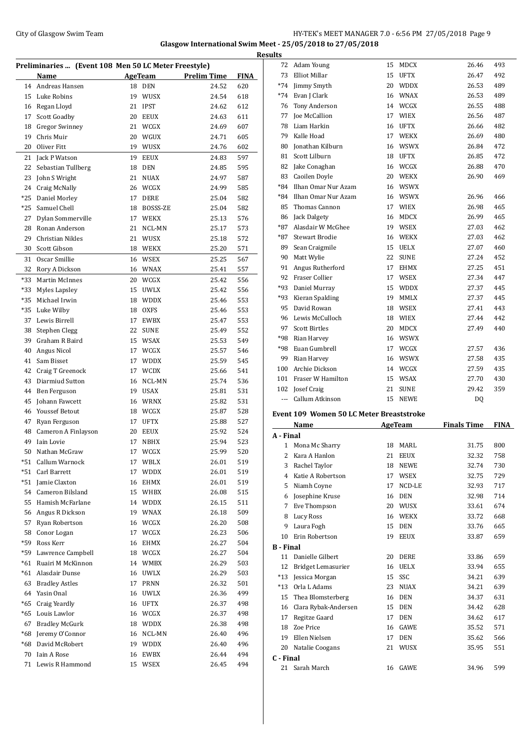## City of Glasgow Swim Team HY-TEK's MEET MANAGER 7.0 - 6:56 PM 27/05/2018 Page 9 **Glasgow International Swim Meet - 25/05/2018 to 27/05/2018**

| Preliminaries  (Event 108 Men 50 LC Meter Freestyle) |                       |    |                |                    |             |
|------------------------------------------------------|-----------------------|----|----------------|--------------------|-------------|
|                                                      | <b>Name</b>           |    | <b>AgeTeam</b> | <b>Prelim Time</b> | <b>FINA</b> |
|                                                      | 14 Andreas Hansen     | 18 | <b>DEN</b>     | 24.52              | 620         |
|                                                      | 15 Luke Robins        | 19 | <b>WUSX</b>    | 24.54              | 618         |
|                                                      | 16 Regan Lloyd        | 21 | <b>IPST</b>    | 24.62              | 612         |
| 17                                                   | Scott Goadby          | 20 | <b>EEUX</b>    | 24.63              | 611         |
| 18                                                   | <b>Gregor Swinney</b> | 21 | WCGX           | 24.69              | 607         |
| 19                                                   | Chris Muir            | 20 | WGUX           | 24.71              | 605         |
| 20                                                   | Oliver Fitt           |    | 19 WUSX        | 24.76              | 602         |
| 21                                                   | Jack P Watson         | 19 | EEUX           | 24.83              | 597         |
| 22                                                   | Sebastian Tullberg    | 18 | <b>DEN</b>     | 24.85              | 595         |
| 23                                                   | John S Wright         | 21 | <b>NUAX</b>    | 24.97              | 587         |
| 24                                                   | Craig McNally         | 26 | WCGX           | 24.99              | 585         |
| $*25$                                                | Daniel Morley         | 17 | DERE           | 25.04              | 582         |
| $*25$                                                | Samuel Chell          | 18 | BOSSS-ZE       | 25.04              | 582         |
|                                                      |                       |    |                |                    |             |
| 27                                                   | Dylan Sommerville     |    | 17 WEKX        | 25.13              | 576         |
| 28                                                   | Ronan Anderson        | 21 | NCL-MN         | 25.17              | 573         |
| 29                                                   | Christian Nikles      | 21 | WUSX           | 25.18              | 572         |
| 30                                                   | Scott Gibson          | 18 | WEKX           | 25.20              | 571         |
| 31                                                   | Oscar Smillie         | 16 | <b>WSEX</b>    | 25.25              | 567         |
| 32                                                   | Rory A Dickson        | 16 | <b>WNAX</b>    | 25.41              | 557         |
| *33                                                  | Martin McInnes        | 20 | WCGX           | 25.42              | 556         |
| *33                                                  | Myles Lapsley         | 15 | <b>UWLX</b>    | 25.42              | 556         |
| *35                                                  | Michael Irwin         | 18 | <b>WDDX</b>    | 25.46              | 553         |
| $*35$                                                | Luke Wilby            | 18 | <b>OXFS</b>    | 25.46              | 553         |
| 37                                                   | Lewis Birrell         | 17 | <b>EWBX</b>    | 25.47              | 553         |
| 38                                                   | Stephen Clegg         | 22 | <b>SUNE</b>    | 25.49              | 552         |
| 39                                                   | Graham R Baird        | 15 | <b>WSAX</b>    | 25.53              | 549         |
| 40                                                   | Angus Nicol           | 17 | WCGX           | 25.57              | 546         |
| 41                                                   | Sam Bisset            | 17 | <b>WDDX</b>    | 25.59              | 545         |
| 42                                                   | Craig T Greenock      | 17 | <b>WCDX</b>    | 25.66              | 541         |
| 43                                                   | Diarmiud Sutton       | 16 | NCL-MN         | 25.74              | 536         |
| 44                                                   | Ben Ferguson          | 19 | USAX           | 25.81              | 531         |
| 45                                                   | Johann Fawcett        |    | 16 WRNX        | 25.82              | 531         |
| 46                                                   | <b>Youssef Betout</b> |    | 18 WCGX        | 25.87              | 528         |
| 47                                                   | Ryan Ferguson         | 17 | UFTX           | 25.88              | 527         |
| 48                                                   | Cameron A Finlayson   | 20 | EEUX           | 25.92              | 524         |
| 49                                                   | Iain Lovie            | 17 | <b>NBHX</b>    | 25.94              | 523         |
|                                                      | 50 Nathan McGraw      |    | 17 WCGX        | 25.99              | 520         |
|                                                      | *51 Callum Warnock    |    | 17 WBLX        | 26.01              | 519         |
| *51                                                  | Carl Barrett          | 17 | WDDX           | 26.01              | 519         |
| *51                                                  | Jamie Claxton         | 16 | EHMX           | 26.01              | 519         |
| 54                                                   | Cameron Bilsland      |    | 15 WHBX        | 26.08              | 515         |
| 55                                                   | Hamish McFarlane      |    | 14 WDDX        | 26.15              | 511         |
| 56                                                   | Angus R Dickson       |    | 19 WNAX        | 26.18              | 509         |
| 57                                                   | Ryan Robertson        |    | 16 WCGX        |                    |             |
| 58                                                   |                       |    |                | 26.20              | 508         |
|                                                      | Conor Logan           | 17 | WCGX           | 26.23              | 506         |
| *59                                                  | Ross Kerr             | 16 | EHMX           | 26.27              | 504         |
| *59                                                  | Lawrence Campbell     |    | 18 WCGX        | 26.27              | 504         |
| *61                                                  | Ruairi M McKinnon     | 14 | WMBX           | 26.29              | 503         |
| *61                                                  | Alasdair Dunse        | 16 | <b>UWLX</b>    | 26.29              | 503         |
| 63                                                   | <b>Bradley Astles</b> | 17 | PRNN           | 26.32              | 501         |
| 64                                                   | Yasin Onal            | 16 | <b>UWLX</b>    | 26.36              | 499         |
| *65                                                  | Craig Yeardly         |    | 16 UFTX        | 26.37              | 498         |
|                                                      | *65 Louis Lawlor      |    | 16 WCGX        | 26.37              | 498         |
| 67                                                   | <b>Bradley McGurk</b> |    | 18 WDDX        | 26.38              | 498         |
| *68                                                  | Jeremy O'Connor       |    | 16 NCL-MN      | 26.40              | 496         |
| *68                                                  | David McRobert        |    | 19 WDDX        | 26.40              | 496         |
| 70                                                   | Iain A Rose           | 16 | EWBX           | 26.44              | 494         |
| 71                                                   | Lewis R Hammond       | 15 | WSEX           | 26.45              | 494         |

| <b>Results</b>   |                                          |    |                |                    |             |
|------------------|------------------------------------------|----|----------------|--------------------|-------------|
|                  | 72 Adam Young                            | 15 | MDCX           | 26.46              | 493         |
| 73               | Elliot Millar                            | 15 | <b>UFTX</b>    | 26.47              | 492         |
|                  | *74 Jimmy Smyth                          | 20 | <b>WDDX</b>    | 26.53              | 489         |
|                  | *74 Evan J Clark                         |    | 16 WNAX        | 26.53              | 489         |
|                  | 76 Tony Anderson                         |    | 14 WCGX        | 26.55              | 488         |
|                  | 77 Joe McCallion                         | 17 | WIEX           | 26.56              | 487         |
|                  | 78 Liam Harkin                           |    | 16 UFTX        | 26.66              | 482         |
|                  | 79 Kalle Hoad                            | 17 | <b>WEKX</b>    | 26.69              | 480         |
| 80               | Jonathan Kilburn                         | 16 | <b>WSWX</b>    | 26.84              | 472         |
|                  | 81 Scott Lilburn                         |    | 18 UFTX        | 26.85              | 472         |
|                  | 82 Jake Conaghan                         |    | 16 WCGX        | 26.88              | 470         |
|                  | 83 Caoilen Doyle                         |    | 20 WEKX        | 26.90              | 469         |
|                  | *84 Ilhan Omar Nur Azam                  |    | 16 WSWX        |                    |             |
|                  | *84 Ilhan Omar Nur Azam                  |    | 16 WSWX        | 26.96              | 466         |
|                  | 85 Thomas Cannon                         | 17 | <b>WIEX</b>    | 26.98              | 465         |
|                  | 86 Jack Dalgety                          | 16 | MDCX           | 26.99              | 465         |
|                  | *87 Alasdair W McGhee                    |    | 19 WSEX        | 27.03              | 462         |
|                  | *87 Stewart Brodie                       |    | 16 WEKX        | 27.03              | 462         |
|                  | 89 Sean Craigmile                        |    | 15 UELX        | 27.07              | 460         |
|                  | 90 Matt Wylie                            | 22 | <b>SUNE</b>    | 27.24              | 452         |
|                  | 91 Angus Rutherford                      | 17 | <b>EHMX</b>    | 27.25              | 451         |
|                  | 92 Fraser Collier                        | 17 | WSEX           | 27.34              | 447         |
|                  | *93 Daniel Murray                        | 15 | <b>WDDX</b>    | 27.37              | 445         |
|                  | *93 Kieran Spalding                      | 19 | MMLX           | 27.37              | 445         |
|                  | 95 David Rowan                           | 18 | <b>WSEX</b>    | 27.41              | 443         |
|                  | 96 Lewis McCulloch                       | 18 | WIEX           | 27.44              | 442         |
|                  | 97 Scott Birtles                         | 20 | MDCX           | 27.49              | 440         |
|                  | *98 Rian Harvey                          |    | 16 WSWX        |                    |             |
|                  | *98 Euan Gumbrell                        |    | 17 WCGX        | 27.57              | 436         |
|                  | 99 Rian Harvey                           |    | 16 WSWX        | 27.58              | 435         |
|                  | 100 Archie Dickson                       |    | 14 WCGX        | 27.59              | 435         |
|                  | 101 Fraser W Hamilton                    |    | 15 WSAX        | 27.70              | 430         |
|                  | 102 Josef Craig                          | 21 | <b>SUNE</b>    | 29.42              | 359         |
|                  | --- Callum Atkinson                      | 15 | <b>NEWE</b>    | DQ                 |             |
|                  | Event 109 Women 50 LC Meter Breaststroke |    |                |                    |             |
|                  | Name                                     |    | <b>AgeTeam</b> | <b>Finals Time</b> | <b>FINA</b> |
| A - Final        |                                          |    |                |                    |             |
| 1                | Mona Mc Sharry                           | 18 | MARL           | 31.75              | 800         |
| 2                | Kara A Hanlon                            | 21 | EEUX           | 32.32              | 758         |
|                  | 3 Rachel Taylor                          | 18 | <b>NEWE</b>    | 32.74              | 730         |
|                  | 4 Katie A Robertson                      | 17 | WSEX           | 32.75              | 729         |
|                  | 5 Niamh Coyne                            | 17 | NCD-LE         | 32.93              | 717         |
|                  | 6 Josephine Kruse                        | 16 | <b>DEN</b>     | 32.98              | 714         |
|                  | 7 Eve Thompson                           |    | 20 WUSX        | 33.61              | 674         |
|                  | 8 Lucy Ross                              |    | 16 WEKX        | 33.72              | 668         |
| 9                | Laura Fogh                               | 15 | DEN            | 33.76              | 665         |
| 10               | Erin Robertson                           | 19 | EEUX           | 33.87              | 659         |
| <b>B</b> - Final |                                          |    |                |                    |             |
|                  | 11 Danielle Gilbert                      | 20 | DERE           | 33.86              | 659         |
| 12               | Bridget Lemasurier                       | 16 | <b>UELX</b>    | 33.94              | 655         |
|                  | *13 Jessica Morgan                       | 15 | SSC            | 34.21              | 639         |
|                  | *13 Orla L Adams                         | 23 | <b>NUAX</b>    | 34.21              | 639         |
|                  | 15 Thea Blomsterberg                     | 16 | DEN            | 34.37              | 631         |
|                  | 16 Clara Rybak-Andersen                  | 15 | DEN            | 34.42              | 628         |
|                  | 17 Regitze Gaard                         | 17 | <b>DEN</b>     | 34.62              | 617         |
|                  | 18 Zoe Price                             | 16 | GAWE           | 35.52              | 571         |
|                  | 19 Ellen Nielsen                         | 17 | <b>DEN</b>     | 35.62              | 566         |
|                  | 20 Natalie Coogans                       | 21 | WUSX           | 35.95              | 551         |
| C - Final        |                                          |    |                |                    |             |
|                  | Sarah March                              |    |                |                    |             |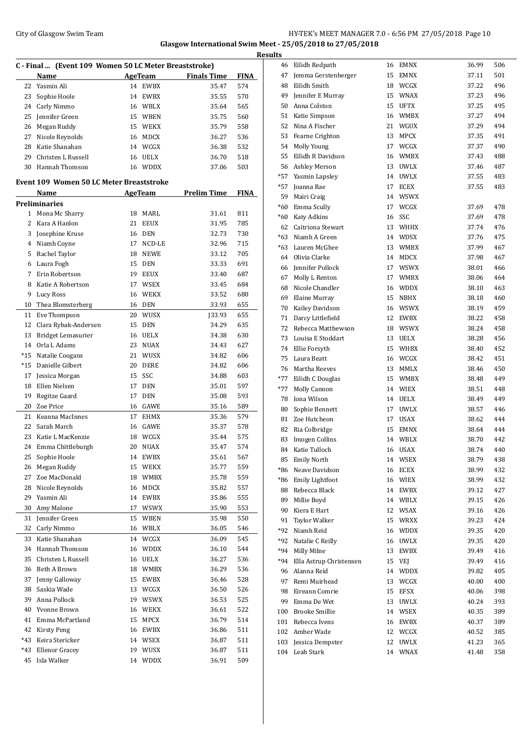## City of Glasgow Swim Team Team Team Fermi Management City of Glasgow Swim Team Fermi Management City of Glasgow Swim Team **Glasgow International Swim Meet - 25/05/2018 to 27/05/2018**

| C - Final  (Event 109 Women 50 LC Meter Breaststroke) |                                          |    |                |                    |             |  |  |
|-------------------------------------------------------|------------------------------------------|----|----------------|--------------------|-------------|--|--|
|                                                       | Name                                     |    | AgeTeam        | <b>Finals Time</b> | <b>FINA</b> |  |  |
| 22                                                    | Yasmin Ali                               |    | 14 EWBX        | 35.47              | 574         |  |  |
| 23                                                    | Sophie Hoole                             | 14 | EWBX           | 35.55              | 570         |  |  |
| 24                                                    | Carly Nimmo                              |    | 16 WBLX        | 35.64              | 565         |  |  |
| 25                                                    |                                          |    | 15 WBEN        | 35.75              | 560         |  |  |
|                                                       | Jennifer Green                           | 15 | WEKX           | 35.79              | 558         |  |  |
| 26<br>27                                              | Megan Ruddy                              |    |                |                    |             |  |  |
|                                                       | Nicole Reynolds<br>Katie Shanahan        | 16 | <b>MDCX</b>    | 36.27              | 536         |  |  |
| 28                                                    |                                          |    | 14 WCGX        | 36.38              | 532         |  |  |
| 29                                                    | Christen L Russell                       |    | 16 UELX        | 36.70              | 518         |  |  |
| 30                                                    | Hannah Thomson                           | 16 | WDDX           | 37.06              | 503         |  |  |
|                                                       | Event 109 Women 50 LC Meter Breaststroke |    |                |                    |             |  |  |
|                                                       | Name                                     |    | <b>AgeTeam</b> | <b>Prelim Time</b> | <b>FINA</b> |  |  |
|                                                       | Preliminaries                            |    |                |                    |             |  |  |
| $\mathbf{1}$                                          | Mona Mc Sharry                           |    | 18 MARL        | 31.61              | 811         |  |  |
| 2                                                     | Kara A Hanlon                            | 21 | <b>EEUX</b>    | 31.95              | 785         |  |  |
| 3                                                     | Josephine Kruse                          | 16 | <b>DEN</b>     | 32.73              | 730         |  |  |
|                                                       | 4 Niamh Coyne                            | 17 | NCD-LE         | 32.96              | 715         |  |  |
| 5                                                     | Rachel Taylor                            | 18 | <b>NEWE</b>    | 33.12              | 705         |  |  |
| 6                                                     | Laura Fogh                               | 15 | <b>DEN</b>     | 33.33              | 691         |  |  |
| 7                                                     | Erin Robertson                           |    | 19 EEUX        | 33.40              | 687         |  |  |
| 8                                                     | Katie A Robertson                        | 17 | <b>WSEX</b>    | 33.45              | 684         |  |  |
| 9                                                     | Lucy Ross                                | 16 | WEKX           | 33.52              | 680         |  |  |
| 10                                                    | Thea Blomsterberg                        | 16 | DEN            | 33.93              | 655         |  |  |
| 11                                                    | Eve Thompson                             | 20 | WUSX           | [33.93]            | 655         |  |  |
| 12                                                    | Clara Rybak-Andersen                     | 15 | <b>DEN</b>     | 34.29              | 635         |  |  |
| 13                                                    | Bridget Lemasurier                       |    | 16 UELX        | 34.38              | 630         |  |  |
| 14                                                    | Orla L Adams                             |    | 23 NUAX        | 34.43              | 627         |  |  |
| *15                                                   | Natalie Coogans                          | 21 | <b>WUSX</b>    | 34.82              | 606         |  |  |
| *15                                                   | Danielle Gilbert                         | 20 | <b>DERE</b>    | 34.82              | 606         |  |  |
| 17                                                    | Jessica Morgan                           | 15 | SSC            | 34.88              | 603         |  |  |
| 18                                                    | Ellen Nielsen                            | 17 | <b>DEN</b>     | 35.01              | 597         |  |  |
| 19                                                    | Regitze Gaard                            | 17 | <b>DEN</b>     | 35.08              | 593         |  |  |
| 20                                                    | Zoe Price                                | 16 | GAWE           | 35.16              | 589         |  |  |
| 21                                                    | Keanna MacInnes                          | 17 | EHMX           | 35.36              | 579         |  |  |
| 22                                                    | Sarah March                              | 16 | GAWE           | 35.37              | 578         |  |  |
| 23                                                    | Katie L MacKenzie                        | 18 | WCGX           | 35.44              | 575         |  |  |
| 24                                                    | Emma Chittleburgh                        | 20 | <b>NUAX</b>    | 35.47              | 574         |  |  |
| 25                                                    | Sophie Hoole                             |    | 14 EWBX        | 35.61              | 567         |  |  |
| 26                                                    | Megan Ruddy                              | 15 | WEKX           | 35.77              | 559         |  |  |
| 27                                                    | Zoe MacDonald                            | 18 | WMBX           | 35.78              | 559         |  |  |
| 28                                                    | Nicole Reynolds                          |    | 16 MDCX        | 35.82              | 557         |  |  |
| 29                                                    | Yasmin Ali                               | 14 | EWBX           | 35.86              | 555         |  |  |
| 30                                                    | Amy Malone                               | 17 | WSWX           | 35.90              | 553         |  |  |
| 31                                                    | Jennifer Green                           | 15 | WBEN           | 35.98              | 550         |  |  |
| 32                                                    | Carly Nimmo                              |    | 16 WBLX        | 36.05              | 546         |  |  |
| 33                                                    | Katie Shanahan                           | 14 | WCGX           | 36.09              | 545         |  |  |
| 34                                                    | Hannah Thomson                           | 16 | <b>WDDX</b>    | 36.10              | 544         |  |  |
| 35                                                    | Christen L Russell                       | 16 | UELX           | 36.27              | 536         |  |  |
| 36                                                    | Beth A Brown                             | 18 | WMBX           | 36.29              | 536         |  |  |
| 37                                                    | Jenny Galloway                           | 15 | EWBX           | 36.46              | 528         |  |  |
| 38                                                    | Saskia Wade                              | 13 | WCGX           | 36.50              | 526         |  |  |
| 39                                                    | Anna Pollock                             | 19 | WSWX           | 36.53              | 525         |  |  |
| 40                                                    | Yvonne Brown                             | 16 | WEKX           | 36.61              | 522         |  |  |
| 41                                                    | Emma McPartland                          | 15 | MPCX           | 36.79              | 514         |  |  |
| 42                                                    | Kirsty Peng                              |    |                |                    | 511         |  |  |
| *43                                                   | Keira Stericker                          |    | 16 EWBX        | 36.86              |             |  |  |
|                                                       |                                          |    | 14 WSEX        | 36.87              | 511         |  |  |
| *43                                                   | <b>Ellenor Gracey</b>                    |    | 19 WUSX        | 36.87              | 511         |  |  |
| 45                                                    | Isla Walker                              |    | 14 WDDX        | 36.91              | 509         |  |  |

| <b>Results</b> |                         |    |             |       |     |
|----------------|-------------------------|----|-------------|-------|-----|
| 46             | Eilidh Redpath          |    | 16 EMNX     | 36.99 | 506 |
| 47             | Jemma Gerstenberger     |    | 15 EMNX     | 37.11 | 501 |
| 48             | Eilidh Smith            |    | 18 WCGX     | 37.22 | 496 |
| 49             | Jennifer E Murray       |    | 15 WNAX     | 37.23 | 496 |
| 50             | Anna Colston            |    | 15 UFTX     | 37.25 | 495 |
| 51             | Katie Simpson           |    | 16 WMBX     | 37.27 | 494 |
| 52             | Nina A Fischer          | 21 | WGUX        | 37.29 | 494 |
| 53             | Fearne Crighton         | 13 | MPCX        | 37.35 | 491 |
| 54             | Molly Young             | 17 | WCGX        | 37.37 | 490 |
| 55             | Eilidh R Davidson       |    | 16 WMBX     | 37.43 | 488 |
|                | 56 Ashley Merson        |    | 13 UWLX     | 37.46 | 487 |
| $*57$          | Yasmin Lapsley          |    | 14 UWLX     | 37.55 | 483 |
| *57            | Joanna Rae              | 17 | ECEX        | 37.55 | 483 |
| 59             | Mairi Craig             |    | 14 WSWX     |       |     |
| *60            | Emma Scully             | 17 | WCGX        | 37.69 | 478 |
| *60            | Katy Adkins             | 16 | SSC         | 37.69 | 478 |
| 62             | Caitriona Stewart       |    | 13 WHHX     | 37.74 | 476 |
| $*63$          | Niamh A Green           |    | 14 WDSX     | 37.76 | 475 |
| *63            | Lauren McGhee           | 13 | <b>WMBX</b> | 37.99 | 467 |
| 64             | Olivia Clarke           | 14 | MDCX        | 37.98 | 467 |
| 66             | Jennifer Pollock        | 17 | <b>WSWX</b> | 38.01 | 466 |
| 67             | Molly L Renton          | 17 | <b>WMBX</b> | 38.06 | 464 |
| 68             | Nicole Chandler         |    | 16 WDDX     | 38.10 | 463 |
| 69             | Elaine Murray           |    | 15 NBHX     | 38.18 | 460 |
| 70             | Kailey Davidson         |    | 16 WSWX     | 38.19 | 459 |
| 71             | Darcy Littlefield       |    | 12 EWBX     | 38.22 | 458 |
| 72             | Rebecca Matthewson      |    | 18 WSWX     | 38.24 | 458 |
| 73             | Louisa E Stoddart       |    | 13 UELX     | 38.28 | 456 |
| 74             | Ellie Forsyth           |    | 15 WHBX     | 38.40 | 452 |
| 75             | Laura Beatt             |    | 16 WCGX     | 38.42 | 451 |
| 76             | Martha Reeves           | 13 | MMLX        | 38.46 | 450 |
| $*77$          | Eilidh C Douglas        | 15 | <b>WMBX</b> | 38.48 | 449 |
| $*77$          | Molly Cannon            |    | 14 WIEX     | 38.51 | 448 |
| 78             | Iona Wilson             |    | 14 UELX     | 38.49 | 449 |
| 80             | Sophie Bennett          | 17 | <b>UWLX</b> | 38.57 | 446 |
| 81             | Zoe Hutcheon            | 17 | <b>USAX</b> | 38.62 | 444 |
| 82             | Ria Colbridge           | 15 | <b>EMNX</b> | 38.64 | 444 |
| 83             | <b>Imogen Collins</b>   |    | 14 WBLX     | 38.70 | 442 |
| 84             | Katie Tulloch           |    | 16 USAX     | 38.74 | 440 |
| 85             | <b>Emily North</b>      |    | 14 WSEX     | 38.79 | 438 |
| *86            | Neave Davidson          |    | 16 ECEX     | 38.99 | 432 |
| *86            | Emily Lightfoot         |    | 16 WIEX     | 38.99 | 432 |
| 88             | Rebecca Black           |    | 14 EWBX     | 39.12 | 427 |
| 89             | Millie Boyd             |    | 14 WBLX     | 39.15 | 426 |
| 90             | Kiera E Hart            |    | 12 WSAX     | 39.16 | 426 |
| 91             | Taylor Walker           |    | 15 WRXX     | 39.23 | 424 |
| *92            | Niamh Reid              |    | 16 WDDX     | 39.35 | 420 |
| *92            | Natalie C Reilly        |    | 16 UWLX     | 39.35 | 420 |
| *94            | Milly Milne             | 13 | EWBX        | 39.49 | 416 |
| *94            | Ella Astrup Christensen |    | 15 VEJ      | 39.49 | 416 |
|                | 96 Alanna Reid          |    | 14 WDDX     | 39.82 | 405 |
| 97             | Remi Muirhead           |    | 13 WCGX     | 40.00 | 400 |
| 98             | Eireann Comrie          |    | 15 EFSX     | 40.06 | 398 |
| 99             | Emma De Wet             | 13 | <b>UWLX</b> | 40.24 | 393 |
| 100            | <b>Brooke Smillie</b>   |    | 14 WSEX     | 40.35 | 389 |
| 101            | Rebecca Ivens           |    | 16 EWBX     | 40.37 | 389 |
| 102            | Amber Wade              |    | 12 WCGX     | 40.52 | 385 |
| 103            | Jessica Dempster        | 12 | <b>UWLX</b> | 41.23 | 365 |
| 104            | Leah Stark              |    | 14 WNAX     | 41.48 | 358 |
|                |                         |    |             |       |     |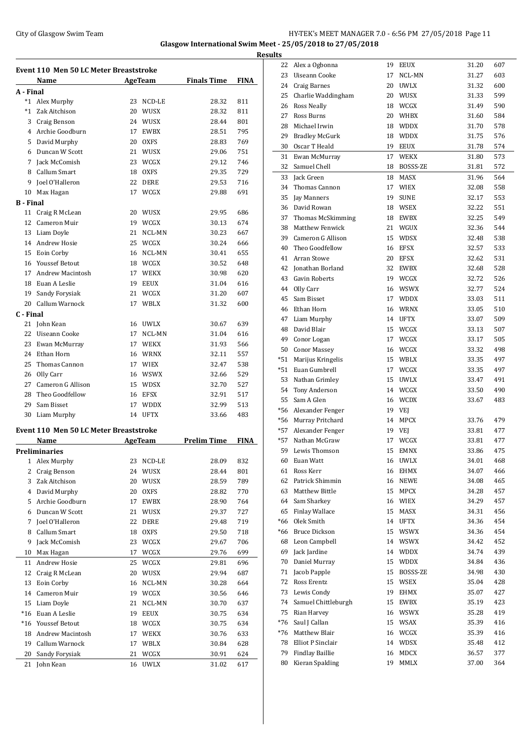## City of Glasgow Swim Team Team Frameters Music City of Glasgow Swim Team Frameters Music City of Glasgow Swim Team Frameters Music City of Glasgow Swim Team Frameters Music City of Glasgow Swim Team Frameters Music City of **Glasgow International Swim Meet - 25/05/2018 to 27/05/2018**

**Results**

| Event 110 Men 50 LC Meter Breaststroke |                                        |    |             |                    |             |  |  |
|----------------------------------------|----------------------------------------|----|-------------|--------------------|-------------|--|--|
|                                        | Name                                   |    | AgeTeam     | <b>Finals Time</b> | <b>FINA</b> |  |  |
| A - Final                              |                                        |    |             |                    |             |  |  |
|                                        | *1 Alex Murphy                         | 23 | NCD-LE      | 28.32              | 811         |  |  |
|                                        | *1 Zak Aitchison                       | 20 | WUSX        | 28.32              | 811         |  |  |
|                                        | 3 Craig Benson                         |    | 24 WUSX     | 28.44              | 801         |  |  |
|                                        | 4 Archie Goodburn                      | 17 | EWBX        | 28.51              | 795         |  |  |
|                                        | 5 David Murphy                         | 20 | <b>OXFS</b> | 28.83              | 769         |  |  |
|                                        | 6 Duncan W Scott                       | 21 | WUSX        | 29.06              | 751         |  |  |
|                                        | 7 Jack McComish                        | 23 | <b>WCGX</b> | 29.12              | 746         |  |  |
|                                        | 8 Callum Smart                         | 18 | OXFS        | 29.35              | 729         |  |  |
| 9                                      | Joel O'Halleron                        | 22 | DERE        | 29.53              | 716         |  |  |
| 10                                     | Max Hagan                              | 17 | WCGX        | 29.88              | 691         |  |  |
| <b>B</b> - Final                       |                                        |    |             |                    |             |  |  |
|                                        | 11 Craig R McLean                      |    | 20 WUSX     | 29.95              | 686         |  |  |
|                                        | 12 Cameron Muir                        |    | 19 WCGX     | 30.13              | 674         |  |  |
|                                        | 13 Liam Doyle                          | 21 | NCL-MN      | 30.23              | 667         |  |  |
|                                        | 14 Andrew Hosie                        | 25 | WCGX        | 30.24              | 666         |  |  |
|                                        | 15 Eoin Corby                          | 16 | NCL-MN      | 30.41              | 655         |  |  |
|                                        | 16 Youssef Betout                      |    | 18 WCGX     | 30.52              | 648         |  |  |
|                                        | 17 Andrew Macintosh                    | 17 | WEKX        | 30.98              | 620         |  |  |
|                                        | 18 Euan A Leslie                       |    | 19 EEUX     | 31.04              | 616         |  |  |
|                                        | 19 Sandy Forysiak                      | 21 | WCGX        | 31.20              | 607         |  |  |
|                                        | 20 Callum Warnock                      | 17 | WBLX        | 31.32              | 600         |  |  |
| C - Final                              |                                        |    |             |                    |             |  |  |
| 21                                     | John Kean                              |    | 16 UWLX     | 30.67              | 639         |  |  |
|                                        | 22 Uiseann Cooke                       | 17 | NCL-MN      | 31.04              | 616         |  |  |
|                                        | 23 Ewan McMurray                       | 17 | WEKX        | 31.93              | 566         |  |  |
|                                        | 24 Ethan Horn                          |    | 16 WRNX     | 32.11              | 557         |  |  |
| 25                                     | Thomas Cannon                          |    | 17 WIEX     | 32.47              | 538         |  |  |
|                                        | 26 Olly Carr                           | 16 | WSWX        | 32.66              | 529         |  |  |
|                                        | 27 Cameron G Allison                   | 15 | WDSX        | 32.70              | 527         |  |  |
|                                        | 28 Theo Goodfellow                     | 16 | EFSX        | 32.91              | 517         |  |  |
|                                        | 29 Sam Bisset                          | 17 | <b>WDDX</b> | 32.99              | 513         |  |  |
| 30                                     | Liam Murphy                            |    | 14 UFTX     | 33.66              | 483         |  |  |
|                                        |                                        |    |             |                    |             |  |  |
|                                        | Event 110 Men 50 LC Meter Breaststroke |    |             |                    |             |  |  |
|                                        | Name                                   |    | AgeTeam     | <b>Prelim Time</b> | <b>FINA</b> |  |  |
|                                        | Preliminaries<br>Alex Murphy           |    |             |                    |             |  |  |
| 1                                      | Craig Benson                           | 23 | NCD-LE      | 28.09              | 832         |  |  |
| $\overline{2}$                         |                                        | 24 | WUSX        | 28.44              | 801         |  |  |
| 3                                      | Zak Aitchison                          | 20 | WUSX        | 28.59              | 789         |  |  |
| 4                                      | David Murphy                           | 20 | <b>OXFS</b> | 28.82              | 770         |  |  |
| 5                                      | Archie Goodburn                        | 17 | EWBX        | 28.90              | 764         |  |  |
| 6                                      | Duncan W Scott                         | 21 | WUSX        | 29.37              | 727         |  |  |
| 7                                      | Joel O'Halleron                        | 22 | <b>DERE</b> | 29.48              | 719         |  |  |
| 8                                      | Callum Smart                           | 18 | <b>OXFS</b> | 29.50              | 718         |  |  |
| 9                                      | Jack McComish                          | 23 | WCGX        | 29.67              | 706         |  |  |
| 10                                     | Max Hagan                              | 17 | WCGX        | 29.76              | 699         |  |  |
| 11                                     | Andrew Hosie                           | 25 | WCGX        | 29.81              | 696         |  |  |
| 12                                     | Craig R McLean                         | 20 | WUSX        | 29.94              | 687         |  |  |
| 13                                     | Eoin Corby                             | 16 | NCL-MN      | 30.28              | 664         |  |  |
| 14                                     | Cameron Muir                           | 19 | WCGX        | 30.56              | 646         |  |  |
| 15                                     | Liam Doyle                             | 21 | NCL-MN      | 30.70              | 637         |  |  |
| $*16$                                  | Euan A Leslie                          | 19 | <b>EEUX</b> | 30.75              | 634         |  |  |
| $*16$                                  | <b>Youssef Betout</b>                  | 18 | WCGX        | 30.75              | 634         |  |  |
| 18                                     | <b>Andrew Macintosh</b>                | 17 | WEKX        | 30.76              | 633         |  |  |
| 19                                     | Callum Warnock                         | 17 | WBLX        | 30.84              | 628         |  |  |
| 20                                     | Sandy Forysiak                         | 21 | WCGX        | 30.91              | 624         |  |  |
| 21                                     | John Kean                              | 16 | <b>UWLX</b> | 31.02              | 617         |  |  |

| <u>uits</u> |                        |    |                              |       |     |
|-------------|------------------------|----|------------------------------|-------|-----|
| 22          | Alex a Ogbonna         | 19 | <b>EEUX</b>                  | 31.20 | 607 |
| 23          | Uiseann Cooke          | 17 | NCL-MN                       | 31.27 | 603 |
| 24          | <b>Craig Barnes</b>    | 20 | <b>UWLX</b>                  | 31.32 | 600 |
| 25          | Charlie Waddingham     | 20 | WUSX                         | 31.33 | 599 |
| 26          | <b>Ross Neally</b>     | 18 | WCGX                         | 31.49 | 590 |
| 27          | Ross Burns             | 20 | WHBX                         | 31.60 | 584 |
| 28          | Michael Irwin          | 18 | <b>WDDX</b>                  | 31.70 | 578 |
| 29          | <b>Bradley McGurk</b>  | 18 | <b>WDDX</b>                  | 31.75 | 576 |
| 30          | Oscar T Heald          | 19 | <b>EEUX</b>                  | 31.78 | 574 |
| 31          | Ewan McMurray          | 17 | <b>WEKX</b>                  | 31.80 | 573 |
| 32          | Samuel Chell           | 18 | BOSSS-ZE                     | 31.81 | 572 |
| 33          | <b>Jack Green</b>      | 18 | <b>MASX</b>                  | 31.96 | 564 |
| 34          | Thomas Cannon          | 17 | <b>WIEX</b>                  | 32.08 | 558 |
| 35          | Jay Manners            | 19 | <b>SUNE</b>                  | 32.17 | 553 |
| 36          | David Rowan            | 18 | <b>WSEX</b>                  | 32.22 | 551 |
| 37          | Thomas McSkimming      | 18 | EWBX                         | 32.25 | 549 |
| 38          | <b>Matthew Fenwick</b> | 21 | WGUX                         | 32.36 | 544 |
| 39          | Cameron G Allison      | 15 | <b>WDSX</b>                  | 32.48 | 538 |
| 40          | Theo Goodfellow        | 16 | EFSX                         | 32.57 | 533 |
| 41          | Arran Stowe            | 20 | <b>EFSX</b>                  | 32.62 | 531 |
| 42          | Jonathan Borland       | 32 | <b>EWBX</b>                  | 32.68 | 528 |
| 43          | Gavin Roberts          | 19 | WCGX                         | 32.72 | 526 |
| 44          | Olly Carr              | 16 | <b>WSWX</b>                  | 32.77 | 524 |
| 45          | Sam Bisset             | 17 | <b>WDDX</b>                  | 33.03 | 511 |
| 46          | Ethan Horn             | 16 | <b>WRNX</b>                  | 33.05 | 510 |
| 47          | Liam Murphy            | 14 | <b>UFTX</b>                  | 33.07 | 509 |
| 48          | David Blair            | 15 | WCGX                         | 33.13 | 507 |
| 49          | Conor Logan            | 17 | WCGX                         | 33.17 | 505 |
| 50          | <b>Conor Massey</b>    | 16 | WCGX                         | 33.32 | 498 |
| *51         | Marijus Kringelis      | 15 | WBLX                         | 33.35 | 497 |
| $*51$       | Euan Gumbrell          | 17 | WCGX                         | 33.35 | 497 |
| 53          | Nathan Grimley         | 15 | <b>UWLX</b>                  | 33.47 | 491 |
| 54          | Tony Anderson          | 14 | WCGX                         | 33.50 | 490 |
| 55          | Sam A Glen             | 16 | <b>WCDX</b>                  | 33.67 | 483 |
| *56         | Alexander Fenger       | 19 | VEJ                          |       |     |
| *56         | Murray Pritchard       | 14 | <b>MPCX</b>                  | 33.76 | 479 |
| $*57$       | Alexander Fenger       | 19 | VEJ                          | 33.81 | 477 |
| $*57$       | Nathan McGraw          | 17 | WCGX                         | 33.81 | 477 |
| 59          | Lewis Thomson          | 15 | $\mathop{\rm EMNX}\nolimits$ | 33.86 | 475 |
| 60          | Euan Watt              | 16 | <b>UWLX</b>                  | 34.01 | 468 |
| 61          | Ross Kerr              | 16 | EHMX                         | 34.07 | 466 |
| 62          | Patrick Shimmin        | 16 | NEWE                         | 34.08 | 465 |
| 63          | Matthew Bittle         | 15 | MPCX                         | 34.28 | 457 |
| 64          | Sam Sharkey            | 16 | WIEX                         | 34.29 | 457 |
| 65          | <b>Finlay Wallace</b>  | 15 | MASX                         | 34.31 | 456 |
| $*66$       | Olek Smith             | 14 | <b>UFTX</b>                  | 34.36 | 454 |
| *66         | <b>Bruce Dickson</b>   | 15 | <b>WSWX</b>                  | 34.36 | 454 |
| 68          | Leon Campbell          | 14 | <b>WSWX</b>                  | 34.42 | 452 |
| 69          | Jack Jardine           | 14 | WDDX                         | 34.74 | 439 |
| 70          | Daniel Murray          | 15 | <b>WDDX</b>                  | 34.84 | 436 |
| 71          | Jacob Papple           | 15 | BOSSS-ZE                     | 34.98 | 430 |
| 72          | Ross Erentz            | 15 | WSEX                         | 35.04 | 428 |
| 73          | Lewis Condy            | 19 | EHMX                         | 35.07 | 427 |
| 74          | Samuel Chittleburgh    | 15 | EWBX                         | 35.19 | 423 |
| 75          | Rian Harvey            | 16 | <b>WSWX</b>                  | 35.28 | 419 |
| $*76$       | Saul J Callan          | 15 | WSAX                         | 35.39 | 416 |
| *76         | Matthew Blair          | 16 | WCGX                         | 35.39 | 416 |
| 78          | Elliot P Sinclair      | 14 | WDSX                         | 35.48 | 412 |
| 79          | Findlay Baillie        | 16 | MDCX                         | 36.57 | 377 |
| 80          | Kieran Spalding        | 19 | MMLX                         | 37.00 | 364 |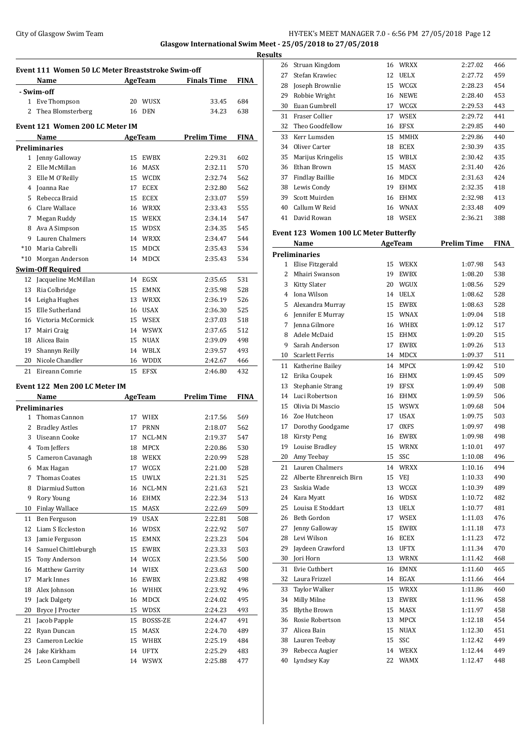## City of Glasgow Swim Team **HY-TEK's MEET MANAGER 7.0 - 6:56 PM 27/05/2018** Page 12 **Glasgow International Swim Meet - 25/05/2018 to 27/05/2018**

**Event 111 Women 50 LC Meter Breaststroke Swim-off Name Age Team Finals Time FINA - Swim-off** Eve Thompson 20 WUSX 33.45 684 Thea Blomsterberg 16 DEN 34.23 638 **Event 121 Women 200 LC Meter IM Name Age Team Prelim Time FINA Preliminaries** Jenny Galloway 15 EWBX 2:29.31 602 Elle McMillan 16 MASX 2:32.11 570 Elle M O'Reilly 15 WCDX 2:32.74 562 Joanna Rae 17 ECEX 2:32.80 562 Rebecca Braid 15 ECEX 2:33.07 559 Clare Wallace 16 WRXX 2:33.43 555 Megan Ruddy 15 WEKX 2:34.14 547 Ava A Simpson 15 WDSX 2:34.35 545 Lauren Chalmers 14 WRXX 2:34.47 544 \*10 Maria Cabrelli 15 MDCX 2:35.43 534 \*10 Morgan Anderson 14 MDCX 2:35.43 534 **Swim-Off Required** Jacqueline McMillan 14 EGSX 2:35.65 531 Ria Colbridge 15 EMNX 2:35.98 528 Leigha Hughes 13 WRXX 2:36.19 526 Elle Sutherland 16 USAX 2:36.30 525 Victoria McCormick 15 WSEX 2:37.03 518 Mairi Craig 14 WSWX 2:37.65 512 Alicea Bain 15 NUAX 2:39.09 498 Shannyn Reilly 14 WBLX 2:39.57 493 Nicole Chandler 16 WDDX 2:42.67 466 Eireann Comrie 15 EFSX 2:46.80 432 **Event 122 Men 200 LC Meter IM Name Age Team Prelim Time FINA Preliminaries** Thomas Cannon 17 WIEX 2:17.56 569 Bradley Astles 17 PRNN 2:18.07 562 Uiseann Cooke 17 NCL-MN 2:19.37 547 Tom Jeffers 18 MPCX 2:20.86 530 Cameron Cavanagh 18 WEKX 2:20.99 528 Max Hagan 17 WCGX 2:21.00 528 Thomas Coates 15 UWLX 2:21.31 525 Diarmiud Sutton 16 NCL-MN 2:21.63 521 Rory Young 16 EHMX 2:22.34 513 Finlay Wallace 15 MASX 2:22.69 509 Ben Ferguson 19 USAX 2:22.81 508 Liam S Eccleston 16 WDSX 2:22.92 507 Jamie Ferguson 15 EMNX 2:23.23 504 Samuel Chittleburgh 15 EWBX 2:23.33 503 Tony Anderson 14 WCGX 2:23.56 500 Matthew Garrity 14 WIEX 2:23.63 500 Mark Innes 16 EWBX 2:23.82 498 Alex Johnson 16 WHHX 2:23.92 496 Jack Dalgety 16 MDCX 2:24.02 495 Bryce J Procter 15 WDSX 2:24.23 493 Jacob Papple 15 BOSSS-ZE 2:24.47 491 Ryan Duncan 15 MASX 2:24.70 489 Cameron Leckie 15 WHBX 2:25.19 484 Jake Kirkham 14 UFTX 2:25.29 483 Leon Campbell 14 WSWX 2:25.88 477

|   | <b>Results</b> |                                        |    |                |                    |             |
|---|----------------|----------------------------------------|----|----------------|--------------------|-------------|
|   | 26             | Struan Kingdom                         |    | 16 WRXX        | 2:27.02            | 466         |
|   | 27             | Stefan Krawiec                         |    | 12 UELX        | 2:27.72            | 459         |
|   | 28             | Joseph Brownlie                        | 15 | WCGX           | 2:28.23            | 454         |
|   | 29             | Robbie Wright                          |    | 16 NEWE        | 2:28.40            | 453         |
|   | 30             | Euan Gumbrell                          |    | 17 WCGX        | 2:29.53            | 443         |
|   | 31             | Fraser Collier                         | 17 | WSEX           | 2:29.72            | 441         |
|   | 32             | Theo Goodfellow                        | 16 | <b>EFSX</b>    | 2:29.85            | 440         |
|   | 33             | Kerr Lumsden                           | 15 | <b>MMHX</b>    | 2:29.86            | 440         |
|   | 34             | Oliver Carter                          |    | 18 ECEX        | 2:30.39            | 435         |
|   | 35             | Marijus Kringelis                      | 15 | WBLX           | 2:30.42            | 435         |
|   | 36             | Ethan Brown                            | 15 | MASX           | 2:31.40            | 426         |
|   | 37             | <b>Findlay Baillie</b>                 |    | 16 MDCX        | 2:31.63            | 424         |
|   | 38             | Lewis Condy                            |    | 19 EHMX        | 2:32.35            | 418         |
|   | 39             | Scott Muirden                          |    | 16 EHMX        | 2:32.98            | 413         |
|   | 40             | Callum W Reid                          |    | 16 WNAX        | 2:33.48            | 409         |
|   | 41             | David Rowan                            |    | 18 WSEX        | 2:36.21            | 388         |
|   |                |                                        |    |                |                    |             |
|   |                | Event 123 Women 100 LC Meter Butterfly |    |                |                    |             |
|   |                | Name                                   |    | <b>AgeTeam</b> | <b>Prelim Time</b> | <b>FINA</b> |
|   |                | <b>Preliminaries</b>                   |    |                |                    |             |
|   | 1              | Elise Fitzgerald                       | 15 | <b>WEKX</b>    | 1:07.98            | 543         |
|   | 2              | Mhairi Swanson                         |    | 19 EWBX        | 1:08.20            | 538         |
|   | 3              | Kitty Slater                           | 20 | WGUX           | 1:08.56            | 529         |
|   | 4              | Iona Wilson                            | 14 | <b>UELX</b>    | 1:08.62            | 528         |
|   | 5              | Alexandra Murray                       |    | 15 EWBX        | 1:08.63            | 528         |
|   | 6              | Jennifer E Murray                      |    | 15 WNAX        | 1:09.04            | 518         |
|   | 7              | Jenna Gilmore                          |    | 16 WHBX        | 1:09.12            | 517         |
|   | 8              | Adele McDaid                           |    | 15 EHMX        | 1:09.20            | 515         |
|   | 9              | Sarah Anderson                         | 17 | EWBX           | 1:09.26            | 513         |
|   | 10             | Scarlett Ferris                        | 14 | MDCX           | 1:09.37            | 511         |
|   | 11             | Katherine Bailey                       |    | 14 MPCX        | 1:09.42            | 510         |
|   | 12             | Erika Coupek                           | 16 | <b>EHMX</b>    | 1:09.45            | 509         |
|   | 13             | Stephanie Strang                       | 19 | EFSX           | 1:09.49            | 508         |
| j | 14             | Luci Robertson                         |    | 16 EHMX        | 1:09.59            | 506         |
|   | 15             | Olivia Di Mascio                       | 15 | <b>WSWX</b>    | 1:09.68            | 504         |
|   | 16             | Zoe Hutcheon                           | 17 | <b>USAX</b>    | 1:09.75            | 503         |
|   | 17             | Dorothy Goodgame                       | 17 | <b>OXFS</b>    | 1:09.97            | 498         |
|   | 18             | Kirsty Peng                            |    | 16 EWBX        | 1:09.98            | 498         |
|   | 19             | Louise Bradley                         |    | 15 WRNX        | 1:10.01            | 497         |
|   | 20             | Amy Teebay                             | 15 | SSC            | 1:10.08            | 496         |
|   | 21             | Lauren Chalmers                        | 14 | <b>WRXX</b>    | 1:10.16            | 494         |
|   | 22             | Alberte Ehrenreich Birn                |    | 15 VEJ         | 1:10.33            | 490         |
|   | 23             | Saskia Wade                            | 13 | WCGX           | 1:10.39            | 489         |
|   | 24             | Kara Myatt                             |    | 16 WDSX        | 1:10.72            | 482         |
|   | 25             | Louisa E Stoddart                      | 13 | UELX           | 1:10.77            | 481         |
|   | 26             | Beth Gordon                            |    | 17 WSEX        | 1:11.03            | 476         |
|   | 27             | Jenny Galloway                         | 15 | EWBX           | 1:11.18            | 473         |
|   | 28             | Levi Wilson                            |    | 16 ECEX        | 1:11.23            | 472         |
|   | 29             | Jaydeen Crawford                       | 13 | <b>UFTX</b>    | 1:11.34            | 470         |
|   | 30             | Jori Horn                              | 13 | WRNX           | 1:11.42            | 468         |
|   | 31             | Evie Cuthbert                          | 16 | EMNX           | 1:11.60            | 465         |
|   | 32             | Laura Frizzel                          | 14 | EGAX           | 1:11.66            | 464         |
|   | 33             | Taylor Walker                          | 15 | WRXX           | 1:11.86            | 460         |
|   | 34             | Milly Milne                            | 13 | EWBX           | 1:11.96            | 458         |
|   | 35             | <b>Blythe Brown</b>                    | 15 | MASX           | 1:11.97            | 458         |
|   | 36             | Rosie Robertson                        | 13 | MPCX           | 1:12.18            | 454         |
|   | 37             | Alicea Bain                            | 15 | NUAX           | 1:12.30            | 451         |
|   | 38             | Lauren Teebay                          | 15 | SSC            | 1:12.42            | 449         |
|   | 39             | Rebecca Augier                         | 14 | WEKX           | 1:12.44            | 449         |
|   | 40             | Lyndsey Kay                            | 22 | WAMX           | 1:12.47            | 448         |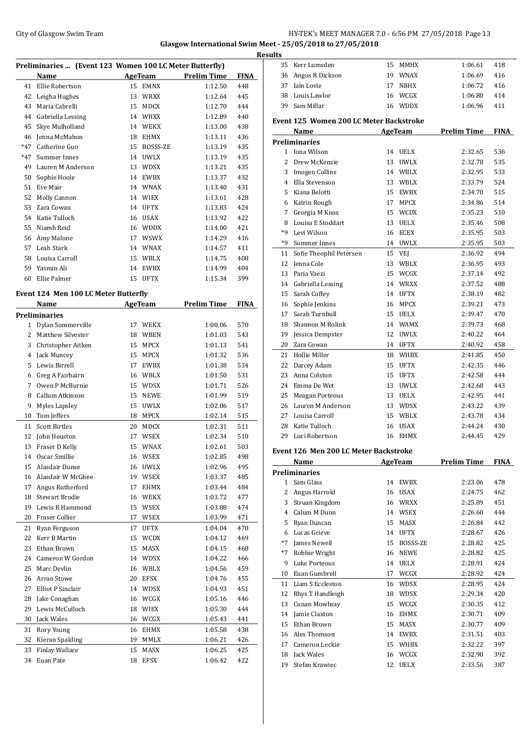## City of Glasgow Swim Team Team Frameters Music City of Glasgow Swim Team Frameters Music City of Glasgow Swim Team Frameters Music City of Glasgow Swim Team Frameters Music City of Glasgow Swim Team Frameters Music City of **Glasgow International Swim Meet - 25/05/2018 to 27/05/2018**

|             |                                                         |    |                    |                    |            | <b>Results</b> |
|-------------|---------------------------------------------------------|----|--------------------|--------------------|------------|----------------|
|             | Preliminaries  (Event 123 Women 100 LC Meter Butterfly) |    |                    |                    |            |                |
|             | Name                                                    |    | <b>AgeTeam</b>     | <b>Prelim Time</b> | FINA       | Ξ              |
| 41          | Ellie Robertson<br>42 Leigha Hughes                     |    | 15 EMNX<br>13 WRXX | 1:12.50<br>1:12.64 | 448<br>445 |                |
|             | 43 Maria Cabrelli                                       |    |                    |                    | 444        | Э<br>З         |
|             |                                                         |    | 15 MDCX            | 1:12.70            |            |                |
|             | 44 Gabriella Lessing                                    |    | 14 WRXX            | 1:12.89            | 440        | Eve            |
|             | 45 Skye Mulholland                                      |    | 14 WEKX            | 1:13.00            | 438        |                |
|             | 46 Jenna McMahon                                        |    | 18 EHMX            | 1:13.11            | 436        | Pre            |
| *47         | Catherine Guo                                           |    | 15 BOSSS-ZE        | 1:13.19            | 435        |                |
| *47         | Summer Innes                                            |    | 14 UWLX            | 1:13.19            | 435        |                |
|             | 49 Lauren M Anderson                                    |    | 13 WDSX            | 1:13.21            | 435        |                |
| 50          | Sophie Hoole                                            |    | 14 EWBX            | 1:13.37            | 432        |                |
| 51          | Eve Mair                                                |    | 14 WNAX            | 1:13.40            | 431        |                |
|             | 52 Molly Cannon                                         |    | 14 WIEX            | 1:13.61            | 428        |                |
|             | 53 Zara Cowan                                           |    | 14 UFTX            | 1:13.83            | 424        |                |
|             | 54 Katie Tulloch                                        |    | 16 USAX            | 1:13.92            | 422        |                |
|             | 55 Niamh Reid                                           |    | 16 WDDX            | 1:14.00            | 421        |                |
|             | 56 Amy Malone                                           |    | 17 WSWX            | 1:14.29            | 416        | ×              |
|             | 57 Leah Stark                                           |    | 14 WNAX            | 1:14.57            | 411        | 1              |
|             | 58 Louisa Carroll                                       |    | 15 WBLX            | 1:14.75            | 408        | 1              |
|             | 59 Yasmin Ali                                           |    | 14 EWBX            | 1:14.99            | 404        | 1              |
|             | 60 Ellie Palmer                                         |    | 15 UFTX            | 1:15.34            | 399        | 1              |
|             | Event 124 Men 100 LC Meter Butterfly                    |    |                    |                    |            | 1              |
|             | Name                                                    |    | <b>AgeTeam</b>     | <b>Prelim Time</b> | FINA       | 1              |
|             | <b>Preliminaries</b>                                    |    |                    |                    |            | 1              |
|             | 1 Dylan Sommerville                                     |    | 17 WEKX            | 1:00.06            | 570        | 1              |
|             | 2 Matthew Silvester                                     |    | 18 WBEN            | 1:01.03            | 543        | 1              |
| 3           | Christopher Aitken                                      |    | 15 MPCX            | 1:01.13            | 541        | 2              |
|             | 4 Jack Muncey                                           |    | 15 MPCX            | 1:01.32            | 536        | 2              |
|             | 5 Lewis Birrell                                         |    | 17 EWBX            | 1:01.38            | 534        | 2              |
|             | 6 Greg A Fairbairn                                      |    | 16 WBLX            | 1:01.50            | 531        | 2              |
| $7^{\circ}$ | Owen P McBurnie                                         |    | 15 WDSX            | 1:01.71            | 526        | 2              |
| 8           | Callum Atkinson                                         | 15 | <b>NEWE</b>        | 1:01.99            | 519        | 2              |
| 9           | Myles Lapsley                                           | 15 | <b>UWLX</b>        | 1:02.06            | 517        | 2              |
| 10          | Tom Jeffers                                             |    | 18 MPCX            | 1:02.14            | 515        | 2              |
| 11          | <b>Scott Birtles</b>                                    | 20 | <b>MDCX</b>        | 1:02.31            | 511        | 2              |
|             | 12 John Houston                                         | 17 | WSEX               | 1:02.34            | 510        | 2              |
| 13          | Fraser D Kelly                                          | 15 | WNAX               | 1:02.61            | 503        |                |
| 14          | Oscar Smillie                                           | 16 | WSEX               | 1:02.85            | 498        | Eve            |
| 15          | Alasdair Dunse                                          |    | 16 UWLX            | 1:02.96            | 495        |                |
|             | 16 Alasdair W McGhee                                    |    | 19 WSEX            | 1:03.37            | 485        | Pre            |
| 17          | Angus Rutherford                                        | 17 | EHMX               | 1:03.44            | 484        |                |
| 18          | <b>Stewart Brodie</b>                                   |    | 16 WEKX            | 1:03.72            | 477        |                |
| 19          | Lewis R Hammond                                         | 15 | WSEX               | 1:03.88            | 474        |                |
| 20          | Fraser Collier                                          | 17 | WSEX               | 1:03.99            | 471        |                |
| 21          | Ryan Ferguson                                           | 17 | UFTX               | 1:04.04            | 470        |                |
| 22          | Kerr B Martin                                           | 15 | <b>WCDX</b>        | 1:04.12            | 469        |                |
| 23          | Ethan Brown                                             | 15 | MASX               | 1:04.15            | 468        |                |
| 24          | Cameron W Gordon                                        | 14 | WDSX               | 1:04.22            | 466        |                |
| 25          | Marc Devlin                                             | 16 | WBLX               | 1:04.56            | 459        |                |
| 26          | Arran Stowe                                             | 20 | EFSX               | 1:04.76            | 455        | 1              |
| 27          | Elliot P Sinclair                                       | 14 | WDSX               | 1:04.93            | 451        | 1              |
| 28          | Jake Conaghan                                           | 16 | WCGX               | 1:05.16            | 446        | 1              |
| 29          | Lewis McCulloch                                         |    | 18 WIEX            | 1:05.30            | 444        | 1              |
| 30          | Jack Wales                                              | 16 | WCGX               | 1:05.43            | 441        | 1              |
| 31          | Rory Young                                              | 16 | EHMX               | 1:05.58            | 438        | 1              |
| 32          | Kieran Spalding                                         | 19 | MMLX               | 1:06.21            | 426        | 1              |
| 33          | <b>Finlay Wallace</b>                                   | 15 | MASX               | 1:06.25            | 425        | 1              |
|             | 34 Euan Pate                                            |    | 18 EFSX            | 1:06.42            | 422        | 1              |
|             |                                                         |    |                    |                    |            |                |

| <u>uits</u>    |                                         |    |                |                    |             |
|----------------|-----------------------------------------|----|----------------|--------------------|-------------|
| 35             | Kerr Lumsden                            |    | 15 MMHX        | 1:06.61            | 418         |
|                | 36 Angus R Dickson                      |    | 19 WNAX        | 1:06.69            | 416         |
|                | 37 Iain Lovie                           | 17 | NBHX           | 1:06.72            | 416         |
|                | 38 Louis Lawlor                         |    | 16 WCGX        | 1:06.80            | 414         |
|                | 39 Sam Millar                           |    | 16 WDDX        | 1:06.96            | 411         |
|                |                                         |    |                |                    |             |
|                | Event 125 Women 200 LC Meter Backstroke |    |                |                    |             |
|                | Name                                    |    | <b>AgeTeam</b> | <b>Prelim Time</b> | <b>FINA</b> |
|                | <b>Preliminaries</b>                    |    |                |                    |             |
|                | 1 Iona Wilson                           |    | 14 UELX        | 2:32.65            | 536         |
| $\overline{2}$ | Drew McKenzie                           | 13 | <b>UWLX</b>    | 2:32.78            | 535         |
|                | 3 Imogen Collins                        |    | 14 WBLX        | 2:32.95            | 533         |
|                | 4 Ella Stevenson                        |    | 13 WBLX        | 2:33.79            | 524         |
| 5              | Kiana Belotti                           |    | 15 EWBX        | 2:34.70            | 515         |
|                | 6 Katrin Rough                          |    | 17 MPCX        | 2:34.86            | 514         |
| 7              | Georgia M Knox                          |    | 15 WCDX        | 2:35.23            | 510         |
|                | 8 Louisa E Stoddart                     |    | 13 UELX        | 2:35.46            | 508         |
| *9             | Levi Wilson                             |    | 16 ECEX        | 2:35.95            | 503         |
| *9             | Summer Innes                            |    | 14 UWLX        | 2:35.95            | 503         |
| 11             | Sofie Theophil Petersen                 | 15 | <b>VEJ</b>     | 2:36.92            | 494         |
| 12             | Jenna Cole                              |    | 13 WBLX        | 2:36.95            | 493         |
|                | 13 Paria Vaezi                          |    | 15 WCGX        | 2:37.14            | 492         |
|                | 14 Gabriella Lessing                    |    | 14 WRXX        | 2:37.52            | 488         |
|                | 15 Sarah Coffey                         |    | 14 UFTX        | 2:38.19            | 482         |
|                | 16 Sophie Jenkins                       | 16 | <b>MPCX</b>    | 2:39.21            | 473         |
| 17             | Sarah Turnbull                          |    | 15 UELX        | 2:39.47            | 470         |
|                | 18 Shannon M Rolink                     |    | 14 WAMX        | 2:39.73            | 468         |
| 19             | Jessica Dempster                        |    | 12 UWLX        | 2:40.22            | 464         |
| 20             | Zara Cowan                              |    | 14 UFTX        | 2:40.92            | 458         |
| 21             | Hollie Miller                           |    | 18 WHBX        | 2:41.85            | 450         |
|                | 22 Darcey Adam                          |    | 15 UFTX        | 2:42.35            | 446         |
| 23             | Anna Colston                            |    | 15 UFTX        | 2:42.58            | 444         |
|                | 24 Emma De Wet                          | 13 | <b>UWLX</b>    |                    | 443         |
| 25             | Meagan Porteous                         |    |                | 2:42.68            | 441         |
|                | Lauren M Anderson                       |    | 13 UELX        | 2:42.95            | 439         |
| 26             |                                         |    | 13 WDSX        | 2:43.22            |             |
| 27             | Louisa Carroll<br>Katie Tulloch         |    | 15 WBLX        | 2:43.78            | 434         |
| 28             |                                         |    | 16 USAX        | 2:44.24            | 430         |
| 29             | Luci Robertson                          | 16 | <b>EHMX</b>    | 2:44.45            | 429         |
|                | Event 126 Men 200 LC Meter Backstroke   |    |                |                    |             |
|                | Name                                    |    | AgeTeam        | <b>Prelim Time</b> | FINA        |
|                | <b>Preliminaries</b>                    |    |                |                    |             |
| $\mathbf{1}$   | Sam Glass                               |    | 14 EWBX        | 2:23.06            | 478         |
| 2              | Angus Harrold                           |    | 16 USAX        | 2:24.75            | 462         |
|                | 3 Struan Kingdom                        |    | 16 WRXX        | 2:25.89            | 451         |
|                | 4 Calum M Dunn                          |    | 14 WSEX        | 2:26.60            | 444         |
| 5              | Ryan Duncan                             | 15 | MASX           | 2:26.84            | 442         |
|                |                                         |    |                |                    |             |
| $*7$           |                                         |    | 14 UFTX        |                    | 426         |
| $*7$           | 6 Lucas Grieve                          |    |                | 2:28.67            |             |
|                | James Newell                            | 15 | BOSSS-ZE       | 2:28.82            | 425         |
|                | Robbie Wright                           | 16 | <b>NEWE</b>    | 2:28.82            | 425         |
| 9              | Luke Porteous                           | 14 | <b>UELX</b>    | 2:28.91            | 424         |
| 10             | Euan Gumbrell                           | 17 | WCGX           | 2:28.92            | 424         |
| 11             | Liam S Eccleston                        | 16 | WDSX           | 2:28.95            | 424         |
| 12             | Rhys T Handleigh                        | 18 | WDSX           | 2:29.34            | 420         |
| 13             | Conan Mowbray                           | 15 | WCGX           | 2:30.35            | 412         |
| 14             | Jamie Claxton                           | 16 | <b>EHMX</b>    | 2:30.71            | 409         |
| 15             | Ethan Brown                             | 15 | MASX           | 2:30.77            | 409         |
|                | 16 Alex Thomson                         |    | 14 EWBX        | 2:31.51            | 403         |
|                | 17 Cameron Leckie                       |    | 15 WHBX        | 2:32.22            | 397         |
| 18             | Jack Wales                              | 16 | WCGX           | 2:32.90            | 392         |
| 19             | Stefan Krawiec                          | 12 | UELX           | 2:33.56            | 387         |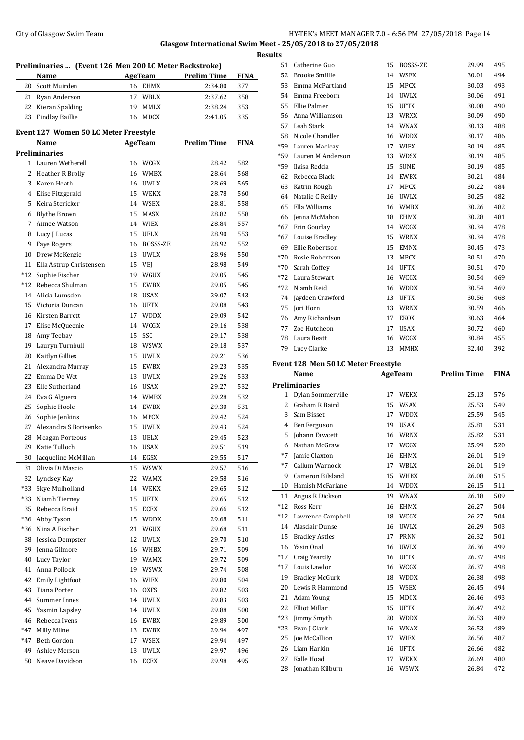## City of Glasgow Swim Team Team Feam Fermi States of Glasgow Swim Team Feam Fermi States of American States and HY-TEK's MEET MANAGER 7.0 - 6:56 PM 27/05/2018 Page 14 **Glasgow International Swim Meet - 25/05/2018 to 27/05/2018**

|             | Preliminaries  (Event 126 Men 200 LC Meter Backstroke) |    |                |                    |             |
|-------------|--------------------------------------------------------|----|----------------|--------------------|-------------|
|             | <b>Name</b>                                            |    | AgeTeam        | <b>Prelim Time</b> | <b>FINA</b> |
|             | 20 Scott Muirden                                       |    | 16 EHMX        | 2:34.80            | 377         |
|             | 21 Ryan Anderson                                       | 17 | WBLX           | 2:37.62            | 358         |
| 22          | Kieran Spalding                                        | 19 | MMLX           | 2:38.24            | 353         |
| 23          | Findlay Baillie                                        | 16 | <b>MDCX</b>    | 2:41.05            | 335         |
|             | <b>Event 127 Women 50 LC Meter Freestyle</b><br>Name   |    | <b>AgeTeam</b> | <b>Prelim Time</b> | <b>FINA</b> |
|             | <b>Preliminaries</b>                                   |    |                |                    |             |
|             | 1 Lauren Wetherell                                     |    | 16 WCGX        | 28.42              | 582         |
| 2           | Heather R Brolly                                       |    | 16 WMBX        | 28.64              | 568         |
| 3           | Karen Heath                                            |    | 16 UWLX        | 28.69              | 565         |
| 4           | Elise Fitzgerald                                       |    | 15 WEKX        | 28.78              | 560         |
| 5           | Keira Stericker                                        |    | 14 WSEX        | 28.81              | 558         |
|             | 6 Blythe Brown                                         | 15 | MASX           | 28.82              | 558         |
| $7^{\circ}$ | Aimee Watson                                           |    | 14 WIEX        | 28.84              | 557         |
| 8           | Lucy J Lucas                                           | 15 | UELX           | 28.90              | 553         |
| 9           | <b>Fave Rogers</b>                                     |    | 16 BOSSS-ZE    | 28.92              | 552         |
| 10          | Drew McKenzie                                          |    | 13 UWLX        | 28.96              | 550         |
| 11          | Ella Astrup Christensen                                | 15 | VEJ            | 28.98              | 549         |
| $*12$       |                                                        |    |                |                    |             |
|             | Sophie Fischer<br>Rebecca Shulman                      | 19 | WGUX           | 29.05              | 545         |
| $*12$       |                                                        | 15 | <b>EWBX</b>    | 29.05              | 545         |
| 14          | Alicia Lumsden                                         | 18 | <b>USAX</b>    | 29.07              | 543         |
| 15          | Victoria Duncan                                        |    | 16 UFTX        | 29.08              | 543         |
|             | 16 Kirsten Barrett                                     | 17 | <b>WDDX</b>    | 29.09              | 542         |
| 17          | Elise McQueenie                                        |    | 14 WCGX        | 29.16              | 538         |
| 18          | Amy Teebay                                             | 15 | SSC            | 29.17              | 538         |
| 19          | Lauryn Turnbull                                        |    | 18 WSWX        | 29.18              | 537         |
| 20          | Kaitlyn Gillies                                        | 15 | UWLX           | 29.21              | 536         |
| 21          | Alexandra Murray                                       | 15 | EWBX           | 29.23              | 535         |
| 22          | Emma De Wet                                            | 13 | UWLX           | 29.26              | 533         |
| 23          | Elle Sutherland                                        |    | 16 USAX        | 29.27              | 532         |
| 24          | Eva G Alguero                                          |    | 14 WMBX        | 29.28              | 532         |
| 25          | Sophie Hoole                                           |    | 14 EWBX        | 29.30              | 531         |
| 26          | Sophie Jenkins                                         |    | 16 MPCX        | 29.42              | 524         |
| 27          | Alexandra S Borisenko                                  | 15 | <b>UWLX</b>    | 29.43              | 524         |
| 28          | <b>Meagan Porteous</b>                                 | 13 | <b>UELX</b>    | 29.45              | 523         |
| 29          | Katie Tulloch                                          | 16 | USAX           | 29.51              | 519         |
| 30          | Jacqueline McMillan                                    | 14 | EGSX           | 29.55              | 517         |
| 31          | Olivia Di Mascio                                       | 15 | <b>WSWX</b>    | 29.57              | 516         |
| 32          | Lyndsey Kay                                            | 22 | WAMX           | 29.58              | 516         |
| *33         | Skye Mulholland                                        | 14 | WEKX           | 29.65              | 512         |
| *33         | Niamh Tierney                                          | 15 | <b>UFTX</b>    | 29.65              | 512         |
| 35          | Rebecca Braid                                          | 15 | ${\tt ECEX}$   | 29.66              | 512         |
| *36         | Abby Tyson                                             | 15 | WDDX           | 29.68              | 511         |
| *36         | Nina A Fischer                                         | 21 | WGUX           | 29.68              | 511         |
| 38          | Jessica Dempster                                       | 12 | UWLX           | 29.70              | 510         |
| 39          | Jenna Gilmore                                          | 16 | WHBX           | 29.71              | 509         |
| 40          | Lucy Taylor                                            | 19 | WAMX           | 29.72              | 509         |
| 41          | Anna Pollock                                           | 19 | <b>WSWX</b>    | 29.74              | 508         |
| 42          | <b>Emily Lightfoot</b>                                 | 16 | <b>WIEX</b>    | 29.80              | 504         |
| 43          | Tiana Porter                                           | 16 | <b>OXFS</b>    | 29.82              | 503         |
| 44          | Summer Innes                                           | 14 | UWLX           | 29.83              | 503         |
| 45          | Yasmin Lapsley                                         | 14 | UWLX           | 29.88              | 500         |
| 46          | Rebecca Ivens                                          | 16 | EWBX           | 29.89              | 500         |
| *47         |                                                        |    |                |                    |             |
|             | Milly Milne                                            | 13 | EWBX           | 29.94              | 497         |
| *47         | Beth Gordon                                            | 17 | WSEX           | 29.94              | 497         |
| 49          | Ashley Merson                                          | 13 | UWLX           | 29.97              | 496         |
| 50          | Neave Davidson                                         | 16 | ECEX           | 29.98              | 495         |

|       | Name                                         |    | <b>AgeTeam</b>         | <b>Prelim Time</b> | <b>FINA</b> |
|-------|----------------------------------------------|----|------------------------|--------------------|-------------|
|       | Event 128 Men 50 LC Meter Freestyle          |    |                        |                    |             |
| 79    | Lucy Clarke                                  | 13 | <b>MMHX</b>            | 32.40              | 392         |
| 78    | Laura Beatt                                  |    | 16 WCGX                | 30.84              | 455         |
| 77    | Zoe Hutcheon                                 | 17 | <b>USAX</b>            | 30.72              | 460         |
| 76    | Amy Richardson                               | 17 | <b>EKOX</b>            | 30.63              | 464         |
| 75    | Jori Horn                                    | 13 | WRNX                   | 30.59              | 466         |
|       | 74 Jaydeen Crawford                          |    | 13 UFTX                | 30.56              | 468         |
| *72   | Niamh Reid                                   | 16 | <b>WDDX</b>            | 30.54              | 469         |
| $*72$ | Laura Stewart                                |    | 16 WCGX                | 30.54              | 469         |
|       | *70 Sarah Coffey                             |    | 14 UFTX                | 30.51              | 470         |
| $*70$ | Rosie Robertson                              | 13 | <b>MPCX</b>            | 30.51              | 470         |
| 69    | Ellie Robertson                              | 15 | <b>EMNX</b>            | 30.45              | 473         |
|       | *67 Louise Bradley                           | 15 | WRNX                   | 30.34              | 478         |
|       | *67 Erin Gourlay                             |    | 14 WCGX                | 30.34              | 478         |
|       | 66 Ienna McMahon                             | 18 | <b>EHMX</b>            | 30.28              | 481         |
| 65    | Ella Williams                                |    | 16 WMBX                | 30.26              | 482         |
| 64    | Natalie C Reilly                             | 16 | <b>UWLX</b>            | 30.25              | 482         |
| 63    | Katrin Rough                                 | 17 | <b>MPCX</b>            | 30.22              | 484         |
| 62    | Rebecca Black                                | 14 | <b>EWBX</b>            | 30.21              | 484         |
|       | *59 Ilaisa Redda                             | 15 | <b>SUNE</b>            | 30.19              | 485         |
|       | *59 Lauren M Anderson                        |    | 13 WDSX                | 30.19              | 485         |
| *59   | Lauren Macleay                               |    | 17 WIEX                | 30.19              | 485         |
| 58    | Nicole Chandler                              | 16 | <b>WDDX</b>            | 30.17              | 486         |
| 57    | Leah Stark                                   |    | 14 WNAX                | 30.13              | 488         |
| 56    | Anna Williamson                              | 13 | WRXX                   | 30.09              | 490         |
| 55    | Ellie Palmer                                 | 15 | <b>UFTX</b>            | 30.08              | 490         |
| 54    | Emma Freeborn                                | 14 | <b>UWLX</b>            | 30.06              | 491         |
| 53    | Emma McPartland                              | 15 | 14 WSEX<br><b>MPCX</b> | 30.01<br>30.03     | 494<br>493  |
| 52    | 51<br>Catherine Guo<br><b>Brooke Smillie</b> | 15 | BOSSS-ZE               | 29.99              | 495         |

|              | 79 Lucy Garke                       | 13. | MMHA        | 34.4U              | 39 Z        |
|--------------|-------------------------------------|-----|-------------|--------------------|-------------|
|              | Event 128 Men 50 LC Meter Freestyle |     |             |                    |             |
|              | Name                                |     | AgeTeam     | <b>Prelim Time</b> | <b>FINA</b> |
|              | <b>Preliminaries</b>                |     |             |                    |             |
| $\mathbf{1}$ | Dylan Sommerville                   | 17  | <b>WEKX</b> | 25.13              | 576         |
| 2            | Graham R Baird                      | 15  | <b>WSAX</b> | 25.53              | 549         |
| 3            | Sam Bisset                          | 17  | <b>WDDX</b> | 25.59              | 545         |
| 4            | Ben Ferguson                        | 19  | <b>USAX</b> | 25.81              | 531         |
| 5            | Johann Fawcett                      | 16  | WRNX        | 25.82              | 531         |
| 6            | Nathan McGraw                       | 17  | WCGX        | 25.99              | 520         |
| $*7$         | Jamie Claxton                       | 16  | <b>EHMX</b> | 26.01              | 519         |
| $*7$         | Callum Warnock                      | 17  | WBLX        | 26.01              | 519         |
| 9            | Cameron Bilsland                    | 15  | <b>WHBX</b> | 26.08              | 515         |
| 10           | Hamish McFarlane                    | 14  | WDDX        | 26.15              | 511         |
| 11           | Angus R Dickson                     | 19  | WNAX        | 26.18              | 509         |
| $*12$        | Ross Kerr                           | 16  | <b>EHMX</b> | 26.27              | 504         |
| $*12$        | Lawrence Campbell                   | 18  | WCGX        | 26.27              | 504         |
| 14           | Alasdair Dunse                      | 16  | <b>UWLX</b> | 26.29              | 503         |
| 15           | <b>Bradley Astles</b>               | 17  | <b>PRNN</b> | 26.32              | 501         |
| 16           | Yasin Onal                          | 16  | <b>UWLX</b> | 26.36              | 499         |
| $*17$        | Craig Yeardly                       | 16  | UFTX        | 26.37              | 498         |
| $*17$        | Louis Lawlor                        | 16  | WCGX        | 26.37              | 498         |
| 19           | <b>Bradley McGurk</b>               | 18  | <b>WDDX</b> | 26.38              | 498         |
| 20           | Lewis R Hammond                     | 15  | <b>WSEX</b> | 26.45              | 494         |
| 21           | Adam Young                          | 15  | <b>MDCX</b> | 26.46              | 493         |
| 22           | <b>Elliot Millar</b>                | 15  | <b>UFTX</b> | 26.47              | 492         |
| $*23$        | Jimmy Smyth                         | 20  | <b>WDDX</b> | 26.53              | 489         |
| $*23$        | Evan J Clark                        | 16  | <b>WNAX</b> | 26.53              | 489         |
| 25           | <b>Joe McCallion</b>                | 17  | <b>WIEX</b> | 26.56              | 487         |
| 26           | Liam Harkin                         | 16  | <b>UFTX</b> | 26.66              | 482         |
| 27           | Kalle Hoad                          | 17  | <b>WEKX</b> | 26.69              | 480         |
| 28           | Jonathan Kilburn                    | 16  | <b>WSWX</b> | 26.84              | 472         |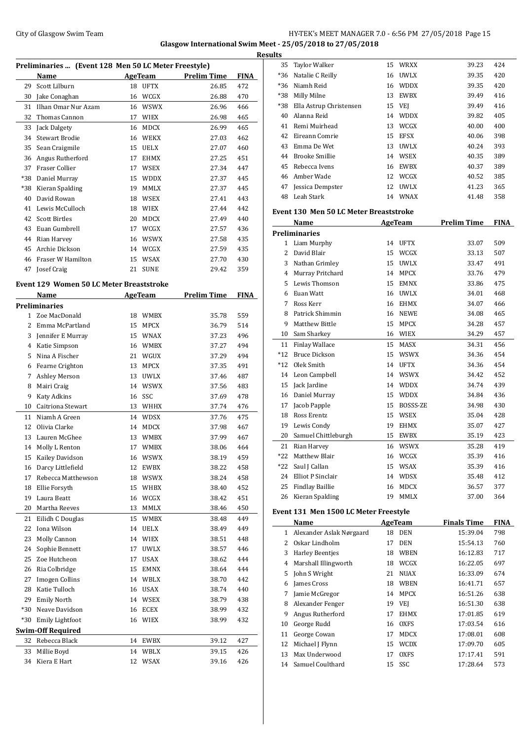## City of Glasgow Swim Team Team Frameters Music City of Glasgow Swim Team Frameters Music City of Glasgow Swim Team Frameters Music City of Glasgow Swim Team Frameters Music City of Glasgow Swim Team Frameters Music City of **Glasgow International Swim Meet - 25/05/2018 to 27/05/2018**

|              |                                                      |    |                |                     |             | <b>Results</b> |
|--------------|------------------------------------------------------|----|----------------|---------------------|-------------|----------------|
|              | Preliminaries  (Event 128 Men 50 LC Meter Freestyle) |    |                |                     |             |                |
|              | Name                                                 |    |                | AgeTeam Prelim Time | FINA        |                |
| 29           | Scott Lilburn                                        |    | 18 UFTX        | 26.85               | 472         |                |
| 30           | Jake Conaghan                                        |    | 16 WCGX        | 26.88               | 470         |                |
| 31           | Ilhan Omar Nur Azam                                  |    | 16 WSWX        | 26.96               | 466         |                |
| 32           | Thomas Cannon                                        |    | 17 WIEX        | 26.98               | 465         |                |
| 33           | Jack Dalgety                                         |    | 16 MDCX        | 26.99               | 465         |                |
| 34           | <b>Stewart Brodie</b>                                |    | 16 WEKX        | 27.03               | 462         |                |
| 35           | Sean Craigmile                                       |    | 15 UELX        | 27.07               | 460         |                |
| 36           | Angus Rutherford                                     |    | 17 EHMX        | 27.25               | 451         |                |
| 37           | Fraser Collier                                       |    | 17 WSEX        | 27.34               | 447         |                |
|              | *38 Daniel Murray                                    |    | 15 WDDX        | 27.37               | 445         |                |
| *38          | Kieran Spalding                                      |    | 19 MMLX        | 27.37               | 445         |                |
| 40           | David Rowan                                          |    | 18 WSEX        | 27.41               | 443         |                |
| 41           | Lewis McCulloch                                      |    | 18 WIEX        | 27.44               | 442         | Ever           |
|              | 42 Scott Birtles                                     |    | 20 MDCX        | 27.49               | 440         |                |
|              | 43 Euan Gumbrell                                     |    | 17 WCGX        | 27.57               | 436         | Prel           |
|              | 44 Rian Harvey                                       |    | 16 WSWX        | 27.58               | 435         |                |
|              | 45 Archie Dickson                                    |    | 14 WCGX        | 27.59               | 435         |                |
| 46           | Fraser W Hamilton                                    |    | 15 WSAX        | 27.70               | 430         |                |
|              | 47 Josef Craig                                       |    | 21 SUNE        | 29.42               | 359         |                |
|              |                                                      |    |                |                     |             |                |
|              | <b>Event 129 Women 50 LC Meter Breaststroke</b>      |    |                |                     |             |                |
|              | <b>Name</b>                                          |    | <b>AgeTeam</b> | <b>Prelim Time</b>  | <b>FINA</b> |                |
|              | Preliminaries                                        |    |                |                     |             |                |
| $\mathbf{1}$ | Zoe MacDonald                                        |    | 18 WMBX        | 35.78               | 559         |                |
| 2            | Emma McPartland                                      |    | 15 MPCX        | 36.79               | 514         |                |
| 3            | Jennifer E Murray                                    |    | 15 WNAX        | 37.23               | 496         |                |
|              | 4 Katie Simpson                                      |    | 16 WMBX        | 37.27               | 494         |                |
| 5            | Nina A Fischer                                       |    | 21 WGUX        | 37.29               | 494         |                |
|              | 6 Fearne Crighton                                    |    | 13 MPCX        | 37.35               | 491         |                |
| 7            | Ashley Merson                                        |    | 13 UWLX        | 37.46               | 487         |                |
| 8            | Mairi Craig                                          |    | 14 WSWX        | 37.56               | 483         |                |
| 9            | Katy Adkins                                          |    | 16 SSC         | 37.69               | 478         |                |
| 10           | Caitriona Stewart                                    |    | 13 WHHX        | 37.74               | 476         |                |
| 11           | Niamh A Green                                        |    | 14 WDSX        | 37.76               | 475         |                |
| 12           | Olivia Clarke                                        |    | 14 MDCX        | 37.98               | 467         |                |
| 13           | Lauren McGhee                                        |    | 13 WMBX        | 37.99               | 467         |                |
| 14           | Molly L Renton                                       | 17 | WMBX           | 38.06               | 464         |                |
| 15           | Kailey Davidson                                      | 16 | WSWX           | 38.19               | 459         |                |
| 16           | Darcy Littlefield                                    | 12 | EWBX           | 38.22               | 458         |                |
| 17           | Rebecca Matthewson                                   |    | 18 WSWX        | 38.24               | 458         |                |
| 18           | Ellie Forsyth                                        |    | 15 WHBX        | 38.40               | 452         |                |
| 19           | Laura Beatt                                          |    | 16 WCGX        | 38.42               | 451         |                |
| 20           | Martha Reeves                                        | 13 | MMLX           | 38.46               | 450         |                |
| 21           | Eilidh C Douglas                                     |    | 15 WMBX        | 38.48               | 449         | Eve:           |
| 22           | Iona Wilson                                          |    | 14 UELX        | 38.49               | 449         |                |
| 23           | Molly Cannon                                         |    | 14 WIEX        | 38.51               | 448         |                |
| 24           | Sophie Bennett                                       | 17 | UWLX           | 38.57               | 446         |                |
| 25           | Zoe Hutcheon                                         | 17 | USAX           | 38.62               | 444         |                |
|              | Ria Colbridge                                        |    | 15 EMNX        | 38.64               | 444         |                |
| 26           |                                                      |    |                |                     |             |                |
| 27           | <b>Imogen Collins</b>                                |    | 14 WBLX        | 38.70               | 442         |                |
| 28           | Katie Tulloch                                        |    | 16 USAX        | 38.74               | 440         |                |
| 29           | <b>Emily North</b>                                   |    | 14 WSEX        | 38.79               | 438         |                |
| $*30$        | Neave Davidson                                       |    | 16 ECEX        | 38.99               | 432         |                |
|              | *30 Emily Lightfoot                                  |    | 16 WIEX        | 38.99               | 432         |                |
|              | <b>Swim-Off Required</b>                             |    |                |                     |             |                |
| 32           | Rebecca Black                                        | 14 | EWBX           | 39.12               | 427         |                |
| 33           | Millie Boyd                                          |    | 14 WBLX        | 39.15               | 426         |                |
| 34           | Kiera E Hart                                         |    | 12 WSAX        | 39.16               | 426         |                |

| 35             | <b>Taylor Walker</b>                          | 15 | WRXX        | 39.23              | 424         |
|----------------|-----------------------------------------------|----|-------------|--------------------|-------------|
| $*36$          | Natalie C Reilly                              |    | 16 UWLX     | 39.35              | 420         |
| $*36$          | Niamh Reid                                    |    | 16 WDDX     | 39.35              | 420         |
| $*38$          | Milly Milne                                   | 13 | <b>EWBX</b> | 39.49              | 416         |
| *38            | Ella Astrup Christensen                       |    | 15 VEJ      | 39.49              | 416         |
| 40             | Alanna Reid                                   |    | 14 WDDX     | 39.82              | 405         |
| 41             | Remi Muirhead                                 |    | 13 WCGX     | 40.00              | 400         |
| 42             | Eireann Comrie                                |    | 15 EFSX     | 40.06              | 398         |
| 43             | Emma De Wet                                   |    | 13 UWLX     | 40.24              | 393         |
| 44             | <b>Brooke Smillie</b>                         |    | 14 WSEX     | 40.35              | 389         |
| 45             | Rebecca Ivens                                 |    | 16 EWBX     | 40.37              | 389         |
| 46             | Amber Wade                                    |    | 12 WCGX     | 40.52              | 385         |
| 47             | Jessica Dempster                              |    | 12 UWLX     | 41.23              | 365         |
| 48             | Leah Stark                                    |    | 14 WNAX     | 41.48              | 358         |
|                | <b>Event 130 Men 50 LC Meter Breaststroke</b> |    |             |                    |             |
|                | Name                                          |    | AgeTeam     | <b>Prelim Time</b> | <b>FINA</b> |
|                | <b>Preliminaries</b>                          |    |             |                    |             |
|                | 1 Liam Murphy                                 |    | 14 UFTX     | 33.07              | 509         |
| $\overline{2}$ | David Blair                                   |    | 15 WCGX     | 33.13              | 507         |
| 3              | Nathan Grimley                                |    | 15 UWLX     | 33.47              | 491         |
| 4              | Murray Pritchard                              |    | 14 MPCX     | 33.76              | 479         |
| 5.             | Lewis Thomson                                 |    | 15 EMNX     | 33.86              | 475         |
| 6.             | Euan Watt                                     |    | 16 UWLX     | 34.01              | 468         |
| 7              | Ross Kerr                                     |    | 16 EHMX     | 34.07              | 466         |
| 8              | Patrick Shimmin                               |    | 16 NEWE     | 34.08              | 465         |
| 9              | <b>Matthew Bittle</b>                         |    | 15 MPCX     | 34.28              | 457         |
| 10             | Sam Sharkey                                   |    | 16 WIEX     | 34.29              | 457         |
| 11             | Finlay Wallace                                |    | 15 MASX     | 34.31              | 456         |
| $*12$          | <b>Bruce Dickson</b>                          |    | 15 WSWX     | 34.36              | 454         |
| $*12$          | Olek Smith                                    |    | 14 UFTX     | 34.36              | 454         |
| 14             | Leon Campbell                                 |    | 14 WSWX     | 34.42              | 452         |
| 15             | Jack Jardine                                  |    | 14 WDDX     | 34.74              | 439         |
| 16             | Daniel Murray                                 | 15 | WDDX        | 34.84              | 436         |
| 17             | Jacob Papple                                  | 15 | BOSSS-ZE    | 34.98              | 430         |
| 18             | Ross Erentz                                   |    | 15 WSEX     | 35.04              | 428         |
| 19             | Lewis Condy                                   | 19 | EHMX        | 35.07              | 427         |
| 20             | Samuel Chittleburgh                           |    | 15 EWBX     | 35.19              | 423         |
| 21             | Rian Harvey                                   |    | 16 WSWX     | 35.28              | 419         |
| $*22$          | Matthew Blair                                 |    | 16 WCGX     | 35.39              | 416         |
| *22            | Saul J Callan                                 |    | 15 WSAX     | 35.39              | 416         |
| 24             | Elliot P Sinclair                             |    | 14 WDSX     | 35.48              | 412         |
| 25             | <b>Findlay Baillie</b>                        | 16 | <b>MDCX</b> | 36.57              | 377         |
| 26             | Kieran Spalding                               | 19 | <b>MMLX</b> | 37.00              | 364         |

### **Event 131 Men 1500 LC Meter Freestyle**

| Name |                          |    | <b>AgeTeam</b> | <b>Finals Time</b> | <b>FINA</b> |
|------|--------------------------|----|----------------|--------------------|-------------|
| 1    | Alexander Aslak Nørgaard | 18 | DEN            | 15:39.04           | 798         |
| 2    | Oskar Lindholm           | 17 | <b>DEN</b>     | 15:54.13           | 760         |
| 3    | <b>Harley Beenties</b>   | 18 | <b>WBEN</b>    | 16:12.83           | 717         |
| 4    | Marshall Illingworth     | 18 | WCGX           | 16:22.05           | 697         |
| 5.   | John S Wright            | 21 | <b>NUAX</b>    | 16:33.09           | 674         |
| 6    | James Cross              | 18 | <b>WBEN</b>    | 16:41.71           | 657         |
| 7    | Jamie McGregor           | 14 | MPCX           | 16:51.26           | 638         |
| 8    | Alexander Fenger         | 19 | VEI            | 16:51.30           | 638         |
| 9    | Angus Rutherford         | 17 | <b>EHMX</b>    | 17:01.85           | 619         |
| 10   | George Rudd              | 16 | <b>OXFS</b>    | 17:03.54           | 616         |
| 11   | George Cowan             | 17 | <b>MDCX</b>    | 17:08.01           | 608         |
| 12   | Michael J Flynn          | 15 | <b>WCDX</b>    | 17:09.70           | 605         |
| 13   | Max Underwood            | 17 | <b>OXFS</b>    | 17:17.41           | 591         |
| 14   | Samuel Coulthard         |    | 15 SSC         | 17:28.64           | 573         |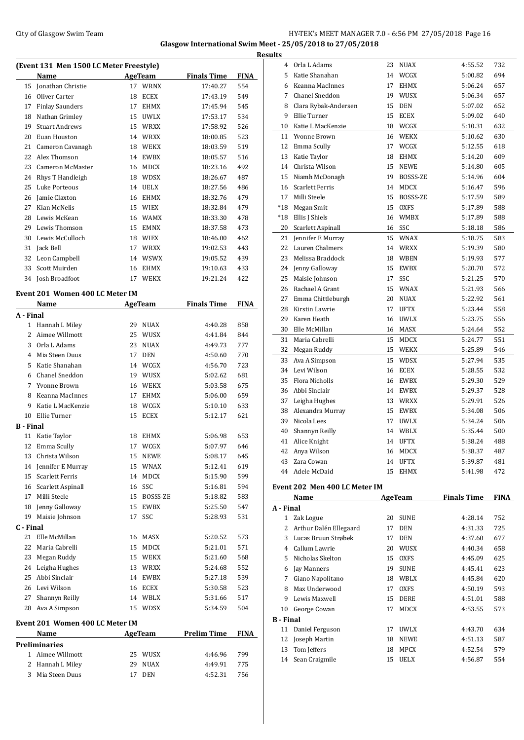## City of Glasgow Swim Team **HY-TEK's MEET MANAGER 7.0 - 6:56 PM 27/05/2018** Page 16 **Glasgow International Swim Meet - 25/05/2018 to 27/05/2018**

**(Event 131 Men 1500 LC Meter Freestyle) Name Age Team Finals Time FINA** Jonathan Christie 17 WRNX 17:40.27 554 16 Oliver Carter 18 ECEX 17:43.19 549 Finlay Saunders 17 EHMX 17:45.94 545 Nathan Grimley 15 UWLX 17:53.17 534 Stuart Andrews 15 WRXX 17:58.92 526 Euan Houston 14 WRXX 18:00.85 523 Cameron Cavanagh 18 WEKX 18:03.59 519 Alex Thomson 14 EWBX 18:05.57 516 Cameron McMaster 16 MDCX 18:23.16 492 Rhys T Handleigh 18 WDSX 18:26.67 487 Luke Porteous 14 UELX 18:27.56 486 Jamie Claxton 16 EHMX 18:32.76 479 Kian McNelis 15 WIEX 18:32.84 479 Lewis McKean 16 WAMX 18:33.30 478 Lewis Thomson 15 EMNX 18:37.58 473 Lewis McCulloch 18 WIEX 18:46.00 462 Jack Bell 17 WRXX 19:02.53 443 Leon Campbell 14 WSWX 19:05.52 439 Scott Muirden 16 EHMX 19:10.63 433 Josh Broadfoot 17 WEKX 19:21.24 422 **Event 201 Women 400 LC Meter IM Name Age Team Finals Time FINA A - Final** Hannah L Miley 29 NUAX 4:40.28 858 Aimee Willmott 25 WUSX 4:41.84 844 Orla L Adams 23 NUAX 4:49.73 777 Mia Steen Duus 17 DEN 4:50.60 770 Katie Shanahan 14 WCGX 4:56.70 723 Chanel Sneddon 19 WUSX 5:02.62 681 Yvonne Brown 16 WEKX 5:03.58 675 Keanna MacInnes 17 EHMX 5:06.00 659 Katie L MacKenzie 18 WCGX 5:10.10 633 Ellie Turner 15 ECEX 5:12.17 621 **B - Final** Katie Taylor 18 EHMX 5:06.98 653 Emma Scully 17 WCGX 5:07.97 646 Christa Wilson 15 NEWE 5:08.17 645 Jennifer E Murray 15 WNAX 5:12.41 619 Scarlett Ferris 14 MDCX 5:15.90 599 Scarlett Aspinall 16 SSC 5:16.81 594 17 Milli Steele 15 BOSSS-ZE 5:18.82 583 Jenny Galloway 15 EWBX 5:25.50 547 Maisie Johnson 17 SSC 5:28.93 531 **C - Final** Elle McMillan 16 MASX 5:20.52 573 Maria Cabrelli 15 MDCX 5:21.01 571 Megan Ruddy 15 WEKX 5:21.60 568 Leigha Hughes 13 WRXX 5:24.68 552 Abbi Sinclair 14 EWBX 5:27.18 539 Levi Wilson 16 ECEX 5:30.58 523 Shannyn Reilly 14 WBLX 5:31.66 517 Ava A Simpson 15 WDSX 5:34.59 504 **Event 201 Women 400 LC Meter IM Name Age Team Prelim Time FINA Preliminaries** Aimee Willmott 25 WUSX 4:46.96 799 Hannah L Miley 29 NUAX 4:49.91 775 Mia Steen Duus 17 DEN 4:52.31 756

| <b>Results</b>   |                                                 |          |                        |                    |             |
|------------------|-------------------------------------------------|----------|------------------------|--------------------|-------------|
|                  | 4 Orla L Adams                                  | 23       | NUAX                   | 4:55.52            | 732         |
| 5                | Katie Shanahan                                  | 14       | WCGX                   | 5:00.82            | 694         |
| 6                | Keanna MacInnes                                 | 17       | EHMX                   | 5:06.24            | 657         |
| 7                | <b>Chanel Sneddon</b>                           | 19       | WUSX                   | 5:06.34            | 657         |
| 8                | Clara Rybak-Andersen                            | 15       | <b>DEN</b>             | 5:07.02            | 652         |
| 9                | Ellie Turner                                    | 15       | <b>ECEX</b>            | 5:09.02            | 640         |
| 10               | Katie L MacKenzie                               | 18       | WCGX                   | 5:10.31            | 632         |
| 11               | Yvonne Brown                                    | 16       | WEKX                   | 5:10.62            | 630         |
| 12               | Emma Scully                                     | 17       | WCGX                   | 5:12.55            | 618         |
| 13               | Katie Taylor                                    | 18       | EHMX                   | 5:14.20            | 609         |
| 14               | Christa Wilson                                  | 15       | <b>NEWE</b>            | 5:14.80            | 605         |
| 15               | Niamh McDonagh                                  | 19       | BOSSS-ZE               | 5:14.96            | 604         |
| 16               | Scarlett Ferris                                 | 14       | <b>MDCX</b>            | 5:16.47            | 596         |
| 17               | Milli Steele                                    | 15       | BOSSS-ZE               | 5:17.59            | 589         |
| *18              | Megan Smit                                      | 15       | <b>OXFS</b>            | 5:17.89            | 588         |
| *18              | Ellis J Shiels                                  | 16       | <b>WMBX</b>            | 5:17.89            | 588         |
| 20               | Scarlett Aspinall                               | 16       | SSC                    | 5:18.18            | 586         |
| 21               | Jennifer E Murray                               | 15       | <b>WNAX</b>            | 5:18.75            | 583         |
| 22               | Lauren Chalmers                                 |          | 14 WRXX                | 5:19.39            | 580         |
| 23               | Melissa Braddock                                |          | 18 WBEN                | 5:19.93            | 577         |
| 24               | Jenny Galloway                                  | 15       | <b>EWBX</b>            | 5:20.70            | 572         |
| 25               | Maisie Johnson                                  | 17       | SSC                    | 5:21.25            | 570         |
| 26               | Rachael A Grant                                 | 15       | WNAX                   | 5:21.93            | 566         |
| 27               | Emma Chittleburgh                               | 20       | NUAX                   | 5:22.92            | 561         |
| 28               | Kirstin Lawrie                                  | 17       | <b>UFTX</b>            | 5:23.44            | 558         |
| 29               | Karen Heath                                     | 16       | <b>UWLX</b>            | 5:23.75            | 556         |
| 30               | Elle McMillan                                   | 16       | MASX                   | 5:24.64            | 552         |
| 31               | Maria Cabrelli                                  | 15       | MDCX                   | 5:24.77            | 551         |
|                  |                                                 |          |                        |                    |             |
| 32               | Megan Ruddy                                     |          | 15 WEKX                | 5:25.89            | 546         |
| 33               | Ava A Simpson                                   | 15       | <b>WDSX</b>            | 5:27.94            | 535         |
| 34               | Levi Wilson                                     | 16       | ECEX                   | 5:28.55            | 532         |
| 35               | <b>Flora Nicholls</b>                           | 16       | <b>EWBX</b>            | 5:29.30            | 529         |
| 36               | Abbi Sinclair                                   | 14       | <b>EWBX</b>            | 5:29.37            | 528         |
| 37               | Leigha Hughes                                   | 13       | <b>WRXX</b>            | 5:29.91            | 526         |
| 38               | Alexandra Murray                                | 15       | <b>EWBX</b>            | 5:34.08            | 506         |
| 39               | Nicola Lees                                     | 17       | <b>UWLX</b>            | 5:34.24            | 506         |
| 40               | Shannyn Reilly                                  | 14       | WBLX                   | 5:35.44            | 500         |
| 41               | Alice Knight                                    | 14       | <b>UFTX</b>            | 5:38.24            | 488         |
| 42               | Anya Wilson                                     |          | 16 MDCX                | 5:38.37            | 487         |
| 43               | Zara Cowan                                      | 14       | UFTX                   | 5:39.87            | 481         |
|                  | 44 Adele McDaid                                 |          |                        |                    |             |
|                  |                                                 | 15       | EHMX                   | 5:41.98            | 472         |
|                  | Event 202 Men 400 LC Meter IM                   |          |                        |                    |             |
|                  | Name                                            |          | <b>AgeTeam</b>         | <b>Finals Time</b> | <b>FINA</b> |
| A - Final        |                                                 |          |                        |                    |             |
| $\mathbf{1}$     | Zak Logue                                       | 20       | <b>SUNE</b>            | 4:28.14            | 752         |
| 2                |                                                 | 17       | DEN                    | 4:31.33            | 725         |
|                  | Arthur Dalén Ellegaard<br>3 Lucas Bruun Strøbek | 17       | DEN                    | 4:37.60            | 677         |
|                  | 4 Callum Lawrie                                 |          | 20 WUSX                | 4:40.34            |             |
|                  | 5 Nicholas Skelton                              | 15       |                        | 4:45.09            | 658         |
|                  |                                                 | 19       | <b>OXFS</b>            |                    | 625         |
|                  | 6 Jay Manners                                   |          | <b>SUNE</b><br>18 WBLX | 4:45.41<br>4:45.84 | 623<br>620  |
|                  | 7 Giano Napolitano                              |          |                        |                    |             |
|                  | 8 Max Underwood                                 | 17       | OXFS                   | 4:50.19            | 593         |
|                  | 9 Lewis Maxwell                                 |          | 15 DERE                | 4:51.01            | 588         |
| 10               | George Cowan                                    | 17       | MDCX                   | 4:53.55            | 573         |
| <b>B</b> - Final |                                                 |          |                        |                    |             |
| 11               | Daniel Ferguson                                 |          | 17 UWLX                | 4:43.70            | 634         |
| 12               | Joseph Martin                                   |          | 18 NEWE                | 4:51.13            | 587         |
| 13<br>14         | Tom Jeffers<br>Sean Craigmile                   | 18<br>15 | MPCX<br><b>UELX</b>    | 4:52.54<br>4:56.87 | 579<br>554  |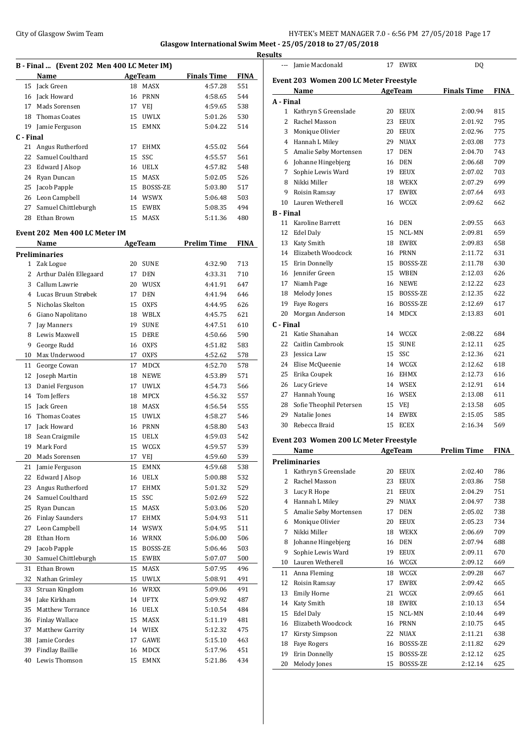## City of Glasgow Swim Team Team Feam Fermi Management of the HY-TEK's MEET MANAGER 7.0 - 6:56 PM 27/05/2018 Page 17 **Glasgow International Swim Meet - 25/05/2018 to 27/05/2018**

**Results**

|           | B - Final  (Event 202 Men 400 LC Meter IM) |    |                              |                    |             |
|-----------|--------------------------------------------|----|------------------------------|--------------------|-------------|
|           | Name                                       |    | AgeTeam                      | <b>Finals Time</b> | <b>FINA</b> |
| 15        | Jack Green                                 | 18 | MASX                         | 4:57.28            | 551         |
| 16        | Jack Howard                                |    | 16 PRNN                      | 4:58.65            | 544         |
| 17        | Mads Sorensen                              |    | 17 VEJ                       | 4:59.65            | 538         |
| 18        | <b>Thomas Coates</b>                       | 15 | <b>UWLX</b>                  | 5:01.26            | 530         |
| 19        | Jamie Ferguson                             | 15 | <b>EMNX</b>                  | 5:04.22            | 514         |
| C - Final |                                            |    |                              |                    |             |
| 21        | Angus Rutherford                           | 17 | <b>EHMX</b>                  | 4:55.02            | 564         |
| 22        | Samuel Coulthard                           | 15 | SSC                          | 4:55.57            | 561         |
| 23        | Edward J Alsop                             |    | 16 UELX                      | 4:57.82            | 548         |
| 24        | Ryan Duncan                                |    | 15 MASX                      | 5:02.05            | 526         |
| 25        | Jacob Papple                               |    | 15 BOSSS-ZE                  | 5:03.80            | 517         |
| 26        | Leon Campbell                              |    | 14 WSWX                      | 5:06.48            | 503         |
| 27        | Samuel Chittleburgh                        |    | 15 EWBX                      | 5:08.35            | 494         |
| 28        | Ethan Brown                                | 15 | MASX                         | 5:11.36            | 480         |
|           | Event 202 Men 400 LC Meter IM              |    |                              |                    |             |
|           | Name                                       |    | <b>AgeTeam</b>               | <b>Prelim Time</b> | <b>FINA</b> |
|           | <b>Preliminaries</b>                       |    |                              |                    |             |
| 1         | Zak Logue                                  | 20 | <b>SUNE</b>                  | 4:32.90            | 713         |
| 2         | Arthur Dalén Ellegaard                     | 17 | <b>DEN</b>                   | 4:33.31            | 710         |
| 3         | Callum Lawrie                              | 20 | WUSX                         | 4:41.91            | 647         |
| 4         | Lucas Bruun Strøbek                        | 17 | <b>DEN</b>                   | 4:41.94            | 646         |
| 5.        | Nicholas Skelton                           | 15 | <b>OXFS</b>                  | 4:44.95            | 626         |
| 6         | Giano Napolitano                           |    | 18 WBLX                      | 4:45.75            | 621         |
| 7         | Jay Manners                                | 19 | <b>SUNE</b>                  | 4:47.51            | 610         |
| 8         | Lewis Maxwell                              |    | 15 DERE                      | 4:50.66            | 590         |
| 9         | George Rudd                                |    | 16 OXFS                      | 4:51.82            | 583         |
| 10        | Max Underwood                              | 17 | <b>OXFS</b>                  | 4:52.62            | 578         |
| 11        | George Cowan                               | 17 | MDCX                         | 4:52.70            | 578         |
| 12        | Joseph Martin                              | 18 | <b>NEWE</b>                  | 4:53.89            | 571         |
| 13        | Daniel Ferguson                            | 17 | <b>UWLX</b>                  | 4:54.73            | 566         |
| 14        | Tom Jeffers                                | 18 | MPCX                         | 4:56.32            | 557         |
| 15        | Jack Green                                 | 18 | MASX                         | 4:56.54            | 555         |
| 16        | <b>Thomas Coates</b>                       | 15 | <b>UWLX</b>                  | 4:58.27            | 546         |
| 17        | Jack Howard                                |    | 16 PRNN                      | 4:58.80            | 543         |
| 18        | Sean Craigmile                             | 15 | <b>UELX</b>                  | 4:59.03            | 542         |
| 19        | Mark Ford                                  | 15 | WCGX                         | 4:59.57            | 539         |
| 20        | Mads Sorensen                              | 17 | VEJ                          | 4:59.60            | 539         |
| 21        | Jamie Ferguson                             | 15 | EMNX                         | 4:59.68            | 538         |
| 22        | Edward J Alsop                             | 16 | UELX                         | 5:00.88            | 532         |
| 23        | Angus Rutherford                           | 17 | EHMX                         | 5:01.32            | 529         |
| 24        | Samuel Coulthard                           | 15 | SSC                          | 5:02.69            | 522         |
| 25        | Ryan Duncan                                | 15 | MASX                         | 5:03.06            | 520         |
| 26        | <b>Finlay Saunders</b>                     | 17 | EHMX                         | 5:04.93            | 511         |
| 27        | Leon Campbell                              | 14 | <b>WSWX</b>                  | 5:04.95            | 511         |
| 28        | Ethan Horn                                 | 16 | <b>WRNX</b>                  | 5:06.00            | 506         |
| 29        | Jacob Papple                               | 15 | BOSSS-ZE                     | 5:06.46            | 503         |
| 30        | Samuel Chittleburgh                        | 15 | EWBX                         | 5:07.07            | 500         |
| 31        | Ethan Brown                                | 15 | MASX                         | 5:07.95            | 496         |
| 32        | Nathan Grimley                             | 15 | $\ensuremath{\mathsf{UWLX}}$ | 5:08.91            | 491         |
| 33        | Struan Kingdom                             | 16 | WRXX                         | 5:09.06            | 491         |
| 34        | Jake Kirkham                               | 14 | UFTX                         | 5:09.92            | 487         |
| 35        | <b>Matthew Torrance</b>                    | 16 | UELX                         | 5:10.54            | 484         |
| 36        | <b>Finlay Wallace</b>                      | 15 | MASX                         | 5:11.19            | 481         |
| 37        | Matthew Garrity                            | 14 | WIEX                         | 5:12.32            | 475         |
| 38        | Jamie Cordes                               | 17 | GAWE                         | 5:15.10            | 463         |
| 39        | <b>Findlay Baillie</b>                     | 16 | MDCX                         | 5:17.96            | 451         |
| 40        | Lewis Thomson                              | 15 | EMNX                         | 5:21.86            | 434         |

| ---                                    | Jamie Macdonald                        | 17       | EWBX           | DQ                 |             |  |  |  |
|----------------------------------------|----------------------------------------|----------|----------------|--------------------|-------------|--|--|--|
|                                        |                                        |          |                |                    |             |  |  |  |
| Event 203 Women 200 LC Meter Freestyle |                                        |          |                |                    |             |  |  |  |
|                                        | Name                                   |          | AgeTeam        | <b>Finals Time</b> | <b>FINA</b> |  |  |  |
| A - Final                              |                                        |          |                |                    |             |  |  |  |
| $\mathbf{1}$                           | Kathryn S Greenslade                   | 20       | <b>EEUX</b>    | 2:00.94            | 815         |  |  |  |
| 2                                      | Rachel Masson                          | 23       | <b>EEUX</b>    | 2:01.92            | 795         |  |  |  |
| 3                                      | Monique Olivier                        |          | 20 EEUX        | 2:02.96            | 775         |  |  |  |
|                                        | 4 Hannah L Miley                       |          | 29 NUAX        | 2:03.08            | 773         |  |  |  |
| 5                                      | Amalie Søby Mortensen                  | 17       | DEN            | 2:04.70            | 743         |  |  |  |
| 6                                      | Johanne Hingebjerg                     | 16       | DEN            | 2:06.68            | 709         |  |  |  |
| 7                                      | Sophie Lewis Ward                      | 19       | <b>EEUX</b>    | 2:07.02            | 703         |  |  |  |
| 8                                      | Nikki Miller                           | 18       | <b>WEKX</b>    | 2:07.29            | 699         |  |  |  |
| 9                                      | Roisin Ramsay                          | 17       | <b>EWBX</b>    | 2:07.64            | 693         |  |  |  |
| 10                                     | Lauren Wetherell                       | 16       | WCGX           | 2:09.62            | 662         |  |  |  |
| <b>B</b> - Final                       |                                        |          |                |                    |             |  |  |  |
| 11                                     | Karoline Barrett                       |          | 16 DEN         | 2:09.55            | 663         |  |  |  |
| 12                                     | Edel Daly                              | 15       | NCL-MN         | 2:09.81            | 659         |  |  |  |
| 13                                     | Katy Smith                             | 18       | EWBX           | 2:09.83            | 658         |  |  |  |
|                                        | 14 Elizabeth Woodcock                  |          | 16 PRNN        | 2:11.72            | 631         |  |  |  |
|                                        | 15 Erin Donnelly                       |          | 15 BOSSS-ZE    | 2:11.78            | 630         |  |  |  |
|                                        | 16 Jennifer Green                      |          | 15 WBEN        | 2:12.03            | 626         |  |  |  |
|                                        | 17 Niamh Page                          |          | 16 NEWE        | 2:12.22            | 623         |  |  |  |
| 18                                     | Melody Jones                           | 15       | BOSSS-ZE       | 2:12.35            | 622         |  |  |  |
| 19                                     | <b>Faye Rogers</b>                     | 16       | BOSSS-ZE       | 2:12.69            | 617         |  |  |  |
| 20                                     | Morgan Anderson                        | 14       | <b>MDCX</b>    | 2:13.83            | 601         |  |  |  |
| C - Final                              |                                        |          |                |                    |             |  |  |  |
| 21                                     | Katie Shanahan                         | 14       | WCGX           | 2:08.22            | 684         |  |  |  |
|                                        | 22 Caitlin Cambrook                    | 15       | <b>SUNE</b>    | 2:12.11            | 625         |  |  |  |
| 23                                     | Jessica Law                            | 15       | SSC            | 2:12.36            | 621         |  |  |  |
|                                        | 24 Elise McQueenie                     |          | 14 WCGX        | 2:12.62            | 618         |  |  |  |
| 25                                     | Erika Coupek                           |          | 16 EHMX        | 2:12.73            | 616         |  |  |  |
|                                        | 26 Lucy Grieve                         |          | 14 WSEX        | 2:12.91            | 614         |  |  |  |
|                                        |                                        |          |                |                    |             |  |  |  |
|                                        | 27 Hannah Young                        |          | 16 WSEX        | 2:13.08            | 611         |  |  |  |
|                                        | 28 Sofie Theophil Petersen             |          | 15 VEJ         | 2:13.58            | 605         |  |  |  |
| 29                                     | Natalie Jones                          | 14       | <b>EWBX</b>    | 2:15.05            | 585         |  |  |  |
| 30                                     | Rebecca Braid                          | 15       | ECEX           | 2:16.34            | 569         |  |  |  |
|                                        | Event 203 Women 200 LC Meter Freestyle |          |                |                    |             |  |  |  |
|                                        | Name                                   | AgeTeam  |                | Prelim Time        | FINA        |  |  |  |
|                                        | <b>Preliminaries</b>                   |          |                |                    |             |  |  |  |
| 1                                      | Kathryn S Greenslade                   | 20       | <b>EEUX</b>    | 2:02.40            | 786         |  |  |  |
| 2                                      | Rachel Masson                          | 23       | EEUX           | 2:03.86            | 758         |  |  |  |
| 3                                      | Lucy R Hope                            | 21       | EEUX           | 2:04.29            | 751         |  |  |  |
| 4                                      | Hannah L Miley                         | 29       | <b>NUAX</b>    | 2:04.97            | 738         |  |  |  |
| 5                                      | Amalie Søby Mortensen                  | 17       | <b>DEN</b>     | 2:05.02            | 738         |  |  |  |
| 6                                      | Monique Olivier                        | 20       | EEUX           | 2:05.23            | 734         |  |  |  |
| 7                                      | Nikki Miller                           | 18       | WEKX           | 2:06.69            | 709         |  |  |  |
| 8                                      | Johanne Hingebjerg                     | 16       | <b>DEN</b>     | 2:07.94            | 688         |  |  |  |
| 9                                      | Sophie Lewis Ward                      | 19       | <b>EEUX</b>    | 2:09.11            | 670         |  |  |  |
| 10                                     | Lauren Wetherell                       | 16       | WCGX           | 2:09.12            | 669         |  |  |  |
|                                        |                                        |          |                |                    |             |  |  |  |
| 11                                     | Anna Fleming                           | 18       | WCGX           | 2:09.28            | 667         |  |  |  |
| 12                                     | Roisin Ramsay                          | 17       | EWBX           | 2:09.42            | 665         |  |  |  |
| 13                                     | <b>Emily Horne</b>                     | 21       | WCGX           | 2:09.65            | 661         |  |  |  |
| 14<br>15                               | Katy Smith<br><b>Edel Daly</b>         | 18<br>15 | EWBX<br>NCL-MN | 2:10.13            | 654<br>649  |  |  |  |
|                                        |                                        |          |                | 2:10.44            |             |  |  |  |

 Elizabeth Woodcock 16 PRNN 2:10.75 645 Kirsty Simpson 22 NUAX 2:11.21 638 Faye Rogers 16 BOSSS-ZE 2:11.82 629 Erin Donnelly 15 BOSSS-ZE 2:12.12 625 Melody Jones 15 BOSSS-ZE 2:12.14 625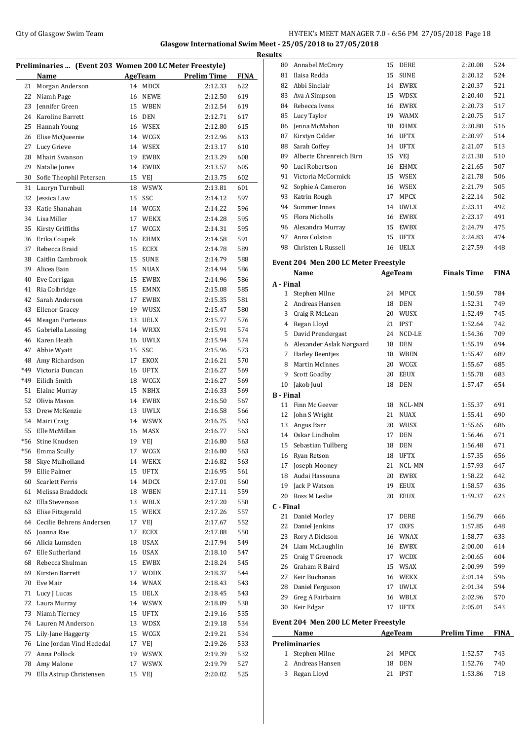## City of Glasgow Swim Team Team Team Fermi Management City of Glasgow Swim Team Fermi Management City of Glasgow Swim Team Fermi Management City of Glasgow Swim Team Fermi Management City of Glasgow Swim Team Fermi Manageme **Glasgow International Swim Meet - 25/05/2018 to 27/05/2018**

|          |                                                         |    |                    |                    |            | <b>Results</b> |
|----------|---------------------------------------------------------|----|--------------------|--------------------|------------|----------------|
|          | Preliminaries  (Event 203 Women 200 LC Meter Freestyle) |    |                    |                    |            | ٤              |
|          | Name                                                    |    | AgeTeam            | <b>Prelim Time</b> | FINA       | ٤              |
| 21       | Morgan Anderson                                         |    | 14 MDCX            | 2:12.33            | 622        | ε              |
| 22       | Niamh Page                                              |    | 16 NEWE            | 2:12.50            | 619        | ξ              |
| 23       | <b>Iennifer Green</b>                                   |    | 15 WBEN            | 2:12.54            | 619        | ξ              |
| 24       | Karoline Barrett                                        |    | 16 DEN             | 2:12.71            | 617        | ε              |
| 25       | Hannah Young                                            |    | 16 WSEX            | 2:12.80            | 615        | ε              |
| 26       | Elise McQueenie                                         |    | 14 WCGX            | 2:12.96            | 613        | ξ              |
| 27       | Lucy Grieve                                             | 14 | <b>WSEX</b>        | 2:13.17            | 610        | ε              |
| 28       | Mhairi Swanson                                          | 19 | <b>EWBX</b>        | 2:13.29            | 608        | ε              |
| 29       | Natalie Jones                                           | 14 | <b>EWBX</b>        | 2:13.57            | 605        | Ç              |
| 30       | Sofie Theophil Petersen                                 |    | 15 VEJ             | 2:13.75            | 602        | Ç              |
| 31       | Lauryn Turnbull                                         | 18 | <b>WSWX</b>        | 2:13.81            | 601        | Ç              |
| 32       | Jessica Law                                             | 15 | SSC                | 2:14.12            | 597        | Ç              |
| 33       | Katie Shanahan                                          |    | 14 WCGX            | 2:14.22            | 596        | Ç              |
|          | 34 Lisa Miller                                          | 17 | WEKX               | 2:14.28            | 595        | Ç              |
| 35       | Kirsty Griffiths                                        | 17 | WCGX               | 2:14.31            | 595        | Ç              |
|          | 36 Erika Coupek                                         |    | 16 EHMX            | 2:14.58            | 591        | Ç              |
| 37       | Rebecca Braid                                           | 15 | ECEX               | 2:14.78            | 589        | Ç              |
| 38       | Caitlin Cambrook                                        | 15 | <b>SUNE</b>        | 2:14.79            | 588        | Eve            |
| 39       | Alicea Bain                                             | 15 | <b>NUAX</b>        | 2:14.94            | 586        |                |
| 40       | Eve Corrigan                                            | 15 | <b>EWBX</b>        | 2:14.96            | 586        | А -            |
| 41       | Ria Colbridge                                           | 15 | <b>EMNX</b>        | 2:15.08            | 585        |                |
| 42       | Sarah Anderson                                          | 17 | <b>EWBX</b>        | 2:15.35            | 581        |                |
| 43       | Ellenor Gracey                                          | 19 | WUSX               | 2:15.47            | 580        |                |
| 44       | <b>Meagan Porteous</b>                                  | 13 | <b>UELX</b>        | 2:15.77            | 576        |                |
| 45       | Gabriella Lessing                                       |    | 14 WRXX            | 2:15.91            | 574        |                |
| 46       | Karen Heath                                             |    | 16 UWLX            | 2:15.94            | 574        |                |
| 47       | Abbie Wyatt                                             | 15 | SSC                | 2:15.96            | 573        |                |
| 48       | Amy Richardson                                          | 17 | EKOX               | 2:16.21            | 570        |                |
| *49      | Victoria Duncan                                         |    | 16 UFTX            | 2:16.27            | 569        |                |
| *49      | Eilidh Smith                                            |    | 18 WCGX            | 2:16.27            | 569        | 1              |
| 51       | Elaine Murray                                           | 15 | NBHX               | 2:16.33            | 569        | в-             |
| 52       | Olivia Mason                                            | 14 | EWBX               | 2:16.50            | 567        |                |
| 53       | Drew McKenzie                                           | 13 | <b>UWLX</b>        | 2:16.58            | 566        |                |
| 54       | Mairi Craig                                             | 14 | <b>WSWX</b>        | 2:16.75            | 563        |                |
| 55       | Elle McMillan                                           | 16 | <b>MASX</b>        | 2:16.77            | 563        | 1              |
| *56      | Stine Knudsen                                           | 19 | VEJ                | 2:16.80            | 563        |                |
| *56      | Emma Scully<br>Skye Mulholland                          |    | 17 WCGX            | 2:16.80            | 563        | 1              |
| 58       |                                                         |    | 14 WEKX            | 2:16.82            | 563        | 1              |
| 59       | Ellie Palmer<br>Scarlett Ferris                         | 15 | UFTX               | 2:16.95            | 561        | 1              |
| 60<br>61 | Melissa Braddock                                        |    | 14 MDCX            | 2:17.01            | 560<br>559 | 1              |
|          | 62 Ella Stevenson                                       |    | 18 WBEN<br>13 WBLX | 2:17.11<br>2:17.20 | 558        | 2              |
| 63       | Elise Fitzgerald                                        |    | 15 WEKX            | 2:17.26            | 557        | C - 1          |
|          | 64 Cecilie Behrens Andersen                             |    | 17 VEI             | 2:17.67            | 552        | 2              |
| 65       | Joanna Rae                                              | 17 | ECEX               | 2:17.88            | 550        | 2              |
| 66       | Alicia Lumsden                                          | 18 | USAX               | 2:17.94            | 549        | 2              |
|          | 67 Elle Sutherland                                      |    | 16 USAX            | 2:18.10            | 547        | 2              |
|          | 68 Rebecca Shulman                                      |    | 15 EWBX            | 2:18.24            | 545        | 2              |
| 69       | Kirsten Barrett                                         |    | 17 WDDX            | 2:18.37            | 544        | 2              |
|          | 70 Eve Mair                                             |    | 14 WNAX            | 2:18.43            | 543        | 2              |
| 71       | Lucy J Lucas                                            |    | 15 UELX            | 2:18.45            | 543        | 2              |
|          | 72 Laura Murray                                         |    | 14 WSWX            | 2:18.89            | 538        | 2              |
| 73       | Niamh Tierney                                           |    | 15 UFTX            | 2:19.16            | 535        | З              |
|          | 74 Lauren M Anderson                                    |    | 13 WDSX            | 2:19.18            | 534        | Eve            |
| 75       | Lily-Jane Haggerty                                      |    | 15 WCGX            | 2:19.21            | 534        |                |
|          | 76 Line Jordan Vind Hededal                             |    | 17 VEJ             | 2:19.26            | 533        | Pre            |
| 77       | Anna Pollock                                            | 19 | <b>WSWX</b>        | 2:19.39            | 532        |                |
| 78       | Amy Malone                                              | 17 | <b>WSWX</b>        | 2:19.79            | 527        |                |
| 79       | Ella Astrup Christensen                                 |    | 15 VEJ             | 2:20.02            | 525        |                |
|          |                                                         |    |                    |                    |            |                |

| 80                     | Annabel McCrory                      | 15       | DERE                | 2:20.08            | 524         |
|------------------------|--------------------------------------|----------|---------------------|--------------------|-------------|
| 81                     | Ilaisa Redda                         | 15       | <b>SUNE</b>         | 2:20.12            | 524         |
| 82                     | Abbi Sinclair                        | 14       | EWBX                | 2:20.37            | 521         |
| 83                     | Ava A Simpson                        | 15       | <b>WDSX</b>         | 2:20.40            | 521         |
| 84                     | Rebecca Ivens                        | 16       | <b>EWBX</b>         | 2:20.73            | 517         |
| 85                     | Lucy Taylor                          |          | 19 WAMX             | 2:20.75            | 517         |
| 86                     | Jenna McMahon                        | 18       | <b>EHMX</b>         | 2:20.80            | 516         |
| 87                     | Kirstyn Calder                       |          | 16 UFTX             | 2:20.97            | 514         |
| 88                     | Sarah Coffey                         |          | 14 UFTX             | 2:21.07            | 513         |
| 89                     | Alberte Ehrenreich Birn              |          | 15 VEJ              | 2:21.38            | 510         |
| 90                     | Luci Robertson                       | 16       | <b>EHMX</b>         | 2:21.65            | 507         |
| 91                     | Victoria McCormick                   | 15       | <b>WSEX</b>         | 2:21.78            | 506         |
| 92                     | Sophie A Cameron                     | 16       | <b>WSEX</b>         | 2:21.79            | 505         |
| 93                     | Katrin Rough                         | 17       | <b>MPCX</b>         | 2:22.14            | 502         |
| 94                     | Summer Innes                         |          | 14 UWLX             | 2:23.11            | 492         |
| 95                     | <b>Flora Nicholls</b>                | 16       | EWBX                | 2:23.17            | 491         |
| 96                     | Alexandra Murray                     |          | 15 EWBX             | 2:24.79            | 475         |
| 97                     | Anna Colston                         |          | 15 UFTX             | 2:24.83            | 474         |
| 98                     | Christen L Russell                   | 16       | <b>UELX</b>         | 2:27.59            | 448         |
|                        |                                      |          |                     |                    |             |
|                        | Event 204 Men 200 LC Meter Freestyle |          | <b>AgeTeam</b>      | <b>Finals Time</b> | <b>FINA</b> |
|                        | Name                                 |          |                     |                    |             |
| A - Final              |                                      | 24       |                     |                    |             |
|                        | 1 Stephen Milne                      |          | <b>MPCX</b>         | 1:50.59            | 784         |
|                        | 2 Andreas Hansen                     | 18       | <b>DEN</b>          | 1:52.31            | 749         |
|                        | 3 Craig R McLean                     | 20       | WUSX                | 1:52.49            | 745         |
| 4                      | Regan Lloyd                          | 21       | <b>IPST</b>         | 1:52.64            | 742         |
| 5                      | David Prendergast                    | 24       | NCD-LE              | 1:54.36            | 709         |
| 6                      | Alexander Aslak Nørgaard             | 18       | DEN                 | 1:55.19            | 694         |
| 7                      | <b>Harley Beentjes</b>               | 18       | <b>WBEN</b>         | 1:55.47            | 689         |
| 8                      | Martin McInnes                       |          | 20 WCGX             | 1:55.67            | 685         |
| 9                      | Scott Goadby                         | 20       | EEUX                | 1:55.78            | 683         |
| 10                     | Jakob Juul                           | 18       | <b>DEN</b>          | 1:57.47            | 654         |
| <b>B</b> - Final<br>11 | Finn Mc Geever                       |          |                     |                    |             |
|                        |                                      | 18       | NCL-MN              | 1:55.37            | 691         |
| 12                     | John S Wright                        | 21       | <b>NUAX</b>         | 1:55.41            | 690         |
| 13<br>14               | Angus Barr                           | 20       | WUSX                | 1:55.65            | 686         |
|                        | Oskar Lindholm                       | 17       | <b>DEN</b>          | 1:56.46            | 671         |
| 15                     | Sebastian Tullberg                   | 18       | <b>DEN</b>          | 1:56.48            | 671         |
| 16                     | Ryan Retson                          | 18       | <b>UFTX</b>         | 1:57.35            | 656         |
| 17                     | Joseph Mooney                        | 21       | NCL-MN              | 1:57.93            | 647         |
| 18                     | Audai Hassouna                       | 20       | <b>EWBX</b>         | 1:58.22            | 642         |
| 19                     | Jack P Watson                        | 19       | <b>EEUX</b>         | 1:58.57            | 636         |
| 20                     | Ross M Leslie                        | 20       | <b>EEUX</b>         | 1:59.37            | 623         |
| C - Final              |                                      |          |                     |                    |             |
| 21<br>22               | Daniel Morley<br>Daniel Jenkins      | 17<br>17 | DERE<br>OXFS        | 1:56.79<br>1:57.85 | 666<br>648  |
| 23                     |                                      |          |                     |                    | 633         |
| 24                     | Rory A Dickson                       | 16       | <b>WNAX</b>         | 1:58.77            | 614         |
| 25                     | Liam McLaughlin                      | 16       | <b>EWBX</b>         | 2:00.00            |             |
|                        | Craig T Greenock                     | 17       | WCDX<br><b>WSAX</b> | 2:00.65            | 604<br>599  |
| 26                     | Graham R Baird                       | 15       |                     | 2:00.99            |             |
| 27                     | Keir Buchanan                        | 16       | <b>WEKX</b>         | 2:01.14            | 596         |
| 28                     | Daniel Ferguson                      | 17       | <b>UWLX</b>         | 2:01.34            | 594         |
| 29                     | Greg A Fairbairn                     | 16       | WBLX                | 2:02.96            | 570         |
| 30                     | Keir Edgar                           | 17       | <b>UFTX</b>         | 2:05.01            | 543         |
|                        | Event 204 Men 200 LC Meter Freestyle |          |                     |                    |             |
|                        | Name                                 |          | <b>AgeTeam</b>      | <b>Prelim Time</b> | FINA        |
|                        | <b>Preliminaries</b>                 |          |                     |                    |             |
| 1                      | Stephen Milne                        | 24       | MPCX                | 1:52.57            | 743         |
| 2                      | Andreas Hansen                       | 18       | DEN                 | 1:52.76            | 740         |
| 3                      | Regan Lloyd                          | 21       | <b>IPST</b>         | 1:53.86            | 718         |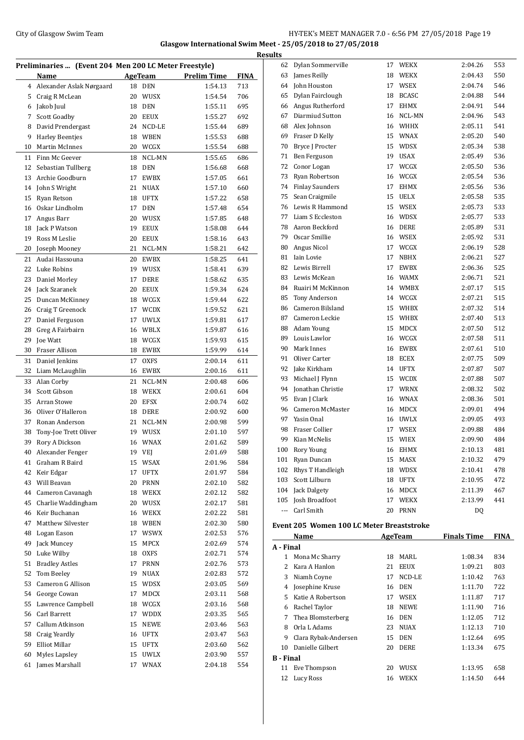## City of Glasgow Swim Team Team Frameters Music City of Glasgow Swim Team Frameters Music City of Glasgow Swim Team Frameters Music City of Glasgow Swim Team Frameters Music City of Glasgow Swim Team Frameters Music City of **Glasgow International Swim Meet - 25/05/2018 to 27/05/2018**

| Preliminaries  (Event 204 Men 200 LC Meter Freestyle) |                          |    |                |                    |             |
|-------------------------------------------------------|--------------------------|----|----------------|--------------------|-------------|
|                                                       | Name                     |    | <b>AgeTeam</b> | <b>Prelim Time</b> | <b>FINA</b> |
| 4                                                     | Alexander Aslak Nørgaard | 18 | <b>DEN</b>     | 1:54.13            | 713         |
| 5                                                     | Craig R McLean           | 20 | <b>WUSX</b>    | 1:54.54            | 706         |
| 6                                                     | Jakob Juul               | 18 | <b>DEN</b>     | 1:55.11            | 695         |
| 7                                                     | Scott Goadby             | 20 | <b>EEUX</b>    | 1:55.27            | 692         |
| 8                                                     | David Prendergast        | 24 | NCD-LE         | 1:55.44            | 689         |
| 9                                                     | <b>Harley Beentjes</b>   | 18 | <b>WBEN</b>    | 1:55.53            | 688         |
| 10                                                    | Martin McInnes           | 20 | WCGX           | 1:55.54            | 688         |
| 11                                                    | Finn Mc Geever           | 18 | NCL-MN         | 1:55.65            | 686         |
| 12                                                    | Sebastian Tullberg       | 18 | <b>DEN</b>     | 1:56.68            | 668         |
| 13                                                    | Archie Goodburn          | 17 | <b>EWBX</b>    | 1:57.05            | 661         |
| 14                                                    | John S Wright            | 21 | <b>NUAX</b>    | 1:57.10            | 660         |
| 15                                                    | Ryan Retson              | 18 | <b>UFTX</b>    | 1:57.22            | 658         |
| 16                                                    | Oskar Lindholm           | 17 | <b>DEN</b>     | 1:57.48            | 654         |
| 17                                                    | Angus Barr               | 20 | <b>WUSX</b>    | 1:57.85            | 648         |
| 18                                                    | Jack P Watson            | 19 | <b>EEUX</b>    | 1:58.08            | 644         |
| 19                                                    | Ross M Leslie            | 20 | <b>EEUX</b>    | 1:58.16            | 643         |
| 20                                                    | Joseph Mooney            | 21 | NCL-MN         | 1:58.21            | 642         |
| 21                                                    |                          |    |                |                    |             |
|                                                       | Audai Hassouna           | 20 | <b>EWBX</b>    | 1:58.25            | 641         |
| 22                                                    | Luke Robins              | 19 | WUSX           | 1:58.41            | 639         |
| 23                                                    | Daniel Morley            | 17 | DERE           | 1:58.62            | 635         |
| 24                                                    | Jack Szaranek            | 20 | <b>EEUX</b>    | 1:59.34            | 624         |
| 25                                                    | Duncan McKinney          | 18 | WCGX           | 1:59.44            | 622         |
| 26                                                    | Craig T Greenock         | 17 | <b>WCDX</b>    | 1:59.52            | 621         |
| 27                                                    | Daniel Ferguson          | 17 | <b>UWLX</b>    | 1:59.81            | 617         |
| 28                                                    | Greg A Fairbairn         | 16 | WBLX           | 1:59.87            | 616         |
| 29                                                    | Joe Watt                 | 18 | WCGX           | 1:59.93            | 615         |
| 30                                                    | Fraser Allison           | 18 | EWBX           | 1:59.99            | 614         |
| 31                                                    | Daniel Jenkins           | 17 | <b>OXFS</b>    | 2:00.14            | 611         |
| 32                                                    | Liam McLaughlin          | 16 | <b>EWBX</b>    | 2:00.16            | 611         |
| 33                                                    | Alan Corby               | 21 | NCL-MN         | 2:00.48            | 606         |
| 34                                                    | Scott Gibson             | 18 | <b>WEKX</b>    | 2:00.61            | 604         |
| 35                                                    | Arran Stowe              | 20 | <b>EFSX</b>    | 2:00.74            | 602         |
| 36                                                    | Oliver O'Halleron        | 18 | <b>DERE</b>    | 2:00.92            | 600         |
| 37                                                    | Ronan Anderson           | 21 | NCL-MN         | 2:00.98            | 599         |
| 38                                                    | Tony-Joe Trett Oliver    | 19 | <b>WUSX</b>    | 2:01.10            | 597         |
| 39                                                    | Rory A Dickson           | 16 | WNAX           | 2:01.62            | 589         |
|                                                       | 40 Alexander Fenger      |    | 19 VEJ         | 2:01.69            | 588         |
| 41                                                    | Graham R Baird           | 15 | WSAX           | 2:01.96            | 584         |
| 42                                                    | Keir Edgar               | 17 | UFTX           | 2:01.97            | 584         |
| 43                                                    | Will Beavan              | 20 | PRNN           | 2:02.10            | 582         |
| 44                                                    | Cameron Cavanagh         | 18 | WEKX           | 2:02.12            | 582         |
| 45                                                    | Charlie Waddingham       | 20 | WUSX           | 2:02.17            | 581         |
| 46                                                    | Keir Buchanan            | 16 | WEKX           | 2:02.22            | 581         |
| 47                                                    | Matthew Silvester        | 18 | WBEN           | 2:02.30            | 580         |
| 48                                                    | Logan Eason              | 17 | <b>WSWX</b>    | 2:02.53            | 576         |
| 49                                                    | Jack Muncey              | 15 | MPCX           | 2:02.69            | 574         |
| 50                                                    | Luke Wilby               | 18 | OXFS           | 2:02.71            | 574         |
| 51                                                    | <b>Bradley Astles</b>    | 17 | PRNN           | 2:02.76            | 573         |
| 52                                                    | Tom Beeley               | 19 | NUAX           | 2:02.83            | 572         |
| 53                                                    | Cameron G Allison        | 15 | WDSX           | 2:03.05            | 569         |
| 54                                                    | George Cowan             | 17 | MDCX           | 2:03.11            | 568         |
| 55                                                    | Lawrence Campbell        | 18 | WCGX           | 2:03.16            | 568         |
| 56                                                    | Carl Barrett             | 17 | WDDX           | 2:03.35            | 565         |
| 57                                                    | Callum Atkinson          | 15 | NEWE           | 2:03.46            | 563         |
| 58                                                    | Craig Yeardly            | 16 | UFTX           | 2:03.47            | 563         |
| 59                                                    | <b>Elliot Millar</b>     | 15 | UFTX           | 2:03.60            | 562         |
| 60                                                    | Myles Lapsley            | 15 | UWLX           | 2:03.90            | 557         |
| 61                                                    | James Marshall           | 17 | WNAX           | 2:04.18            | 554         |
|                                                       |                          |    |                |                    |             |

| <b>Results</b>                                                                                                            |                                            |    |                        |                    |             |
|---------------------------------------------------------------------------------------------------------------------------|--------------------------------------------|----|------------------------|--------------------|-------------|
| 62                                                                                                                        | Dylan Sommerville                          |    | 17 WEKX                | 2:04.26            | 553         |
| 63                                                                                                                        | James Reilly                               | 18 | WEKX                   | 2:04.43            | 550         |
| 64                                                                                                                        | John Houston                               | 17 | WSEX                   | 2:04.74            | 546         |
| 65                                                                                                                        | Dylan Fairclough                           |    | 18 BCASC               | 2:04.88            | 544         |
| 66                                                                                                                        | Angus Rutherford                           | 17 | <b>EHMX</b>            | 2:04.91            | 544         |
| 67                                                                                                                        | Diarmiud Sutton                            | 16 | NCL-MN                 | 2:04.96            | 543         |
| 68                                                                                                                        | Alex Johnson                               | 16 | <b>WHHX</b>            | 2:05.11            | 541         |
| 69                                                                                                                        | Fraser D Kelly                             | 15 | <b>WNAX</b>            | 2:05.20            | 540         |
| 70                                                                                                                        | Bryce J Procter                            | 15 | <b>WDSX</b>            | 2:05.34            | 538         |
| 71                                                                                                                        | Ben Ferguson                               | 19 | <b>USAX</b>            | 2:05.49            | 536         |
| 72                                                                                                                        | Conor Logan                                | 17 | WCGX                   | 2:05.50            | 536         |
| 73                                                                                                                        | Ryan Robertson                             | 16 | WCGX                   | 2:05.54            | 536         |
| 74                                                                                                                        | <b>Finlay Saunders</b>                     | 17 | <b>EHMX</b>            | 2:05.56            | 536         |
| 75                                                                                                                        | Sean Craigmile<br>76 Lewis R Hammond       | 15 | <b>UELX</b><br>15 WSEX | 2:05.58<br>2:05.73 | 535<br>533  |
| 77                                                                                                                        | Liam S Eccleston                           |    | 16 WDSX                | 2:05.77            | 533         |
| 78                                                                                                                        | Aaron Beckford                             |    | 16 DERE                |                    | 531         |
| 79                                                                                                                        | Oscar Smillie                              |    | 16 WSEX                | 2:05.89<br>2:05.92 | 531         |
| 80                                                                                                                        | Angus Nicol                                | 17 | WCGX                   | 2:06.19            | 528         |
| 81                                                                                                                        | Iain Lovie                                 | 17 | <b>NBHX</b>            | 2:06.21            | 527         |
| 82                                                                                                                        | Lewis Birrell                              | 17 | <b>EWBX</b>            | 2:06.36            | 525         |
| 83                                                                                                                        | Lewis McKean                               | 16 | <b>WAMX</b>            | 2:06.71            | 521         |
| 84                                                                                                                        | Ruairi M McKinnon                          |    | 14 WMBX                | 2:07.17            | 515         |
| 85                                                                                                                        | Tony Anderson                              |    | 14 WCGX                | 2:07.21            | 515         |
| 86                                                                                                                        | Cameron Bilsland                           | 15 | WHBX                   | 2:07.32            | 514         |
| 87                                                                                                                        | Cameron Leckie                             | 15 | WHBX                   | 2:07.40            | 513         |
| 88                                                                                                                        | Adam Young                                 | 15 | MDCX                   | 2:07.50            | 512         |
| 89                                                                                                                        | Louis Lawlor                               |    | 16 WCGX                | 2:07.58            | 511         |
| 90                                                                                                                        | Mark Innes                                 |    | 16 EWBX                | 2:07.61            | 510         |
| 91                                                                                                                        | Oliver Carter                              | 18 | ECEX                   | 2:07.75            | 509         |
| 92                                                                                                                        | Jake Kirkham                               | 14 | <b>UFTX</b>            | 2:07.87            | 507         |
| 93                                                                                                                        | Michael J Flynn                            | 15 | <b>WCDX</b>            | 2:07.88            | 507         |
| 94                                                                                                                        | Jonathan Christie                          | 17 | <b>WRNX</b>            | 2:08.32            | 502         |
| 95                                                                                                                        | Evan J Clark                               | 16 | <b>WNAX</b>            | 2:08.36            | 501         |
| 96                                                                                                                        | Cameron McMaster                           |    | 16 MDCX                | 2:09.01            | 494         |
| 97                                                                                                                        | Yasin Onal                                 |    | 16 UWLX                | 2:09.05            | 493         |
| 98                                                                                                                        | <b>Fraser Collier</b>                      | 17 | <b>WSEX</b>            | 2:09.88            | 484         |
| 99                                                                                                                        | Kian McNelis                               | 15 | <b>WIEX</b>            | 2:09.90            | 484         |
| 100                                                                                                                       | Rory Young                                 |    | 16 EHMX                | 2:10.13            | 481         |
|                                                                                                                           | 101 Ryan Duncan                            |    | 15 MASX                | 2:10.32            | 479         |
|                                                                                                                           | 102 Rhys T Handleigh                       |    | 18 WDSX                | 2:10.41            | 478         |
|                                                                                                                           | 103 Scott Lilburn                          |    | 18 UFTX                | 2:10.95            | 472         |
|                                                                                                                           | 104 Jack Dalgety<br>105 Josh Broadfoot     |    | 16 MDCX                | 2:11.39            | 467         |
| $\frac{1}{2} \left( \frac{1}{2} \right) \left( \frac{1}{2} \right) \left( \frac{1}{2} \right) \left( \frac{1}{2} \right)$ | Carl Smith                                 |    | 17 WEKX                | 2:13.99            | 441         |
|                                                                                                                           |                                            |    | 20 PRNN                | DQ                 |             |
|                                                                                                                           | Event 205 Women 100 LC Meter Breaststroke  |    |                        |                    |             |
|                                                                                                                           | Name                                       |    | AgeTeam                | <b>Finals Time</b> | <b>FINA</b> |
| A - Final                                                                                                                 |                                            |    |                        |                    |             |
|                                                                                                                           | 1 Mona Mc Sharry                           |    | 18 MARL                | 1:08.34            | 834         |
|                                                                                                                           | 2 Kara A Hanlon                            |    | 21 EEUX                | 1:09.21            | 803         |
|                                                                                                                           | 3 Niamh Coyne                              |    | 17 NCD-LE              | 1:10.42            | 763         |
|                                                                                                                           | 4 Josephine Kruse                          |    | 16 DEN                 | 1:11.70            | 722         |
|                                                                                                                           | 5 Katie A Robertson                        |    | 17 WSEX                | 1:11.87            | 717         |
|                                                                                                                           | 6 Rachel Taylor                            |    | 18 NEWE                | 1:11.90            | 716         |
| 7                                                                                                                         | Thea Blomsterberg                          |    | 16 DEN                 | 1:12.05            | 712         |
|                                                                                                                           | 8 Orla L Adams                             |    | 23 NUAX                | 1:12.13            | 710         |
|                                                                                                                           | 9 Clara Rybak-Andersen<br>Danielle Gilbert |    | 15 DEN                 | 1:12.64            | 695         |
| 10                                                                                                                        |                                            |    | 20 DERE                | 1:13.34            | 675         |
| <b>B</b> - Final<br>11                                                                                                    | Eve Thompson                               |    | 20 WUSX                | 1:13.95            | 658         |
| 12                                                                                                                        | Lucy Ross                                  |    | 16 WEKX                | 1:14.50            | 644         |
|                                                                                                                           |                                            |    |                        |                    |             |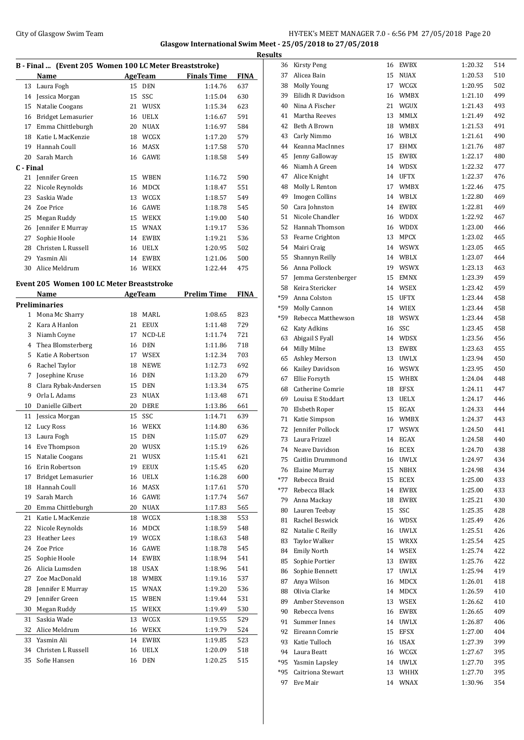## City of Glasgow Swim Team Team Frameters Music City of Glasgow Swim Team Frameters 2.0 - 6:56 PM 27/05/2018 Page 20 **Glasgow International Swim Meet - 25/05/2018 to 27/05/2018 Results**

|                | B - Final  (Event 205 Women 100 LC Meter Breaststroke) |    |                          |                    |             |
|----------------|--------------------------------------------------------|----|--------------------------|--------------------|-------------|
|                | <b>Name</b>                                            |    | <b>Example 2 AgeTeam</b> | <b>Finals Time</b> | <b>FINA</b> |
| 13             | Laura Fogh                                             | 15 | <b>DEN</b>               | 1:14.76            | 637         |
| 14             | Jessica Morgan                                         | 15 | SSC                      | 1:15.04            | 630         |
| 15             | Natalie Coogans                                        | 21 | WUSX                     | 1:15.34            | 623         |
| 16             | Bridget Lemasurier                                     | 16 | <b>UELX</b>              | 1:16.67            | 591         |
| 17             | Emma Chittleburgh                                      | 20 | <b>NUAX</b>              | 1:16.97            | 584         |
| 18             | Katie L MacKenzie                                      |    | 18 WCGX                  | 1:17.20            | 579         |
| 19             | Hannah Coull                                           | 16 | MASX                     | 1:17.58            | 570         |
| 20             | Sarah March                                            | 16 | GAWE                     | 1:18.58            | 549         |
| C - Final      |                                                        |    |                          |                    |             |
| 21             | Jennifer Green                                         |    | 15 WBEN                  | 1:16.72            | 590         |
| 22             | Nicole Reynolds                                        |    | 16 MDCX                  | 1:18.47            | 551         |
| 23             | Saskia Wade                                            |    | 13 WCGX                  |                    | 549         |
| 24             |                                                        |    |                          | 1:18.57            |             |
|                | Zoe Price                                              |    | 16 GAWE                  | 1:18.78            | 545         |
| 25             | Megan Ruddy                                            |    | 15 WEKX                  | 1:19.00            | 540         |
| 26             | Jennifer E Murray                                      |    | 15 WNAX                  | 1:19.17            | 536         |
| 27             | Sophie Hoole                                           | 14 | EWBX                     | 1:19.21            | 536         |
| 28             | Christen L Russell                                     |    | 16 UELX                  | 1:20.95            | 502         |
| 29             | Yasmin Ali                                             | 14 | <b>EWBX</b>              | 1:21.06            | 500         |
| 30             | Alice Meldrum                                          |    | 16 WEKX                  | 1:22.44            | 475         |
|                | <b>Event 205 Women 100 LC Meter Breaststroke</b>       |    |                          |                    |             |
|                | Name                                                   |    | <b>AgeTeam</b>           | <b>Prelim Time</b> | <b>FINA</b> |
|                | <b>Preliminaries</b>                                   |    |                          |                    |             |
| 1              | Mona Mc Sharry                                         | 18 | MARL                     | 1:08.65            | 823         |
| 2              | Kara A Hanlon                                          | 21 | <b>EEUX</b>              | 1:11.48            | 729         |
| 3              | Niamh Coyne                                            | 17 | NCD-LE                   | 1:11.74            | 721         |
| $\overline{4}$ | Thea Blomsterberg                                      | 16 | DEN                      | 1:11.86            | 718         |
| 5              | Katie A Robertson                                      |    | 17 WSEX                  | 1:12.34            | 703         |
|                |                                                        |    |                          |                    |             |
| 6              | Rachel Taylor                                          | 18 | <b>NEWE</b>              | 1:12.73            | 692         |
| 7              | Josephine Kruse                                        | 16 | <b>DEN</b>               | 1:13.20            | 679         |
| 8              | Clara Rybak-Andersen                                   | 15 | <b>DEN</b>               | 1:13.34            | 675         |
| 9              | Orla L Adams                                           | 23 | <b>NUAX</b>              | 1:13.48            | 671         |
| 10             | Danielle Gilbert                                       | 20 | DERE                     | 1:13.86            | 661         |
| 11             | Jessica Morgan                                         | 15 | SSC                      | 1:14.71            | 639         |
| 12             | Lucy Ross                                              | 16 | <b>WEKX</b>              | 1:14.80            | 636         |
| 13             | Laura Fogh                                             | 15 | DEN                      | 1:15.07            | 629         |
| 14             | Eve Thompson                                           | 20 | WUSX                     | 1:15.19            | 626         |
| 15             | Natalie Coogans                                        |    | 21 WUSX                  | 1:15.41            | 621         |
| 16             | Erin Robertson                                         | 19 | EEUX                     | 1:15.45            | 620         |
| 17             | Bridget Lemasurier                                     | 16 | UELX                     | 1:16.28            | 600         |
| 18             | Hannah Coull                                           | 16 | <b>MASX</b>              | 1:17.61            | 570         |
| 19             | Sarah March                                            |    | 16 GAWE                  | 1:17.74            | 567         |
| 20             | Emma Chittleburgh                                      | 20 | NUAX                     | 1:17.83            | 565         |
| 21             | Katie L MacKenzie                                      | 18 | WCGX                     | 1:18.38            | 553         |
| 22             | Nicole Reynolds                                        | 16 | MDCX                     | 1:18.59            | 548         |
| 23             | Heather Lees                                           |    | 19 WCGX                  | 1:18.63            | 548         |
| 24             | Zoe Price                                              | 16 | GAWE                     | 1:18.78            | 545         |
| 25             | Sophie Hoole                                           | 14 | <b>EWBX</b>              | 1:18.94            | 541         |
| 26             | Alicia Lumsden                                         | 18 | USAX                     | 1:18.96            | 541         |
| 27             | Zoe MacDonald                                          | 18 | WMBX                     | 1:19.16            | 537         |
| 28             | Jennifer E Murray                                      |    | 15 WNAX                  | 1:19.20            | 536         |
| 29             | Jennifer Green                                         | 15 | WBEN                     | 1:19.44            | 531         |
| 30             | Megan Ruddy                                            | 15 | WEKX                     | 1:19.49            | 530         |
| 31             | Saskia Wade                                            | 13 | WCGX                     | 1:19.55            | 529         |
| 32             | Alice Meldrum                                          | 16 | WEKX                     | 1:19.79            | 524         |
|                |                                                        |    |                          |                    |             |
| 33             | Yasmin Ali                                             | 14 | EWBX                     | 1:19.85            | 523         |
| 34             | Christen L Russell                                     | 16 | UELX                     | 1:20.09            | 518         |
| 35             | Sofie Hansen                                           | 16 | DEN                      | 1:20.25            | 515         |

| τs    |                       |    |             |         |     |
|-------|-----------------------|----|-------------|---------|-----|
| 36    | Kirsty Peng           | 16 | <b>EWBX</b> | 1:20.32 | 514 |
| 37    | Alicea Bain           | 15 | <b>NUAX</b> | 1:20.53 | 510 |
| 38    | Molly Young           | 17 | WCGX        | 1:20.95 | 502 |
| 39    | Eilidh R Davidson     | 16 | <b>WMBX</b> | 1:21.10 | 499 |
| 40    | Nina A Fischer        | 21 | WGUX        | 1:21.43 | 493 |
| 41    | Martha Reeves         | 13 | MMLX        | 1:21.49 | 492 |
| 42    | Beth A Brown          | 18 | <b>WMBX</b> | 1:21.53 | 491 |
| 43    | Carly Nimmo           | 16 | WBLX        | 1:21.61 | 490 |
| 44    | Keanna MacInnes       | 17 | <b>EHMX</b> | 1:21.76 | 487 |
| 45    | Jenny Galloway        | 15 | EWBX        | 1:22.17 | 480 |
| 46    | Niamh A Green         | 14 | <b>WDSX</b> | 1:22.32 | 477 |
| 47    | Alice Knight          | 14 | <b>UFTX</b> | 1:22.37 | 476 |
| 48    | Molly L Renton        | 17 | <b>WMBX</b> | 1:22.46 | 475 |
| 49    | <b>Imogen Collins</b> | 14 | WBLX        | 1:22.80 | 469 |
| 50    | Cara Johnston         | 14 | EWBX        | 1:22.81 | 469 |
| 51    | Nicole Chandler       | 16 | <b>WDDX</b> | 1:22.92 | 467 |
| 52    | Hannah Thomson        | 16 | <b>WDDX</b> | 1:23.00 | 466 |
| 53    | Fearne Crighton       | 13 | MPCX        | 1:23.02 | 465 |
| 54    | Mairi Craig           | 14 | <b>WSWX</b> | 1:23.05 | 465 |
| 55    | Shannyn Reilly        | 14 | WBLX        | 1:23.07 | 464 |
| 56    | Anna Pollock          | 19 | <b>WSWX</b> | 1:23.13 | 463 |
| 57    | Jemma Gerstenberger   | 15 | <b>EMNX</b> | 1:23.39 | 459 |
| 58    | Keira Stericker       | 14 | <b>WSEX</b> | 1:23.42 | 459 |
| *59   | Anna Colston          | 15 | <b>UFTX</b> | 1:23.44 | 458 |
| *59   | Molly Cannon          | 14 | <b>WIEX</b> | 1:23.44 | 458 |
| *59   | Rebecca Matthewson    | 18 | <b>WSWX</b> | 1:23.44 | 458 |
| 62    | <b>Katy Adkins</b>    | 16 | SSC         | 1:23.45 | 458 |
| 63    | Abigail S Fyall       | 14 | <b>WDSX</b> | 1:23.56 | 456 |
| 64    | Milly Milne           | 13 | EWBX        | 1:23.63 | 455 |
| 65    | Ashley Merson         | 13 | <b>UWLX</b> | 1:23.94 | 450 |
| 66    | Kailey Davidson       | 16 | <b>WSWX</b> | 1:23.95 | 450 |
| 67    | Ellie Forsyth         | 15 | WHBX        | 1:24.04 | 448 |
| 68    | Catherine Comrie      | 18 | <b>EFSX</b> | 1:24.11 | 447 |
| 69    | Louisa E Stoddart     | 13 | <b>UELX</b> | 1:24.17 | 446 |
| 70    | Elsbeth Roper         | 15 | EGAX        | 1:24.33 | 444 |
| 71    | Katie Simpson         | 16 | <b>WMBX</b> | 1:24.37 | 443 |
| 72    | Jennifer Pollock      | 17 | <b>WSWX</b> | 1:24.50 | 441 |
| 73    | Laura Frizzel         | 14 | EGAX        | 1:24.58 | 440 |
|       | 74 Neave Davidson     |    | 16 ECEX     | 1:24.70 | 438 |
|       | 75 Caitlin Drummond   | 16 | <b>UWLX</b> | 1:24.97 | 434 |
| 76    | Elaine Murray         | 15 | NBHX        | 1:24.98 | 434 |
| $*77$ | Rebecca Braid         | 15 | ECEX        | 1:25.00 | 433 |
| *77   | Rebecca Black         | 14 | EWBX        | 1:25.00 | 433 |
| 79    | Anna Mackay           | 18 | EWBX        | 1:25.21 | 430 |
| 80    | Lauren Teebay         | 15 | SSC         | 1:25.35 | 428 |
| 81    | Rachel Beswick        | 16 | WDSX        | 1:25.49 | 426 |
| 82    | Natalie C Reilly      | 16 | <b>UWLX</b> | 1:25.51 | 426 |
| 83    | <b>Taylor Walker</b>  | 15 | <b>WRXX</b> | 1:25.54 | 425 |
| 84    | <b>Emily North</b>    | 14 | WSEX        | 1:25.74 | 422 |
| 85    | Sophie Portier        | 13 | EWBX        | 1:25.76 | 422 |
| 86    | Sophie Bennett        | 17 | <b>UWLX</b> | 1:25.94 | 419 |
| 87    | Anya Wilson           | 16 | MDCX        | 1:26.01 | 418 |
| 88    | Olivia Clarke         | 14 | MDCX        | 1:26.59 | 410 |
| 89    | Amber Stevenson       | 13 | WSEX        | 1:26.62 | 410 |
| 90    | Rebecca Ivens         | 16 | EWBX        | 1:26.65 | 409 |
| 91    | Summer Innes          | 14 | <b>UWLX</b> | 1:26.87 | 406 |
| 92    | Eireann Comrie        | 15 | <b>EFSX</b> | 1:27.00 | 404 |
| 93    | Katie Tulloch         | 16 | <b>USAX</b> | 1:27.39 | 399 |
| 94    | Laura Beatt           | 16 | WCGX        | 1:27.67 | 395 |
| $*95$ | Yasmin Lapsley        | 14 | <b>UWLX</b> | 1:27.70 | 395 |
| *95   | Caitriona Stewart     | 13 | WHHX        | 1:27.70 | 395 |
| 97    | Eve Mair              | 14 | <b>WNAX</b> | 1:30.96 | 354 |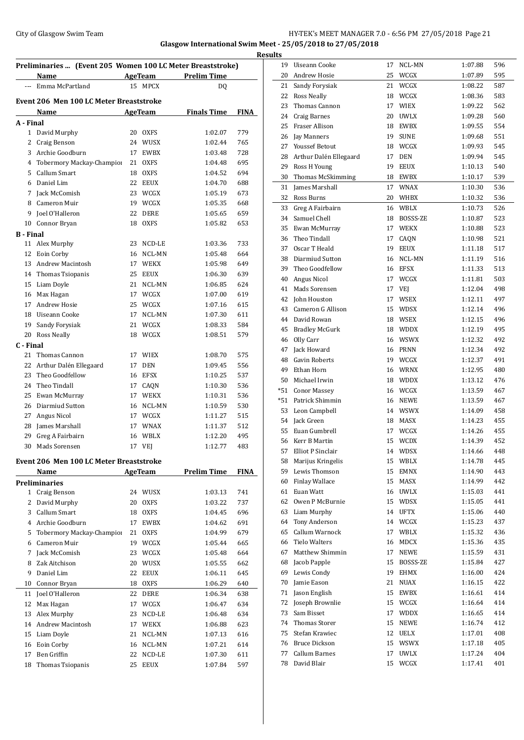## City of Glasgow Swim Team Team Team Fermi Manager 21 City of Glasgow Swim Team Fermi Manager 21 **Glasgow International Swim Meet - 25/05/2018 to 27/05/2018**

|                  |                                                            |    |                           |                          |             | <b>Results</b>      |
|------------------|------------------------------------------------------------|----|---------------------------|--------------------------|-------------|---------------------|
|                  | Preliminaries  (Event 205 Women 100 LC Meter Breaststroke) |    |                           |                          |             | $1^{\circ}$         |
| шш.              | <b>Name</b><br>Emma McPartland                             |    | <b>AgeTeam</b><br>15 MPCX | <b>Prelim Time</b><br>DQ |             | $\overline{c}$<br>2 |
|                  |                                                            |    |                           |                          |             | $\overline{2}$      |
|                  | Event 206 Men 100 LC Meter Breaststroke                    |    |                           |                          |             | $\overline{2}$      |
|                  | Name                                                       |    | AgeTeam                   | <b>Finals Time</b>       | <b>FINA</b> | $\mathbf{2}$        |
| A - Final        |                                                            |    |                           |                          |             | $\overline{2}$      |
|                  | 1 David Murphy                                             |    | 20 OXFS                   | 1:02.07                  | 779         | $\overline{2}$      |
|                  | 2 Craig Benson                                             |    | 24 WUSX                   | 1:02.44                  | 765         | $\overline{c}$      |
|                  | 3 Archie Goodburn                                          |    | 17 EWBX                   | 1:03.48                  | 728         | $\overline{2}$      |
| 4                | Tobermory Mackay-Champior                                  |    | 21 OXFS                   | 1:04.48                  | 695         | $2^{\circ}$         |
| 5                | Callum Smart                                               |    | 18 OXFS                   | 1:04.52                  | 694         | 3                   |
|                  | 6 Daniel Lim                                               |    | 22 EEUX                   | 1:04.70                  | 688         | 3                   |
|                  | 7 Jack McComish                                            |    | 23 WCGX                   | 1:05.19                  | 673         | $\overline{3}$      |
|                  | 8 Cameron Muir                                             |    | 19 WCGX                   | 1:05.35                  | 668         | 3                   |
|                  | 9 Joel O'Halleron                                          |    | 22 DERE                   | 1:05.65                  | 659         | 3.                  |
|                  | 10 Connor Bryan                                            |    | 18 OXFS                   | 1:05.82                  | 653         | 3                   |
| <b>B</b> - Final |                                                            |    | 23 NCD-LE                 |                          | 733         | 3                   |
|                  | 11 Alex Murphy<br>12 Eoin Corby                            |    | 16 NCL-MN                 | 1:03.36<br>1:05.48       | 664         | 3                   |
|                  | 13 Andrew Macintosh                                        |    | 17 WEKX                   | 1:05.98                  | 649         | 3                   |
|                  | 14 Thomas Tsiopanis                                        |    | 25 EEUX                   | 1:06.30                  | 639         | $3^{\circ}$         |
|                  | 15 Liam Doyle                                              |    | 21 NCL-MN                 | 1:06.85                  | 624         | $\overline{4}$      |
|                  | 16 Max Hagan                                               |    | 17 WCGX                   | 1:07.00                  | 619         | 4                   |
| 17               | Andrew Hosie                                               |    | 25 WCGX                   | 1:07.16                  | 615         | $\overline{4}$      |
|                  | 18 Uiseann Cooke                                           |    | 17 NCL-MN                 | 1:07.30                  | 611         | $\overline{4}$      |
| 19               | Sandy Forysiak                                             |    | 21 WCGX                   | 1:08.33                  | 584         | $\overline{4}$      |
|                  | 20 Ross Neally                                             | 18 | WCGX                      | 1:08.51                  | 579         | 4                   |
| C - Final        |                                                            |    |                           |                          |             | 4                   |
| 21               | Thomas Cannon                                              |    | 17 WIEX                   | 1:08.70                  | 575         | 4                   |
|                  | 22 Arthur Dalén Ellegaard                                  |    | 17 DEN                    | 1:09.45                  | 556         | 4                   |
| 23               | Theo Goodfellow                                            |    | 16 EFSX                   | 1:10.25                  | 537         | 4                   |
| 24               | Theo Tindall                                               |    | 17 CAQN                   | 1:10.30                  | 536         | 5                   |
|                  | 25 Ewan McMurray                                           |    | 17 WEKX                   | 1:10.31                  | 536         | $*5$                |
|                  | 26 Diarmiud Sutton                                         |    | 16 NCL-MN                 | 1:10.59                  | 530         | $*5$                |
| 27               | Angus Nicol                                                |    | 17 WCGX                   | 1:11.27                  | 515         | 5                   |
|                  | 28 James Marshall                                          |    | 17 WNAX                   | 1:11.37                  | 512         | 5.                  |
|                  | 29 Greg A Fairbairn                                        |    | 16 WBLX                   | 1:12.20                  | 495         | 5.                  |
| 30               | Mads Sorensen                                              |    | 17 VEJ                    | 1:12.77                  | 483         | 5                   |
|                  |                                                            |    |                           |                          |             | 5                   |
|                  | Event 206 Men 100 LC Meter Breaststroke                    |    |                           |                          |             | 5                   |
|                  | Name                                                       |    | <b>AgeTeam</b>            | <b>Prelim Time</b>       | <b>FINA</b> | 5<br>6              |
|                  | <b>Preliminaries</b>                                       |    |                           |                          |             | 6                   |
| $\mathbf{2}$     | 1 Craig Benson                                             |    | 24 WUSX                   | 1:03.13                  | 741         | 6                   |
| 3                | David Murphy<br>Callum Smart                               |    | 20 OXFS                   | 1:03.22                  | 737         | 6                   |
| $\overline{4}$   | Archie Goodburn                                            |    | 18 OXFS                   | 1:04.45<br>1:04.62       | 696<br>691  | 6                   |
| 5                | Tobermory Mackay-Champion                                  |    | 17 EWBX<br>21 OXFS        | 1:04.99                  | 679         | 6                   |
| 6                | Cameron Muir                                               |    | 19 WCGX                   | 1:05.44                  | 665         | 6                   |
| 7                | Jack McComish                                              |    | 23 WCGX                   | 1:05.48                  | 664         | 6                   |
| 8                | Zak Aitchison                                              |    | 20 WUSX                   | 1:05.55                  | 662         | 6                   |
| 9                | Daniel Lim                                                 |    | 22 EEUX                   | 1:06.11                  | 645         | 6                   |
| 10               | Connor Bryan                                               |    | 18 OXFS                   | 1:06.29                  | 640         | 7                   |
|                  | 11 Joel O'Halleron                                         |    | 22 DERE                   | 1:06.34                  | 638         | 7                   |
| 12               | Max Hagan                                                  |    | 17 WCGX                   | 1:06.47                  | 634         | 7                   |
| 13               | Alex Murphy                                                |    | 23 NCD-LE                 | 1:06.48                  | 634         | 7                   |
|                  | 14 Andrew Macintosh                                        |    | 17 WEKX                   | 1:06.88                  | 623         | 7.                  |
|                  | 15 Liam Doyle                                              |    | 21 NCL-MN                 | 1:07.13                  | 616         | 7.                  |
|                  | 16 Eoin Corby                                              |    | 16 NCL-MN                 | 1:07.21                  | 614         | 7                   |
| 17               | Ben Griffin                                                |    | 22 NCD-LE                 | 1:07.30                  | 611         | 7                   |
| 18               | Thomas Tsiopanis                                           |    | 25 EEUX                   | 1:07.84                  | 597         | 7                   |
|                  |                                                            |    |                           |                          |             |                     |

| 19    | Uiseann Cooke          | 17 | NCL-MN      | 1:07.88 | 596 |
|-------|------------------------|----|-------------|---------|-----|
| 20    | Andrew Hosie           | 25 | WCGX        | 1:07.89 | 595 |
| 21    | Sandy Forysiak         | 21 | WCGX        | 1:08.22 | 587 |
| 22    | <b>Ross Neally</b>     | 18 | WCGX        | 1:08.36 | 583 |
| 23    | Thomas Cannon          | 17 | <b>WIEX</b> | 1:09.22 | 562 |
| 24    | <b>Craig Barnes</b>    | 20 | <b>UWLX</b> | 1:09.28 | 560 |
| 25    | Fraser Allison         | 18 | <b>EWBX</b> | 1:09.55 | 554 |
| 26    | Jay Manners            | 19 | <b>SUNE</b> | 1:09.68 | 551 |
| 27    | Youssef Betout         |    | 18 WCGX     | 1:09.93 | 545 |
| 28    | Arthur Dalén Ellegaard | 17 | <b>DEN</b>  | 1:09.94 | 545 |
| 29    | Ross H Young           | 19 | <b>EEUX</b> | 1:10.13 | 540 |
| 30    | Thomas McSkimming      | 18 | EWBX        | 1:10.17 | 539 |
|       |                        | 17 |             |         |     |
| 31    | James Marshall         |    | <b>WNAX</b> | 1:10.30 | 536 |
| 32    | Ross Burns             | 20 | WHBX        | 1:10.32 | 536 |
| 33    | Greg A Fairbairn       | 16 | WBLX        | 1:10.73 | 526 |
| 34    | Samuel Chell           | 18 | BOSSS-ZE    | 1:10.87 | 523 |
| 35    | Ewan McMurray          | 17 | WEKX        | 1:10.88 | 523 |
| 36    | Theo Tindall           | 17 | CAQN        | 1:10.98 | 521 |
| 37    | Oscar T Heald          | 19 | <b>EEUX</b> | 1:11.18 | 517 |
| 38    | Diarmiud Sutton        | 16 | NCL-MN      | 1:11.19 | 516 |
| 39    | Theo Goodfellow        | 16 | <b>EFSX</b> | 1:11.33 | 513 |
| 40    | Angus Nicol            | 17 | WCGX        | 1:11.81 | 503 |
| 41    | Mads Sorensen          | 17 | VEJ         | 1:12.04 | 498 |
| 42    | John Houston           | 17 | <b>WSEX</b> | 1:12.11 | 497 |
| 43    | Cameron G Allison      | 15 | WDSX        | 1:12.14 | 496 |
| 44    | David Rowan            |    | 18 WSEX     | 1:12.15 | 496 |
| 45    | <b>Bradley McGurk</b>  | 18 | WDDX        | 1:12.19 | 495 |
| 46    | Olly Carr              |    | 16 WSWX     | 1:12.32 | 492 |
| 47    | Jack Howard            |    | 16 PRNN     | 1:12.34 | 492 |
| 48    | <b>Gavin Roberts</b>   |    | 19 WCGX     | 1:12.37 | 491 |
| 49    | Ethan Horn             |    | 16 WRNX     | 1:12.95 | 480 |
|       |                        |    |             |         |     |
| 50    | Michael Irwin          |    | 18 WDDX     | 1:13.12 | 476 |
| $*51$ | <b>Conor Massey</b>    |    | 16 WCGX     | 1:13.59 | 467 |
| *51   | Patrick Shimmin        |    | 16 NEWE     | 1:13.59 | 467 |
| 53    | Leon Campbell          |    | 14 WSWX     | 1:14.09 | 458 |
| 54    | Jack Green             | 18 | MASX        | 1:14.23 | 455 |
| 55    | Euan Gumbrell          | 17 | WCGX        | 1:14.26 | 455 |
| 56    | Kerr B Martin          | 15 | <b>WCDX</b> | 1:14.39 | 452 |
| 57    | Elliot P Sinclair      | 14 | <b>WDSX</b> | 1:14.66 | 448 |
| 58    | Marijus Kringelis      | 15 | WBLX        | 1:14.78 | 445 |
| 59    | Lewis Thomson          | 15 | EMNX        | 1:14.90 | 443 |
| 60    | Finlay Wallace         | 15 | MASX        | 1:14.99 | 442 |
| 61    | Euan Watt              | 16 | <b>UWLX</b> | 1:15.03 | 441 |
| 62    | Owen P McBurnie        | 15 | <b>WDSX</b> | 1:15.05 | 441 |
| 63    | Liam Murphy            | 14 | <b>UFTX</b> | 1:15.06 | 440 |
| 64    | Tony Anderson          |    | 14 WCGX     | 1:15.23 | 437 |
| 65    | Callum Warnock         | 17 | WBLX        | 1:15.32 | 436 |
| 66    | <b>Tielo Walters</b>   | 16 | MDCX        | 1:15.36 | 435 |
| 67    | Matthew Shimmin        | 17 | <b>NEWE</b> | 1:15.59 | 431 |
|       |                        |    |             |         |     |
| 68    | Jacob Papple           | 15 | BOSSS-ZE    | 1:15.84 | 427 |
| 69    | Lewis Condy            | 19 | EHMX        | 1:16.00 | 424 |
| 70    | Jamie Eason            | 21 | NUAX        | 1:16.15 | 422 |
| 71    | Jason English          | 15 | EWBX        | 1:16.61 | 414 |
| 72    | Joseph Brownlie        | 15 | WCGX        | 1:16.64 | 414 |
| 73    | Sam Bisset             | 17 | <b>WDDX</b> | 1:16.65 | 414 |
| 74    | <b>Thomas Storer</b>   | 15 | <b>NEWE</b> | 1:16.74 | 412 |
| 75    | Stefan Krawiec         | 12 | <b>UELX</b> | 1:17.01 | 408 |
| 76    | <b>Bruce Dickson</b>   | 15 | WSWX        | 1:17.18 | 405 |
| 77    | <b>Callum Barnes</b>   | 17 | <b>UWLX</b> | 1:17.24 | 404 |
| 78    | David Blair            | 15 | WCGX        | 1:17.41 | 401 |
|       |                        |    |             |         |     |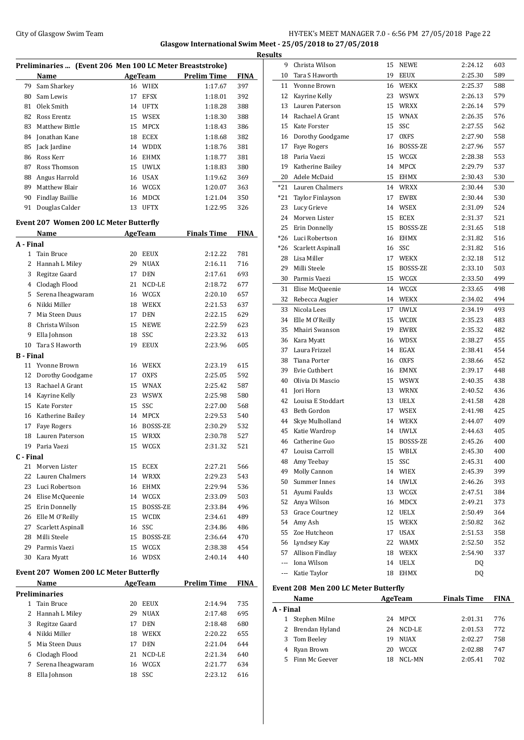## City of Glasgow Swim Team Team Team Fermi Management City of Glasgow Swim Team Fermi Management City of Glasgow Swim Team Fermi Management City of Glasgow Swim Team Fermi Management City of Glasgow Swim Team Fermi Manageme **Glasgow International Swim Meet - 25/05/2018 to 27/05/2018**

|              | Preliminaries  (Event 206 Men 100 LC Meter Breaststroke) |          |                            |                    |             |
|--------------|----------------------------------------------------------|----------|----------------------------|--------------------|-------------|
|              | Name                                                     |          | <b>AgeTeam</b>             | <b>Prelim Time</b> | <b>FINA</b> |
| 79           | Sam Sharkey                                              |          | 16 WIEX                    | 1:17.67            | 397         |
| 80           | Sam Lewis                                                | 17       | EFSX                       | 1:18.01            | 392         |
| 81           | Olek Smith                                               | 14       | <b>UFTX</b>                | 1:18.28            | 388         |
| 82           | Ross Erentz                                              | 15       | WSEX                       | 1:18.30            | 388         |
| 83           | Matthew Bittle                                           | 15       | <b>MPCX</b>                | 1:18.43            | 386         |
| 84           | Jonathan Kane                                            | 18       | <b>ECEX</b>                | 1:18.68            | 382         |
| 85           | Jack Jardine                                             | 14       | <b>WDDX</b>                | 1:18.76            | 381         |
| 86           | Ross Kerr                                                | 16       | <b>EHMX</b>                | 1:18.77            | 381         |
| 87           | Ross Thomson                                             |          | 15 UWLX                    | 1:18.83            | 380         |
| 88           | Angus Harrold                                            |          | 16 USAX                    | 1:19.62            | 369         |
| 89           | Matthew Blair                                            |          | 16 WCGX                    | 1:20.07            | 363         |
| 90           | <b>Findlay Baillie</b>                                   | 16       | <b>MDCX</b>                | 1:21.04            | 350         |
| 91           | Douglas Calder                                           | 13       | <b>UFTX</b>                | 1:22.95            | 326         |
|              | <b>Event 207 Women 200 LC Meter Butterfly</b>            |          |                            |                    |             |
|              | Name                                                     |          | <b>AgeTeam</b>             | <b>Finals Time</b> | <b>FINA</b> |
| A - Final    |                                                          |          |                            |                    |             |
| $\mathbf{1}$ | Tain Bruce                                               | 20       | <b>EEUX</b>                | 2:12.22            | 781         |
| 2            | Hannah L Miley                                           | 29       | <b>NUAX</b>                | 2:16.11            | 716         |
| 3            | Regitze Gaard                                            | 17       | <b>DEN</b>                 | 2:17.61            | 693         |
| 4            | Clodagh Flood                                            | 21       | NCD-LE                     | 2:18.72            | 677         |
| 5            | Serena Iheagwaram                                        | 16       | WCGX                       | 2:20.10            | 657         |
| 6            | Nikki Miller                                             |          | 18 WEKX                    | 2:21.53            | 637         |
| 7            | Mia Steen Duus                                           | 17       | <b>DEN</b>                 | 2:22.15            | 629         |
| 8            | Christa Wilson                                           | 15       | <b>NEWE</b>                | 2:22.59            | 623         |
| 9            | Ella Johnson                                             | 18       | SSC                        | 2:23.32            | 613         |
| 10           | Tara S Haworth                                           | 19       | <b>EEUX</b>                | 2:23.96            | 605         |
| B - Final    |                                                          |          |                            |                    |             |
|              | 11 Yvonne Brown                                          | 16       | <b>WEKX</b>                | 2:23.19            | 615         |
| 12           | Dorothy Goodgame                                         | 17       | <b>OXFS</b>                | 2:25.05            | 592         |
| 13<br>14     | Rachael A Grant<br>Kayrine Kelly                         | 15<br>23 | <b>WNAX</b><br><b>WSWX</b> | 2:25.42<br>2:25.98 | 587<br>580  |
| 15           | Kate Forster                                             | 15       | SSC                        | 2:27.00            | 568         |
| 16           |                                                          | 14       | <b>MPCX</b>                |                    | 540         |
| 17           | Katherine Bailey<br><b>Faye Rogers</b>                   | 16       | BOSSS-ZE                   | 2:29.53<br>2:30.29 | 532         |
| 18           | Lauren Paterson                                          | 15       | <b>WRXX</b>                | 2:30.78            | 527         |
| 19           | Paria Vaezi                                              | 15       | <b>WCGX</b>                | 2:31.32            | 521         |
| C - Final    |                                                          |          |                            |                    |             |
| 21           | Morven Lister                                            |          | 15 ECEX                    | 2:27.21            | 566         |
| 22           | Lauren Chalmers                                          |          | 14 WRXX                    | 2:29.23            | 543         |
| 23           | Luci Robertson                                           |          | 16 EHMX                    | 2:29.94            | 536         |
| 24           | Elise McQueenie                                          |          | 14 WCGX                    | 2:33.09            | 503         |
| 25           | Erin Donnelly                                            |          | 15 BOSSS-ZE                | 2:33.84            | 496         |
| 26           | Elle M O'Reilly                                          |          | 15 WCDX                    | 2:34.61            | 489         |
| 27           | Scarlett Aspinall                                        |          | 16 SSC                     | 2:34.86            | 486         |
| 28           | Milli Steele                                             |          | 15 BOSSS-ZE                | 2:36.64            | 470         |
| 29           | Parmis Vaezi                                             |          | 15 WCGX                    | 2:38.38            | 454         |
| 30           | Kara Myatt                                               | 16       | <b>WDSX</b>                | 2:40.14            | 440         |
|              | <b>Event 207 Women 200 LC Meter Butterfly</b>            |          |                            |                    |             |
|              | Name                                                     |          | <b>AgeTeam</b>             | <b>Prelim Time</b> | <b>FINA</b> |
|              | Preliminaries                                            |          |                            |                    |             |
| $\mathbf{1}$ | Tain Bruce                                               | 20       | EEUX                       | 2:14.94            | 735         |
| 2            | Hannah L Miley                                           | 29       | <b>NUAX</b>                | 2:17.48            | 695         |
| 3            | Regitze Gaard                                            | 17       | <b>DEN</b>                 | 2:18.48            | 680         |
| 4            | Nikki Miller                                             | 18       | <b>WEKX</b>                | 2:20.22            | 655         |
| 5            | Mia Steen Duus                                           |          | 17 DEN                     | 2:21.04            | 644         |
| 6            | Clodagh Flood                                            | 21       | NCD-LE                     | 2:21.34            | 640         |
| 7            | Serena Iheagwaram                                        | 16       | WCGX                       | 2:21.77            | 634         |
| 8            | Ella Johnson                                             | 18       | SSC                        | 2:23.12            | 616         |

| <b>Results</b> |                                      |    |                |                    |      |
|----------------|--------------------------------------|----|----------------|--------------------|------|
| 9              | Christa Wilson                       |    | 15 NEWE        | 2:24.12            | 603  |
| 10             | Tara S Haworth                       | 19 | EEUX           | 2:25.30            | 589  |
| 11             | Yvonne Brown                         |    | 16 WEKX        | 2:25.37            | 588  |
| 12             | Kayrine Kelly                        | 23 | WSWX           | 2:26.13            | 579  |
| 13             | Lauren Paterson                      | 15 | <b>WRXX</b>    | 2:26.14            | 579  |
| 14             | Rachael A Grant                      | 15 | <b>WNAX</b>    | 2:26.35            | 576  |
| 15             | Kate Forster                         | 15 | SSC            | 2:27.55            | 562  |
| 16             | Dorothy Goodgame                     | 17 | <b>OXFS</b>    | 2:27.90            | 558  |
| 17             | <b>Faye Rogers</b>                   | 16 | BOSSS-ZE       | 2:27.96            | 557  |
| 18             | Paria Vaezi                          | 15 | WCGX           | 2:28.38            | 553  |
| 19             | Katherine Bailey                     | 14 | <b>MPCX</b>    | 2:29.79            | 537  |
| 20             | Adele McDaid                         | 15 | EHMX           | 2:30.43            | 530  |
| $*21$          | Lauren Chalmers                      |    | 14 WRXX        | 2:30.44            | 530  |
| *21            | Taylor Finlayson                     | 17 | EWBX           | 2:30.44            | 530  |
| 23             | Lucy Grieve                          | 14 | WSEX           | 2:31.09            | 524  |
| 24             | Morven Lister                        | 15 | ECEX           | 2:31.37            | 521  |
| 25             | Erin Donnelly                        | 15 | BOSSS-ZE       | 2:31.65            | 518  |
| $*26$          | Luci Robertson                       |    | 16 EHMX        | 2:31.82            | 516  |
| *26            | Scarlett Aspinall                    | 16 | SSC            | 2:31.82            | 516  |
| 28             | Lisa Miller                          | 17 | <b>WEKX</b>    | 2:32.18            | 512  |
| 29             | Milli Steele                         | 15 | BOSSS-ZE       | 2:33.10            | 503  |
| 30             | Parmis Vaezi                         | 15 | WCGX           | 2:33.50            | 499  |
| 31             | Elise McQueenie                      | 14 | WCGX           | 2:33.65            | 498  |
| 32             | Rebecca Augier                       | 14 | WEKX           | 2:34.02            | 494  |
| 33             | Nicola Lees                          | 17 | <b>UWLX</b>    | 2:34.19            | 493  |
| 34             | Elle M O'Reilly                      | 15 | <b>WCDX</b>    | 2:35.23            | 483  |
| 35             | Mhairi Swanson                       | 19 | EWBX           | 2:35.32            | 482  |
| 36             | Kara Myatt                           | 16 | <b>WDSX</b>    | 2:38.27            | 455  |
| 37             | Laura Frizzel                        | 14 | EGAX           | 2:38.41            | 454  |
| 38             | Tiana Porter                         |    | 16 OXFS        | 2:38.66            | 452  |
| 39             | Evie Cuthbert                        |    | 16 EMNX        | 2:39.17            | 448  |
| 40             | Olivia Di Mascio                     |    | 15 WSWX        | 2:40.35            | 438  |
| 41             | Jori Horn                            | 13 | WRNX           | 2:40.52            | 436  |
| 42             | Louisa E Stoddart                    | 13 | <b>UELX</b>    | 2:41.58            | 428  |
| 43             | Beth Gordon                          | 17 | <b>WSEX</b>    | 2:41.98            | 425  |
| 44             | Skye Mulholland                      | 14 | WEKX           | 2:44.07            | 409  |
| 45             | Katie Wardrop                        | 14 | <b>UWLX</b>    | 2:44.63            | 405  |
| 46             | Catherine Guo                        | 15 | BOSSS-ZE       | 2:45.26            | 400  |
| 47             | Louisa Carroll                       |    | 15 WBLX        | 2:45.30            | 400  |
| 48             | Amy Teebay                           | 15 | SSC            | 2:45.31            | 400  |
| 49             | Molly Cannon                         |    | 14 WIEX        | 2:45.39            | 399  |
|                | 50 Summer Innes                      |    | 14 UWLX        | 2:46.26            | 393  |
|                | 51 Ayumi Faulds                      |    | 13 WCGX        | 2:47.51            | 384  |
|                | 52 Anya Wilson                       |    | 16 MDCX        | 2:49.21            | 373  |
| 53             | <b>Grace Courtney</b>                |    | 12 UELX        | 2:50.49            | 364  |
| 54             | Amy Ash                              |    | 15 WEKX        | 2:50.82            | 362  |
|                | 55 Zoe Hutcheon                      |    | 17 USAX        | 2:51.53            | 358  |
|                | 56 Lyndsey Kay                       |    | 22 WAMX        | 2:52.50            | 352  |
|                | 57 Allison Findlay                   |    | 18 WEKX        | 2:54.90            | 337  |
|                | --- Iona Wilson                      |    | 14 UELX        | DQ                 |      |
| ---            | Katie Taylor                         |    | 18 EHMX        | DQ                 |      |
|                | Event 208 Men 200 LC Meter Butterfly |    |                |                    |      |
|                | Name                                 |    | <b>AgeTeam</b> | <b>Finals Time</b> | FINA |
| A - Final      |                                      |    |                |                    |      |
| $\mathbf{1}$   | Stephen Milne                        |    | 24 MPCX        | 2:01.31            | 776  |
| 2              | Brendan Hyland                       |    | 24 NCD-LE      | 2:01.53            | 772  |
| 3              | Tom Beeley                           |    | 19 NUAX        | 2:02.27            | 758  |

 Ryan Brown 20 WCGX 2:02.88 747 Finn Mc Geever 18 NCL-MN 2:05.41 702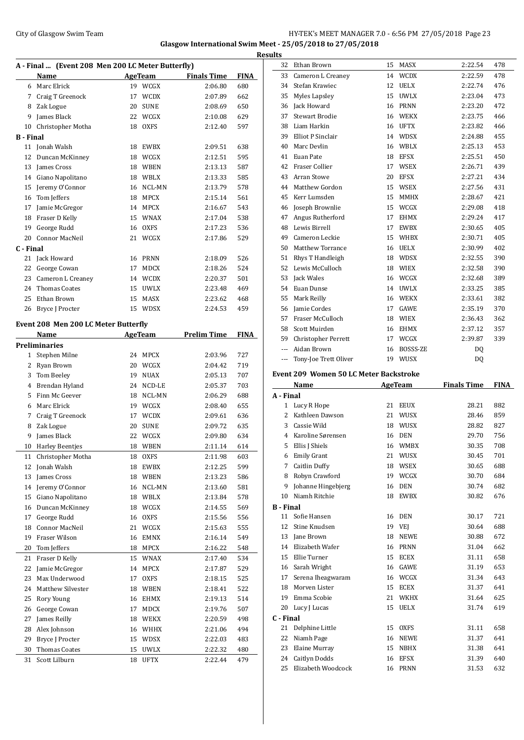## City of Glasgow Swim Team **HY-TEK's MEET MANAGER 7.0 - 6:56 PM 27/05/2018** Page 23 **Glasgow International Swim Meet - 25/05/2018 to 27/05/2018**

| A - Final  (Event 208 Men 200 LC Meter Butterfly) |                                      |    |                |                    |             |
|---------------------------------------------------|--------------------------------------|----|----------------|--------------------|-------------|
|                                                   | Name                                 |    | <b>AgeTeam</b> | <b>Finals Time</b> | <b>FINA</b> |
| 6                                                 | Marc Elrick                          | 19 | WCGX           | 2:06.80            | 680         |
| 7                                                 | Craig T Greenock                     | 17 | <b>WCDX</b>    | 2:07.89            | 662         |
| 8                                                 | Zak Logue                            | 20 | <b>SUNE</b>    | 2:08.69            | 650         |
| 9                                                 | James Black                          | 22 | WCGX           | 2:10.08            | 629         |
| 10                                                | Christopher Motha                    | 18 | <b>OXFS</b>    | 2:12.40            | 597         |
| B - Final                                         |                                      |    |                |                    |             |
| 11                                                | Jonah Walsh                          | 18 | EWBX           | 2:09.51            | 638         |
| 12                                                | Duncan McKinney                      | 18 | WCGX           | 2:12.51            | 595         |
| 13                                                | James Cross                          | 18 | WBEN           | 2:13.13            | 587         |
| 14                                                | Giano Napolitano                     | 18 | WBLX           | 2:13.33            | 585         |
| 15                                                | Jeremy O'Connor                      | 16 | NCL-MN         | 2:13.79            | 578         |
| 16                                                | Tom Jeffers                          | 18 | MPCX           | 2:15.14            | 561         |
| 17                                                | Jamie McGregor                       | 14 | MPCX           | 2:16.67            | 543         |
| 18                                                | Fraser D Kelly                       | 15 | WNAX           | 2:17.04            | 538         |
| 19                                                | George Rudd                          | 16 | <b>OXFS</b>    | 2:17.23            | 536         |
| 20                                                | <b>Connor MacNeil</b>                | 21 | WCGX           | 2:17.86            | 529         |
| C - Final                                         |                                      |    |                |                    |             |
| 21                                                | Jack Howard                          | 16 | PRNN           | 2:18.09            | 526         |
| 22                                                | George Cowan                         | 17 | <b>MDCX</b>    | 2:18.26            | 524         |
| 23                                                | Cameron L Creaney                    |    | 14 WCDX        | 2:20.37            | 501         |
| 24                                                | <b>Thomas Coates</b>                 | 15 | <b>UWLX</b>    | 2:23.48            | 469         |
| 25                                                | Ethan Brown                          | 15 | MASX           | 2:23.62            | 468         |
| 26                                                | Bryce J Procter                      | 15 | <b>WDSX</b>    | 2:24.53            | 459         |
|                                                   | Event 208 Men 200 LC Meter Butterfly |    |                |                    |             |
|                                                   | Name                                 |    | AgeTeam        | <b>Prelim Time</b> | <b>FINA</b> |
|                                                   | Preliminaries                        |    |                |                    |             |
| 1                                                 | Stephen Milne                        | 24 | <b>MPCX</b>    | 2:03.96            | 727         |
| 2                                                 | Ryan Brown                           | 20 | WCGX           | 2:04.42            | 719         |
| 3                                                 | Tom Beeley                           | 19 | <b>NUAX</b>    | 2:05.13            | 707         |
| 4                                                 | Brendan Hyland                       | 24 | NCD-LE         | 2:05.37            | 703         |
| 5                                                 | Finn Mc Geever                       | 18 | NCL-MN         | 2:06.29            | 688         |
| 6                                                 | Marc Elrick                          | 19 | WCGX           | 2:08.40            | 655         |
| 7                                                 | Craig T Greenock                     | 17 | <b>WCDX</b>    | 2:09.61            | 636         |
| 8                                                 | Zak Logue                            | 20 | <b>SUNE</b>    | 2:09.72            | 635         |
| 9                                                 | James Black                          | 22 | WCGX           | 2:09.80            | 634         |
| 10                                                | <b>Harley Beentjes</b>               | 18 | <b>WBEN</b>    | 2:11.14            | 614         |
| 11                                                | Christopher Motha                    | 18 | <b>OXFS</b>    | 2:11.98            | 603         |
| 12                                                | Jonah Walsh                          | 18 | EWBX           | 2:12.25            | 599         |
| 13                                                | James Cross                          | 18 | WBEN           | 2:13.23            | 586         |
| 14                                                | Jeremy O'Connor                      | 16 | NCL-MN         | 2:13.60            | 581         |
| 15                                                | Giano Napolitano                     | 18 | WBLX           | 2:13.84            | 578         |
| 16                                                | Duncan McKinney                      | 18 | WCGX           | 2:14.55            | 569         |
| 17                                                | George Rudd                          | 16 | OXFS           | 2:15.56            | 556         |
| 18                                                | Connor MacNeil                       | 21 | WCGX           | 2:15.63            | 555         |
| 19                                                | Fraser Wilson                        | 16 | EMNX           | 2:16.14            | 549         |
| 20                                                | Tom Jeffers                          | 18 | MPCX           | 2:16.22            | 548         |
| 21                                                | Fraser D Kelly                       | 15 | <b>WNAX</b>    | 2:17.40            | 534         |
| 22                                                | Jamie McGregor                       | 14 | MPCX           | 2:17.87            | 529         |
| 23                                                | Max Underwood                        | 17 | OXFS           | 2:18.15            | 525         |
| 24                                                | Matthew Silvester                    | 18 | WBEN           | 2:18.41            | 522         |
| 25                                                | Rory Young                           | 16 | EHMX           | 2:19.13            | 514         |
| 26                                                | George Cowan                         | 17 | MDCX           | 2:19.76            | 507         |
| 27                                                | James Reilly                         | 18 | WEKX           | 2:20.59            | 498         |
| 28                                                | Alex Johnson                         | 16 | WHHX           | 2:21.06            | 494         |
| 29                                                | Bryce J Procter                      | 15 | WDSX           | 2:22.03            | 483         |
| 30                                                | <b>Thomas Coates</b>                 | 15 | UWLX           | 2:22.32            | 480         |
| 31                                                | Scott Lilburn                        | 18 | <b>UFTX</b>    | 2:22.44            | 479         |

| <b>Results</b>       |                                        |    |             |                    |             |
|----------------------|----------------------------------------|----|-------------|--------------------|-------------|
| 32                   | Ethan Brown                            | 15 | MASX        | 2:22.54            | 478         |
| 33                   | Cameron L Creaney                      |    | 14 WCDX     | 2:22.59            | 478         |
|                      | 34 Stefan Krawiec                      |    | 12 UELX     | 2:22.74            | 476         |
| 35                   | Myles Lapsley                          |    | 15 UWLX     | 2:23.04            | 473         |
| 36                   | Jack Howard                            |    | 16 PRNN     | 2:23.20            | 472         |
| 37                   | <b>Stewart Brodie</b>                  |    | 16 WEKX     | 2:23.75            | 466         |
| 38                   | Liam Harkin                            |    | 16 UFTX     | 2:23.82            | 466         |
| 39                   | Elliot P Sinclair                      |    | 14 WDSX     | 2:24.88            | 455         |
| 40                   | Marc Devlin                            |    | 16 WBLX     | 2:25.13            | 453         |
| 41                   | Euan Pate                              |    | 18 EFSX     | 2:25.51            | 450         |
| 42                   | Fraser Collier                         |    | 17 WSEX     | 2:26.71            | 439         |
| 43                   | Arran Stowe                            | 20 | EFSX        | 2:27.21            | 434         |
|                      | 44 Matthew Gordon                      |    | 15 WSEX     | 2:27.56            | 431         |
|                      | 45 Kerr Lumsden                        | 15 | MMHX        | 2:28.67            | 421         |
|                      | 46 Joseph Brownlie                     |    | 15 WCGX     | 2:29.08            | 418         |
| 47                   | Angus Rutherford                       |    | 17 EHMX     | 2:29.24            | 417         |
| 48                   | Lewis Birrell                          |    | 17 EWBX     | 2:30.65            | 405         |
| 49                   | Cameron Leckie                         |    | 15 WHBX     | 2:30.71            | 405         |
| 50                   | Matthew Torrance                       |    | 16 UELX     | 2:30.99            | 402         |
| 51                   | Rhys T Handleigh                       |    | 18 WDSX     | 2:32.55            | 390         |
| 52                   | Lewis McCulloch                        |    | 18 WIEX     | 2:32.58            | 390         |
| 53                   | Jack Wales                             |    | 16 WCGX     | 2:32.68            | 389         |
|                      | 54 Euan Dunse                          |    | 14 UWLX     | 2:33.25            | 385         |
| 55                   | Mark Reilly                            |    | 16 WEKX     | 2:33.61            | 382         |
|                      | 56 Jamie Cordes                        |    | 17 GAWE     | 2:35.19            | 370         |
|                      | 57 Fraser McCulloch                    |    | 18 WIEX     | 2:36.43            | 362         |
| 58                   | Scott Muirden                          |    | 16 EHMX     | 2:37.12            | 357         |
| 59                   | <b>Christopher Perrett</b>             |    | 17 WCGX     | 2:39.87            | 339         |
| $\sim$ $\sim$ $\sim$ | Aidan Brown                            |    | 16 BOSSS-ZE | DQ                 |             |
| ---                  | Tony-Joe Trett Oliver                  |    | 19 WUSX     | DQ                 |             |
|                      | Event 209 Women 50 LC Meter Backstroke |    |             |                    |             |
|                      | Name                                   |    | AgeTeam     | <b>Finals Time</b> | <b>FINA</b> |
| A - Final            |                                        |    |             |                    |             |
| 1                    | Lucy R Hope                            |    | 21 EEUX     | 28.21              | 882         |
| 2                    | Kathleen Dawson                        |    | 21 WUSX     | 28.46              | 859         |
| 3                    | Cassie Wild                            |    | 18 WUSX     | 28.82              | 827         |
| 4                    | Karoline Sørensen                      |    | 16 DEN      | 29.70              | 756         |
|                      | 5 Ellis J Shiels                       |    | 16 WMBX     | 30.35              | 708         |
|                      | 6 Emily Grant                          |    | 21 WUSX     | 30.45              | 701         |
|                      | 7 Caitlin Duffy                        | 18 | WSEX        | 30.65              | 688         |
|                      | 8 Robyn Crawford                       |    | 19 WCGX     | 30.70              | 684         |
| 9                    | Johanne Hingebjerg                     | 16 | DEN         | 30.74              | 682         |
| 10                   | Niamh Ritchie                          | 18 | <b>EWBX</b> | 30.82              | 676         |
| <b>B</b> - Final     |                                        |    |             |                    |             |
| 11                   | Sofie Hansen                           | 16 | DEN         | 30.17              | 721         |
| 12                   | Stine Knudsen                          | 19 | VEJ         | 30.64              | 688         |
|                      | 13 Jane Brown                          | 18 | <b>NEWE</b> | 30.88              | 672         |
|                      | 14 Elizabeth Wafer                     | 16 | PRNN        | 31.04              | 662         |
|                      | 15 Ellie Turner                        |    | 15 ECEX     | 31.11              | 658         |

 Sarah Wright 16 GAWE 31.19 653 Serena Iheagwaram 16 WCGX 31.34 643 Morven Lister 15 ECEX 31.37 641 Emma Scobie 21 WKHX 31.64 625 Lucy J Lucas 15 UELX 31.74 619

 Delphine Little 15 OXFS 31.11 658 Niamh Page 16 NEWE 31.37 641 Elaine Murray 15 NBHX 31.38 641 Caitlyn Dodds 16 EFSX 31.39 640 Elizabeth Woodcock 16 PRNN 31.53 632

**C - Final**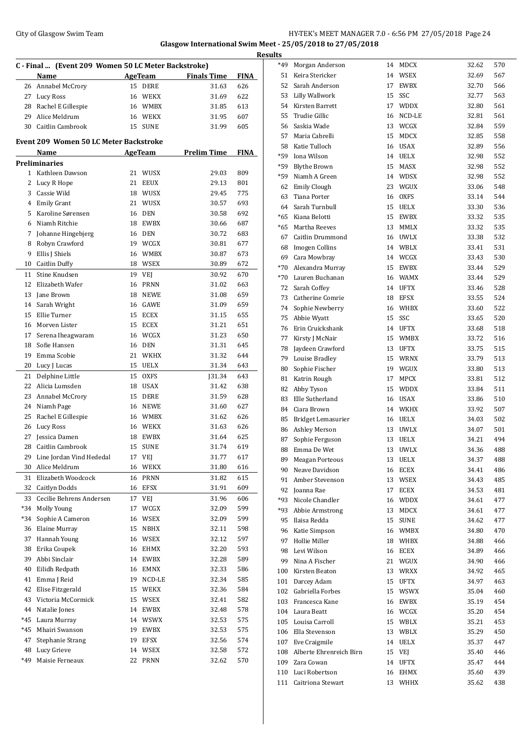## City of Glasgow Swim Team Team Frameters Music City of Glasgow Swim Team Frameters Music City of Glasgow Swim Team Frameters Music City of Glasgow Swim Team Frameters Music City of Glasgow Swim Team Frameters Music City of **Glasgow International Swim Meet - 25/05/2018 to 27/05/2018 Results**

|     | C - Final  (Event 209 Women 50 LC Meter Backstroke) |    |             |                    |             |
|-----|-----------------------------------------------------|----|-------------|--------------------|-------------|
|     | Name                                                |    | AgeTeam     | <b>Finals Time</b> | <b>FINA</b> |
| 26  | Annabel McCrory                                     | 15 | DERE        | 31.63              | 626         |
| 27  | <b>Lucy Ross</b>                                    | 16 | WEKX        | 31.69              | 622         |
| 28  | Rachel E Gillespie                                  |    | 16 WMBX     | 31.85              | 613         |
| 29  | Alice Meldrum                                       |    | 16 WEKX     | 31.95              | 607         |
|     | 30 Caitlin Cambrook                                 | 15 | SUNE        | 31.99              | 605         |
|     |                                                     |    |             |                    |             |
|     | Event 209 Women 50 LC Meter Backstroke              |    |             |                    |             |
|     | Name                                                |    | AgeTeam     | <b>Prelim Time</b> | <b>FINA</b> |
|     | Preliminaries                                       |    |             |                    |             |
|     | 1 Kathleen Dawson                                   | 21 | <b>WUSX</b> | 29.03              | 809         |
| 2   | Lucy R Hope                                         | 21 | <b>EEUX</b> | 29.13              | 801         |
| 3   | Cassie Wild                                         |    | 18 WUSX     | 29.45              | 775         |
| 4   | <b>Emily Grant</b>                                  | 21 | <b>WUSX</b> | 30.57              | 693         |
| 5   |                                                     |    |             |                    |             |
|     | Karoline Sørensen                                   | 16 | DEN         | 30.58              | 692         |
| 6   | Niamh Ritchie                                       |    | 18 EWBX     | 30.66              | 687         |
| 7   | Johanne Hingebjerg                                  | 16 | DEN         | 30.72              | 683         |
| 8   | Robyn Crawford                                      |    | 19 WCGX     | 30.81              | 677         |
| 9   | Ellis J Shiels                                      |    | 16 WMBX     | 30.87              | 673         |
| 10  | <b>Caitlin Duffy</b>                                |    | 18 WSEX     | 30.89              | 672         |
| 11  | Stine Knudsen                                       | 19 | VEJ         | 30.92              | 670         |
| 12  | Elizabeth Wafer                                     | 16 | <b>PRNN</b> | 31.02              | 663         |
| 13  | Jane Brown                                          | 18 | <b>NEWE</b> | 31.08              | 659         |
| 14  | Sarah Wright                                        | 16 | GAWE        | 31.09              | 659         |
| 15  | Ellie Turner                                        | 15 | <b>ECEX</b> | 31.15              | 655         |
| 16  | Morven Lister                                       | 15 | <b>ECEX</b> | 31.21              | 651         |
| 17  | Serena Iheagwaram                                   |    | 16 WCGX     | 31.23              | 650         |
| 18  | Sofie Hansen                                        | 16 | DEN         | 31.31              | 645         |
| 19  | Emma Scobie                                         | 21 | <b>WKHX</b> | 31.32              | 644         |
| 20  | Lucy J Lucas                                        | 15 | UELX        | 31.34              | 643         |
| 21  | Delphine Little                                     | 15 | <b>OXFS</b> | J31.34             | 643         |
| 22  | Alicia Lumsden                                      |    | 18 USAX     | 31.42              | 638         |
| 23  | Annabel McCrory                                     | 15 | DERE        | 31.59              | 628         |
| 24  |                                                     |    | 16 NEWE     | 31.60              | 627         |
|     | Niamh Page                                          |    |             |                    |             |
| 25  | Rachel E Gillespie                                  |    | 16 WMBX     | 31.62              | 626         |
| 26  | Lucy Ross                                           |    | 16 WEKX     | 31.63              | 626         |
| 27  | Jessica Damen                                       | 18 | <b>EWBX</b> | 31.64              | 625         |
|     | 28 Caitlin Cambrook                                 |    | 15 SUNE     | 31.74              | 619         |
| 29  | Line Jordan Vind Hededal                            | 17 | VEJ         | 31.77              | 617         |
| 30  | Alice Meldrum                                       | 16 | WEKX        | 31.80              | 616         |
| 31  | Elizabeth Woodcock                                  | 16 | PRNN        | 31.82              | 615         |
| 32  | Caitlyn Dodds                                       | 16 | EFSX        | 31.91              | 609         |
| 33  | Cecilie Behrens Andersen                            | 17 | VEJ         | 31.96              | 606         |
| *34 | Molly Young                                         | 17 | WCGX        | 32.09              | 599         |
| *34 | Sophie A Cameron                                    | 16 | WSEX        | 32.09              | 599         |
| 36  | <b>Elaine Murray</b>                                | 15 | NBHX        | 32.11              | 598         |
| 37  | Hannah Young                                        | 16 | WSEX        | 32.12              | 597         |
| 38  | Erika Coupek                                        | 16 | EHMX        | 32.20              | 593         |
| 39  | Abbi Sinclair                                       | 14 | EWBX        | 32.28              | 589         |
| 40  | Eilidh Redpath                                      | 16 | EMNX        | 32.33              | 586         |
| 41  | Emma J Reid                                         | 19 | NCD-LE      | 32.34              | 585         |
| 42  | Elise Fitzgerald                                    | 15 | WEKX        | 32.36              | 584         |
| 43  | Victoria McCormick                                  | 15 | WSEX        | 32.41              | 582         |
| 44  | Natalie Jones                                       | 14 | EWBX        | 32.48              | 578         |
| *45 | Laura Murray                                        | 14 | WSWX        | 32.53              | 575         |
|     |                                                     |    |             |                    |             |
| *45 | Mhairi Swanson                                      | 19 | EWBX        | 32.53              | 575         |
| 47  | Stephanie Strang                                    | 19 | <b>EFSX</b> | 32.56              | 574         |
| 48  | Lucy Grieve                                         | 14 | WSEX        | 32.58              | 572         |
| *49 | Maisie Ferneaux                                     | 22 | <b>PRNN</b> | 32.62              | 570         |

| <u>ils</u> |                             |    |             |       |            |
|------------|-----------------------------|----|-------------|-------|------------|
| *49        | Morgan Anderson             |    | 14 MDCX     | 32.62 | 570        |
| 51         | Keira Stericker             |    | 14 WSEX     | 32.69 | 567        |
| 52         | Sarah Anderson              | 17 | EWBX        | 32.70 | 566        |
| 53         | Lilly Wallwork              | 15 | SSC         | 32.77 | 563        |
| 54         | Kirsten Barrett             | 17 | <b>WDDX</b> | 32.80 | 561        |
| 55         | Trudie Gillic               | 16 | NCD-LE      | 32.81 | 561        |
| 56         | Saskia Wade                 | 13 | WCGX        | 32.84 | 559        |
| 57         | Maria Cabrelli              | 15 | MDCX        | 32.85 | 558        |
| 58         | Katie Tulloch               |    | 16 USAX     | 32.89 | 556        |
| *59        | Iona Wilson                 |    | 14 UELX     | 32.98 | 552        |
| *59        | <b>Blythe Brown</b>         | 15 | MASX        | 32.98 | 552        |
| *59        | Niamh A Green               |    | 14 WDSX     | 32.98 | 552        |
| 62         | <b>Emily Clough</b>         | 23 | WGUX        | 33.06 | 548        |
| 63         | Tiana Porter                |    | 16 OXFS     | 33.14 | 544        |
| 64         | Sarah Turnbull              |    | 15 UELX     | 33.30 | 536        |
| $*65$      | Kiana Belotti               |    | 15 EWBX     | 33.32 | 535        |
| $*65$      | Martha Reeves               | 13 | MMLX        | 33.32 | 535        |
| 67         | Caitlin Drummond            |    | 16 UWLX     | 33.38 | 532        |
| 68         | Imogen Collins              |    | 14 WBLX     | 33.41 | 531        |
| 69         | Cara Mowbray                |    | 14 WCGX     | 33.43 | 530        |
| $*70$      | Alexandra Murray            | 15 | EWBX        | 33.44 | 529        |
| $*70$      | Lauren Buchanan             |    | 16 WAMX     | 33.44 | 529        |
| 72         | Sarah Coffey                |    |             |       |            |
|            |                             |    | 14 UFTX     | 33.46 | 528<br>524 |
| 73         | Catherine Comrie            | 18 | EFSX        | 33.55 |            |
| 74         | Sophie Newberry             |    | 16 WHBX     | 33.60 | 522        |
| 75         | Abbie Wyatt                 | 15 | SSC         | 33.65 | 520        |
| 76         | Erin Cruickshank            |    | 14 UFTX     | 33.68 | 518        |
| 77         | Kirsty J McNair             |    | 15 WMBX     | 33.72 | 516        |
| 78         | Jaydeen Crawford            | 13 | <b>UFTX</b> | 33.75 | 515        |
| 79         | Louise Bradley              | 15 | WRNX        | 33.79 | 513        |
| 80         | Sophie Fischer              |    | 19 WGUX     | 33.80 | 513        |
| 81         | Katrin Rough                | 17 | MPCX        | 33.81 | 512        |
| 82         | Abby Tyson                  | 15 | WDDX        | 33.84 | 511        |
| 83         | Elle Sutherland             |    | 16 USAX     | 33.86 | 510        |
| 84         | Ciara Brown                 |    | 14 WKHX     | 33.92 | 507        |
| 85         | Bridget Lemasurier          |    | 16 UELX     | 34.03 | 502        |
| 86         | Ashley Merson               |    | 13 UWLX     | 34.07 | 501        |
| 87         | Sophie Ferguson             | 13 | <b>UELX</b> | 34.21 | 494        |
|            | 88 Emma De Wet              |    | 13 UWLX     | 34.36 | 488        |
| 89         | Meagan Porteous             | 13 | UELX        | 34.37 | 488        |
| 90         | Neave Davidson              | 16 | ECEX        | 34.41 | 486        |
| 91         | Amber Stevenson             |    | 13 WSEX     | 34.43 | 485        |
| 92         | Joanna Rae                  | 17 | ECEX        | 34.53 | 481        |
| *93        | Nicole Chandler             | 16 | <b>WDDX</b> | 34.61 | 477        |
| *93        | Abbie Armstrong             | 13 | MDCX        | 34.61 | 477        |
| 95         | Ilaisa Redda                | 15 | <b>SUNE</b> | 34.62 | 477        |
| 96         | Katie Simpson               | 16 | WMBX        | 34.80 | 470        |
| 97         | Hollie Miller               | 18 | WHBX        | 34.88 | 466        |
| 98         | Levi Wilson                 | 16 | ECEX        | 34.89 | 466        |
| 99         | Nina A Fischer              | 21 | WGUX        | 34.90 | 466        |
| 100        | Kirsten Beaton              | 13 | WRXX        | 34.92 | 465        |
| 101        | Darcey Adam                 | 15 | UFTX        | 34.97 | 463        |
| 102        | Gabriella Forbes            | 15 | WSWX        | 35.04 | 460        |
| 103        | Francesca Kane              |    | 16 EWBX     | 35.19 | 454        |
|            | 104 Laura Beatt             | 16 | WCGX        | 35.20 | 454        |
| 105        | Louisa Carroll              | 15 | WBLX        | 35.21 | 453        |
|            | 106 Ella Stevenson          | 13 | WBLX        | 35.29 | 450        |
| 107        | Eve Craigmile               | 14 | UELX        | 35.37 | 447        |
|            | 108 Alberte Ehrenreich Birn | 15 | VEJ         | 35.40 | 446        |
|            | 109 Zara Cowan              | 14 | UFTX        | 35.47 | 444        |
|            | 110 Luci Robertson          | 16 | EHMX        | 35.60 | 439        |
|            | 111 Caitriona Stewart       |    | 13 WHHX     | 35.62 | 438        |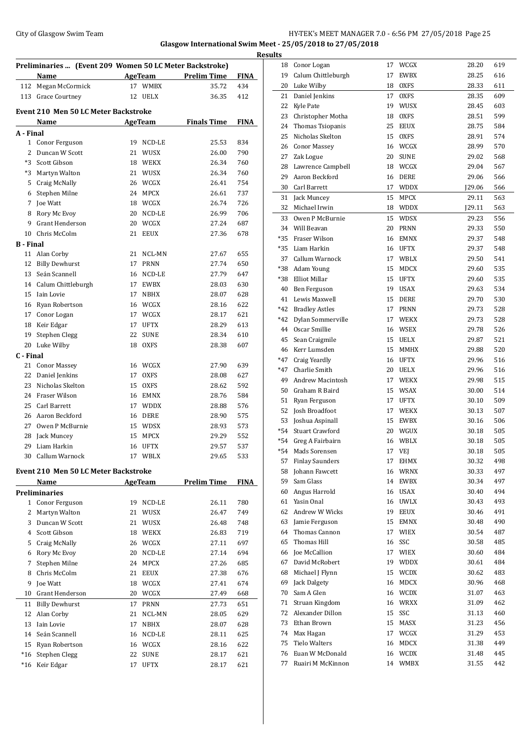## City of Glasgow Swim Team **HY-TEK's MEET MANAGER 7.0 - 6:56 PM 27/05/2018** Page 25 **Glasgow International Swim Meet - 25/05/2018 to 27/05/2018 Results**

|           | Preliminaries  (Event 209 Women 50 LC Meter Backstroke)<br>Name |    | <b>AgeTeam</b>      | <b>Prelim Time</b> | <b>FINA</b> |
|-----------|-----------------------------------------------------------------|----|---------------------|--------------------|-------------|
| 112       | Megan McCormick                                                 |    | 17 WMBX             | 35.72              | 434         |
|           | 113 Grace Courtney                                              | 12 | <b>UELX</b>         | 36.35              | 412         |
|           | Event 210 Men 50 LC Meter Backstroke                            |    |                     |                    |             |
|           | Name                                                            |    | AgeTeam             | <b>Finals Time</b> | <b>FINA</b> |
| A - Final |                                                                 |    |                     |                    |             |
| 1         | Conor Ferguson                                                  | 19 | NCD-LE              | 25.53              | 834         |
| 2         | Duncan W Scott                                                  | 21 | WUSX                | 26.00              | 790         |
| *3        | Scott Gibson                                                    | 18 | WEKX                | 26.34              | 760         |
| *3        | Martyn Walton                                                   |    | 21 WUSX             | 26.34              | 760         |
| 5         | Craig McNally                                                   |    | 26 WCGX             | 26.41              | 754         |
| 6         | Stephen Milne                                                   |    | 24 MPCX             | 26.61              | 737         |
| 7         | Joe Watt                                                        |    | 18 WCGX             | 26.74              | 726         |
| 8         | Rory Mc Evoy                                                    | 20 | NCD-LE              | 26.99              | 706         |
| 9         | Grant Henderson                                                 | 20 | WCGX                | 27.24              | 687         |
| 10        | Chris McColm                                                    | 21 | <b>EEUX</b>         | 27.36              | 678         |
| B - Final |                                                                 |    |                     |                    |             |
| 11        | Alan Corby                                                      | 21 | NCL-MN              | 27.67              | 655         |
| 12        | <b>Billy Dewhurst</b>                                           | 17 | <b>PRNN</b>         | 27.74              | 650         |
| 13        | Seán Scannell                                                   | 16 | NCD-LE              | 27.79              | 647         |
| 14        | Calum Chittleburgh                                              | 17 | <b>EWBX</b>         | 28.03              | 630         |
| 15        | Iain Lovie                                                      | 17 | <b>NBHX</b>         | 28.07              | 628         |
| 16        | Ryan Robertson                                                  |    | 16 WCGX             | 28.16              | 622         |
| 17        | Conor Logan                                                     |    | 17 WCGX             | 28.17              | 621         |
| 18        | Keir Edgar                                                      | 17 | <b>UFTX</b>         | 28.29              | 613         |
| 19        | Stephen Clegg                                                   | 22 | <b>SUNE</b>         | 28.34              | 610         |
| 20        | Luke Wilby                                                      | 18 | <b>OXFS</b>         | 28.38              | 607         |
| C - Final |                                                                 |    |                     |                    |             |
| 21        | <b>Conor Massey</b>                                             |    | 16 WCGX             | 27.90              | 639         |
| 22        | Daniel Jenkins                                                  | 17 | <b>OXFS</b>         | 28.08              | 627         |
| 23        | Nicholas Skelton                                                | 15 | <b>OXFS</b>         | 28.62              | 592         |
| 24        | Fraser Wilson                                                   | 16 | EMNX                | 28.76              | 584         |
| 25        | Carl Barrett                                                    | 17 | WDDX                | 28.88              | 576         |
| 26        | Aaron Beckford                                                  | 16 | DERE                | 28.90              | 575         |
| 27        | Owen P McBurnie                                                 |    | 15 WDSX             | 28.93              | 573         |
| 28        | Jack Muncey                                                     | 15 | MPCX                | 29.29              | 552         |
|           | 29 Liam Harkin                                                  |    | 16 UFTX             | 29.57              | 537         |
|           | 30 Callum Warnock                                               |    | 17 WBLX             | 29.65              | 533         |
|           | <b>Event 210 Men 50 LC Meter Backstroke</b>                     |    |                     |                    |             |
|           | <u>Name</u>                                                     |    | AgeTeam             | <b>Prelim Time</b> | <b>FINA</b> |
|           | Preliminaries                                                   |    |                     |                    |             |
| 1         | Conor Ferguson                                                  | 19 | $NCD-LE$            | 26.11              | 780         |
| 2         | Martyn Walton                                                   | 21 | WUSX                | 26.47              | 749         |
| 3         | Duncan W Scott                                                  | 21 | WUSX                | 26.48              | 748         |
| 4         | Scott Gibson                                                    | 18 | WEKX                | 26.83              | 719         |
| 5         | Craig McNally                                                   | 26 | WCGX                | 27.11              | 697         |
| 6         | Rory Mc Evoy                                                    | 20 | $\sf NCD\text{-}LE$ | 27.14              | 694         |
| 7         | Stephen Milne                                                   | 24 | MPCX                | 27.26              | 685         |
| 8         | Chris McColm                                                    | 21 | <b>EEUX</b>         | 27.38              | 676         |
| 9         | Joe Watt                                                        |    | 18 WCGX             | 27.41              | 674         |

 Grant Henderson 20 WCGX 27.49 668 Billy Dewhurst 17 PRNN 27.73 651 Alan Corby 21 NCL-MN 28.05 629 Iain Lovie 17 NBHX 28.07 628 Seaén Scannell 16 NCD-LE 28.11 625 Ryan Robertson 16 WCGX 28.16 622 \*16 Stephen Clegg 22 SUNE 28.17 621 \*16 Keir Edgar 17 UFTX 28.17 621

| 18          | Conor Logan             | 17 | WCGX        | 28.20   | 619 |
|-------------|-------------------------|----|-------------|---------|-----|
| 19          | Calum Chittleburgh      | 17 | <b>EWBX</b> | 28.25   | 616 |
| 20          | Luke Wilby              | 18 | <b>OXFS</b> | 28.33   | 611 |
| 21          | Daniel Jenkins          | 17 | <b>OXFS</b> | 28.35   | 609 |
| 22          | <b>Kyle Pate</b>        | 19 | WUSX        | 28.45   | 603 |
| 23          | Christopher Motha       | 18 | <b>OXFS</b> | 28.51   | 599 |
| 24          | Thomas Tsiopanis        | 25 | <b>EEUX</b> | 28.75   | 584 |
| 25          | Nicholas Skelton        | 15 | <b>OXFS</b> | 28.91   | 574 |
| 26          | <b>Conor Massey</b>     |    | 16 WCGX     | 28.99   | 570 |
| 27          | Zak Logue               | 20 | <b>SUNE</b> | 29.02   | 568 |
| 28          | Lawrence Campbell       |    | 18 WCGX     | 29.04   | 567 |
| 29          | Aaron Beckford          | 16 | <b>DERE</b> | 29.06   | 566 |
| 30          | Carl Barrett            | 17 | <b>WDDX</b> |         | 566 |
|             |                         |    |             | [29.06] |     |
| 31          | Jack Muncey             | 15 | MPCX        | 29.11   | 563 |
| 32          | Michael Irwin           | 18 | <b>WDDX</b> | J29.11  | 563 |
| 33          | Owen P McBurnie         | 15 | WDSX        | 29.23   | 556 |
| 34          | Will Beavan             | 20 | <b>PRNN</b> | 29.33   | 550 |
| *35         | Fraser Wilson           | 16 | <b>EMNX</b> | 29.37   | 548 |
| $*35$       | Liam Harkin             | 16 | <b>UFTX</b> | 29.37   | 548 |
| 37          | Callum Warnock          | 17 | WBLX        | 29.50   | 541 |
| *38         | Adam Young              | 15 | <b>MDCX</b> | 29.60   | 535 |
| $^{\ast}38$ | Elliot Millar           | 15 | <b>UFTX</b> | 29.60   | 535 |
| 40          | Ben Ferguson            | 19 | <b>USAX</b> | 29.63   | 534 |
| 41          | Lewis Maxwell           | 15 | <b>DERE</b> | 29.70   | 530 |
| $*42$       | <b>Bradley Astles</b>   | 17 | <b>PRNN</b> | 29.73   | 528 |
| $*42$       | Dylan Sommerville       | 17 | <b>WEKX</b> | 29.73   | 528 |
| 44          | Oscar Smillie           | 16 | WSEX        | 29.78   | 526 |
| 45          | Sean Craigmile          |    | 15 UELX     | 29.87   | 521 |
| 46          | Kerr Lumsden            | 15 | <b>MMHX</b> | 29.88   | 520 |
| *47         | Craig Yeardly           | 16 | <b>UFTX</b> | 29.96   | 516 |
| $*47$       | Charlie Smith           | 20 | <b>UELX</b> | 29.96   | 516 |
| 49          | <b>Andrew Macintosh</b> | 17 | WEKX        | 29.98   | 515 |
| 50          | Graham R Baird          | 15 | WSAX        | 30.00   | 514 |
| 51          | Ryan Ferguson           | 17 | <b>UFTX</b> | 30.10   | 509 |
| 52          | Josh Broadfoot          | 17 | WEKX        | 30.13   | 507 |
| 53          | Joshua Aspinall         | 15 | EWBX        | 30.16   | 506 |
| $*54$       | <b>Stuart Crawford</b>  |    | 20 WGUX     | 30.18   | 505 |
| $*54$       | Greg A Fairbairn        |    | WBLX        | 30.18   |     |
| $*54$       | Mads Sorensen           | 16 |             | 30.18   | 505 |
|             |                         | 17 | VEJ         |         | 505 |
| 57          | <b>Finlay Saunders</b>  | 17 | EHMX        | 30.32   | 498 |
| 58          | Johann Fawcett          | 16 | <b>WRNX</b> | 30.33   | 497 |
| 59          | Sam Glass               | 14 | EWBX        | 30.34   | 497 |
| 60          | Angus Harrold           | 16 | USAX        | 30.40   | 494 |
| 61          | Yasin Onal              | 16 | <b>UWLX</b> | 30.43   | 493 |
| 62          | Andrew W Wicks          | 19 | EEUX        | 30.46   | 491 |
| 63          | Jamie Ferguson          | 15 | EMNX        | 30.48   | 490 |
| 64          | Thomas Cannon           | 17 | <b>WIEX</b> | 30.54   | 487 |
| 65          | Thomas Hill             | 16 | SSC         | 30.58   | 485 |
| 66          | Joe McCallion           |    | 17 WIEX     | 30.60   | 484 |
| 67          | David McRobert          | 19 | WDDX        | 30.61   | 484 |
| 68          | Michael J Flynn         | 15 | <b>WCDX</b> | 30.62   | 483 |
| 69          | Jack Dalgety            | 16 | MDCX        | 30.96   | 468 |
| 70          | Sam A Glen              | 16 | <b>WCDX</b> | 31.07   | 463 |
| 71          | Struan Kingdom          | 16 | <b>WRXX</b> | 31.09   | 462 |
| 72          | Alexander Dillon        | 15 | SSC         | 31.13   | 460 |
| 73          | Ethan Brown             | 15 | MASX        | 31.23   | 456 |
| 74          | Max Hagan               | 17 | WCGX        | 31.29   | 453 |
| 75          | <b>Tielo Walters</b>    | 16 | MDCX        | 31.38   | 449 |
| 76          | Euan W McDonald         | 16 | WCDX        | 31.48   | 445 |
| 77          | Ruairi M McKinnon       | 14 | WMBX        | 31.55   | 442 |
|             |                         |    |             |         |     |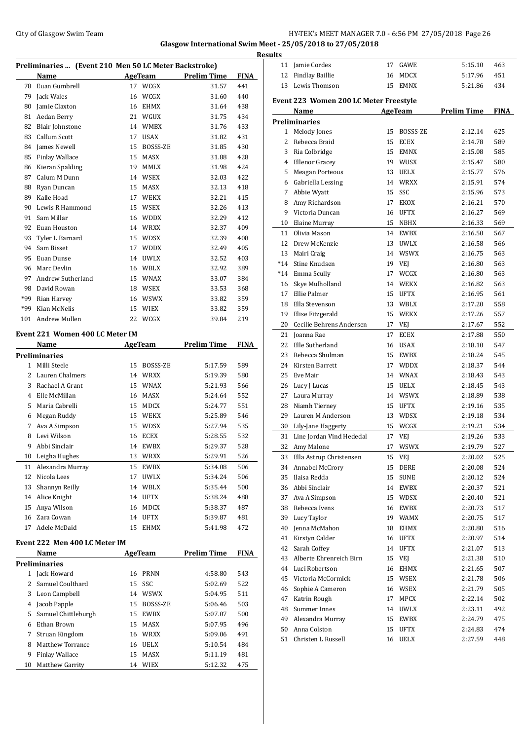### City of Glasgow Swim Team **HY-TEK's MEET MANAGER 7.0 - 6:56 PM 27/05/2018** Page 26 **Glasgow International Swim Meet - 25/05/2018 to 27/05/2018**

**Preliminaries ... (Event 210 Men 50 LC Meter Backstroke) Name Age Team Prelim Time FINA** Euan Gumbrell 17 WCGX 31.57 441 Jack Wales 16 WCGX 31.60 440 Jamie Claxton 16 EHMX 31.64 438 Aedan Berry 21 WGUX 31.75 434 Blair Johnstone 14 WMBX 31.76 433 Callum Scott 17 USAX 31.82 431 84 James Newell 15 BOSSS-ZE 31.85 430 Finlay Wallace 15 MASX 31.88 428 Kieran Spalding 19 MMLX 31.98 424 Calum M Dunn 14 WSEX 32.03 422 Ryan Duncan 15 MASX 32.13 418 Kalle Hoad 17 WEKX 32.21 415 Lewis R Hammond 15 WSEX 32.26 413 Sam Millar 16 WDDX 32.29 412 Euan Houston 14 WRXX 32.37 409 Tyler L Barnard 15 WDSX 32.39 408 Sam Bisset 17 WDDX 32.49 405 Euan Dunse 14 UWLX 32.52 403 Marc Devlin 16 WBLX 32.92 389 Andrew Sutherland 15 WNAX 33.07 384 David Rowan 18 WSEX 33.53 368 \*99 Rian Harvey 16 WSWX 33.82 359 \*99 Kian McNelis 15 WIEX 33.82 359 Andrew Mullen 22 WCGX 39.84 219 **Event 221 Women 400 LC Meter IM Name Age Team Prelim Time FINA Preliminaries** Milli Steele 15 BOSSS-ZE 5:17.59 589 Lauren Chalmers 14 WRXX 5:19.39 580 Rachael A Grant 15 WNAX 5:21.93 566 Elle McMillan 16 MASX 5:24.64 552 Maria Cabrelli 15 MDCX 5:24.77 551 Megan Ruddy 15 WEKX 5:25.89 546

#### **Event 222 Men 400 LC Meter IM**

|    | Name                  |    | AgeTeam     | <b>Prelim Time</b> | <b>FINA</b> |
|----|-----------------------|----|-------------|--------------------|-------------|
|    | Preliminaries         |    |             |                    |             |
|    | Jack Howard           | 16 | PRNN        | 4:58.80            | 543         |
|    | Samuel Coulthard      | 15 | SSC         | 5:02.69            | 522         |
| 3  | Leon Campbell         | 14 | <b>WSWX</b> | 5:04.95            | 511         |
| 4  | Jacob Papple          | 15 | BOSSS-ZE    | 5:06.46            | 503         |
| 5  | Samuel Chittleburgh   | 15 | <b>EWBX</b> | 5:07.07            | 500         |
| 6  | Ethan Brown           | 15 | MASX        | 5:07.95            | 496         |
| 7  | Struan Kingdom        | 16 | WRXX        | 5:09.06            | 491         |
| 8  | Matthew Torrance      | 16 | <b>UELX</b> | 5:10.54            | 484         |
| 9  | <b>Finlay Wallace</b> | 15 | <b>MASX</b> | 5:11.19            | 481         |
| 10 | Matthew Garrity       | 14 | <b>WIEX</b> | 5:12.32            | 475         |

 Ava A Simpson 15 WDSX 5:27.94 535 Levi Wilson 16 ECEX 5:28.55 532 Abbi Sinclair 14 EWBX 5:29.37 528 Leigha Hughes 13 WRXX 5:29.91 526 Alexandra Murray 15 EWBX 5:34.08 506 Nicola Lees 17 UWLX 5:34.24 506 Shannyn Reilly 14 WBLX 5:35.44 500 Alice Knight 14 UFTX 5:38.24 488 Anya Wilson 16 MDCX 5:38.37 487 Zara Cowan 14 UFTX 5:39.87 481 Adele McDaid 15 EHMX 5:41.98 472

| <b>Results</b> |                                        |    |                |                    |             |
|----------------|----------------------------------------|----|----------------|--------------------|-------------|
|                | 11 Jamie Cordes                        |    | 17 GAWE        | 5:15.10            | 463         |
|                | 12 Findlay Baillie                     | 16 | MDCX           | 5:17.96            | 451         |
| 13             | Lewis Thomson                          | 15 | <b>EMNX</b>    | 5:21.86            | 434         |
|                | Event 223 Women 200 LC Meter Freestyle |    |                |                    |             |
|                | Name                                   |    | <b>AgeTeam</b> | <b>Prelim Time</b> | <b>FINA</b> |
|                | <b>Preliminaries</b>                   |    |                |                    |             |
| $1 \quad$      | Melody Jones                           | 15 | BOSSS-ZE       | 2:12.14            | 625         |
| 2              | Rebecca Braid                          | 15 | <b>ECEX</b>    | 2:14.78            | 589         |
| 3              | Ria Colbridge                          | 15 | EMNX           | 2:15.08            | 585         |
|                | 4 Ellenor Gracey                       |    | 19 WUSX        | 2:15.47            | 580         |
|                | 5 Meagan Porteous                      |    | 13 UELX        | 2:15.77            | 576         |
|                | 6 Gabriella Lessing                    |    | 14 WRXX        | 2:15.91            | 574         |
| 7              | Abbie Wyatt                            | 15 | SSC            | 2:15.96            | 573         |
| 8              | Amy Richardson                         | 17 | EKOX           | 2:16.21            | 570         |
| 9              | Victoria Duncan                        | 16 | UFTX           | 2:16.27            | 569         |
| 10             | Elaine Murray                          | 15 | NBHX           | 2:16.33            | 569         |
| 11             | Olivia Mason                           | 14 | EWBX           | 2:16.50            | 567         |
|                | 12 Drew McKenzie                       | 13 | <b>UWLX</b>    | 2:16.58            | 566         |
| 13             | Mairi Craig                            |    | 14 WSWX        | 2:16.75            | 563         |
|                | *14 Stine Knudsen                      |    | 19 VEJ         | 2:16.80            | 563         |
|                | *14 Emma Scully                        | 17 | WCGX           | 2:16.80            | 563         |
| 16             | Skye Mulholland                        |    | 14 WEKX        | 2:16.82            | 563         |
| 17             | Ellie Palmer                           | 15 | <b>UFTX</b>    | 2:16.95            | 561         |
| 18             | Ella Stevenson                         |    | 13 WBLX        | 2:17.20            | 558         |
| 19             | Elise Fitzgerald                       | 15 | <b>WEKX</b>    | 2:17.26            |             |
|                | 20 Cecilie Behrens Andersen            | 17 | VEJ            |                    | 557<br>552  |
|                |                                        |    |                | 2:17.67            |             |
| 21             | Joanna Rae                             | 17 | ECEX           | 2:17.88            | 550         |
|                | 22 Elle Sutherland                     | 16 | USAX           | 2:18.10            | 547         |
| 23             | Rebecca Shulman                        | 15 | EWBX           | 2:18.24            | 545         |
| 24             | Kirsten Barrett                        | 17 | <b>WDDX</b>    | 2:18.37            | 544         |
| 25             | Eve Mair                               |    | 14 WNAX        | 2:18.43            | 543         |
|                | 26 Lucy J Lucas                        | 15 | <b>UELX</b>    | 2:18.45            | 543         |
| 27             | Laura Murray                           | 14 | <b>WSWX</b>    | 2:18.89            | 538         |
|                | 28 Niamh Tierney                       | 15 | <b>UFTX</b>    | 2:19.16            | 535         |
|                | 29 Lauren M Anderson                   | 13 | <b>WDSX</b>    | 2:19.18            | 534         |
|                | 30 Lily-Jane Haggerty                  |    | 15 WCGX        | 2:19.21            | 534         |
|                | 31 Line Jordan Vind Hededal            |    | 17 VEJ         | 2:19.26            | 533         |
|                | 32 Amy Malone                          | 17 | WSWX           | 2:19.79            | 527         |
| 33             | Ella Astrup Christensen                | 15 | VEJ            | 2:20.02            | 525         |
| 34             | Annabel McCrory                        | 15 | DERE           | 2:20.08            | 524         |
| 35             | Ilaisa Redda                           | 15 | <b>SUNE</b>    | 2:20.12            | 524         |
|                | 36 Abbi Sinclair                       | 14 | EWBX           | 2:20.37            | 521         |
| 37             | Ava A Simpson                          | 15 | WDSX           | 2:20.40            | 521         |
| 38             | Rebecca Ivens                          | 16 | EWBX           | 2:20.73            | 517         |
| 39             | Lucy Taylor                            | 19 | WAMX           | 2:20.75            | 517         |
| 40             | Jenna McMahon                          | 18 | EHMX           | 2:20.80            | 516         |
| 41             | Kirstyn Calder                         | 16 | <b>UFTX</b>    | 2:20.97            | 514         |
| 42             | Sarah Coffey                           | 14 | <b>UFTX</b>    | 2:21.07            | 513         |
| 43             | Alberte Ehrenreich Birn                | 15 | VEJ            | 2:21.38            | 510         |
| 44             | Luci Robertson                         | 16 | <b>EHMX</b>    | 2:21.65            | 507         |
| 45             | Victoria McCormick                     | 15 | WSEX           | 2:21.78            | 506         |
| 46             | Sophie A Cameron                       | 16 | WSEX           | 2:21.79            | 505         |
| 47             | Katrin Rough                           | 17 | MPCX           | 2:22.14            | 502         |
| 48             | Summer Innes                           | 14 | <b>UWLX</b>    | 2:23.11            | 492         |
| 49             | Alexandra Murray                       | 15 | EWBX           | 2:24.79            | 475         |
| 50             | Anna Colston                           | 15 | UFTX           | 2:24.83            | 474         |
| 51             | Christen L Russell                     | 16 | <b>UELX</b>    | 2:27.59            | 448         |
|                |                                        |    |                |                    |             |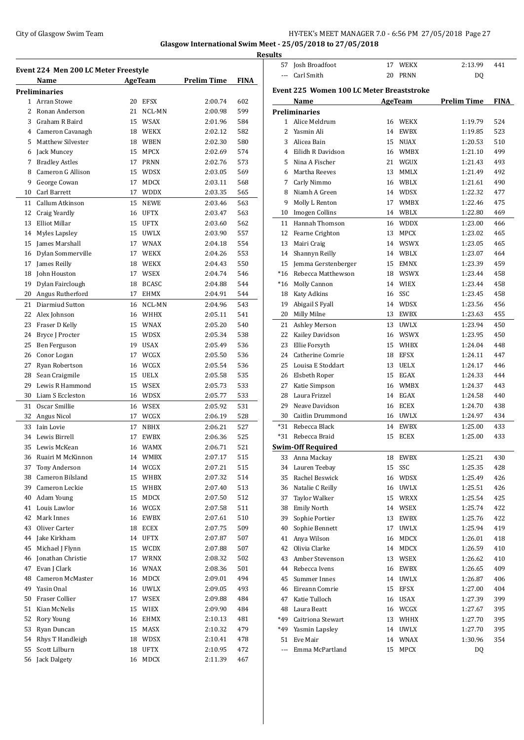## City of Glasgow Swim Team Team Frameters Music City of Glasgow Swim Team Frameters 27 and HY-TEK's MEET MANAGER 7.0 - 6:56 PM 27/05/2018 Page 27 **Glasgow International Swim Meet - 25/05/2018 to 27/05/2018**

**Results**

|    | Event 224  Men 200 LC Meter Freestyle |    |              |                    |             |
|----|---------------------------------------|----|--------------|--------------------|-------------|
|    | Name                                  |    | AgeTeam      | <b>Prelim Time</b> | <b>FINA</b> |
|    | Preliminaries                         |    |              |                    |             |
| 1  | Arran Stowe                           |    | 20 EFSX      | 2:00.74            | 602         |
| 2  | Ronan Anderson                        | 21 | NCL-MN       | 2:00.98            | 599         |
| 3  | Graham R Baird                        | 15 | <b>WSAX</b>  | 2:01.96            | 584         |
|    | 4 Cameron Cavanagh                    | 18 | WEKX         | 2:02.12            | 582         |
| 5  | <b>Matthew Silvester</b>              | 18 | <b>WBEN</b>  | 2:02.30            | 580         |
| 6  | Jack Muncey                           | 15 | <b>MPCX</b>  | 2:02.69            | 574         |
| 7  | <b>Bradley Astles</b>                 | 17 | <b>PRNN</b>  | 2:02.76            | 573         |
| 8  | Cameron G Allison                     | 15 | <b>WDSX</b>  | 2:03.05            | 569         |
| 9  | George Cowan                          | 17 | <b>MDCX</b>  | 2:03.11            | 568         |
| 10 | Carl Barrett                          | 17 | <b>WDDX</b>  | 2:03.35            | 565         |
| 11 | Callum Atkinson                       | 15 | <b>NEWE</b>  | 2:03.46            | 563         |
| 12 | Craig Yeardly                         | 16 | <b>UFTX</b>  | 2:03.47            | 563         |
| 13 | Elliot Millar                         | 15 | <b>UFTX</b>  | 2:03.60            | 562         |
| 14 | Myles Lapsley                         | 15 | <b>UWLX</b>  | 2:03.90            | 557         |
| 15 | James Marshall                        | 17 | <b>WNAX</b>  | 2:04.18            | 554         |
| 16 | Dylan Sommerville                     | 17 | <b>WEKX</b>  | 2:04.26            | 553         |
| 17 | James Reilly                          | 18 | <b>WEKX</b>  | 2:04.43            | 550         |
| 18 | John Houston                          | 17 | <b>WSEX</b>  | 2:04.74            | 546         |
| 19 | Dylan Fairclough                      | 18 | <b>BCASC</b> | 2:04.88            | 544         |
| 20 | Angus Rutherford                      | 17 | <b>EHMX</b>  | 2:04.91            | 544         |
| 21 | Diarmiud Sutton                       | 16 | NCL-MN       | 2:04.96            | 543         |
| 22 | Alex Johnson                          | 16 | WHHX         | 2:05.11            | 541         |
| 23 | Fraser D Kelly                        | 15 | <b>WNAX</b>  | 2:05.20            | 540         |
| 24 | Bryce J Procter                       | 15 | <b>WDSX</b>  | 2:05.34            | 538         |
| 25 | Ben Ferguson                          | 19 | <b>USAX</b>  | 2:05.49            | 536         |
| 26 | Conor Logan                           | 17 | WCGX         | 2:05.50            | 536         |
| 27 | Ryan Robertson                        | 16 | WCGX         | 2:05.54            | 536         |
| 28 | Sean Craigmile                        | 15 | <b>UELX</b>  | 2:05.58            | 535         |
| 29 | Lewis R Hammond                       | 15 | <b>WSEX</b>  | 2:05.73            | 533         |
| 30 | Liam S Eccleston                      | 16 | WDSX         | 2:05.77            | 533         |
| 31 | Oscar Smillie                         | 16 | <b>WSEX</b>  | 2:05.92            | 531         |
| 32 | Angus Nicol                           | 17 | WCGX         | 2:06.19            | 528         |
| 33 | <b>Jain Lovie</b>                     | 17 | NBHX         | 2:06.21            | 527         |
| 34 | Lewis Birrell                         | 17 | <b>EWBX</b>  | 2:06.36            | 525         |
| 35 | Lewis McKean                          | 16 | <b>WAMX</b>  | 2:06.71            | 521         |
| 36 | Ruairi M McKinnon                     | 14 | WMBX         | 2:07.17            | 515         |
| 37 | Tony Anderson                         | 14 | WCGX         | 2:07.21            | 515         |
| 38 | Cameron Bilsland                      | 15 | WHBX         | 2:07.32            | 514         |
| 39 | Cameron Leckie                        | 15 | WHBX         | 2:07.40            | 513         |
| 40 | Adam Young                            | 15 | MDCX         | 2:07.50            | 512         |
| 41 | Louis Lawlor                          |    | 16 WCGX      | 2:07.58            | 511         |
| 42 | Mark Innes                            | 16 | EWBX         | 2:07.61            | 510         |
| 43 | Oliver Carter                         | 18 | ECEX         | 2:07.75            | 509         |
| 44 | Jake Kirkham                          | 14 | UFTX         | 2:07.87            | 507         |
| 45 | Michael J Flynn                       |    | 15 WCDX      | 2:07.88            | 507         |
| 46 | Jonathan Christie                     | 17 | WRNX         | 2:08.32            | 502         |
| 47 | Evan J Clark                          | 16 | WNAX         | 2:08.36            | 501         |
| 48 | Cameron McMaster                      | 16 | MDCX         | 2:09.01            | 494         |
| 49 | Yasin Onal                            | 16 | UWLX         | 2:09.05            | 493         |
| 50 | Fraser Collier                        | 17 | WSEX         | 2:09.88            | 484         |
| 51 | Kian McNelis                          | 15 | WIEX         | 2:09.90            | 484         |
| 52 | Rory Young                            | 16 | EHMX         | 2:10.13            | 481         |
| 53 | Ryan Duncan                           | 15 | MASX         | 2:10.32            | 479         |
| 54 | Rhys T Handleigh                      | 18 | WDSX         | 2:10.41            | 478         |
| 55 | Scott Lilburn                         | 18 | UFTX         | 2:10.95            | 472         |
| 56 | Jack Dalgety                          | 16 | MDCX         | 2:11.39            | 467         |
|    |                                       |    |              |                    |             |

| <u>ILS</u>     |                                                  |    |                    |                    |             |
|----------------|--------------------------------------------------|----|--------------------|--------------------|-------------|
| 57             | Josh Broadfoot                                   |    | 17 WEKX            | 2:13.99            | 441         |
| $\overline{a}$ | Carl Smith                                       | 20 | <b>PRNN</b>        | DQ                 |             |
|                | <b>Event 225 Women 100 LC Meter Breaststroke</b> |    |                    |                    |             |
|                |                                                  |    |                    |                    |             |
|                | Name                                             |    | AgeTeam            | <b>Prelim Time</b> | <b>FINA</b> |
| $\mathbf{1}$   | Preliminaries<br>Alice Meldrum                   |    |                    |                    |             |
| $\overline{2}$ | Yasmin Ali                                       | 16 | WEKX               | 1:19.79            | 524<br>523  |
|                |                                                  |    | 14 EWBX<br>15 NUAX | 1:19.85            |             |
| 3              | Alicea Bain<br>Eilidh R Davidson                 |    |                    | 1:20.53            | 510         |
| 4<br>5         | Nina A Fischer                                   |    | 16 WMBX<br>21 WGUX | 1:21.10<br>1:21.43 | 499         |
| 6              | Martha Reeves                                    |    | 13 MMLX            |                    | 493         |
|                |                                                  |    | 16 WBLX            | 1:21.49            | 492         |
| 7<br>8         | Carly Nimmo<br>Niamh A Green                     |    | 14 WDSX            | 1:21.61<br>1:22.32 | 490         |
| 9              |                                                  |    | 17 WMBX            | 1:22.46            | 477         |
|                | Molly L Renton                                   |    | 14 WBLX            |                    | 475         |
| 10             | <b>Imogen Collins</b>                            |    |                    | 1:22.80            | 469         |
| 11             | Hannah Thomson                                   |    | 16 WDDX<br>13 MPCX | 1:23.00            | 466         |
| 12             | Fearne Crighton                                  |    |                    | 1:23.02            | 465         |
| 13             | Mairi Craig                                      |    | 14 WSWX            | 1:23.05            | 465         |
| 14             | Shannyn Reilly                                   |    | 14 WBLX            | 1:23.07            | 464         |
| 15             | Jemma Gerstenberger                              |    | 15 EMNX            | 1:23.39            | 459         |
| *16            | Rebecca Matthewson                               |    | 18 WSWX            | 1:23.44            | 458         |
| *16            | Molly Cannon                                     |    | 14 WIEX            | 1:23.44            | 458         |
| 18             | <b>Katy Adkins</b>                               |    | 16 SSC             | 1:23.45            | 458         |
| 19             | Abigail S Fyall                                  |    | 14 WDSX            | 1:23.56            | 456         |
| 20             | Milly Milne                                      |    | 13 EWBX            | 1:23.63            | 455         |
| 21             | Ashley Merson                                    |    | 13 UWLX            | 1:23.94            | 450         |
| 22             | Kailey Davidson                                  |    | 16 WSWX            | 1:23.95            | 450         |
| 23             | Ellie Forsyth                                    |    | 15 WHBX            | 1:24.04            | 448         |
| 24             | Catherine Comrie                                 |    | 18 EFSX            | 1:24.11            | 447         |
| 25             | Louisa E Stoddart                                |    | 13 UELX            | 1:24.17            | 446         |
| 26             | Elsbeth Roper                                    |    | 15 EGAX            | 1:24.33            | 444         |
| 27             | Katie Simpson                                    |    | 16 WMBX            | 1:24.37            | 443         |
| 28             | Laura Frizzel                                    |    | 14 EGAX            | 1:24.58            | 440         |
| 29             | Neave Davidson                                   |    | 16 ECEX            | 1:24.70            | 438         |
| 30             | Caitlin Drummond                                 |    | 16 UWLX            | 1:24.97            | 434         |
| $*31$          | Rebecca Black                                    |    | 14 EWBX            | 1:25.00            | 433         |
| $*31$          | Rebecca Braid                                    | 15 | <b>ECEX</b>        | 1:25.00            | 433         |
|                | Swim-Off Required                                |    |                    |                    |             |
| 33             | Anna Mackay                                      | 18 | <b>EWBX</b>        | 1:25.21            | 430         |
| 34             | Lauren Teebay                                    | 15 | SSC                | 1:25.35            | 428         |
| 35             | Rachel Beswick                                   | 16 | WDSX               | 1:25.49            | 426         |
| 36             | Natalie C Reilly                                 | 16 | UWLX               | 1:25.51            | 426         |
| 37             | Taylor Walker                                    | 15 | WRXX               | 1:25.54            | 425         |
| 38             | <b>Emily North</b>                               |    | 14 WSEX            | 1:25.74            | 422         |
| 39             | Sophie Portier                                   | 13 | EWBX               | 1:25.76            | 422         |
| 40             | Sophie Bennett                                   | 17 | UWLX               | 1:25.94            | 419         |
| 41             | Anya Wilson                                      | 16 | MDCX               | 1:26.01            | 418         |
| 42             | Olivia Clarke                                    |    | 14 MDCX            | 1:26.59            | 410         |
| 43             | Amber Stevenson                                  |    | 13 WSEX            | 1:26.62            | 410         |
| 44             | Rebecca Ivens                                    | 16 | EWBX               | 1:26.65            | 409         |
| 45             | Summer Innes                                     |    | 14 UWLX            | 1:26.87            | 406         |
| 46             | Eireann Comrie                                   | 15 | EFSX               | 1:27.00            | 404         |
| 47             | Katie Tulloch                                    | 16 | USAX               | 1:27.39            | 399         |
| 48             | Laura Beatt                                      |    | 16 WCGX            | 1:27.67            | 395         |
| *49            | Caitriona Stewart                                |    | 13 WHHX            | 1:27.70            | 395         |
| *49            | Yasmin Lapsley                                   |    | 14 UWLX            | 1:27.70            | 395         |
| 51             | Eve Mair                                         |    | 14 WNAX            | 1:30.96            | 354         |
| ---            | Emma McPartland                                  | 15 | MPCX               | DQ                 |             |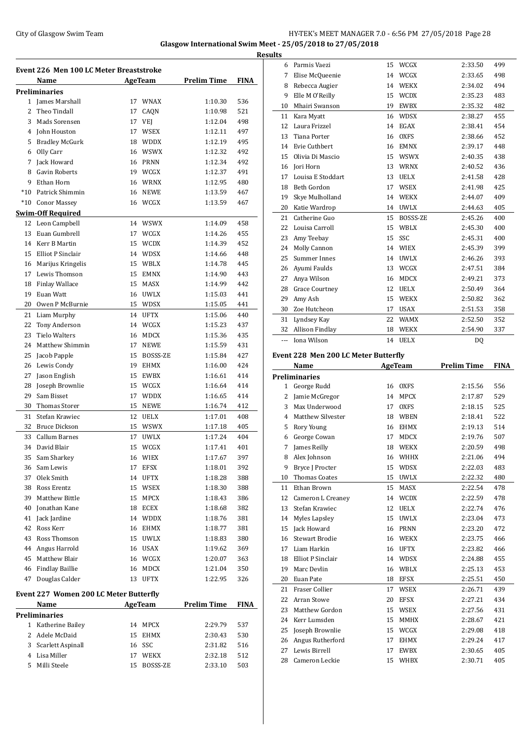## City of Glasgow Swim Team **HY-TEK's MEET MANAGER 7.0 - 6:56 PM 27/05/2018** Page 28 **Glasgow International Swim Meet - 25/05/2018 to 27/05/2018**

**Event 226 Men 100 LC Meter Breaststroke Name Age Team Prelim Time FINA Preliminaries** James Marshall 17 WNAX 1:10.30 536 Theo Tindall 17 CAQN 1:10.98 521 3 Mads Sorensen 17 VEJ 1:12.04 498 John Houston 17 WSEX 1:12.11 497 Bradley McGurk 18 WDDX 1:12.19 495 Olly Carr 16 WSWX 1:12.32 492 Jack Howard 16 PRNN 1:12.34 492 Gavin Roberts 19 WCGX 1:12.37 491 9 Ethan Horn 16 WRNX 1:12.95 480 \*10 Patrick Shimmin 16 NEWE 1:13.59 467 \*10 Conor Massey 16 WCGX 1:13.59 467 **Swim-Off Required** Leon Campbell 14 WSWX 1:14.09 458 13 Euan Gumbrell 17 WCGX 1:14.26 455 Kerr B Martin 15 WCDX 1:14.39 452 Elliot P Sinclair 14 WDSX 1:14.66 448 Marijus Kringelis 15 WBLX 1:14.78 445 Lewis Thomson 15 EMNX 1:14.90 443 Finlay Wallace 15 MASX 1:14.99 442 Euan Watt 16 UWLX 1:15.03 441 Owen P McBurnie 15 WDSX 1:15.05 441 Liam Murphy 14 UFTX 1:15.06 440 Tony Anderson 14 WCGX 1:15.23 437 Tielo Walters 16 MDCX 1:15.36 435 Matthew Shimmin 17 NEWE 1:15.59 431 25 Jacob Papple 15 BOSSS-ZE 1:15.84 427 Lewis Condy 19 EHMX 1:16.00 424 Jason English 15 EWBX 1:16.61 414 Joseph Brownlie 15 WCGX 1:16.64 414 Sam Bisset 17 WDDX 1:16.65 414 Thomas Storer 15 NEWE 1:16.74 412 Stefan Krawiec 12 UELX 1:17.01 408 Bruce Dickson 15 WSWX 1:17.18 405 Callum Barnes 17 UWLX 1:17.24 404 David Blair 15 WCGX 1:17.41 401 Sam Sharkey 16 WIEX 1:17.67 397 Sam Lewis 17 EFSX 1:18.01 392 Olek Smith 14 UFTX 1:18.28 388 Ross Erentz 15 WSEX 1:18.30 388 Matthew Bittle 15 MPCX 1:18.43 386 Jonathan Kane 18 ECEX 1:18.68 382 Jack Jardine 14 WDDX 1:18.76 381 42 Ross Kerr 16 EHMX 1:18.77 381 Ross Thomson 15 UWLX 1:18.83 380 Angus Harrold 16 USAX 1:19.62 369 Matthew Blair 16 WCGX 1:20.07 363 Findlay Baillie 16 MDCX 1:21.04 350 Douglas Calder 13 UFTX 1:22.95 326 **Event 227 Women 200 LC Meter Butterfly**

### **Name Age Team Prelim Time FINA Preliminaries** Katherine Bailey 14 MPCX 2:29.79 537

| 1 Katherine Bailey  | 14 MPCX     | $2:29.79$ 537 |     |
|---------------------|-------------|---------------|-----|
| 2 Adele McDaid      | 15 EHMX     | 2:30.43       | 530 |
| 3 Scarlett Aspinall | 16 SSC      | 2:31.82       | 516 |
| 4 Lisa Miller       | 17 WEKX     | 2:32.18       | 512 |
| 5 Milli Steele      | 15 BOSSS-ZE | 2:33.10       | 503 |
|                     |             |               |     |

|    | <b>Results</b> |                                       |    |                 |         |     |
|----|----------------|---------------------------------------|----|-----------------|---------|-----|
|    | 6              | Parmis Vaezi                          | 15 | WCGX            | 2:33.50 | 499 |
|    | 7              | Elise McQueenie                       | 14 | WCGX            | 2:33.65 | 498 |
| J, | 8              | Rebecca Augier                        | 14 | <b>WEKX</b>     | 2:34.02 | 494 |
|    | 9              | Elle M O'Reilly                       | 15 | <b>WCDX</b>     | 2:35.23 | 483 |
|    | 10             | Mhairi Swanson                        | 19 | <b>EWBX</b>     | 2:35.32 | 482 |
|    | 11             | Kara Myatt                            | 16 | <b>WDSX</b>     | 2:38.27 | 455 |
|    | 12             | Laura Frizzel                         | 14 | <b>EGAX</b>     | 2:38.41 | 454 |
|    | 13             | <b>Tiana Porter</b>                   | 16 | <b>OXFS</b>     | 2:38.66 | 452 |
|    | 14             | <b>Evie Cuthbert</b>                  | 16 | <b>EMNX</b>     | 2:39.17 | 448 |
|    | 15             | Olivia Di Mascio                      | 15 | <b>WSWX</b>     | 2:40.35 | 438 |
|    | 16             | Jori Horn                             | 13 | <b>WRNX</b>     | 2:40.52 | 436 |
|    | 17             | Louisa E Stoddart                     | 13 | <b>UELX</b>     | 2:41.58 | 428 |
|    | 18             | Beth Gordon                           | 17 | <b>WSEX</b>     | 2:41.98 | 425 |
|    | 19             | Skye Mulholland                       | 14 | <b>WEKX</b>     | 2:44.07 | 409 |
|    | 20             | Katie Wardrop                         | 14 | <b>UWLX</b>     | 2:44.63 | 405 |
|    | 21             | Catherine Guo                         | 15 | <b>BOSSS-ZE</b> | 2:45.26 | 400 |
|    | 22             | Louisa Carroll                        | 15 | WBLX            | 2:45.30 | 400 |
|    | 23             | Amy Teebay                            | 15 | SSC             | 2:45.31 | 400 |
|    | 24             | Molly Cannon                          | 14 | <b>WIEX</b>     | 2:45.39 | 399 |
|    | 25             | Summer Innes                          | 14 | <b>UWLX</b>     | 2:46.26 | 393 |
|    | 26             | Ayumi Faulds                          | 13 | WCGX            | 2:47.51 | 384 |
|    | 27             | Anya Wilson                           | 16 | <b>MDCX</b>     | 2:49.21 | 373 |
|    | 28             | <b>Grace Courtney</b>                 | 12 | <b>UELX</b>     | 2:50.49 | 364 |
|    | 29             | Amy Ash                               | 15 | <b>WEKX</b>     | 2:50.82 | 362 |
|    | 30             | Zoe Hutcheon                          | 17 | <b>USAX</b>     | 2:51.53 | 358 |
|    | 31             | Lyndsey Kay                           | 22 | <b>WAMX</b>     | 2:52.50 | 352 |
|    | 32             | Allison Findlay                       | 18 | <b>WEKX</b>     | 2:54.90 | 337 |
|    | $\overline{a}$ | Iona Wilson                           |    | 14 UELX         | DQ      |     |
|    |                | Fvent 228. Men 200 LC Meter Rutterfly |    |                 |         |     |

## **Event 228 Men 200 LC Meter Butterfly**

|              | Name                     |    | AgeTeam     | <b>Prelim Time</b> | <b>FINA</b> |
|--------------|--------------------------|----|-------------|--------------------|-------------|
|              | <b>Preliminaries</b>     |    |             |                    |             |
| $\mathbf{1}$ | George Rudd              | 16 | <b>OXFS</b> | 2:15.56            | 556         |
| 2            | Jamie McGregor           | 14 | <b>MPCX</b> | 2:17.87            | 529         |
| 3            | Max Underwood            | 17 | <b>OXFS</b> | 2:18.15            | 525         |
| 4            | <b>Matthew Silvester</b> | 18 | <b>WBEN</b> | 2:18.41            | 522         |
| 5            | Rory Young               | 16 | <b>EHMX</b> | 2:19.13            | 514         |
| 6            | George Cowan             | 17 | <b>MDCX</b> | 2:19.76            | 507         |
| 7            | James Reilly             | 18 | <b>WEKX</b> | 2:20.59            | 498         |
| 8            | Alex Johnson             | 16 | WHHX        | 2:21.06            | 494         |
| 9            | <b>Bryce J Procter</b>   | 15 | <b>WDSX</b> | 2:22.03            | 483         |
| 10           | <b>Thomas Coates</b>     | 15 | <b>UWLX</b> | 2:22.32            | 480         |
| 11           | Ethan Brown              | 15 | <b>MASX</b> | 2:22.54            | 478         |
| 12           | Cameron L Creaney        | 14 | <b>WCDX</b> | 2:22.59            | 478         |
| 13           | Stefan Krawiec           | 12 | <b>UELX</b> | 2:22.74            | 476         |
| 14           | Myles Lapsley            | 15 | <b>UWLX</b> | 2:23.04            | 473         |
| 15           | Jack Howard              | 16 | <b>PRNN</b> | 2:23.20            | 472         |
| 16           | Stewart Brodie           | 16 | <b>WEKX</b> | 2:23.75            | 466         |
| 17           | Liam Harkin              | 16 | <b>UFTX</b> | 2:23.82            | 466         |
| 18           | <b>Elliot P Sinclair</b> | 14 | <b>WDSX</b> | 2:24.88            | 455         |
| 19           | Marc Devlin              | 16 | WBLX        | 2:25.13            | 453         |
| 20           | Euan Pate                | 18 | <b>EFSX</b> | 2:25.51            | 450         |
| 21           | Fraser Collier           | 17 | <b>WSEX</b> | 2:26.71            | 439         |
| 22           | Arran Stowe              | 20 | <b>EFSX</b> | 2:27.21            | 434         |
| 23           | Matthew Gordon           | 15 | <b>WSEX</b> | 2:27.56            | 431         |
| 24           | Kerr Lumsden             | 15 | <b>MMHX</b> | 2:28.67            | 421         |
| 25           | Joseph Brownlie          | 15 | WCGX        | 2:29.08            | 418         |
| 26           | Angus Rutherford         | 17 | <b>EHMX</b> | 2:29.24            | 417         |
| 27           | Lewis Birrell            | 17 | <b>EWBX</b> | 2:30.65            | 405         |
| 28           | Cameron Leckie           | 15 | WHBX        | 2:30.71            | 405         |
|              |                          |    |             |                    |             |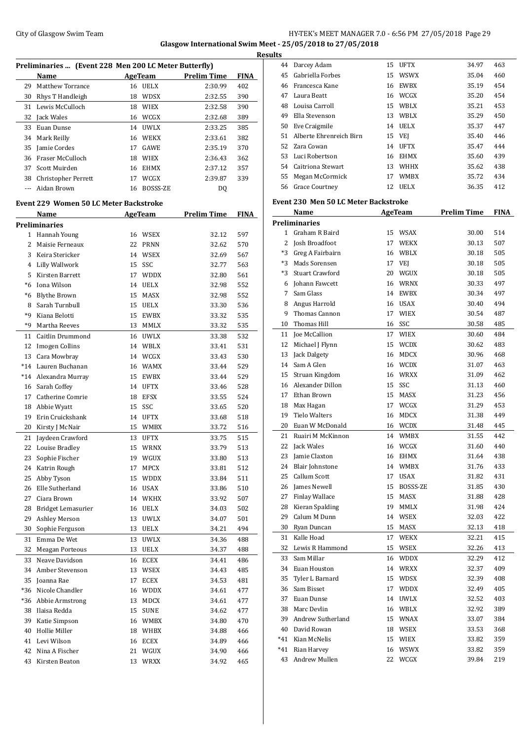## City of Glasgow Swim Team Team Feam Fermi States of Glasgow Swim Team Feam Fermi States of American States and HY-TEK's MEET MANAGER 7.0 - 6:56 PM 27/05/2018 Page 29 **Glasgow International Swim Meet - 25/05/2018 to 27/05/2018**

|         | Preliminaries  (Event 228 Men 200 LC Meter Butterfly) |    |                |                    |             |
|---------|-------------------------------------------------------|----|----------------|--------------------|-------------|
|         | Name                                                  |    | AgeTeam        | <b>Prelim Time</b> | FINA        |
| 29      | Matthew Torrance                                      |    | 16 UELX        | 2:30.99            | 402         |
|         | 30 Rhys T Handleigh                                   |    | 18 WDSX        | 2:32.55            | 390         |
|         | 31 Lewis McCulloch                                    |    | 18 WIEX        | 2:32.58            | 390         |
|         | 32 Jack Wales                                         |    | 16 WCGX        | 2:32.68            | 389         |
|         | 33 Euan Dunse                                         |    | 14 UWLX        | 2:33.25            | 385         |
|         | 34 Mark Reilly                                        |    | 16 WEKX        | 2:33.61            | 382         |
|         | 35 Jamie Cordes                                       |    | 17 GAWE        | 2:35.19            | 370         |
|         | 36 Fraser McCulloch                                   |    | 18 WIEX        | 2:36.43            | 362         |
| 37      | Scott Muirden                                         |    | 16 EHMX        | 2:37.12            | 357         |
|         | 38 Christopher Perrett                                |    | 17 WCGX        | 2:39.87            | 339         |
| $- - -$ | Aidan Brown                                           |    | 16 BOSSS-ZE    | DQ                 |             |
|         |                                                       |    |                |                    |             |
|         | Event 229 Women 50 LC Meter Backstroke                |    |                |                    |             |
|         | Name                                                  |    | <b>AgeTeam</b> | <b>Prelim Time</b> | <b>FINA</b> |
|         | <b>Preliminaries</b>                                  |    |                |                    |             |
|         | 1 Hannah Young                                        |    | 16 WSEX        | 32.12              | 597         |
|         | 2 Maisie Ferneaux                                     |    | 22 PRNN        | 32.62              | 570         |
|         | 3 Keira Stericker                                     |    | 14 WSEX        | 32.69              | 567         |
|         | 4 Lilly Wallwork                                      |    | 15 SSC         | 32.77              | 563         |
|         | 5 Kirsten Barrett                                     |    | 17 WDDX        | 32.80              | 561         |
|         | *6 Iona Wilson                                        |    | 14 UELX        | 32.98              | 552         |
| *6      | <b>Blythe Brown</b>                                   |    | 15 MASX        | 32.98              | 552         |
| 8       | Sarah Turnbull                                        |    | 15 UELX        | 33.30              | 536         |
| *9      | Kiana Belotti                                         |    | 15 EWBX        | 33.32              | 535         |
| *9      | Martha Reeves                                         |    | 13 MMLX        | 33.32              | 535         |
| 11      | Caitlin Drummond                                      |    | 16 UWLX        | 33.38              | 532         |
| 12      | Imogen Collins                                        |    | 14 WBLX        | 33.41              | 531         |
|         | 13 Cara Mowbray                                       |    | 14 WCGX        | 33.43              | 530         |
|         | *14 Lauren Buchanan                                   |    | 16 WAMX        | 33.44              | 529         |
|         | *14 Alexandra Murray                                  |    | 15 EWBX        | 33.44              | 529         |
|         | 16 Sarah Coffey                                       |    | 14 UFTX        | 33.46              | 528         |
|         | 17 Catherine Comrie                                   |    | 18 EFSX        | 33.55              | 524         |
|         | 18 Abbie Wyatt                                        |    | 15 SSC         | 33.65              | 520         |
| 19      | Erin Cruickshank                                      |    | 14 UFTX        | 33.68              | 518         |
| 20      | Kirsty J McNair                                       |    | 15 WMBX        | 33.72              | 516         |
|         | 21 Jaydeen Crawford                                   |    | 13 UFTX        | 33.75              | 515         |
| 22      | Louise Bradley                                        | 15 | WRNX           | 33.79              | 513         |
| 23      | Sophie Fischer                                        |    | 19 WGUX        | 33.80              | 513         |
| 24      | Katrin Rough                                          | 17 | MPCX           | 33.81              | 512         |
| 25      | Abby Tyson                                            |    | 15 WDDX        | 33.84              | 511         |
| 26      | Elle Sutherland                                       |    | 16 USAX        | 33.86              | 510         |
| 27      | Ciara Brown                                           |    | 14 WKHX        | 33.92              | 507         |
| 28      | Bridget Lemasurier                                    |    | 16 UELX        | 34.03              | 502         |
| 29      | Ashley Merson                                         |    | 13 UWLX        | 34.07              | 501         |
| 30      | Sophie Ferguson                                       |    | 13 UELX        | 34.21              | 494         |
| 31      | Emma De Wet                                           |    | 13 UWLX        | 34.36              | 488         |
| 32      | Meagan Porteous                                       |    | 13 UELX        | 34.37              | 488         |
| 33      | Neave Davidson                                        |    | 16 ECEX        | 34.41              | 486         |
| 34      | Amber Stevenson                                       |    | 13 WSEX        | 34.43              | 485         |
| 35      | Joanna Rae                                            | 17 | ECEX           | 34.53              | 481         |
| *36     | Nicole Chandler                                       |    | 16 WDDX        | 34.61              | 477         |
|         |                                                       |    |                |                    |             |
| *36     | Abbie Armstrong                                       |    | 13 MDCX        | 34.61              | 477         |
| 38      | Ilaisa Redda                                          | 15 | <b>SUNE</b>    | 34.62              | 477         |
| 39      | Katie Simpson                                         |    | 16 WMBX        | 34.80              | 470         |
| 40      | Hollie Miller                                         |    | 18 WHBX        | 34.88              | 466         |
| 41      | Levi Wilson                                           |    | 16 ECEX        | 34.89              | 466         |
| 42      | Nina A Fischer                                        |    | 21 WGUX        | 34.90              | 466         |
| 43      | Kirsten Beaton                                        |    | 13 WRXX        | 34.92              | 465         |

| 44 Darcey Adam                |                                                                                                                 |             | 34.97                                                                                                                                                                                                                                                                                                                                                                                                                                                                                                                | 463                                                    |
|-------------------------------|-----------------------------------------------------------------------------------------------------------------|-------------|----------------------------------------------------------------------------------------------------------------------------------------------------------------------------------------------------------------------------------------------------------------------------------------------------------------------------------------------------------------------------------------------------------------------------------------------------------------------------------------------------------------------|--------------------------------------------------------|
| 45 Gabriella Forbes           | 15                                                                                                              |             | 35.04                                                                                                                                                                                                                                                                                                                                                                                                                                                                                                                | 460                                                    |
| 46 Francesca Kane             |                                                                                                                 |             | 35.19                                                                                                                                                                                                                                                                                                                                                                                                                                                                                                                | 454                                                    |
| 47 Laura Beatt                |                                                                                                                 |             | 35.20                                                                                                                                                                                                                                                                                                                                                                                                                                                                                                                | 454                                                    |
| 48 Louisa Carroll             |                                                                                                                 |             | 35.21                                                                                                                                                                                                                                                                                                                                                                                                                                                                                                                | 453                                                    |
| 49<br>Ella Stevenson          | 13                                                                                                              |             | 35.29                                                                                                                                                                                                                                                                                                                                                                                                                                                                                                                | 450                                                    |
| 50 Eve Craigmile              |                                                                                                                 |             | 35.37                                                                                                                                                                                                                                                                                                                                                                                                                                                                                                                | 447                                                    |
| 51<br>Alberte Ehrenreich Birn |                                                                                                                 |             | 35.40                                                                                                                                                                                                                                                                                                                                                                                                                                                                                                                | 446                                                    |
| 52<br>Zara Cowan              |                                                                                                                 |             | 35.47                                                                                                                                                                                                                                                                                                                                                                                                                                                                                                                | 444                                                    |
| 53 Luci Robertson             |                                                                                                                 |             | 35.60                                                                                                                                                                                                                                                                                                                                                                                                                                                                                                                | 439                                                    |
| 54 Caitriona Stewart          |                                                                                                                 |             |                                                                                                                                                                                                                                                                                                                                                                                                                                                                                                                      | 438                                                    |
|                               |                                                                                                                 |             |                                                                                                                                                                                                                                                                                                                                                                                                                                                                                                                      | 434                                                    |
|                               |                                                                                                                 |             | 36.35                                                                                                                                                                                                                                                                                                                                                                                                                                                                                                                | 412                                                    |
|                               |                                                                                                                 |             |                                                                                                                                                                                                                                                                                                                                                                                                                                                                                                                      |                                                        |
|                               |                                                                                                                 |             |                                                                                                                                                                                                                                                                                                                                                                                                                                                                                                                      |                                                        |
|                               |                                                                                                                 |             |                                                                                                                                                                                                                                                                                                                                                                                                                                                                                                                      | <b>FINA</b>                                            |
|                               |                                                                                                                 |             |                                                                                                                                                                                                                                                                                                                                                                                                                                                                                                                      |                                                        |
|                               |                                                                                                                 |             |                                                                                                                                                                                                                                                                                                                                                                                                                                                                                                                      | 514                                                    |
|                               |                                                                                                                 |             |                                                                                                                                                                                                                                                                                                                                                                                                                                                                                                                      | 507                                                    |
| *3<br>Greg A Fairbairn        |                                                                                                                 |             | 30.18                                                                                                                                                                                                                                                                                                                                                                                                                                                                                                                | 505                                                    |
| *3 Mads Sorensen              |                                                                                                                 |             | 30.18                                                                                                                                                                                                                                                                                                                                                                                                                                                                                                                | 505                                                    |
| <b>Stuart Crawford</b><br>*3  |                                                                                                                 |             | 30.18                                                                                                                                                                                                                                                                                                                                                                                                                                                                                                                | 505                                                    |
| 6 Johann Fawcett              |                                                                                                                 |             | 30.33                                                                                                                                                                                                                                                                                                                                                                                                                                                                                                                | 497                                                    |
| Sam Glass<br>7                |                                                                                                                 |             | 30.34                                                                                                                                                                                                                                                                                                                                                                                                                                                                                                                | 497                                                    |
| 8 Angus Harrold               |                                                                                                                 |             | 30.40                                                                                                                                                                                                                                                                                                                                                                                                                                                                                                                | 494                                                    |
| 9 Thomas Cannon               |                                                                                                                 |             | 30.54                                                                                                                                                                                                                                                                                                                                                                                                                                                                                                                | 487                                                    |
| Thomas Hill                   |                                                                                                                 |             | 30.58                                                                                                                                                                                                                                                                                                                                                                                                                                                                                                                | 485                                                    |
| 11 Joe McCallion              |                                                                                                                 |             | 30.60                                                                                                                                                                                                                                                                                                                                                                                                                                                                                                                | 484                                                    |
| 12 Michael J Flynn            | 15                                                                                                              |             | 30.62                                                                                                                                                                                                                                                                                                                                                                                                                                                                                                                | 483                                                    |
| 13 Jack Dalgety               |                                                                                                                 |             | 30.96                                                                                                                                                                                                                                                                                                                                                                                                                                                                                                                | 468                                                    |
| 14 Sam A Glen                 |                                                                                                                 |             | 31.07                                                                                                                                                                                                                                                                                                                                                                                                                                                                                                                | 463                                                    |
| 15 Struan Kingdom             |                                                                                                                 |             | 31.09                                                                                                                                                                                                                                                                                                                                                                                                                                                                                                                | 462                                                    |
| 16 Alexander Dillon           |                                                                                                                 | SSC         | 31.13                                                                                                                                                                                                                                                                                                                                                                                                                                                                                                                | 460                                                    |
| 17 Ethan Brown                | 15                                                                                                              |             | 31.23                                                                                                                                                                                                                                                                                                                                                                                                                                                                                                                | 456                                                    |
| 18 Max Hagan                  |                                                                                                                 | WCGX        | 31.29                                                                                                                                                                                                                                                                                                                                                                                                                                                                                                                | 453                                                    |
| <b>Tielo Walters</b><br>19    |                                                                                                                 | <b>MDCX</b> | 31.38                                                                                                                                                                                                                                                                                                                                                                                                                                                                                                                | 449                                                    |
| 20 Euan W McDonald            |                                                                                                                 |             | 31.48                                                                                                                                                                                                                                                                                                                                                                                                                                                                                                                | 445                                                    |
| Ruairi M McKinnon<br>21       |                                                                                                                 |             | 31.55                                                                                                                                                                                                                                                                                                                                                                                                                                                                                                                | 442                                                    |
| Jack Wales                    | 16                                                                                                              |             | 31.60                                                                                                                                                                                                                                                                                                                                                                                                                                                                                                                | 440                                                    |
| Jamie Claxton                 | 16                                                                                                              | EHMX        | 31.64                                                                                                                                                                                                                                                                                                                                                                                                                                                                                                                | 438                                                    |
| 24<br>Blair Johnstone         |                                                                                                                 |             | 31.76                                                                                                                                                                                                                                                                                                                                                                                                                                                                                                                | 433                                                    |
| Callum Scott                  |                                                                                                                 |             | 31.82                                                                                                                                                                                                                                                                                                                                                                                                                                                                                                                | 431                                                    |
| 26 James Newell               | 15                                                                                                              | BOSSS-ZE    | 31.85                                                                                                                                                                                                                                                                                                                                                                                                                                                                                                                | 430                                                    |
| 27<br><b>Finlay Wallace</b>   |                                                                                                                 |             | 31.88                                                                                                                                                                                                                                                                                                                                                                                                                                                                                                                | 428                                                    |
| Kieran Spalding               | 19                                                                                                              | MMLX        | 31.98                                                                                                                                                                                                                                                                                                                                                                                                                                                                                                                | 424                                                    |
| Calum M Dunn                  | 14                                                                                                              | WSEX        | 32.03                                                                                                                                                                                                                                                                                                                                                                                                                                                                                                                | 422                                                    |
| Ryan Duncan                   | 15                                                                                                              | MASX        | 32.13                                                                                                                                                                                                                                                                                                                                                                                                                                                                                                                | 418                                                    |
| Kalle Hoad                    | 17                                                                                                              | WEKX        | 32.21                                                                                                                                                                                                                                                                                                                                                                                                                                                                                                                | 415                                                    |
| Lewis R Hammond               | 15                                                                                                              | WSEX        | 32.26                                                                                                                                                                                                                                                                                                                                                                                                                                                                                                                | 413                                                    |
| Sam Millar                    | 16                                                                                                              | WDDX        | 32.29                                                                                                                                                                                                                                                                                                                                                                                                                                                                                                                | 412                                                    |
| 34<br>Euan Houston            |                                                                                                                 | WRXX        | 32.37                                                                                                                                                                                                                                                                                                                                                                                                                                                                                                                | 409                                                    |
| Tyler L Barnard               | 15                                                                                                              | WDSX        | 32.39                                                                                                                                                                                                                                                                                                                                                                                                                                                                                                                | 408                                                    |
| 36<br>Sam Bisset              | 17                                                                                                              | WDDX        | 32.49                                                                                                                                                                                                                                                                                                                                                                                                                                                                                                                | 405                                                    |
| 37<br>Euan Dunse              | 14                                                                                                              | <b>UWLX</b> | 32.52                                                                                                                                                                                                                                                                                                                                                                                                                                                                                                                | 403                                                    |
| 38<br>Marc Devlin             |                                                                                                                 |             | 32.92                                                                                                                                                                                                                                                                                                                                                                                                                                                                                                                | 389                                                    |
| 39<br>Andrew Sutherland       |                                                                                                                 |             | 33.07                                                                                                                                                                                                                                                                                                                                                                                                                                                                                                                | 384                                                    |
| 40 David Rowan                |                                                                                                                 |             | 33.53                                                                                                                                                                                                                                                                                                                                                                                                                                                                                                                | 368                                                    |
| *41 Kian McNelis              |                                                                                                                 |             | 33.82                                                                                                                                                                                                                                                                                                                                                                                                                                                                                                                | 359                                                    |
| $*41$<br>Rian Harvey          |                                                                                                                 |             | 33.82                                                                                                                                                                                                                                                                                                                                                                                                                                                                                                                | 359                                                    |
| Andrew Mullen<br>43           | 22                                                                                                              | WCGX        | 39.84                                                                                                                                                                                                                                                                                                                                                                                                                                                                                                                | 219                                                    |
|                               | 55 Megan McCormick<br>56 Grace Courtney<br>Name<br><b>Preliminaries</b><br>1 Graham R Baird<br>2 Josh Broadfoot |             | 15 UFTX<br>WSWX<br>16 EWBX<br>16 WCGX<br>15 WBLX<br>WBLX<br>14 UELX<br>15 VEJ<br>14 UFTX<br>16 EHMX<br>13 WHHX<br>17 WMBX<br>12 UELX<br><b>Event 230 Men 50 LC Meter Backstroke</b><br>AgeTeam<br>15 WSAX<br>17 WEKX<br>16 WBLX<br>17 VEJ<br>20 WGUX<br>16 WRNX<br>14 EWBX<br>16 USAX<br>17 WIEX<br>16 SSC<br>17 WIEX<br>WCDX<br>16 MDCX<br>16 WCDX<br>16 WRXX<br>15<br>MASX<br>17<br>16<br>16 WCDX<br>14 WMBX<br>WCGX<br>14 WMBX<br>17 USAX<br>15 MASX<br>14<br>16 WBLX<br>15 WNAX<br>18 WSEX<br>15 WIEX<br>16 WSWX | 35.62<br>35.72<br><b>Prelim Time</b><br>30.00<br>30.13 |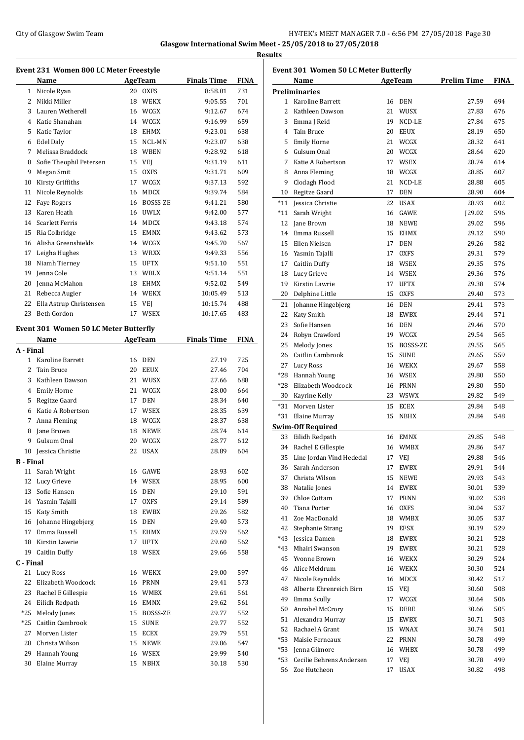## City of Glasgow Swim Team Team Team Fermi Manager 2.0 - 6:56 PM 27/05/2018 Page 30 **Glasgow International Swim Meet - 25/05/2018 to 27/05/2018**

**Results**

#### **Event 231 Women 800 LC Meter Freestyle**

|              | Name                                 |    | <b>AgeTeam</b> | <b>Finals Time</b> | <b>FINA</b> |
|--------------|--------------------------------------|----|----------------|--------------------|-------------|
| $\mathbf{1}$ | Nicole Ryan                          | 20 | <b>OXFS</b>    | 8:58.01            | 731         |
| 2            | Nikki Miller                         | 18 | <b>WEKX</b>    | 9:05.55            | 701         |
| 3            | Lauren Wetherell                     | 16 | WCGX           | 9:12.67            | 674         |
| 4            | Katie Shanahan                       | 14 | WCGX           | 9:16.99            | 659         |
| 5            | Katie Taylor                         | 18 | <b>EHMX</b>    | 9:23.01            | 638         |
| 6            | <b>Edel Daly</b>                     | 15 | <b>NCL-MN</b>  | 9:23.07            | 638         |
| 7            | Melissa Braddock                     | 18 | <b>WBEN</b>    | 9:28.92            | 618         |
| 8            | Sofie Theophil Petersen              | 15 | VEI            | 9:31.19            | 611         |
| 9            | Megan Smit                           | 15 | <b>OXFS</b>    | 9:31.71            | 609         |
| 10           | Kirsty Griffiths                     | 17 | WCGX           | 9:37.13            | 592         |
| 11           | Nicole Reynolds                      | 16 | <b>MDCX</b>    | 9:39.74            | 584         |
| 12           | <b>Fave Rogers</b>                   | 16 | BOSSS-ZE       | 9:41.21            | 580         |
| 13           | Karen Heath                          | 16 | <b>UWLX</b>    | 9:42.00            | 577         |
| 14           | <b>Scarlett Ferris</b>               | 14 | MDCX           | 9:43.18            | 574         |
| 15           | Ria Colbridge                        | 15 | <b>EMNX</b>    | 9:43.62            | 573         |
| 16           | Alisha Greenshields                  | 14 | WCGX           | 9:45.70            | 567         |
| 17           | Leigha Hughes                        | 13 | <b>WRXX</b>    | 9:49.33            | 556         |
| 18           | Niamh Tierney                        | 15 | <b>UFTX</b>    | 9:51.10            | 551         |
| 19           | Jenna Cole                           | 13 | <b>WBLX</b>    | 9:51.14            | 551         |
| 20           | Jenna McMahon                        | 18 | <b>EHMX</b>    | 9:52.02            | 549         |
| 21           | Rebecca Augier                       | 14 | <b>WEKX</b>    | 10:05.49           | 513         |
| 22           | Ella Astrup Christensen              | 15 | VEI            | 10:15.74           | 488         |
| 23           | Beth Gordon                          | 17 | <b>WSEX</b>    | 10:17.65           | 483         |
|              | vont 201 Waman 50 LC Motor Puttorfly |    |                |                    |             |

## **Event 301 Women 50 LC Meter Butterfly**

|                  | Name                 |    | <b>AgeTeam</b>  | <b>Finals Time</b> | FINA |
|------------------|----------------------|----|-----------------|--------------------|------|
| A - Final        |                      |    |                 |                    |      |
| $\mathbf{1}$     | Karoline Barrett     | 16 | DEN             | 27.19              | 725  |
| $\overline{c}$   | Tain Bruce           | 20 | <b>EEUX</b>     | 27.46              | 704  |
| 3                | Kathleen Dawson      | 21 | WUSX            | 27.66              | 688  |
| 4                | <b>Emily Horne</b>   | 21 | WCGX            | 28.00              | 664  |
| 5                | Regitze Gaard        | 17 | <b>DEN</b>      | 28.34              | 640  |
| 6                | Katie A Robertson    | 17 | <b>WSEX</b>     | 28.35              | 639  |
| 7                | Anna Fleming         | 18 | WCGX            | 28.37              | 638  |
| 8                | Jane Brown           | 18 | <b>NEWE</b>     | 28.74              | 614  |
| 9                | Gulsum Onal          | 20 | WCGX            | 28.77              | 612  |
| 10               | Jessica Christie     | 22 | <b>USAX</b>     | 28.89              | 604  |
| <b>B</b> - Final |                      |    |                 |                    |      |
| 11               | Sarah Wright         | 16 | GAWE            | 28.93              | 602  |
| 12               | Lucy Grieve          | 14 | <b>WSEX</b>     | 28.95              | 600  |
| 13               | Sofie Hansen         | 16 | <b>DEN</b>      | 29.10              | 591  |
| 14               | Yasmin Tajalli       | 17 | <b>OXFS</b>     | 29.14              | 589  |
| 15               | Katy Smith           | 18 | <b>EWBX</b>     | 29.26              | 582  |
| 16               | Johanne Hingebjerg   | 16 | <b>DEN</b>      | 29.40              | 573  |
| 17               | Emma Russell         | 15 | <b>EHMX</b>     | 29.59              | 562  |
| 18               | Kirstin Lawrie       | 17 | <b>UFTX</b>     | 29.60              | 562  |
| 19               | <b>Caitlin Duffy</b> | 18 | <b>WSEX</b>     | 29.66              | 558  |
| C - Final        |                      |    |                 |                    |      |
| 21               | <b>Lucy Ross</b>     | 16 | <b>WEKX</b>     | 29.00              | 597  |
| 22               | Elizabeth Woodcock   | 16 | <b>PRNN</b>     | 29.41              | 573  |
| 23               | Rachel E Gillespie   | 16 | <b>WMBX</b>     | 29.61              | 561  |
| 24               | Eilidh Redpath       | 16 | <b>EMNX</b>     | 29.62              | 561  |
| $*25$            | Melody Jones         | 15 | <b>BOSSS-ZE</b> | 29.77              | 552  |
| $*25$            | Caitlin Cambrook     | 15 | <b>SUNE</b>     | 29.77              | 552  |
| 27               | Morven Lister        | 15 | <b>ECEX</b>     | 29.79              | 551  |
| 28               | Christa Wilson       | 15 | <b>NEWE</b>     | 29.86              | 547  |
| 29               | Hannah Young         | 16 | <b>WSEX</b>     | 29.99              | 540  |
| 30               | Elaine Murray        | 15 | <b>NBHX</b>     | 30.18              | 530  |

| Event 301 Women 50 LC Meter Butterfly |                              |    |             |                    |             |  |  |  |
|---------------------------------------|------------------------------|----|-------------|--------------------|-------------|--|--|--|
|                                       | Name                         |    | AgeTeam     | <b>Prelim Time</b> | <b>FINA</b> |  |  |  |
|                                       | <b>Preliminaries</b>         |    |             |                    |             |  |  |  |
|                                       | 1 Karoline Barrett           |    | 16 DEN      | 27.59              | 694         |  |  |  |
| $\overline{c}$                        | Kathleen Dawson              | 21 | WUSX        | 27.83              | 676         |  |  |  |
|                                       | 3 Emma J Reid                | 19 | NCD-LE      | 27.84              | 675         |  |  |  |
|                                       | 4 Tain Bruce                 |    | 20 EEUX     | 28.19              | 650         |  |  |  |
|                                       | 5 Emily Horne                | 21 | WCGX        | 28.32              | 641         |  |  |  |
| 6                                     | Gulsum Onal                  | 20 | WCGX        | 28.64              | 620         |  |  |  |
|                                       | 7 Katie A Robertson          |    | 17 WSEX     | 28.74              | 614         |  |  |  |
| 8                                     | Anna Fleming                 |    | 18 WCGX     | 28.85              | 607         |  |  |  |
| 9                                     | Clodagh Flood                | 21 | NCD-LE      | 28.88              | 605         |  |  |  |
|                                       |                              | 17 | <b>DEN</b>  | 28.90              | 604         |  |  |  |
|                                       | 10 Regitze Gaard             |    |             |                    |             |  |  |  |
|                                       | *11 Jessica Christie         | 22 | <b>USAX</b> | 28.93              | 602         |  |  |  |
|                                       | *11 Sarah Wright             | 16 | GAWE        | 129.02             | 596         |  |  |  |
| 12                                    | Jane Brown                   | 18 | <b>NEWE</b> | 29.02              | 596         |  |  |  |
|                                       | 14 Emma Russell              |    | 15 EHMX     | 29.12              | 590         |  |  |  |
|                                       | 15 Ellen Nielsen             | 17 | <b>DEN</b>  | 29.26              | 582         |  |  |  |
|                                       | 16 Yasmin Tajalli            | 17 | <b>OXFS</b> | 29.31              | 579         |  |  |  |
|                                       | 17 Caitlin Duffy             |    | 18 WSEX     | 29.35              | 576         |  |  |  |
|                                       | 18 Lucy Grieve               |    | 14 WSEX     | 29.36              | 576         |  |  |  |
| 19                                    | Kirstin Lawrie               | 17 | <b>UFTX</b> | 29.38              | 574         |  |  |  |
| 20                                    | Delphine Little              | 15 | <b>OXFS</b> | 29.40              | 573         |  |  |  |
| 21                                    | Johanne Hingebjerg           |    | 16 DEN      | 29.41              | 573         |  |  |  |
| 22                                    | Katy Smith                   | 18 | <b>EWBX</b> | 29.44              | 571         |  |  |  |
| 23                                    | Sofie Hansen                 | 16 | <b>DEN</b>  | 29.46              | 570         |  |  |  |
|                                       | 24 Robyn Crawford            |    | 19 WCGX     | 29.54              | 565         |  |  |  |
| 25                                    | Melody Jones                 | 15 | BOSSS-ZE    | 29.55              | 565         |  |  |  |
|                                       |                              |    |             |                    |             |  |  |  |
|                                       | 26 Caitlin Cambrook          | 15 | <b>SUNE</b> | 29.65              | 559         |  |  |  |
|                                       | 27 Lucy Ross                 |    | 16 WEKX     | 29.67              | 558         |  |  |  |
|                                       | *28 Hannah Young             |    | 16 WSEX     | 29.80              | 550         |  |  |  |
|                                       | *28 Elizabeth Woodcock       |    | 16 PRNN     | 29.80              | 550         |  |  |  |
|                                       | 30 Kayrine Kelly             |    | 23 WSWX     | 29.82              | 549         |  |  |  |
| *31                                   | Morven Lister                | 15 | <b>ECEX</b> | 29.84              | 548         |  |  |  |
|                                       | *31 Elaine Murray            | 15 | <b>NBHX</b> | 29.84              | 548         |  |  |  |
|                                       | <b>Swim-Off Required</b>     |    |             |                    |             |  |  |  |
|                                       | 33 Eilidh Redpath            |    | 16 EMNX     | 29.85              | 548         |  |  |  |
|                                       | 34 Rachel E Gillespie        |    | 16 WMBX     | 29.86              | 547         |  |  |  |
|                                       | 35 Line Jordan Vind Hededal  |    | 17 VEJ      | 29.88              | 546         |  |  |  |
|                                       | 36 Sarah Anderson            | 17 | EWBX        | 29.91              | 544         |  |  |  |
| 37                                    | Christa Wilson               | 15 | NEWE        | 29.93              | 543         |  |  |  |
|                                       | 38 Natalie Jones             | 14 | EWBX        | 30.01              | 539         |  |  |  |
|                                       | 39 Chloe Cottam              | 17 | PRNN        | 30.02              | 538         |  |  |  |
|                                       | 40 Tiana Porter              | 16 | <b>OXFS</b> | 30.04              | 537         |  |  |  |
|                                       | 41 Zoe MacDonald             |    | 18 WMBX     | 30.05              | 537         |  |  |  |
|                                       | 42 Stephanie Strang          |    | 19 EFSX     |                    |             |  |  |  |
|                                       |                              |    |             | 30.19              | 529         |  |  |  |
|                                       | *43 Jessica Damen            |    | 18 EWBX     | 30.21              | 528         |  |  |  |
|                                       | *43 Mhairi Swanson           |    | 19 EWBX     | 30.21              | 528         |  |  |  |
|                                       | 45 Yvonne Brown              |    | 16 WEKX     | 30.29              | 524         |  |  |  |
|                                       | 46 Alice Meldrum             |    | 16 WEKX     | 30.30              | 524         |  |  |  |
|                                       | 47 Nicole Reynolds           | 16 | MDCX        | 30.42              | 517         |  |  |  |
|                                       | 48 Alberte Ehrenreich Birn   |    | 15 VEJ      | 30.60              | 508         |  |  |  |
|                                       | 49 Emma Scully               | 17 | WCGX        | 30.64              | 506         |  |  |  |
|                                       | 50 Annabel McCrory           | 15 | DERE        | 30.66              | 505         |  |  |  |
|                                       | 51 Alexandra Murray          |    | 15 EWBX     | 30.71              | 503         |  |  |  |
|                                       | 52 Rachael A Grant           |    | 15 WNAX     | 30.74              | 501         |  |  |  |
|                                       | *53 Maisie Ferneaux          |    | 22 PRNN     | 30.78              | 499         |  |  |  |
|                                       | *53 Jenna Gilmore            |    | 16 WHBX     | 30.78              | 499         |  |  |  |
|                                       | *53 Cecilie Behrens Andersen |    | 17 VEJ      | 30.78              | 499         |  |  |  |
|                                       | 56 Zoe Hutcheon              | 17 | <b>USAX</b> | 30.82              | 498         |  |  |  |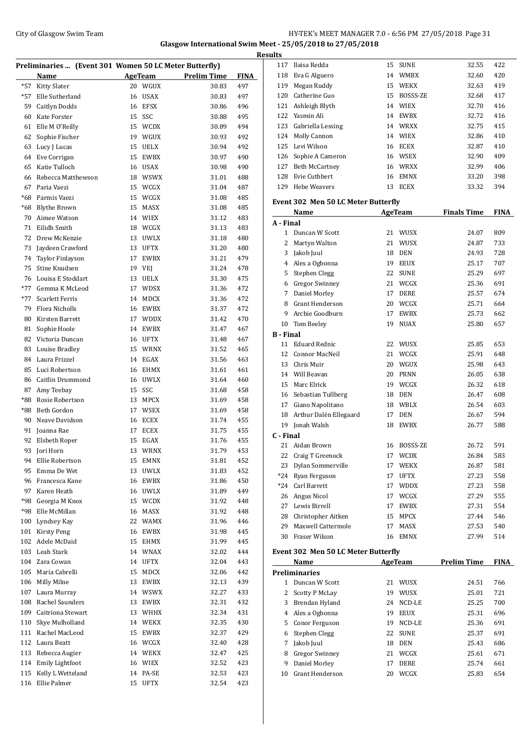## City of Glasgow Swim Team Team Team Fermi Manager 2.0 - 6:56 PM 27/05/2018 Page 31 **Glasgow International Swim Meet - 25/05/2018 to 27/05/2018**

|              | Preliminaries  (Event 301 Women 50 LC Meter Butterfly) |          |                              |                    |             |
|--------------|--------------------------------------------------------|----------|------------------------------|--------------------|-------------|
|              | Name                                                   |          | <b>AgeTeam</b>               | <b>Prelim Time</b> | <b>FINA</b> |
| $*57$        | Kitty Slater                                           |          | 20 WGUX                      | 30.83              | 497         |
| $*57$        | Elle Sutherland                                        | 16       | <b>USAX</b>                  | 30.83              | 497         |
| 59           | Caitlyn Dodds                                          | 16       | <b>EFSX</b>                  | 30.86              | 496         |
| 60           | Kate Forster                                           | 15       | SSC                          | 30.88              | 495         |
| 61           | Elle M O'Reilly                                        | 15       | <b>WCDX</b>                  | 30.89              | 494         |
| 62           | Sophie Fischer                                         | 19       | WGUX                         | 30.93              | 492         |
| 63           | Lucy J Lucas                                           | 15       | <b>UELX</b>                  | 30.94              | 492         |
| 64           | Eve Corrigan                                           | 15       | <b>EWBX</b>                  | 30.97              | 490         |
| 65           | Katie Tulloch                                          | 16       | <b>USAX</b>                  | 30.98              | 490         |
| 66           | Rebecca Matthewson                                     | 18       | WSWX                         | 31.01              | 488         |
| 67           | Paria Vaezi                                            | 15       | WCGX                         | 31.04              | 487         |
| $*68$        | Parmis Vaezi                                           | 15       | WCGX                         | 31.08              | 485         |
| *68          | <b>Blythe Brown</b>                                    | 15       | MASX                         | 31.08              | 485         |
| 70           | Aimee Watson                                           | 14       | <b>WIEX</b>                  | 31.12              | 483         |
| 71           | Eilidh Smith                                           | 18       | WCGX                         | 31.13              | 483         |
| 72           | Drew McKenzie                                          | 13       | <b>UWLX</b>                  | 31.18              | 480         |
| 73           | Jaydeen Crawford                                       | 13       | <b>UFTX</b>                  | 31.20              | 480         |
| 74           | Taylor Finlayson                                       | 17       | <b>EWBX</b>                  | 31.21              | 479         |
| 75           | Stine Knudsen                                          | 19       | VEJ                          | 31.24              | 478         |
| 76           | Louisa E Stoddart                                      | 13       | <b>UELX</b>                  | 31.30              | 475         |
| $*77$        | Gemma K McLeod                                         | 17       | <b>WDSX</b>                  | 31.36              | 472         |
| $*77$        | <b>Scarlett Ferris</b>                                 | 14       | <b>MDCX</b>                  | 31.36              | 472         |
| 79           | Flora Nicholls                                         |          | 16 EWBX                      | 31.37              | 472         |
| 80           | Kirsten Barrett                                        | 17       | <b>WDDX</b>                  | 31.42              | 470         |
| 81           | Sophie Hoole                                           | 14       | EWBX                         | 31.47              | 467         |
| 82           | Victoria Duncan                                        | 16       | <b>UFTX</b>                  | 31.48              | 467         |
| 83           | Louise Bradley                                         | 15       | <b>WRNX</b>                  | 31.52              | 465         |
| 84           | Laura Frizzel                                          | 14       | EGAX                         | 31.56              | 463         |
| 85           | Luci Robertson                                         | 16       | EHMX                         | 31.61              | 461         |
| 86           | Caitlin Drummond                                       | 16       | <b>UWLX</b>                  | 31.64              | 460         |
| 87           | Amy Teebay                                             | 15       | SSC                          | 31.68              | 458         |
| *88<br>$*88$ | Rosie Robertson<br>Beth Gordon                         | 13<br>17 | <b>MPCX</b><br><b>WSEX</b>   | 31.69              | 458         |
| 90           | Neave Davidson                                         | 16       | <b>ECEX</b>                  | 31.69<br>31.74     | 458<br>455  |
| 91           | Joanna Rae                                             | 17       | <b>ECEX</b>                  | 31.75              | 455         |
| 92           | Elsbeth Roper                                          | 15       | EGAX                         | 31.76              | 455         |
|              | 93 Jori Horn                                           |          | 13 WRNX                      | 31.79              | 453         |
| 94           | Ellie Robertson                                        |          | 15 EMNX                      | 31.81              | 452         |
| 95           | Emma De Wet                                            | 13       | <b>UWLX</b>                  | 31.83              | 452         |
| 96           | Francesca Kane                                         | 16       | ${\rm EWBX}$                 | 31.86              | 450         |
| 97           | Karen Heath                                            | 16       | UWLX                         | 31.89              | 449         |
| *98          | Georgia M Knox                                         | 15       | <b>WCDX</b>                  | 31.92              | 448         |
| *98          | Elle McMillan                                          | 16       | MASX                         | 31.92              | 448         |
| 100          | Lyndsey Kay                                            | 22       | <b>WAMX</b>                  | 31.96              | 446         |
| 101          | <b>Kirsty Peng</b>                                     | 16       | EWBX                         | 31.98              | 445         |
| 102          | Adele McDaid                                           | 15       | <b>EHMX</b>                  | 31.99              | 445         |
| 103          | Leah Stark                                             | 14       | WNAX                         | 32.02              | 444         |
| 104          | Zara Cowan                                             | 14       | UFTX                         | 32.04              | 443         |
| 105          | Maria Cabrelli                                         | 15       | MDCX                         | 32.06              | 442         |
| 106          | Milly Milne                                            | 13       | EWBX                         | 32.13              | 439         |
| 107          | Laura Murray                                           | 14       | <b>WSWX</b>                  | 32.27              | 433         |
| 108          | Rachel Saunders                                        | 13       | EWBX                         | 32.31              | 432         |
| 109          | Caitriona Stewart                                      | 13       | WHHX                         | 32.34              | 431         |
| 110          | Skye Mulholland                                        | 14       | WEKX                         | 32.35              | 430         |
| 111          | Rachel MacLeod                                         | 15       | EWBX                         | 32.37              | 429         |
| 112          | Laura Beatt                                            |          | 16 WCGX                      | 32.40              | 428         |
| 113          | Rebecca Augier                                         |          | 14 WEKX                      | 32.47              | 425         |
| 114          | Emily Lightfoot                                        |          | 16 WIEX                      | 32.52              | 423         |
| 115          | Kelly L Wetteland                                      | 14       | PA-SE                        | 32.53              | 423         |
| 116          | Ellie Palmer                                           | 15       | $\ensuremath{\mathsf{UFTX}}$ | 32.54              | 423         |
|              |                                                        |          |                              |                    |             |

| <b>Results</b>         |                                     |    |                    |                    |             |
|------------------------|-------------------------------------|----|--------------------|--------------------|-------------|
|                        | 117 Ilaisa Redda                    |    | 15 SUNE            | 32.55              | 422         |
| 118                    | Eva G Alguero                       |    | 14 WMBX            | 32.60              | 420         |
|                        | 119 Megan Ruddy                     |    | 15 WEKX            | 32.63              | 419         |
|                        | 120 Catherine Guo                   |    | 15 BOSSS-ZE        | 32.68              | 417         |
|                        | 121 Ashleigh Blyth                  |    | 14 WIEX            | 32.70              | 416         |
|                        | 122 Yasmin Ali                      |    | 14 EWBX            | 32.72              | 416         |
|                        | 123 Gabriella Lessing               |    | 14 WRXX            | 32.75              | 415         |
|                        | 124 Molly Cannon                    |    | 14 WIEX            | 32.86              | 410         |
|                        | 125 Levi Wilson                     |    | 16 ECEX            | 32.87              | 410         |
|                        | 126 Sophie A Cameron                |    | 16 WSEX            | 32.90              | 409         |
|                        | 127 Beth McCartney                  |    | 16 WRXX            | 32.99              | 406         |
|                        | 128 Evie Cuthbert                   |    | 16 EMNX            | 33.20              | 398         |
|                        | 129 Hebe Weavers                    |    | 13 ECEX            | 33.32              | 394         |
|                        | Event 302 Men 50 LC Meter Butterfly |    |                    |                    |             |
|                        | Name                                |    | AgeTeam            | <b>Finals Time</b> | FINA        |
| A - Final              |                                     |    |                    |                    |             |
|                        | 1 Duncan W Scott                    |    | 21 WUSX            | 24.07              | 809         |
|                        | 2 Martyn Walton                     |    | 21 WUSX            | 24.87              | 733         |
|                        | 3 Jakob Juul                        |    | 18 DEN             | 24.93              | 728         |
|                        | 4 Alex a Ogbonna                    |    | 19 EEUX            | 25.17              | 707         |
|                        | 5 Stephen Clegg                     |    | 22 SUNE            | 25.29              | 697         |
|                        | 6 Gregor Swinney                    |    | 21 WCGX            | 25.36              | 691         |
|                        | 7 Daniel Morley                     |    | 17 DERE            | 25.57              | 674         |
|                        | 8 Grant Henderson                   |    | 20 WCGX            | 25.71              | 664         |
|                        | 9 Archie Goodburn                   |    | 17 EWBX            | 25.73              | 662         |
|                        | 10 Tom Beeley                       |    | 19 NUAX            | 25.80              | 657         |
| <b>B</b> - Final<br>11 | Eduard Rednic                       |    |                    |                    |             |
|                        | 12 Connor MacNeil                   |    | 22 WUSX<br>21 WCGX | 25.85<br>25.91     | 653<br>648  |
|                        | 13 Chris Muir                       |    | 20 WGUX            | 25.98              | 643         |
|                        | 14 Will Beavan                      |    | 20 PRNN            | 26.05              | 638         |
|                        | 15 Marc Elrick                      |    | 19 WCGX            | 26.32              | 618         |
|                        | 16 Sebastian Tullberg               |    | 18 DEN             | 26.47              | 608         |
|                        | 17 Giano Napolitano                 |    | 18 WBLX            | 26.54              | 603         |
|                        | 18 Arthur Dalén Ellegaard           |    | 17 DEN             | 26.67              | 594         |
|                        | 19 Jonah Walsh                      |    | 18 EWBX            | 26.77              | 588         |
| C - Final              |                                     |    |                    |                    |             |
| 21                     | Aidan Brown                         | 16 | BOSSS-ZE           | 26.72              | 591         |
| 22                     | Craig T Greenock                    |    | 17 WCDX            | 26.84              | 583         |
| 23                     | Dylan Sommerville                   |    | 17 WEKX            | 26.87              | 581         |
|                        | *24 Ryan Ferguson                   |    | 17 UFTX            | 27.23              | 558         |
|                        | *24 Carl Barrett                    |    | 17 WDDX            | 27.23              | 558         |
|                        | 26 Angus Nicol                      |    | 17 WCGX            | 27.29              | 555         |
|                        | 27 Lewis Birrell                    |    | 17 EWBX            | 27.31              | 554         |
|                        | 28 Christopher Aitken               |    | 15 MPCX            | 27.44              | 546         |
| 29                     | Maxwell Cattermole                  | 17 | MASX               | 27.53              | 540         |
|                        | 30 Fraser Wilson                    |    | 16 EMNX            | 27.99              | 514         |
|                        | Event 302 Men 50 LC Meter Butterfly |    |                    |                    |             |
|                        | Name                                |    | AgeTeam            | <b>Prelim Time</b> | <b>FINA</b> |
|                        | <b>Preliminaries</b>                |    |                    |                    |             |
| $\mathbf{1}$           | Duncan W Scott                      |    | 21 WUSX            | 24.51              | 766         |
|                        | 2 Scotty P McLay                    |    | 19 WUSX            | 25.01              | 721         |
|                        | 3 Brendan Hyland                    |    | 24 NCD-LE          | 25.25              | 700         |
|                        | 4 Alex a Ogbonna                    |    | 19 EEUX            | 25.31              | 696         |
|                        | 5 Conor Ferguson                    |    | 19 NCD-LE          | 25.36              | 691         |
|                        | 6 Stephen Clegg                     |    | 22 SUNE            | 25.37              | 691         |
|                        | 7 Jakob Juul                        |    | 18 DEN             | 25.43              | 686         |
|                        | 8 Gregor Swinney                    |    | 21 WCGX            | 25.61              | 671         |
| 9                      | Daniel Morley                       |    | 17 DERE            | 25.74              | 661         |
| 10                     | Grant Henderson                     |    | 20 WCGX            | 25.83              | 654         |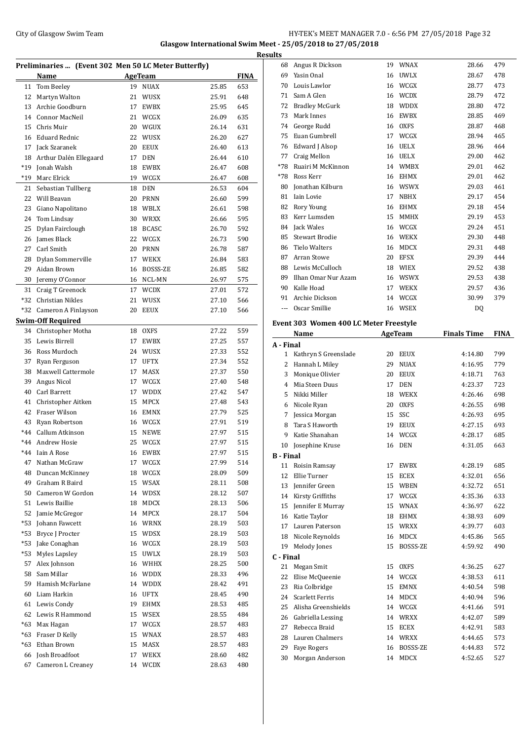## City of Glasgow Swim Team Team Frameters Music City of Glasgow Swim Team Frameters 2.0 - 6:56 PM 27/05/2018 Page 32 **Glasgow International Swim Meet - 25/05/2018 to 27/05/2018**

|       |                                                      |    |                 |       |             | <b>Results</b> |
|-------|------------------------------------------------------|----|-----------------|-------|-------------|----------------|
|       | Preliminaries  (Event 302 Men 50 LC Meter Butterfly) |    |                 |       |             | 6              |
|       | Name                                                 |    | <b>AgeTeam</b>  |       | <b>FINA</b> | 6 <sup>′</sup> |
| 11    | Tom Beeley                                           | 19 | <b>NUAX</b>     | 25.85 | 653         | 7              |
| 12    | Martyn Walton                                        |    | 21 WUSX         | 25.91 | 648         | 7              |
| 13    | Archie Goodburn                                      |    | 17 EWBX         | 25.95 | 645         | 7              |
|       | 14 Connor MacNeil                                    |    | 21 WCGX         | 26.09 | 635         | 7              |
|       | 15 Chris Muir                                        |    | 20 WGUX         | 26.14 | 631         | 7.             |
|       | 16 Eduard Rednic                                     |    | 22 WUSX         | 26.20 | 627         | 7              |
| 17    | Jack Szaranek                                        |    | 20 EEUX         | 26.40 | 613         | 7              |
| 18    | Arthur Dalén Ellegaard                               |    | 17 DEN          | 26.44 | 610         | 7              |
| *19   | Jonah Walsh                                          |    | 18 EWBX         | 26.47 | 608         | $*7$           |
| $*19$ | Marc Elrick                                          |    | 19 WCGX         | 26.47 | 608         | $*7$           |
| 21    | Sebastian Tullberg                                   |    | 18 DEN          | 26.53 | 604         | 8              |
| 22    | Will Beavan                                          |    | 20 PRNN         | 26.60 | 599         | 8              |
| 23    | Giano Napolitano                                     |    | 18 WBLX         | 26.61 | 598         | 8              |
| 24    | Tom Lindsay                                          |    | 30 WRXX         | 26.66 | 595         | 8              |
| 25    | Dylan Fairclough                                     |    | 18 BCASC        | 26.70 | 592         | 8              |
|       | 26 James Black                                       |    | 22 WCGX         | 26.73 | 590         | 8              |
|       | 27 Carl Smith                                        |    | 20 PRNN         | 26.78 | 587         | 8              |
| 28    | Dylan Sommerville                                    |    | 17 WEKX         | 26.84 | 583         | 8              |
| 29    | Aidan Brown                                          |    | 16 BOSSS-ZE     | 26.85 | 582         | 8              |
| 30    | Jeremy O'Connor                                      |    | 16 NCL-MN       | 26.97 | 575         | 8              |
| 31    | Craig T Greenock                                     |    | 17 WCDX         | 27.01 | 572         | 9              |
| *32   | Christian Nikles                                     |    | 21 WUSX         | 27.10 | 566         | 9              |
| *32   | Cameron A Finlayson                                  |    | 20 EEUX         | 27.10 | 566         |                |
|       | <b>Swim-Off Required</b>                             |    |                 |       |             | Ever           |
| 34    | Christopher Motha                                    | 18 | <b>OXFS</b>     | 27.22 | 559         |                |
| 35    | Lewis Birrell                                        | 17 | EWBX            | 27.25 | 557         | $A - I$        |
|       | 36 Ross Murdoch                                      |    | 24 WUSX         | 27.33 | 552         |                |
| 37    | Ryan Ferguson                                        | 17 | UFTX            | 27.34 | 552         |                |
| 38    | Maxwell Cattermole                                   | 17 | MASX            | 27.37 | 550         |                |
| 39    | Angus Nicol                                          |    | 17 WCGX         | 27.40 | 548         |                |
|       | 40 Carl Barrett                                      |    | 17 WDDX         | 27.42 | 547         |                |
|       | 41 Christopher Aitken                                |    | 15 MPCX         | 27.48 | 543         |                |
|       | 42 Fraser Wilson                                     |    | 16 EMNX         | 27.79 | 525         |                |
|       | 43 Ryan Robertson                                    |    | 16 WCGX         | 27.91 | 519         |                |
|       | *44 Callum Atkinson                                  |    | 15 NEWE         | 27.97 | 515         |                |
|       | *44 Andrew Hosie                                     |    | 25 WCGX         | 27.97 | 515         |                |
| $*44$ | Iain A Rose                                          |    | 16 EWBX         | 27.97 | 515         | п              |
| 47    | Nathan McGraw                                        | 17 | WCGX            | 27.99 | 514         | B - I<br>1     |
| 48    | Duncan McKinney                                      |    | 18 WCGX         | 28.09 | 509         |                |
| 49    | Graham R Baird                                       |    | 15 WSAX         | 28.11 | 508         | $\mathbf{1}$   |
| 50    | Cameron W Gordon                                     |    | 14 WDSX         | 28.12 | 507         | $\mathbf{1}$   |
| 51    | Lewis Baillie                                        |    | 18 MDCX         | 28.13 | 506         | 1              |
| 52    | Jamie McGregor                                       |    | 14 MPCX         | 28.17 | 504         | $\mathbf{1}$   |
| *53   | Johann Fawcett                                       |    | 16 WRNX         | 28.19 | 503         | $\mathbf{1}$   |
| *53   | Bryce J Procter                                      |    | 15 WDSX         | 28.19 | 503         | $1^{\circ}$    |
| *53   | Jake Conaghan                                        |    | 16 WCGX         | 28.19 | 503         | $1^{\circ}$    |
| *53   | Myles Lapsley                                        |    | 15 UWLX         | 28.19 | 503         | $1^{\circ}$    |
| 57    | Alex Johnson                                         |    | 16 WHHX         | 28.25 | 500         | C - F          |
| 58    | Sam Millar                                           |    | 16 WDDX         | 28.33 | 496         | 2              |
| 59    | Hamish McFarlane                                     |    | 14 WDDX         | 28.42 | 491         | $\overline{c}$ |
| 60    | Liam Harkin                                          | 16 | UFTX            | 28.45 | 490         | 2              |
| 61    | Lewis Condy                                          | 19 | EHMX            | 28.53 | 485         | $\mathbf{2}$   |
| 62    | Lewis R Hammond                                      |    | 15 WSEX         | 28.55 | 484         | 2              |
| $*63$ | Max Hagan                                            |    | 17 WCGX         | 28.57 | 483         | $\overline{c}$ |
| $*63$ | Fraser D Kelly                                       |    | 15 WNAX         | 28.57 |             | 2              |
| $*63$ | Ethan Brown                                          |    |                 |       | 483         | $\mathbf{2}$   |
|       | Josh Broadfoot                                       | 15 | MASX<br>17 WEKX | 28.57 | 483         | $2^{\circ}$    |
| 66    |                                                      |    |                 | 28.60 | 482         | 3              |
| 67    | Cameron L Creaney                                    |    | 14 WCDX         | 28.63 | 480         |                |

| 68                                                                                                                                                                                                                                                                                                                                                                                                                                                                         | Angus R Dickson                        | 19       | WNAX             | 28.66              | 479         |
|----------------------------------------------------------------------------------------------------------------------------------------------------------------------------------------------------------------------------------------------------------------------------------------------------------------------------------------------------------------------------------------------------------------------------------------------------------------------------|----------------------------------------|----------|------------------|--------------------|-------------|
|                                                                                                                                                                                                                                                                                                                                                                                                                                                                            | 69 Yasin Onal                          | 16       | UWLX             | 28.67              | 478         |
|                                                                                                                                                                                                                                                                                                                                                                                                                                                                            | 70 Louis Lawlor                        | 16       | WCGX             | 28.77              | 473         |
| 71                                                                                                                                                                                                                                                                                                                                                                                                                                                                         | Sam A Glen                             | 16       | WCDX             | 28.79              | 472         |
|                                                                                                                                                                                                                                                                                                                                                                                                                                                                            | 72 Bradley McGurk                      | 18       | WDDX             | 28.80              | 472         |
| 73                                                                                                                                                                                                                                                                                                                                                                                                                                                                         | Mark Innes                             | 16       | EWBX             | 28.85              | 469         |
|                                                                                                                                                                                                                                                                                                                                                                                                                                                                            | 74 George Rudd                         |          | 16 OXFS          | 28.87              | 468         |
|                                                                                                                                                                                                                                                                                                                                                                                                                                                                            | 75 Euan Gumbrell                       | 17       | WCGX             | 28.94              | 465         |
|                                                                                                                                                                                                                                                                                                                                                                                                                                                                            | 76 Edward J Alsop                      | 16       | UELX             | 28.96              | 464         |
| 77                                                                                                                                                                                                                                                                                                                                                                                                                                                                         | Craig Mellon                           | 16       | <b>UELX</b>      | 29.00              | 462         |
| *78                                                                                                                                                                                                                                                                                                                                                                                                                                                                        | Ruairi M McKinnon                      | 14       | WMBX             | 29.01              | 462         |
|                                                                                                                                                                                                                                                                                                                                                                                                                                                                            | *78 Ross Kerr                          | 16       | EHMX             | 29.01              | 462         |
| 80                                                                                                                                                                                                                                                                                                                                                                                                                                                                         | Jonathan Kilburn                       |          | 16 WSWX          | 29.03              | 461         |
|                                                                                                                                                                                                                                                                                                                                                                                                                                                                            | 81 Iain Lovie                          | 17       | NBHX             | 29.17              | 454         |
|                                                                                                                                                                                                                                                                                                                                                                                                                                                                            | 82 Rory Young                          | 16       | EHMX             | 29.18              | 454         |
|                                                                                                                                                                                                                                                                                                                                                                                                                                                                            | 83 Kerr Lumsden                        | 15       | <b>MMHX</b>      | 29.19              | 453         |
|                                                                                                                                                                                                                                                                                                                                                                                                                                                                            | 84 Jack Wales                          | 16       | WCGX             | 29.24              | 451         |
|                                                                                                                                                                                                                                                                                                                                                                                                                                                                            | 85 Stewart Brodie                      | 16       | WEKX             | 29.30              | 448         |
|                                                                                                                                                                                                                                                                                                                                                                                                                                                                            | 86 Tielo Walters                       | 16       | MDCX             | 29.31              | 448         |
|                                                                                                                                                                                                                                                                                                                                                                                                                                                                            | 87 Arran Stowe                         | 20       | EFSX             | 29.39              | 444         |
|                                                                                                                                                                                                                                                                                                                                                                                                                                                                            | 88 Lewis McCulloch                     | 18       | WIEX             | 29.52              | 438         |
| 89                                                                                                                                                                                                                                                                                                                                                                                                                                                                         | Ilhan Omar Nur Azam                    | 16       | WSWX             | 29.53              | 438         |
|                                                                                                                                                                                                                                                                                                                                                                                                                                                                            | 90 Kalle Hoad                          | 17       | <b>WEKX</b>      | 29.57              | 436         |
|                                                                                                                                                                                                                                                                                                                                                                                                                                                                            | 91 Archie Dickson                      | 14       | WCGX             | 30.99              | 379         |
| $\frac{1}{2} \left( \frac{1}{2} \right) \left( \frac{1}{2} \right) \left( \frac{1}{2} \right) \left( \frac{1}{2} \right) \left( \frac{1}{2} \right) \left( \frac{1}{2} \right) \left( \frac{1}{2} \right) \left( \frac{1}{2} \right) \left( \frac{1}{2} \right) \left( \frac{1}{2} \right) \left( \frac{1}{2} \right) \left( \frac{1}{2} \right) \left( \frac{1}{2} \right) \left( \frac{1}{2} \right) \left( \frac{1}{2} \right) \left( \frac{1}{2} \right) \left( \frac$ | Oscar Smillie                          | 16       | WSEX             | DQ                 |             |
|                                                                                                                                                                                                                                                                                                                                                                                                                                                                            | Event 303 Women 400 LC Meter Freestyle |          |                  |                    |             |
|                                                                                                                                                                                                                                                                                                                                                                                                                                                                            | Name                                   |          | <b>AgeTeam</b>   | <b>Finals Time</b> | <b>FINA</b> |
| A - Final                                                                                                                                                                                                                                                                                                                                                                                                                                                                  |                                        |          |                  |                    |             |
|                                                                                                                                                                                                                                                                                                                                                                                                                                                                            | 1 Kathryn S Greenslade                 | 20       | EEUX             | 4:14.80            | 799         |
|                                                                                                                                                                                                                                                                                                                                                                                                                                                                            | 2 Hannah L Miley                       | 29       | NUAX             | 4:16.95            | 779         |
|                                                                                                                                                                                                                                                                                                                                                                                                                                                                            |                                        |          |                  |                    |             |
|                                                                                                                                                                                                                                                                                                                                                                                                                                                                            |                                        |          |                  |                    |             |
| 3                                                                                                                                                                                                                                                                                                                                                                                                                                                                          | Monique Olivier                        | 20       | EEUX             | 4:18.71            | 763         |
| 4                                                                                                                                                                                                                                                                                                                                                                                                                                                                          | Mia Steen Duus                         | 17       | <b>DEN</b>       | 4:23.37            | 723         |
| 5                                                                                                                                                                                                                                                                                                                                                                                                                                                                          | Nikki Miller                           | 18       | WEKX             | 4:26.46            | 698         |
|                                                                                                                                                                                                                                                                                                                                                                                                                                                                            | 6 Nicole Ryan                          | 20       | <b>OXFS</b>      | 4:26.55            | 698         |
|                                                                                                                                                                                                                                                                                                                                                                                                                                                                            | 7 Jessica Morgan                       | 15       | SSC              | 4:26.93            | 695         |
| 8                                                                                                                                                                                                                                                                                                                                                                                                                                                                          | Tara S Haworth                         | 19       | <b>EEUX</b>      | 4:27.15            | 693         |
|                                                                                                                                                                                                                                                                                                                                                                                                                                                                            | 9 Katie Shanahan                       | 14       | WCGX             | 4:28.17            | 685         |
|                                                                                                                                                                                                                                                                                                                                                                                                                                                                            | 10 Josephine Kruse                     | 16       | DEN              | 4:31.05            | 663         |
| <b>B</b> - Final                                                                                                                                                                                                                                                                                                                                                                                                                                                           |                                        |          |                  |                    |             |
| 11                                                                                                                                                                                                                                                                                                                                                                                                                                                                         | Roisin Ramsay                          | 17       | EWBX             | 4:28.19            | 685         |
| 12                                                                                                                                                                                                                                                                                                                                                                                                                                                                         | Ellie Turner                           | 15       | ECEX             | 4:32.01            | 656         |
|                                                                                                                                                                                                                                                                                                                                                                                                                                                                            | 13 Jennifer Green                      | 15       | WBEN             | 4:32.72            | 651         |
|                                                                                                                                                                                                                                                                                                                                                                                                                                                                            | 14 Kirsty Griffiths                    | 17       | WCGX             | 4:35.36            | 633         |
|                                                                                                                                                                                                                                                                                                                                                                                                                                                                            | 15 Jennifer E Murray                   | 15       | WNAX             | 4:36.97            | 622         |
|                                                                                                                                                                                                                                                                                                                                                                                                                                                                            | 16 Katie Taylor                        | 18       | EHMX             | 4:38.93            | 609         |
|                                                                                                                                                                                                                                                                                                                                                                                                                                                                            | 17 Lauren Paterson                     | 15       | <b>WRXX</b>      | 4:39.77            | 603         |
| 18                                                                                                                                                                                                                                                                                                                                                                                                                                                                         | Nicole Reynolds                        | 16       | MDCX             | 4:45.86            | 565         |
| 19                                                                                                                                                                                                                                                                                                                                                                                                                                                                         | Melody Jones                           | 15       | BOSSS-ZE         | 4:59.92            | 490         |
| C - Final                                                                                                                                                                                                                                                                                                                                                                                                                                                                  |                                        |          |                  |                    |             |
| 21                                                                                                                                                                                                                                                                                                                                                                                                                                                                         | Megan Smit                             | 15       | <b>OXFS</b>      | 4:36.25            | 627         |
| 22                                                                                                                                                                                                                                                                                                                                                                                                                                                                         | Elise McQueenie                        | 14       | WCGX             | 4:38.53            | 611         |
|                                                                                                                                                                                                                                                                                                                                                                                                                                                                            | 23 Ria Colbridge                       | 15       | <b>EMNX</b>      | 4:40.54            | 598         |
|                                                                                                                                                                                                                                                                                                                                                                                                                                                                            | 24 Scarlett Ferris                     | 14       | MDCX             | 4:40.94            | 596         |
|                                                                                                                                                                                                                                                                                                                                                                                                                                                                            | 25 Alisha Greenshields                 | 14       | WCGX             | 4:41.66            | 591         |
| 26                                                                                                                                                                                                                                                                                                                                                                                                                                                                         | Gabriella Lessing                      | 14       | WRXX             | 4:42.07            | 589         |
| 27                                                                                                                                                                                                                                                                                                                                                                                                                                                                         | Rebecca Braid                          | 15       | <b>ECEX</b>      | 4:42.91            | 583         |
| 28                                                                                                                                                                                                                                                                                                                                                                                                                                                                         | Lauren Chalmers                        | 14       | WRXX             | 4:44.65            | 573         |
| 29<br>30                                                                                                                                                                                                                                                                                                                                                                                                                                                                   | <b>Faye Rogers</b><br>Morgan Anderson  | 16<br>14 | BOSSS-ZE<br>MDCX | 4:44.83<br>4:52.65 | 572<br>527  |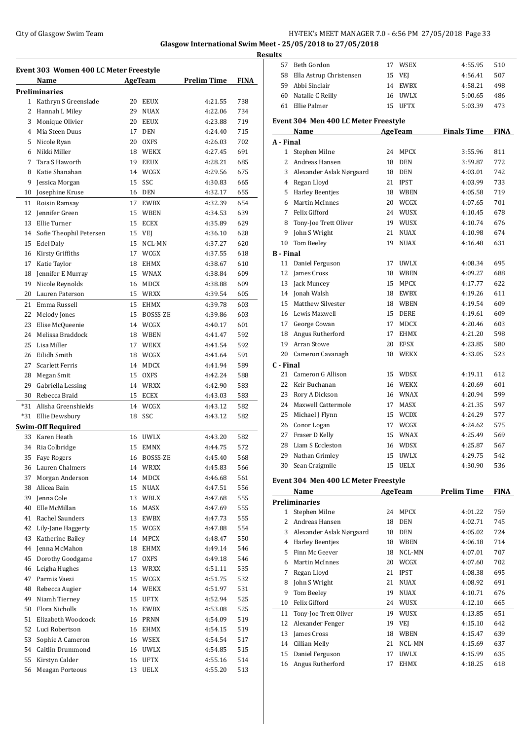## City of Glasgow Swim Team Team Team Fermic Manager 2.0 - 6:56 PM 27/05/2018 Page 33 **Glasgow International Swim Meet - 25/05/2018 to 27/05/2018**

**Results**

| Event 303 Women 400 LC Meter Freestyle |                         |    |             |                    |             |  |
|----------------------------------------|-------------------------|----|-------------|--------------------|-------------|--|
|                                        | Name                    |    | AgeTeam     | <b>Prelim Time</b> | <b>FINA</b> |  |
|                                        | <b>Preliminaries</b>    |    |             |                    |             |  |
| 1                                      | Kathryn S Greenslade    | 20 | EEUX        | 4:21.55            | 738         |  |
| 2                                      | Hannah L Miley          | 29 | <b>NUAX</b> | 4:22.06            | 734         |  |
| 3                                      | Monique Olivier         | 20 | <b>EEUX</b> | 4:23.88            | 719         |  |
| 4                                      | Mia Steen Duus          | 17 | <b>DEN</b>  | 4:24.40            | 715         |  |
| 5                                      | Nicole Ryan             | 20 | OXFS        | 4:26.03            | 702         |  |
| 6                                      | Nikki Miller            | 18 | WEKX        | 4:27.45            | 691         |  |
| 7                                      | Tara S Haworth          | 19 | <b>EEUX</b> | 4:28.21            | 685         |  |
| 8                                      | Katie Shanahan          | 14 | WCGX        | 4:29.56            | 675         |  |
| 9                                      | Jessica Morgan          | 15 | <b>SSC</b>  | 4:30.83            | 665         |  |
| 10                                     | Josephine Kruse         | 16 | <b>DEN</b>  | 4:32.17            | 655         |  |
| 11                                     | Roisin Ramsay           | 17 | <b>EWBX</b> | 4:32.39            | 654         |  |
| 12                                     | Jennifer Green          | 15 | <b>WBEN</b> | 4:34.53            | 639         |  |
| 13                                     | Ellie Turner            | 15 | <b>ECEX</b> | 4:35.89            | 629         |  |
| 14                                     | Sofie Theophil Petersen | 15 | VEJ         | 4:36.10            | 628         |  |
| 15                                     | <b>Edel Daly</b>        | 15 | NCL-MN      | 4:37.27            | 620         |  |
| 16                                     | Kirsty Griffiths        | 17 | WCGX        | 4:37.55            | 618         |  |
| 17                                     | Katie Taylor            | 18 | EHMX        | 4:38.67            | 610         |  |
| 18                                     | Jennifer E Murray       | 15 | WNAX        | 4:38.84            | 609         |  |
| 19                                     | Nicole Reynolds         | 16 | MDCX        | 4:38.88            | 609         |  |
| 20                                     | Lauren Paterson         | 15 | WRXX        | 4:39.54            | 605         |  |
| 21                                     | Emma Russell            | 15 | <b>EHMX</b> | 4:39.78            | 603         |  |
| 22                                     | Melody Jones            | 15 | BOSSS-ZE    | 4:39.86            | 603         |  |
| 23                                     | Elise McQueenie         | 14 | WCGX        | 4:40.17            | 601         |  |
| 24                                     | Melissa Braddock        | 18 | <b>WBEN</b> | 4:41.47            | 592         |  |
| 25                                     | Lisa Miller             | 17 | <b>WEKX</b> | 4:41.54            | 592         |  |
| 26                                     | Eilidh Smith            | 18 | WCGX        | 4:41.64            | 591         |  |
| 27                                     | <b>Scarlett Ferris</b>  | 14 | MDCX        | 4:41.94            | 589         |  |
| 28                                     | Megan Smit              | 15 | OXFS        | 4:42.24            | 588         |  |
| 29                                     | Gabriella Lessing       | 14 | WRXX        | 4:42.90            | 583         |  |
| 30                                     | Rebecca Braid           | 15 | <b>ECEX</b> | 4:43.03            | 583         |  |
| $*31$                                  | Alisha Greenshields     | 14 | WCGX        | 4:43.12            | 582         |  |
| *31                                    | Ellie Dewsbury          | 18 | SSC         | 4:43.12            | 582         |  |
|                                        | Swim-Off Required       |    |             |                    |             |  |
| 33                                     | Karen Heath             | 16 | <b>UWLX</b> | 4:43.20            | 582         |  |
| 34                                     | Ria Colbridge           | 15 | EMNX        | 4:44.75            | 572         |  |
| 35                                     | <b>Faye Rogers</b>      | 16 | BOSSS-ZE    | 4:45.40            | 568         |  |
| 36                                     | Lauren Chalmers         | 14 | <b>WRXX</b> | 4:45.83            | 566         |  |
| 37                                     | Morgan Anderson         | 14 | MDCX        | 4:46.68            | 561         |  |
| 38                                     | Alicea Bain             | 15 | <b>NUAX</b> | 4:47.51            | 556         |  |
| 39                                     | Jenna Cole              | 13 | WBLX        | 4:47.68            | 555         |  |
| 40                                     | Elle McMillan           | 16 | MASX        | 4:47.69            | 555         |  |
| 41                                     | Rachel Saunders         | 13 | EWBX        | 4:47.73            | 555         |  |
| 42                                     | Lily-Jane Haggerty      | 15 | WCGX        | 4:47.88            | 554         |  |
| 43                                     | Katherine Bailey        | 14 | MPCX        | 4:48.47            | 550         |  |
| 44                                     | Jenna McMahon           | 18 | EHMX        | 4:49.14            | 546         |  |
| 45                                     | Dorothy Goodgame        | 17 | <b>OXFS</b> | 4:49.18            | 546         |  |
| 46                                     | Leigha Hughes           | 13 | WRXX        | 4:51.11            | 535         |  |
| 47                                     | Parmis Vaezi            | 15 | WCGX        | 4:51.75            | 532         |  |
| 48                                     | Rebecca Augier          | 14 | WEKX        | 4:51.97            | 531         |  |
| 49                                     | Niamh Tierney           | 15 | UFTX        | 4:52.94            | 525         |  |
| 50                                     | Flora Nicholls          | 16 | EWBX        | 4:53.08            | 525         |  |
| 51                                     | Elizabeth Woodcock      | 16 | <b>PRNN</b> | 4:54.09            | 519         |  |
| 52                                     | Luci Robertson          | 16 | EHMX        | 4:54.15            | 519         |  |
| 53                                     | Sophie A Cameron        | 16 | WSEX        | 4:54.54            | 517         |  |
| 54                                     | Caitlin Drummond        | 16 | <b>UWLX</b> | 4:54.85            | 515         |  |
| 55                                     | Kirstyn Calder          | 16 | <b>UFTX</b> | 4:55.16            | 514         |  |
| 56                                     | <b>Meagan Porteous</b>  | 13 | <b>UELX</b> | 4:55.20            | 513         |  |

| 57               | Beth Gordon                          |                | 17 WSEX        | 4:55.95            | 510         |
|------------------|--------------------------------------|----------------|----------------|--------------------|-------------|
|                  | 58 Ella Astrup Christensen           | 15             | VEJ            | 4:56.41            | 507         |
|                  | 59 Abbi Sinclair                     | 14             | <b>EWBX</b>    | 4:58.21            | 498         |
|                  | 60 Natalie C Reilly                  |                | 16 UWLX        | 5:00.65            | 486         |
| 61               | Ellie Palmer                         |                | 15 UFTX        | 5:03.39            | 473         |
|                  | Event 304 Men 400 LC Meter Freestyle |                |                |                    |             |
|                  | Name                                 | <b>AgeTeam</b> |                | <b>Finals Time</b> | FINA        |
| A - Final        |                                      |                |                |                    |             |
|                  | 1 Stephen Milne                      | 24             | <b>MPCX</b>    | 3:55.96            | 811         |
| 2                | Andreas Hansen                       | 18             | <b>DEN</b>     | 3:59.87            | 772         |
| 3                | Alexander Aslak Nørgaard             | 18             | <b>DEN</b>     | 4:03.01            | 742         |
| 4                | Regan Lloyd                          | 21             | <b>IPST</b>    | 4:03.99            | 733         |
| 5                | <b>Harley Beentjes</b>               | 18             | WBEN           | 4:05.58            | 719         |
| 6                | <b>Martin McInnes</b>                | 20             | WCGX           | 4:07.65            | 701         |
| 7                | Felix Gifford                        |                | 24 WUSX        | 4:10.45            | 678         |
| 8                | Tony-Joe Trett Oliver                |                | 19 WUSX        | 4:10.74            | 676         |
| 9                | John S Wright                        | 21             | <b>NUAX</b>    |                    | 674         |
|                  | 10 Tom Beeley                        | 19             | <b>NUAX</b>    | 4:10.98<br>4:16.48 | 631         |
| <b>B</b> - Final |                                      |                |                |                    |             |
|                  |                                      |                | UWLX           |                    | 695         |
| 11<br>12         | Daniel Ferguson                      | 17             | 18 WBEN        | 4:08.34<br>4:09.27 | 688         |
|                  | James Cross<br>13 Jack Muncey        | 15             | MPCX           | 4:17.77            | 622         |
|                  | 14 Jonah Walsh                       |                | 18 EWBX        | 4:19.26            | 611         |
| 15               | Matthew Silvester                    |                | 18 WBEN        |                    |             |
|                  | 16 Lewis Maxwell                     |                | 15 DERE        | 4:19.54<br>4:19.61 | 609<br>609  |
|                  | 17 George Cowan                      | 17             | MDCX           | 4:20.46            | 603         |
|                  | Angus Rutherford                     | 17             | <b>EHMX</b>    | 4:21.20            | 598         |
| 18<br>19         | Arran Stowe                          |                | 20 EFSX        | 4:23.85            | 580         |
|                  | 20 Cameron Cavanagh                  |                | 18 WEKX        | 4:33.05            | 523         |
|                  |                                      |                |                |                    |             |
| C - Final        | 21 Cameron G Allison                 | 15             | WDSX           | 4:19.11            | 612         |
| 22               | Keir Buchanan                        |                | 16 WEKX        | 4:20.69            | 601         |
| 23               | Rory A Dickson                       |                | 16 WNAX        | 4:20.94            | 599         |
| 24               | Maxwell Cattermole                   | 17             | MASX           | 4:21.35            | 597         |
| 25               | Michael J Flynn                      |                | 15 WCDX        | 4:24.29            | 577         |
|                  | 26 Conor Logan                       |                | 17 WCGX        | 4:24.62            | 575         |
| 27               | Fraser D Kelly                       | 15             | WNAX           | 4:25.49            | 569         |
| 28               | Liam S Eccleston                     |                | 16 WDSX        | 4:25.87            | 567         |
|                  | 29 Nathan Grimley                    |                | 15 UWLX        | 4:29.75            | 542         |
|                  | 30 Sean Craigmile                    |                | 15 UELX        | 4:30.90            | 536         |
|                  |                                      |                |                |                    |             |
|                  | Event 304 Men 400 LC Meter Freestyle |                |                |                    |             |
|                  | Name                                 |                | <b>AgeTeam</b> | <b>Prelim Time</b> | <b>FINA</b> |
|                  |                                      |                |                |                    |             |
| $\mathbf{1}$     | <b>Preliminaries</b>                 |                |                |                    |             |
| 2                | Stephen Milne                        | 24             | MPCX           | 4:01.22            | 759         |
|                  | Andreas Hansen                       | 18             | <b>DEN</b>     | 4:02.71            | 745         |
| 3                | Alexander Aslak Nørgaard             | 18             | <b>DEN</b>     | 4:05.02            | 724         |
| 4                | <b>Harley Beentjes</b>               |                | 18 WBEN        | 4:06.18            | 714         |
| 5                | Finn Mc Geever                       | 18             | NCL-MN         | 4:07.01            | 707         |
| 6                | <b>Martin McInnes</b>                | 20             | WCGX           | 4:07.60            | 702         |
| 7                | Regan Lloyd                          | 21             | <b>IPST</b>    | 4:08.38            | 695         |
| 8                | John S Wright                        | 21             | <b>NUAX</b>    | 4:08.92            | 691         |
| 9                | Tom Beeley                           | 19             | <b>NUAX</b>    | 4:10.71            | 676         |
| 10               | Felix Gifford                        |                | 24 WUSX        | 4:12.10            | 665         |
| 11               | Tony-Joe Trett Oliver                |                | 19 WUSX        | 4:13.85            | 651         |
| 12               | Alexander Fenger                     |                | 19 VEJ         | 4:15.10            | 642         |
| 13               | James Cross                          | 18             | WBEN           | 4:15.47            | 639         |
| 14               | <b>Cillian Melly</b>                 | 21             | NCL-MN         | 4:15.69            | 637         |
| 15               | Daniel Ferguson                      | 17             | <b>UWLX</b>    | 4:15.99            | 635         |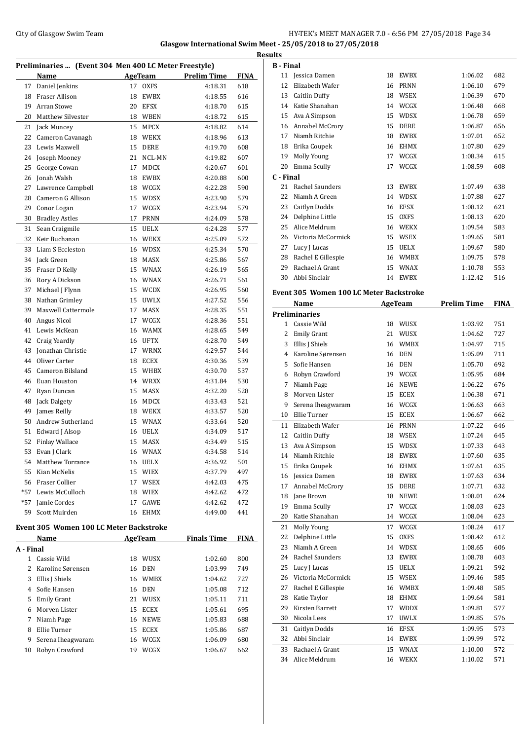## City of Glasgow Swim Team **HY-TEK's MEET MANAGER 7.0** - 6:56 PM 27/05/2018 Page 34 **Glasgow International Swim Meet - 25/05/2018 to 27/05/2018**

|           |                                                       |    |             |                    |             | <b>Results</b>          |
|-----------|-------------------------------------------------------|----|-------------|--------------------|-------------|-------------------------|
|           | Preliminaries  (Event 304 Men 400 LC Meter Freestyle) |    |             |                    |             | B - 1                   |
|           | Name                                                  |    | AgeTeam     | <b>Prelim Time</b> | FINA        | 1                       |
| 17        | Daniel Jenkins                                        | 17 | <b>OXFS</b> | 4:18.31            | 618         | 1                       |
|           | 18 Fraser Allison                                     |    | 18 EWBX     | 4:18.55            | 616         | $\mathbf{1}$            |
| 19        | Arran Stowe                                           |    | 20 EFSX     | 4:18.70            | 615         | $\mathbf{1}$            |
| 20        | Matthew Silvester                                     |    | 18 WBEN     | 4:18.72            | 615         | $\mathbf{1}$            |
|           | 21 Jack Muncey                                        |    | 15 MPCX     | 4:18.82            | 614         | 1                       |
| 22        | Cameron Cavanagh                                      |    | 18 WEKX     | 4:18.96            | 613         | $\mathbf{1}$            |
| 23        | Lewis Maxwell                                         |    | 15 DERE     | 4:19.70            | 608         | $\mathbf{1}$            |
| 24        | Joseph Mooney                                         |    | 21 NCL-MN   | 4:19.82            | 607         | $\mathbf{1}$            |
| 25        | George Cowan                                          | 17 | MDCX        | 4:20.67            | 601         | $\overline{c}$          |
|           | 26 Jonah Walsh                                        |    | 18 EWBX     | 4:20.88            | 600         | $\mathsf{C}$ - 1        |
| 27        | Lawrence Campbell                                     |    | 18 WCGX     | 4:22.28            | 590         | 2                       |
|           | 28 Cameron G Allison                                  |    | 15 WDSX     | 4:23.90            | 579         | $\overline{c}$          |
| 29        | Conor Logan                                           |    | 17 WCGX     | 4:23.94            | 579         | $\overline{c}$          |
| 30        | <b>Bradley Astles</b>                                 | 17 | <b>PRNN</b> | 4:24.09            | 578         | $\overline{c}$          |
| 31        | Sean Craigmile                                        |    | 15 UELX     | 4:24.28            | 577         | $\overline{\mathbf{c}}$ |
| 32        | Keir Buchanan                                         |    | 16 WEKX     | 4:25.09            | 572         | $\overline{a}$          |
| 33        | Liam S Eccleston                                      |    | 16 WDSX     | 4:25.34            | 570         | $\overline{c}$          |
|           | 34 Jack Green                                         |    | 18 MASX     | 4:25.86            | 567         | $\overline{c}$          |
| 35        | Fraser D Kelly                                        |    | 15 WNAX     | 4:26.19            | 565         | $\overline{c}$          |
| 36        | Rory A Dickson                                        |    | 16 WNAX     | 4:26.71            | 561         | 3                       |
| 37        | Michael J Flynn                                       |    | 15 WCDX     | 4:26.95            | 560         | <b>Eve</b>              |
| 38        | Nathan Grimley                                        |    | 15 UWLX     | 4:27.52            | 556         |                         |
| 39        | Maxwell Cattermole                                    | 17 | MASX        | 4:28.35            | 551         | Pre                     |
| 40        | Angus Nicol                                           |    | 17 WCGX     | 4:28.36            | 551         |                         |
| 41        | Lewis McKean                                          |    | 16 WAMX     | 4:28.65            | 549         |                         |
| 42        | Craig Yeardly                                         |    | 16 UFTX     | 4:28.70            | 549         |                         |
| 43        | Jonathan Christie                                     |    | 17 WRNX     | 4:29.57            | 544         |                         |
| 44        | Oliver Carter                                         |    | 18 ECEX     | 4:30.36            | 539         |                         |
| 45        | Cameron Bilsland                                      |    | 15 WHBX     | 4:30.70            | 537         |                         |
| 46        | Euan Houston                                          |    | 14 WRXX     | 4:31.84            | 530         |                         |
| 47        | Ryan Duncan                                           |    | 15 MASX     | 4:32.20            | 528         |                         |
| 48        | Jack Dalgety                                          |    | 16 MDCX     | 4:33.43            | 521         |                         |
| 49        | James Reilly                                          |    | 18 WEKX     | 4:33.57            | 520         | 1                       |
| 50        | Andrew Sutherland                                     |    | 15 WNAX     | 4:33.64            | 520         | $\mathbf{1}$            |
| 51        | Edward J Alsop                                        |    | 16 UELX     | 4:34.09            | 517         | 1                       |
| 52        | Finlay Wallace                                        | 15 | <b>MASX</b> | 4:34.49            | 515         |                         |
|           | 53 Evan J Clark                                       |    | 16 WNAX     | 4:34.58            | 514         | L,<br>$\mathbf{1}$      |
|           | 54 Matthew Torrance                                   |    | 16 UELX     | 4:36.92            | 501         |                         |
|           | 55 Kian McNelis                                       |    | 15 WIEX     | 4:37.79            | 497         | 1<br>1                  |
|           | 56 Fraser Collier                                     |    | 17 WSEX     | 4:42.03            | 475         | $\mathbf{1}$            |
|           | *57 Lewis McCulloch                                   |    | 18 WIEX     | 4:42.62            | 472         |                         |
|           | *57 Jamie Cordes                                      |    | 17 GAWE     | 4:42.62            | 472         | 1                       |
|           | 59 Scott Muirden                                      |    | 16 EHMX     | 4:49.00            | 441         | 1<br>2                  |
|           | Event 305 Women 100 LC Meter Backstroke               |    |             |                    |             | $\overline{c}$          |
|           | Name                                                  |    | AgeTeam     | <b>Finals Time</b> | <b>FINA</b> | $\overline{c}$          |
| A - Final |                                                       |    |             |                    |             | 2                       |
|           |                                                       |    |             |                    |             |                         |

|           | name              |    | ngcicam     | т пиагэ типге | .   |
|-----------|-------------------|----|-------------|---------------|-----|
| A - Final |                   |    |             |               |     |
|           | Cassie Wild       | 18 | <b>WUSX</b> | 1:02.60       | 800 |
| 2         | Karoline Sørensen | 16 | <b>DEN</b>  | 1:03.99       | 749 |
| 3         | Ellis J Shiels    | 16 | <b>WMBX</b> | 1:04.62       | 727 |
| 4         | Sofie Hansen      | 16 | DEN         | 1:05.08       | 712 |
| 5         | Emily Grant       | 21 | <b>WUSX</b> | 1:05.11       | 711 |
| 6         | Morven Lister     | 15 | <b>ECEX</b> | 1:05.61       | 695 |
| 7         | Niamh Page        | 16 | <b>NEWE</b> | 1:05.83       | 688 |
| 8         | Ellie Turner      | 15 | <b>ECEX</b> | 1:05.86       | 687 |
| 9         | Serena Iheagwaram | 16 | <b>WCGX</b> | 1:06.09       | 680 |
| 10        | Robyn Crawford    | 19 | <b>WCGX</b> | 1:06.67       | 662 |
|           |                   |    |             |               |     |

| <b>B</b> - Final |                                         |    |                |                    |             |
|------------------|-----------------------------------------|----|----------------|--------------------|-------------|
| 11               | <b>Iessica Damen</b>                    |    | 18 EWBX        | 1:06.02            | 682         |
| 12               | Elizabeth Wafer                         | 16 | <b>PRNN</b>    | 1:06.10            | 679         |
|                  | 13 Caitlin Duffy                        |    | 18 WSEX        | 1:06.39            | 670         |
|                  | 14 Katie Shanahan                       |    | 14 WCGX        | 1:06.48            | 668         |
|                  | 15 Ava A Simpson                        |    | 15 WDSX        | 1:06.78            | 659         |
|                  | 16 Annabel McCrory                      |    | 15 DERE        | 1:06.87            | 656         |
|                  | 17 Niamh Ritchie                        | 18 | EWBX           | 1:07.01            | 652         |
|                  | 18 Erika Coupek                         | 16 | <b>EHMX</b>    | 1:07.80            | 629         |
|                  | 19 Molly Young                          | 17 | WCGX           | 1:08.34            | 615         |
|                  | 20 Emma Scully                          | 17 | WCGX           | 1:08.59            | 608         |
|                  |                                         |    |                |                    |             |
| C - Final<br>21  | Rachel Saunders                         | 13 | EWBX           | 1:07.49            | 638         |
| 22               |                                         |    |                |                    |             |
|                  | Niamh A Green                           |    | 14 WDSX        | 1:07.88            | 627         |
|                  | 23 Caitlyn Dodds                        |    | 16 EFSX        | 1:08.12            | 621         |
|                  | 24 Delphine Little                      |    | 15 OXFS        | 1:08.13            | 620         |
|                  | 25 Alice Meldrum                        |    | 16 WEKX        | 1:09.54            | 583         |
|                  | 26 Victoria McCormick                   |    | 15 WSEX        | 1:09.65            | 581         |
|                  | 27 Lucy J Lucas                         |    | 15 UELX        | 1:09.67            | 580         |
| 28               | Rachel E Gillespie                      |    | 16 WMBX        | 1:09.75            | 578         |
| 29               | Rachael A Grant                         | 15 | <b>WNAX</b>    | 1:10.78            | 553         |
| 30               | Abbi Sinclair                           |    | 14 EWBX        | 1:12.42            | 516         |
|                  | Event 305 Women 100 LC Meter Backstroke |    |                |                    |             |
|                  | Name                                    |    | <b>AgeTeam</b> | <b>Prelim Time</b> | <b>FINA</b> |
|                  |                                         |    |                |                    |             |
| 1                | <b>Preliminaries</b><br>Cassie Wild     |    |                |                    |             |
|                  |                                         | 18 | WUSX           | 1:03.92            | 751         |
|                  | 2 Emily Grant                           | 21 | WUSX           | 1:04.62            | 727         |
|                  | 3 Ellis J Shiels                        |    | 16 WMBX        | 1:04.97            | 715         |
|                  | 4 Karoline Sørensen                     |    | 16 DEN         | 1:05.09            | 711         |
| 5                | Sofie Hansen                            |    | 16 DEN         | 1:05.70            | 692         |
| 6                | Robyn Crawford                          |    | 19 WCGX        | 1:05.95            | 684         |
| 7                | Niamh Page                              | 16 | <b>NEWE</b>    | 1:06.22            | 676         |
| 8                | Morven Lister                           | 15 | <b>ECEX</b>    | 1:06.38            | 671         |
| 9                | Serena Iheagwaram                       | 16 | WCGX           | 1:06.63            | 663         |
| 10               | Ellie Turner                            | 15 | <b>ECEX</b>    | 1:06.67            | 662         |
| 11               | Elizabeth Wafer                         | 16 | <b>PRNN</b>    | 1:07.22            | 646         |
| 12               | <b>Caitlin Duffy</b>                    | 18 | <b>WSEX</b>    | 1:07.24            | 645         |
| 13               | Ava A Simpson                           |    | 15 WDSX        | 1:07.33            | 643         |
| 14               | Niamh Ritchie                           | 18 | EWBX           | 1:07.60            | 635         |
| 15               | Erika Coupek                            | 16 | EHMX           | 1:07.61            | 635         |
| 16               | Jessica Damen                           | 18 | <b>EWBX</b>    | 1:07.63            | 634         |
| 17               | Annabel McCrory                         | 15 | DERE           | 1:07.71            | 632         |
| 18               | Jane Brown                              | 18 | <b>NEWE</b>    | 1:08.01            | 624         |
| 19               | Emma Scully                             | 17 | WCGX           | 1:08.03            | 623         |
| 20               | Katie Shanahan                          | 14 | WCGX           | 1:08.04            | 623         |
| 21               | Molly Young                             | 17 | WCGX           | 1:08.24            | 617         |
| 22               | Delphine Little                         | 15 | OXFS           | 1:08.42            | 612         |
| 23               | Niamh A Green                           | 14 | WDSX           | 1:08.65            | 606         |
| 24               | Rachel Saunders                         | 13 | <b>EWBX</b>    | 1:08.78            | 603         |
| 25               | Lucy J Lucas                            | 15 | UELX           | 1:09.21            | 592         |
| 26               | Victoria McCormick                      | 15 | WSEX           | 1:09.46            | 585         |
| 27               | Rachel E Gillespie                      | 16 | WMBX           | 1:09.48            | 585         |
|                  |                                         |    |                |                    |             |
| 28               | Katie Taylor                            | 18 | EHMX           | 1:09.64            | 581         |
| 29               | Kirsten Barrett                         | 17 | <b>WDDX</b>    | 1:09.81            | 577         |
| 30               | Nicola Lees                             | 17 | <b>UWLX</b>    | 1:09.85            | 576         |
| 31               | Caitlyn Dodds                           | 16 | EFSX           | 1:09.95            | 573         |
| 32               | Abbi Sinclair                           | 14 | EWBX           | 1:09.99            | 572         |
| 33               | Rachael A Grant                         | 15 | WNAX           | 1:10.00            | 572         |
| 34               | Alice Meldrum                           | 16 | WEKX           | 1:10.02            | 571         |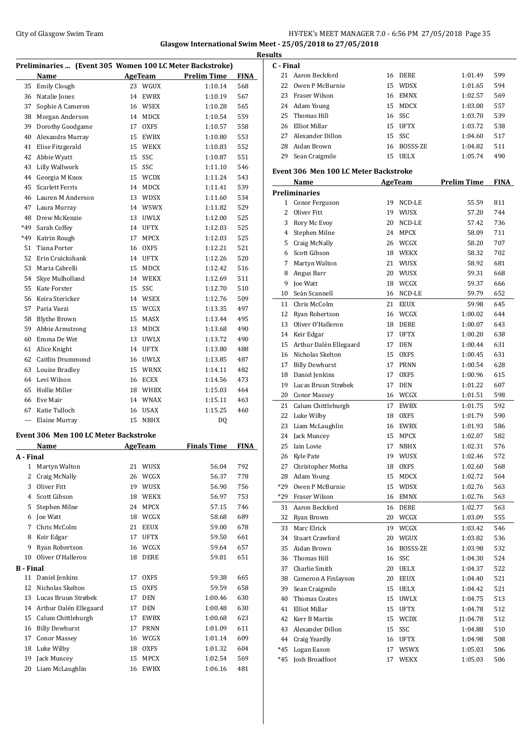## City of Glasgow Swim Team Team Feam Fermi Management City of Glasgow Swim Team Fermi Management City of Glasgow Swim Team Fermi Management City of Glasgow Swim Team Fermi Management City of Glasgow Swim Team Fermi Manageme **Glasgow International Swim Meet - 25/05/2018 to 27/05/2018**

|                  |                                                          |    |                 |                    |             | <b>Results</b>      |
|------------------|----------------------------------------------------------|----|-----------------|--------------------|-------------|---------------------|
|                  | Preliminaries  (Event 305 Women 100 LC Meter Backstroke) |    |                 |                    |             | C - I               |
|                  | Name                                                     |    | AgeTeam         | <b>Prelim Time</b> | <b>FINA</b> | 2                   |
| 35               | <b>Emily Clough</b>                                      |    | 23 WGUX         | 1:10.14            | 568         | 2                   |
| 36               | Natalie Jones                                            |    | 14 EWBX         | 1:10.19            | 567         | $\overline{c}$      |
| 37               | Sophie A Cameron                                         |    | 16 WSEX         | 1:10.28            | 565         | $\overline{c}$      |
| 38               | Morgan Anderson                                          |    | 14 MDCX         | 1:10.54            | 559         | $\overline{c}$      |
| 39               | Dorothy Goodgame                                         | 17 | <b>OXFS</b>     | 1:10.57            | 558         | $\overline{c}$      |
| 40               | Alexandra Murray                                         | 15 | EWBX            | 1:10.80            | 553         | $\overline{c}$      |
| 41               | Elise Fitzgerald                                         | 15 | <b>WEKX</b>     | 1:10.83            | 552         | $\overline{c}$      |
| 42               | Abbie Wyatt                                              | 15 | SSC             | 1:10.87            | 551         | $\overline{2}$      |
| 43               | Lilly Wallwork                                           | 15 | SSC             | 1:11.10            | 546         | Eve                 |
| 44               | Georgia M Knox                                           |    | 15 WCDX         | 1:11.24            | 543         |                     |
| 45               | <b>Scarlett Ferris</b>                                   |    | 14 MDCX         | 1:11.41            | 539         | Pre                 |
| 46               | Lauren M Anderson                                        |    | 13 WDSX         | 1:11.60            | 534         |                     |
| 47               | Laura Murray                                             |    | 14 WSWX         | 1:11.82            | 529         |                     |
| 48               | Drew McKenzie                                            |    | 13 UWLX         | 1:12.00            | 525         |                     |
| *49              | Sarah Coffey                                             |    | 14 UFTX         | 1:12.03            | 525         |                     |
| *49              | Katrin Rough                                             | 17 | MPCX            | 1:12.03            | 525         |                     |
| 51               | Tiana Porter                                             | 16 | <b>OXFS</b>     | 1:12.21            | 521         |                     |
| 52               | Erin Cruickshank                                         |    | 14 UFTX         | 1:12.26            | 520         |                     |
| 53               | Maria Cabrelli                                           | 15 | MDCX            | 1:12.42            | 516         |                     |
| 54               | Skye Mulholland                                          |    | 14 WEKX         | 1:12.69            | 511         |                     |
| 55               | <b>Kate Forster</b>                                      | 15 | SSC             | 1:12.70            | 510         |                     |
| 56               | Keira Stericker                                          |    | 14 WSEX         | 1:12.76            | 509         | 1                   |
| 57               | Paria Vaezi                                              |    | 15 WCGX         | 1:13.35            | 497         | 1                   |
| 58               | Blythe Brown                                             |    | 15 MASX         | 1:13.44            | 495         | 1                   |
| 59               | Abbie Armstrong                                          |    | 13 MDCX         | 1:13.68            | 490         | 1                   |
| 60               | Emma De Wet                                              |    | 13 UWLX         | 1:13.72            | 490         | 1                   |
| 61               | Alice Knight                                             |    | 14 UFTX         | 1:13.80            | 488         | 1                   |
| 62               | Caitlin Drummond                                         |    | 16 UWLX         | 1:13.85            | 487         | 1                   |
| 63               | Louise Bradley                                           |    | 15 WRNX         | 1:14.11            | 482         | 1                   |
| 64               | Levi Wilson                                              |    | 16 ECEX         | 1:14.56            | 473         | 1                   |
| 65               | Hollie Miller                                            |    | 18 WHBX         | 1:15.03            | 464         | 1                   |
| 66               | Eve Mair                                                 |    | 14 WNAX         | 1:15.11            | 463         | $\overline{c}$      |
| 67               | Katie Tulloch                                            |    | 16 USAX         | 1:15.25            | 460         | $\overline{c}$      |
| ---              | Elaine Murray                                            | 15 | <b>NBHX</b>     | DQ                 |             | $\overline{c}$      |
|                  |                                                          |    |                 |                    |             | $\overline{c}$      |
|                  | Event 306 Men 100 LC Meter Backstroke<br><b>Name</b>     |    | AgeTeam         | <b>Finals Time</b> | <b>FINA</b> | $\overline{2}$      |
| A - Final        |                                                          |    |                 |                    |             | 2<br>$\overline{c}$ |
| $\mathbf{1}$     | Martyn Walton                                            |    | 21 WUSX         | 56.04              | 792         | 2                   |
| 2                | Craig McNally                                            |    | 26 WCGX         | 56.37              | 778         | $\overline{c}$      |
| 3                | Oliver Fitt                                              |    | 19 WUSX         | 56.90              | 756         | *2                  |
| $\overline{4}$   | Scott Gibson                                             |    | 18 WEKX         | 56.97              | 753         | *2                  |
| 5                | Stephen Milne                                            |    | 24 MPCX         | 57.15              |             |                     |
| 6                | Joe Watt                                                 |    | 18 WCGX         | 58.68              | 746<br>689  | 3                   |
|                  | Chris McColm                                             |    | 21 EEUX         | 59.00              |             | 3                   |
| 7                |                                                          |    |                 |                    | 678         | 3                   |
| 8<br>9           | Keir Edgar                                               | 17 | <b>UFTX</b>     | 59.50              | 661         | 3                   |
|                  | Ryan Robertson<br>Oliver O'Halleron                      |    | 16 WCGX<br>DERE | 59.64              | 657         | 3                   |
| 10               |                                                          | 18 |                 | 59.81              | 651         | 3                   |
| <b>B</b> - Final |                                                          |    |                 |                    |             | 3                   |
| 11               | Daniel Jenkins                                           | 17 | <b>OXFS</b>     | 59.38              | 665         | 3                   |
| 12               | Nicholas Skelton                                         | 15 | <b>OXFS</b>     | 59.59              | 658         | 3                   |
| 13               | Lucas Bruun Strøbek                                      | 17 | <b>DEN</b>      | 1:00.46            | 630         | 4                   |
|                  | 14 Arthur Dalén Ellegaard                                | 17 | <b>DEN</b>      | 1:00.48            | 630         | 4                   |
|                  | 15 Calum Chittleburgh                                    | 17 | <b>EWBX</b>     | 1:00.68            | 623         | 4                   |
| 16               | <b>Billy Dewhurst</b>                                    | 17 | PRNN            | 1:01.09            | 611         | 4                   |
| 17               | <b>Conor Massey</b>                                      |    | 16 WCGX         | 1:01.14            | 609         | 4                   |
| 18               | Luke Wilby                                               | 18 | <b>OXFS</b>     | 1:01.32            | 604         | *4                  |
| 19               | Jack Muncey                                              | 15 | <b>MPCX</b>     | 1:02.54            | 569         | *4                  |
| 20               | Liam McLaughlin                                          | 16 | EWBX            | 1:06.16            | 481         |                     |

| C - Final |                                              |    |                |                    |      |
|-----------|----------------------------------------------|----|----------------|--------------------|------|
| 21        | Aaron Beckford                               | 16 | DERE           | 1:01.49            | 599  |
| 22        | Owen P McBurnie                              | 15 | WDSX           | 1:01.65            | 594  |
| 23        | Fraser Wilson                                | 16 | <b>EMNX</b>    | 1:02.57            | 569  |
| 24        | Adam Young                                   | 15 | <b>MDCX</b>    | 1:03.00            | 557  |
| 25        | Thomas Hill                                  | 16 | SSC            | 1:03.70            | 539  |
| 26        | Elliot Millar                                | 15 | <b>UFTX</b>    | 1:03.72            | 538  |
| 27        | Alexander Dillon                             | 15 | SSC            | 1:04.60            | 517  |
| 28        | Aidan Brown                                  | 16 | BOSSS-ZE       | 1:04.82            | 511  |
| 29        | Sean Craigmile                               | 15 | <b>UELX</b>    | 1:05.74            | 490  |
|           | <b>Event 306 Men 100 LC Meter Backstroke</b> |    |                |                    |      |
|           | Name                                         |    | <b>AgeTeam</b> | <b>Prelim Time</b> | FINA |
|           | <b>Preliminaries</b>                         |    |                |                    |      |
|           | 1 Conor Ferguson                             | 19 | NCD-LE         | 55.59              | 811  |
| 2         | Oliver Fitt                                  | 19 | WUSX           | 57.20              | 744  |
| 3         | Rory Mc Evoy                                 | 20 | NCD-LE         | 57.42              | 736  |
| 4         | Stephen Milne                                | 24 | <b>MPCX</b>    | 58.09              | 711  |
| 5         | Craig McNally                                | 26 | WCGX           | 58.20              | 707  |
| 6         | Scott Gibson                                 | 18 | <b>WEKX</b>    | 58.32              | 702  |
| 7         | Martyn Walton                                | 21 | WUSX           | 58.92              | 681  |
| 8         | Angus Barr                                   | 20 | WUSX           | 59.31              | 668  |
| 9         | Joe Watt                                     | 18 | WCGX           | 59.37              | 666  |
| 10        | Seán Scannell                                | 16 | NCD-LE         | 59.79              | 652  |
| 11        | Chris McColm                                 | 21 | <b>EEUX</b>    | 59.98              | 645  |
|           |                                              |    |                |                    |      |
| 12        | Ryan Robertson                               | 16 | WCGX           | 1:00.02            | 644  |
| 13        | Oliver O'Halleron                            | 18 | DERE           | 1:00.07            | 643  |
| 14        | Keir Edgar                                   | 17 | <b>UFTX</b>    | 1:00.20            | 638  |
| 15        | Arthur Dalén Ellegaard                       | 17 | DEN            | 1:00.44            | 631  |
| 16        | Nicholas Skelton                             | 15 | <b>OXFS</b>    | 1:00.45            | 631  |
| 17        | <b>Billy Dewhurst</b>                        | 17 | <b>PRNN</b>    | 1:00.54            | 628  |
| 18        | Daniel Jenkins                               | 17 | <b>OXFS</b>    | 1:00.96            | 615  |
| 19        | Lucas Bruun Strøbek                          | 17 | <b>DEN</b>     | 1:01.22            | 607  |
| 20        | <b>Conor Massey</b>                          | 16 | WCGX           | 1:01.51            | 598  |
| 21        | Calum Chittleburgh                           | 17 | <b>EWBX</b>    | 1:01.75            | 592  |
| 22        | Luke Wilby                                   | 18 | <b>OXFS</b>    | 1:01.79            | 590  |
| 23        | Liam McLaughlin                              | 16 | EWBX           | 1:01.93            | 586  |
| 24        | Jack Muncey                                  | 15 | <b>MPCX</b>    | 1:02.07            | 582  |
| 25        | Iain Lovie                                   | 17 | <b>NBHX</b>    | 1:02.31            | 576  |
|           | 26 Kyle Pate                                 |    | 19 WUSX        | 1:02.46            | 572  |
| 27        | Christopher Motha                            | 18 | OXFS           | 1:02.60            | 568  |
| 28        | Adam Young                                   | 15 | MDCX           | 1:02.72            | 564  |
| *29       | Owen P McBurnie                              | 15 | WDSX           | 1:02.76            | 563  |
| *29       | Fraser Wilson                                | 16 | EMNX           | 1:02.76            | 563  |
| 31        | Aaron Beckford                               | 16 | DERE           | 1:02.77            | 563  |
| 32        | Ryan Brown                                   | 20 | WCGX           | 1:03.09            | 555  |
| 33        | Marc Elrick                                  | 19 | WCGX           | 1:03.42            | 546  |
| 34        | <b>Stuart Crawford</b>                       | 20 | WGUX           | 1:03.82            | 536  |
| 35        | Aidan Brown                                  | 16 | BOSSS-ZE       | 1:03.98            | 532  |
| 36        | Thomas Hill                                  | 16 | SSC            | 1:04.30            | 524  |
| 37        | Charlie Smith                                | 20 | UELX           | 1:04.37            | 522  |
|           | 38 Cameron A Finlayson                       | 20 | EEUX           | 1:04.40            | 521  |
| 39        | Sean Craigmile                               | 15 | <b>UELX</b>    | 1:04.42            | 521  |
| 40        | <b>Thomas Coates</b>                         | 15 | <b>UWLX</b>    | 1:04.75            | 513  |
| 41        | Elliot Millar                                | 15 | <b>UFTX</b>    | 1:04.78            | 512  |
| 42        | Kerr B Martin                                | 15 | <b>WCDX</b>    | 1:04.78            | 512  |
| 43        | Alexander Dillon                             | 15 | SSC            | 1:04.88            | 510  |
| 44        | Craig Yeardly                                | 16 | <b>UFTX</b>    | 1:04.98            | 508  |
| $*45$     | Logan Eason                                  | 17 | WSWX           | 1:05.03            | 506  |
| *45       | Josh Broadfoot                               | 17 | WEKX           | 1:05.03            | 506  |
|           |                                              |    |                |                    |      |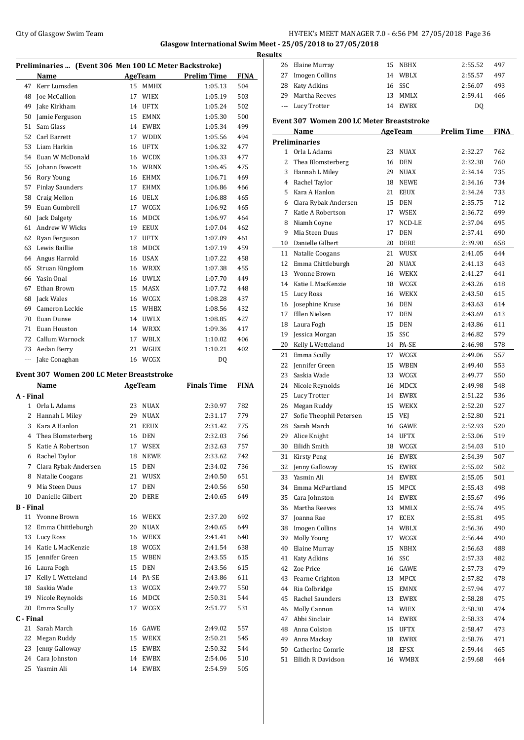## City of Glasgow Swim Team **HY-TEK's MEET MANAGER 7.0 - 6:56 PM 27/05/2018** Page 36 **Glasgow International Swim Meet - 25/05/2018 to 27/05/2018**

|                      | Preliminaries  (Event 306 Men 100 LC Meter Backstroke) |          |                |                    |             |
|----------------------|--------------------------------------------------------|----------|----------------|--------------------|-------------|
|                      | Name                                                   |          | AgeTeam        | <b>Prelim Time</b> | <b>FINA</b> |
| 47                   | Kerr Lumsden                                           |          | 15 MMHX        | 1:05.13            | 504         |
| 48                   | Joe McCallion                                          | 17       | <b>WIEX</b>    | 1:05.19            | 503         |
| 49                   | Jake Kirkham                                           | 14       | <b>UFTX</b>    | 1:05.24            | 502         |
|                      |                                                        |          | <b>EMNX</b>    | 1:05.30            |             |
| 50<br>51             | Jamie Ferguson<br>Sam Glass                            | 15       | <b>EWBX</b>    |                    | 500<br>499  |
|                      |                                                        | 14       |                | 1:05.34            |             |
| 52                   | Carl Barrett                                           | 17       | <b>WDDX</b>    | 1:05.56            | 494         |
| 53                   | Liam Harkin<br>Euan W McDonald                         | 16       | UFTX           | 1:06.32            | 477         |
| 54                   |                                                        | 16       | WCDX           | 1:06.33            | 477         |
| 55                   | Johann Fawcett                                         | 16       | WRNX           | 1:06.45            | 475         |
| 56                   | Rory Young                                             |          | 16 EHMX        | 1:06.71            | 469         |
| 57                   | <b>Finlay Saunders</b>                                 |          | 17 EHMX        | 1:06.86            | 466         |
| 58                   | Craig Mellon                                           |          | 16 UELX        | 1:06.88            | 465         |
| 59                   | Euan Gumbrell                                          | 17       | WCGX           | 1:06.92            | 465         |
| 60                   | Jack Dalgety                                           | 16       | <b>MDCX</b>    | 1:06.97            | 464         |
| 61                   | Andrew W Wicks                                         | 19       | <b>EEUX</b>    | 1:07.04            | 462         |
| 62                   | Ryan Ferguson                                          | 17       | <b>UFTX</b>    | 1:07.09            | 461         |
| 63                   | Lewis Baillie                                          | 18       | <b>MDCX</b>    | 1:07.19            | 459         |
| 64                   | Angus Harrold                                          | 16       | <b>USAX</b>    | 1:07.22            | 458         |
| 65                   | Struan Kingdom                                         |          | 16 WRXX        | 1:07.38            | 455         |
| 66                   | Yasin Onal                                             | 16       | UWLX           | 1:07.70            | 449         |
| 67                   | Ethan Brown                                            | 15       | MASX           | 1:07.72            | 448         |
| 68                   | Jack Wales                                             |          | 16 WCGX        | 1:08.28            | 437         |
| 69                   | Cameron Leckie                                         | 15       | WHBX           | 1:08.56            | 432         |
| 70                   | Euan Dunse                                             |          | 14 UWLX        | 1:08.85            | 427         |
| 71                   | Euan Houston                                           |          | 14 WRXX        | 1:09.36            | 417         |
| 72                   | Callum Warnock                                         | 17       | WBLX           | 1:10.02            | 406         |
| 73                   | Aedan Berry                                            | 21       | WGUX           | 1:10.21            | 402         |
| $\scriptstyle\cdots$ | Jake Conaghan                                          | 16       | WCGX           | DQ                 |             |
|                      | Event 307 Women 200 LC Meter Breaststroke              |          |                |                    |             |
|                      |                                                        |          |                | <b>Finals Time</b> | <b>FINA</b> |
|                      | Name                                                   |          | <b>AgeTeam</b> |                    |             |
| A - Final<br>1       | Orla L Adams                                           | 23       |                |                    | 782         |
| 2                    |                                                        |          | NUAX           | 2:30.97            |             |
| 3                    | Hannah L Miley<br>Kara A Hanlon                        | 29<br>21 | NUAX           | 2:31.17<br>2:31.42 | 779         |
|                      |                                                        |          | <b>EEUX</b>    |                    | 775         |
| 4                    | Thea Blomsterberg                                      | 16       | DEN            | 2:32.03            | 766         |
| 5                    | Katie A Robertson                                      | 17       | <b>WSEX</b>    | 2:32.63            | 757         |
| 6                    | Rachel Taylor                                          | 18       | <b>NEWE</b>    | 2:33.62            | 742         |
| 7                    | Clara Rybak-Andersen                                   | 15       | <b>DEN</b>     | 2:34.02            | 736         |
| 8                    | Natalie Coogans                                        | 21       | WUSX           | 2:40.50            | 651         |
| 9                    | Mia Steen Duus                                         | 17       | DEN            | 2:40.56            | 650         |
| 10                   | Danielle Gilbert                                       | 20       | DERE           | 2:40.65            | 649         |
| <b>B</b> - Final     |                                                        |          |                |                    |             |
| 11                   | Yvonne Brown                                           | 16       | <b>WEKX</b>    | 2:37.20            | 692         |
| 12                   | Emma Chittleburgh                                      | 20       | <b>NUAX</b>    | 2:40.65            | 649         |
| 13                   | Lucy Ross                                              | 16       | <b>WEKX</b>    | 2:41.41            | 640         |
| 14                   | Katie L MacKenzie                                      |          | 18 WCGX        | 2:41.54            | 638         |
| 15                   | Jennifer Green                                         | 15       | WBEN           | 2:43.55            | 615         |
| 16                   | Laura Fogh                                             | 15       | <b>DEN</b>     | 2:43.56            | 615         |

 Kelly L Wetteland 14 PA-SE 2:43.86 611 Saskia Wade 13 WCGX 2:49.77 550 Nicole Reynolds 16 MDCX 2:50.31 544 Emma Scully 17 WCGX 2:51.77 531

 Sarah March 16 GAWE 2:49.02 557 Megan Ruddy 15 WEKX 2:50.21 545 Jenny Galloway 15 EWBX 2:50.32 544 Cara Johnston 14 EWBX 2:54.06 510 Yasmin Ali 14 EWBX 2:54.59 505

**C - Final**

| <b>Results</b> |          |                                           |    |                    |                    |             |
|----------------|----------|-------------------------------------------|----|--------------------|--------------------|-------------|
|                |          | 26 Elaine Murray                          |    | 15 NBHX            | 2:55.52            | 497         |
|                | 27       | Imogen Collins                            |    | 14 WBLX            | 2:55.57            | 497         |
|                |          | 28 Katy Adkins                            |    | 16 SSC             | 2:56.07            | 493         |
|                | 29       | Martha Reeves                             |    | 13 MMLX            | 2:59.41            | 466         |
|                | ---      | Lucy Trotter                              |    | 14 EWBX            | DQ                 |             |
|                |          | Event 307 Women 200 LC Meter Breaststroke |    |                    |                    |             |
|                |          | Name                                      |    | AgeTeam            | <b>Prelim Time</b> | <b>FINA</b> |
|                |          | <b>Preliminaries</b>                      |    |                    |                    |             |
|                | 1        | Orla L Adams                              | 23 | <b>NUAX</b>        | 2:32.27            | 762         |
|                | 2        | Thea Blomsterberg                         |    | 16 DEN             | 2:32.38            | 760         |
|                |          | 3 Hannah L Miley                          | 29 | <b>NUAX</b>        | 2:34.14            | 735         |
|                |          | 4 Rachel Taylor                           |    | 18 NEWE            | 2:34.16            | 734         |
|                |          | 5 Kara A Hanlon                           |    | 21 EEUX            | 2:34.24            | 733         |
|                |          | 6 Clara Rybak-Andersen                    |    | 15 DEN             | 2:35.75            | 712         |
|                |          | 7 Katie A Robertson                       |    | 17 WSEX            | 2:36.72            | 699         |
|                |          | 8 Niamh Coyne                             | 17 | NCD-LE             | 2:37.04            | 695         |
|                | 9        | Mia Steen Duus                            | 17 | <b>DEN</b>         | 2:37.41            | 690         |
|                | 10       | Danielle Gilbert                          | 20 | DERE               | 2:39.90            | 658         |
|                |          | 11 Natalie Coogans                        |    | 21 WUSX            | 2:41.05            | 644         |
|                | 12       | Emma Chittleburgh                         |    | 20 NUAX            | 2:41.13            | 643         |
|                | 13       | Yvonne Brown                              |    | 16 WEKX            | 2:41.27            | 641         |
|                |          | 14 Katie L MacKenzie                      |    | 18 WCGX            | 2:43.26            | 618         |
|                | 15       | Lucy Ross                                 |    | 16 WEKX            | 2:43.50            | 615         |
|                | 16       | Josephine Kruse                           |    | 16 DEN             | 2:43.63            | 614         |
|                | 17       | Ellen Nielsen                             |    | 17 DEN             | 2:43.69            | 613         |
|                |          | 18 Laura Fogh                             |    | 15 DEN             | 2:43.86            | 611         |
|                | 19       | Jessica Morgan                            | 15 | SSC                | 2:46.82            | 579         |
|                | 20       | Kelly L Wetteland                         |    | 14 PA-SE           | 2:46.98            | 578         |
|                | 21       | Emma Scully                               |    | 17 WCGX            | 2:49.06            | 557         |
|                | 22       | Jennifer Green                            |    | 15 WBEN            | 2:49.40            | 553         |
|                | 23       | Saskia Wade                               |    | 13 WCGX            | 2:49.77            | 550         |
|                | 24       | Nicole Reynolds                           | 16 | MDCX               | 2:49.98            | 548         |
|                | 25       | Lucy Trotter                              |    | 14 EWBX            | 2:51.22            | 536         |
|                | 26       | Megan Ruddy                               |    | 15 WEKX            | 2:52.20            | 527         |
|                | 27       | Sofie Theophil Petersen                   |    | 15 VEJ             | 2:52.80            | 521         |
|                | 28       | Sarah March                               | 16 | <b>GAWE</b>        | 2:52.93            | 520         |
|                | 29       | Alice Knight                              |    | 14 UFTX            | 2:53.06            | 519         |
|                | 30       | Eilidh Smith                              | 18 | WCGX               | 2:54.03            | 510         |
|                | 31       | Kirsty Peng                               | 16 | ${\rm EWBX}$       | 2:54.39            | 507         |
|                | 32       | Jenny Galloway                            | 15 | EWBX               | 2:55.02            | 502         |
|                | 33       | Yasmin Ali                                | 14 | EWBX               | 2:55.05            | 501         |
|                | 34       | Emma McPartland                           | 15 | MPCX               | 2:55.43            | 498         |
|                | 35       | Cara Johnston                             |    | 14 EWBX            | 2:55.67            | 496         |
|                | 36       | Martha Reeves                             |    | 13 MMLX            | 2:55.74            | 495         |
|                | 37       | Joanna Rae                                | 17 | ECEX               | 2:55.81            | 495         |
|                | 38       | Imogen Collins                            |    | 14 WBLX            | 2:56.36            | 490         |
|                | 39       | Molly Young                               |    | 17 WCGX            | 2:56.44            | 490         |
|                | 40       | Elaine Murray                             | 15 | <b>NBHX</b>        | 2:56.63            | 488         |
|                | 41       | <b>Katy Adkins</b>                        |    | 16 SSC             | 2:57.33            | 482         |
|                | 42       | Zoe Price                                 |    | 16 GAWE            | 2:57.73            | 479         |
|                | 43       | Fearne Crighton                           | 13 | MPCX               | 2:57.82            | 478         |
|                | 44<br>45 | Ria Colbridge<br>Rachel Saunders          |    | 15 EMNX<br>13 EWBX | 2:57.94            | 477         |
|                | 46       | Molly Cannon                              |    | 14 WIEX            | 2:58.28<br>2:58.30 | 475<br>474  |
|                | 47       | Abbi Sinclair                             |    | 14 EWBX            | 2:58.33            | 474         |
|                |          | 48 Anna Colston                           |    | 15 UFTX            | 2:58.47            | 473         |
|                | 49       | Anna Mackay                               |    | 18 EWBX            | 2:58.76            | 471         |
|                | 50       | Catherine Comrie                          | 18 | <b>EFSX</b>        | 2:59.44            | 465         |
|                | 51       | Eilidh R Davidson                         |    | 16 WMBX            | 2:59.68            | 464         |
|                |          |                                           |    |                    |                    |             |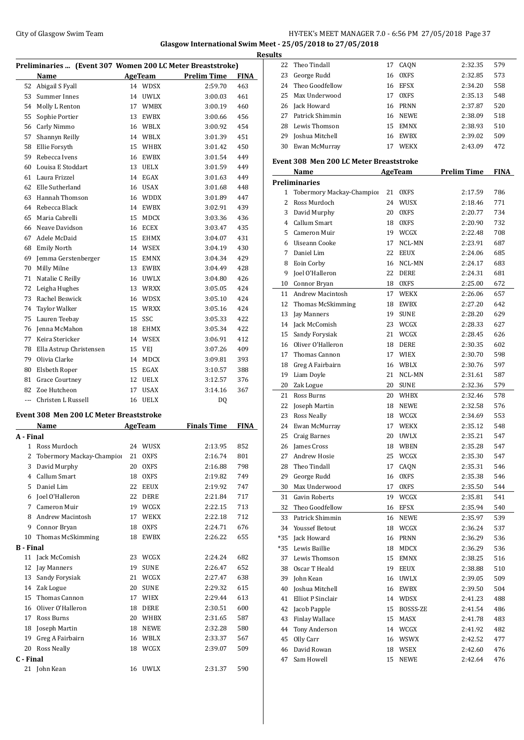## City of Glasgow Swim Team Team Frameters Music City of Glasgow Swim Team Frameters 2.0 - 6:56 PM 27/05/2018 Page 37 **Glasgow International Swim Meet - 25/05/2018 to 27/05/2018**

|                  |                                                            |                |             |                    | R           |
|------------------|------------------------------------------------------------|----------------|-------------|--------------------|-------------|
|                  | Preliminaries  (Event 307 Women 200 LC Meter Breaststroke) |                |             |                    |             |
|                  | Name                                                       |                | AgeTeam     | <b>Prelim Time</b> | <b>FINA</b> |
| 52               | Abigail S Fyall                                            |                | 14 WDSX     | 2:59.70            | 463         |
| 53               | Summer Innes                                               | 14             | <b>UWLX</b> | 3:00.03            | 461         |
|                  | 54 Molly L Renton                                          | 17             | <b>WMBX</b> | 3:00.19            | 460         |
| 55               | Sophie Portier                                             | 13             | EWBX        | 3:00.66            | 456         |
| 56               | Carly Nimmo                                                |                | 16 WBLX     | 3:00.92            | 454         |
| 57               | Shannyn Reilly                                             |                | 14 WBLX     | 3:01.39            | 451         |
| 58               | Ellie Forsyth                                              |                | 15 WHBX     | 3:01.42            | 450         |
| 59               | Rebecca Ivens                                              |                | 16 EWBX     | 3:01.54            | 449         |
| 60               | Louisa E Stoddart                                          | 13             | <b>UELX</b> | 3:01.59            | 449         |
| 61               | Laura Frizzel                                              | 14             | EGAX        | 3:01.63            | 449         |
| 62               | Elle Sutherland                                            | 16             | USAX        | 3:01.68            | 448         |
| 63               | Hannah Thomson                                             | 16             | <b>WDDX</b> | 3:01.89            | 447         |
| 64               | Rebecca Black                                              |                | 14 EWBX     | 3:02.91            | 439         |
| 65               | Maria Cabrelli                                             | 15             | MDCX        | 3:03.36            | 436         |
| 66               | Neave Davidson                                             |                | 16 ECEX     | 3:03.47            | 435         |
| 67               | Adele McDaid                                               |                | 15 EHMX     | 3:04.07            | 431         |
| 68               | <b>Emily North</b>                                         |                | 14 WSEX     | 3:04.19            | 430         |
| 69               | Jemma Gerstenberger                                        | 15             | EMNX        | 3:04.34            | 429         |
| 70               | Milly Milne                                                |                | 13 EWBX     | 3:04.49            | 428         |
| 71               | Natalie C Reilly                                           |                | 16 UWLX     | 3:04.80            | 426         |
| 72               | Leigha Hughes                                              | 13             | WRXX        | 3:05.05            | 424         |
| 73               | Rachel Beswick                                             | 16             | WDSX        | 3:05.10            | 424         |
| 74               | <b>Taylor Walker</b>                                       | 15             | <b>WRXX</b> | 3:05.16            | 424         |
| 75               | Lauren Teebay                                              | 15             | SSC         | 3:05.33            | 422         |
| 76               | Jenna McMahon                                              | 18             | <b>EHMX</b> | 3:05.34            | 422         |
| 77               | Keira Stericker                                            |                | 14 WSEX     | 3:06.91            | 412         |
| 78               | Ella Astrup Christensen                                    |                | 15 VEJ      | 3:07.26            | 409         |
| 79               | Olivia Clarke                                              | 14             | MDCX        | 3:09.81            | 393         |
| 80               | Elsbeth Roper                                              |                | 15 EGAX     | 3:10.57            | 388         |
| 81               | <b>Grace Courtney</b>                                      |                | 12 UELX     | 3:12.57            | 376         |
| 82               | Zoe Hutcheon                                               | 17             | <b>USAX</b> | 3:14.16            | 367         |
| $\overline{a}$   | Christen L Russell                                         |                | 16 UELX     | DQ                 |             |
|                  |                                                            |                |             |                    |             |
|                  | Event 308 Men 200 LC Meter Breaststroke                    |                |             |                    |             |
|                  | Name                                                       | <b>AgeTeam</b> |             | <b>Finals Time</b> | <b>FINA</b> |
| A - Final        |                                                            |                |             |                    |             |
|                  | 1 Ross Murdoch                                             |                | 24 WUSX     | 2:13.95            | 852         |
| 2                | Tobermory Mackay-Champior                                  | 21             | OXFS        | 2:16.74            | 801         |
| 3                | David Murphy                                               | 20             | OXFS        | 2:16.88            | 798         |
|                  | 4 Callum Smart                                             | 18             | <b>OXFS</b> | 2:19.82            | 749         |
| 5                | Daniel Lim                                                 | 22             | EEUX        | 2:19.92            | 747         |
|                  | 6 Joel O'Halleron                                          | 22             | DERE        | 2:21.84            | 717         |
| 7                | Cameron Muir                                               | 19             | WCGX        | 2:22.15            | 713         |
| 8                | Andrew Macintosh                                           | 17             | WEKX        | 2:22.18            | 712         |
| 9                | Connor Bryan                                               | 18             | <b>OXFS</b> | 2:24.71            | 676         |
| 10               | Thomas McSkimming                                          | 18             | EWBX        | 2:26.22            | 655         |
| <b>B</b> - Final |                                                            |                |             |                    |             |
| 11               | Jack McComish                                              | 23             | WCGX        | 2:24.24            | 682         |
| 12               | Jay Manners                                                | 19             | SUNE        | 2:26.47            | 652         |
| 13               | Sandy Forysiak                                             | 21             | WCGX        | 2:27.47            | 638         |
|                  | 14 Zak Logue                                               | 20             | <b>SUNE</b> | 2:29.32            | 615         |
| 15               | Thomas Cannon                                              | 17             | WIEX        | 2:29.44            | 613         |
| 16               | Oliver O'Halleron                                          |                | 18 DERE     | 2:30.51            | 600         |
| 17               | Ross Burns                                                 |                | 20 WHBX     | 2:31.65            | 587         |
| 18               | Joseph Martin                                              |                | 18 NEWE     | 2:32.28            | 580         |
| 19               | Greg A Fairbairn                                           |                | 16 WBLX     | 2:33.37            | 567         |
| 20               | <b>Ross Neally</b>                                         | 18             | WCGX        | 2:39.07            | 509         |
| C - Final        |                                                            |                |             |                    |             |
|                  | 21 John Kean                                               |                | 16 UWLX     | 2:31.37            | 590         |

| <b>desults</b> |                                                |    |             |                    |             |
|----------------|------------------------------------------------|----|-------------|--------------------|-------------|
| 22             | Theo Tindall                                   |    | 17 CAQN     | 2:32.35            | 579         |
| 23             | George Rudd                                    |    | 16 OXFS     | 2:32.85            | 573         |
| 24             | Theo Goodfellow                                | 16 | EFSX        | 2:34.20            | 558         |
| 25             | Max Underwood                                  |    | 17 OXFS     | 2:35.13            | 548         |
|                | 26 Jack Howard                                 |    | 16 PRNN     | 2:37.87            | 520         |
| 27             | Patrick Shimmin                                |    | 16 NEWE     | 2:38.09            | 518         |
| 28             | Lewis Thomson                                  |    | 15 EMNX     | 2:38.93            | 510         |
| 29             | Joshua Mitchell                                |    | 16 EWBX     | 2:39.02            | 509         |
| 30             | Ewan McMurray                                  |    | 17 WEKX     | 2:43.09            | 472         |
|                | <b>Event 308 Men 200 LC Meter Breaststroke</b> |    |             |                    |             |
|                | Name                                           |    | AgeTeam     | <b>Prelim Time</b> | <b>FINA</b> |
|                | <b>Preliminaries</b>                           |    |             |                    |             |
| 1              | Tobermory Mackay-Champior                      |    | 21 OXFS     | 2:17.59            | 786         |
| 2              | Ross Murdoch                                   | 24 | WUSX        | 2:18.46            | 771         |
| 3              | David Murphy                                   | 20 | <b>OXFS</b> | 2:20.77            | 734         |
| $\overline{4}$ | Callum Smart                                   |    | 18 OXFS     | 2:20.90            | 732         |
| 5.             | Cameron Muir                                   |    | 19 WCGX     | 2:22.48            | 708         |
|                | 6 Uiseann Cooke                                | 17 | NCL-MN      | 2:23.91            | 687         |
| 7              | Daniel Lim                                     |    | 22 EEUX     | 2:24.06            | 685         |
| 8              | Eoin Corby                                     |    | 16 NCL-MN   | 2:24.17            | 683         |
| 9              | Joel O'Halleron                                |    | 22 DERE     | 2:24.31            | 681         |
|                | 10 Connor Bryan                                |    | 18 OXFS     | 2:25.00            | 672         |
| 11             | Andrew Macintosh                               |    | 17 WEKX     | 2:26.06            | 657         |
|                |                                                |    |             |                    |             |
| 12             | Thomas McSkimming                              | 18 | EWBX        | 2:27.20            | 642         |
| 13             | Jay Manners                                    |    | 19 SUNE     | 2:28.20            | 629         |
| 14             | Jack McComish                                  | 23 | WCGX        | 2:28.33            | 627         |
| 15             | Sandy Forysiak                                 | 21 | WCGX        | 2:28.45            | 626         |
| 16             | Oliver O'Halleron                              | 18 | DERE        | 2:30.35            | 602         |
| 17             | Thomas Cannon                                  |    | 17 WIEX     | 2:30.70            | 598         |
| 18             | Greg A Fairbairn                               | 16 | WBLX        | 2:30.76            | 597         |
| 19             | Liam Doyle                                     |    | 21 NCL-MN   | 2:31.61            | 587         |
| 20             | Zak Logue                                      |    | 20 SUNE     | 2:32.36            | 579         |
| 21             | Ross Burns                                     | 20 | WHBX        | 2:32.46            | 578         |
| 22             | Joseph Martin                                  |    | 18 NEWE     | 2:32.58            | 576         |
| 23             | <b>Ross Neally</b>                             | 18 | WCGX        | 2:34.69            | 553         |
| 24             | Ewan McMurray                                  | 17 | WEKX        | 2:35.12            | 548         |
| 25             | Craig Barnes                                   | 20 | <b>UWLX</b> | 2:35.21            | 547         |
| 26             | James Cross                                    | 18 | WBEN        | 2:35.28            | 547         |
| 27             | Andrew Hosie                                   | 25 | WCGX        | 2:35.30            | 547         |
| 28             | Theo Tindall                                   | 17 | CAQN        | 2:35.31            | 546         |
| 29             | George Rudd                                    | 16 | OXFS        | 2:35.38            | 546         |
| 30             | Max Underwood                                  | 17 | OXFS        | 2:35.50            | 544         |
| 31             | <b>Gavin Roberts</b>                           | 19 | WCGX        | 2:35.81            | 541         |
| 32             | Theo Goodfellow                                | 16 | EFSX        | 2:35.94            | 540         |
| 33             | Patrick Shimmin                                | 16 | NEWE        | 2:35.97            | 539         |
| 34             | <b>Youssef Betout</b>                          |    | 18 WCGX     | 2:36.24            | 537         |
| *35            | Jack Howard                                    |    | 16 PRNN     | 2:36.29            | 536         |
| *35            | Lewis Baillie                                  |    | 18 MDCX     | 2:36.29            | 536         |
| 37             | Lewis Thomson                                  | 15 | EMNX        | 2:38.25            | 516         |
| 38             | Oscar T Heald                                  |    | 19 EEUX     | 2:38.88            | 510         |
| 39             | John Kean                                      |    | 16 UWLX     | 2:39.05            | 509         |
| 40             | Joshua Mitchell                                |    | 16 EWBX     | 2:39.50            | 504         |
| 41             | Elliot P Sinclair                              |    | 14 WDSX     | 2:41.23            | 488         |
| 42             | Jacob Papple                                   | 15 | BOSSS-ZE    | 2:41.54            | 486         |
| 43             | Finlay Wallace                                 | 15 | MASX        |                    |             |
|                |                                                |    |             | 2:41.78            | 483         |
| 44             | Tony Anderson                                  | 14 | WCGX        | 2:41.92            | 482         |
| 45             | Olly Carr                                      | 16 | WSWX        | 2:42.52            | 477         |
| 46             | David Rowan                                    | 18 | WSEX        | 2:42.60            | 476         |
| 47             | Sam Howell                                     | 15 | NEWE        | 2:42.64            | 476         |
|                |                                                |    |             |                    |             |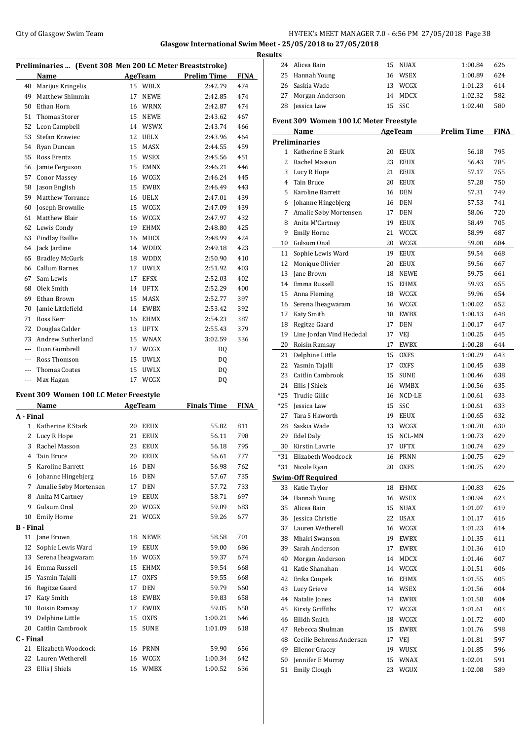## City of Glasgow Swim Team Team Team Fermic Manager 2.0 - 6:56 PM 27/05/2018 Page 38 **Glasgow International Swim Meet - 25/05/2018 to 27/05/2018**

|                  | Preliminaries  (Event 308 Men 200 LC Meter Breaststroke) |    |                |                    |             |
|------------------|----------------------------------------------------------|----|----------------|--------------------|-------------|
|                  | Name                                                     |    | AgeTeam        | Prelim Time        | <b>FINA</b> |
| 48               | Marijus Kringelis                                        | 15 | WBLX           | 2:42.79            | 474         |
| 49               | Matthew Shimmin                                          | 17 | <b>NEWE</b>    | 2:42.85            | 474         |
| 50               | Ethan Horn                                               | 16 | WRNX           | 2:42.87            | 474         |
| 51               | <b>Thomas Storer</b>                                     | 15 | <b>NEWE</b>    | 2:43.62            | 467         |
| 52               | Leon Campbell                                            |    | 14 WSWX        | 2:43.74            | 466         |
| 53               | Stefan Krawiec                                           | 12 | <b>UELX</b>    | 2:43.96            | 464         |
| 54               | Ryan Duncan                                              | 15 | <b>MASX</b>    | 2:44.55            | 459         |
| 55               | Ross Erentz                                              | 15 | <b>WSEX</b>    | 2:45.56            | 451         |
| 56               | Jamie Ferguson                                           | 15 | <b>EMNX</b>    | 2:46.21            | 446         |
| 57               | <b>Conor Massey</b>                                      | 16 | <b>WCGX</b>    | 2:46.24            | 445         |
| 58               | Jason English                                            | 15 | <b>EWBX</b>    | 2:46.49            | 443         |
| 59               | <b>Matthew Torrance</b>                                  | 16 | <b>UELX</b>    | 2:47.01            | 439         |
| 60               | Joseph Brownlie                                          | 15 | WCGX           | 2:47.09            | 439         |
| 61               | Matthew Blair                                            | 16 | WCGX           | 2:47.97            | 432         |
| 62               |                                                          |    | <b>EHMX</b>    | 2:48.80            | 425         |
|                  | Lewis Condy                                              | 19 |                |                    |             |
| 63               | <b>Findlay Baillie</b>                                   | 16 | <b>MDCX</b>    | 2:48.99            | 424         |
| 64               | Jack Jardine                                             |    | 14 WDDX        | 2:49.18            | 423         |
| 65               | <b>Bradley McGurk</b>                                    |    | 18 WDDX        | 2:50.90            | 410         |
| 66               | <b>Callum Barnes</b>                                     | 17 | <b>UWLX</b>    | 2:51.92            | 403         |
| 67               | Sam Lewis                                                | 17 | <b>EFSX</b>    | 2:52.03            | 402         |
| 68               | Olek Smith                                               | 14 | <b>UFTX</b>    | 2:52.29            | 400         |
| 69               | Ethan Brown                                              | 15 | <b>MASX</b>    | 2:52.77            | 397         |
| 70               | Jamie Littlefield                                        | 14 | <b>EWBX</b>    | 2:53.42            | 392         |
| 71               | Ross Kerr                                                | 16 | <b>EHMX</b>    | 2:54.23            | 387         |
| 72               | Douglas Calder                                           | 13 | <b>UFTX</b>    | 2:55.43            | 379         |
| 73               | Andrew Sutherland                                        |    | 15 WNAX        | 3:02.59            | 336         |
| $\overline{a}$   | Euan Gumbrell                                            | 17 | WCGX           | DQ                 |             |
| $\overline{a}$   | Ross Thomson                                             | 15 | <b>UWLX</b>    | DQ                 |             |
| ---              | Thomas Coates                                            | 15 | <b>UWLX</b>    | DQ                 |             |
| ---              | Max Hagan                                                | 17 | WCGX           | DQ                 |             |
|                  |                                                          |    |                |                    |             |
|                  | Event 309 Women 100 LC Meter Freestyle                   |    |                |                    |             |
|                  | Name                                                     |    | <b>AgeTeam</b> | <b>Finals Time</b> | <b>FINA</b> |
| A - Final        |                                                          |    |                |                    |             |
| 1                | Katherine E Stark                                        | 20 | <b>EEUX</b>    | 55.82              | 811         |
| 2                | Lucy R Hope                                              | 21 | <b>EEUX</b>    | 56.11              | 798         |
| 3                | Rachel Masson                                            | 23 | <b>EEUX</b>    | 56.18              | 795         |
| 4                | Tain Bruce                                               | 20 | <b>EEUX</b>    | 56.61              | 777         |
| 5                | Karoline Barrett                                         | 16 | DEN            | 56.98              | 762         |
|                  | 6 Johanne Hingebjerg                                     | 16 | <b>DEN</b>     | 57.67              | 735         |
| 7                | Amalie Søby Mortensen                                    | 17 | <b>DEN</b>     | 57.72              | 733         |
|                  | 8 Anita M'Cartney                                        | 19 | EEUX           | 58.71              | 697         |
|                  | 9 Gulsum Onal                                            |    | 20 WCGX        | 59.09              | 683         |
| 10               | <b>Emily Horne</b>                                       | 21 | WCGX           | 59.26              | 677         |
| <b>B</b> - Final |                                                          |    |                |                    |             |
| 11               | Jane Brown                                               | 18 | <b>NEWE</b>    | 58.58              | 701         |
| 12               | Sophie Lewis Ward                                        | 19 | EEUX           | 59.00              | 686         |
| 13               | Serena Iheagwaram                                        | 16 | WCGX           | 59.37              | 674         |
| 14               | Emma Russell                                             | 15 | <b>EHMX</b>    | 59.54              | 668         |
| 15               | Yasmin Tajalli                                           | 17 | <b>OXFS</b>    | 59.55              | 668         |
| 16               | Regitze Gaard                                            | 17 | DEN            | 59.79              | 660         |
| 17               | Katy Smith                                               | 18 | EWBX           | 59.83              | 658         |
| 18               | Roisin Ramsay                                            | 17 | EWBX           | 59.85              | 658         |
| 19               | Delphine Little                                          | 15 | <b>OXFS</b>    | 1:00.21            | 646         |
| 20               | Caitlin Cambrook                                         | 15 | <b>SUNE</b>    | 1:01.09            | 618         |
| C - Final        |                                                          |    |                |                    |             |
| 21               | Elizabeth Woodcock                                       | 16 | <b>PRNN</b>    | 59.90              | 656         |
| 22               | Lauren Wetherell                                         |    | 16 WCGX        | 1:00.34            | 642         |
|                  |                                                          |    |                |                    |             |

23 Ellis J Shiels 16 WMBX 1:00.52 636

| <b>Results</b> |                                        |    |             |                    |             |
|----------------|----------------------------------------|----|-------------|--------------------|-------------|
|                | 24 Alicea Bain                         |    | 15 NUAX     | 1:00.84            | 626         |
| 25             | Hannah Young                           |    | 16 WSEX     | 1:00.89            | 624         |
|                | 26 Saskia Wade                         |    | 13 WCGX     | 1:01.23            | 614         |
| 27             | Morgan Anderson                        |    | 14 MDCX     | 1:02.32            | 582         |
| 28             | Jessica Law                            |    | 15 SSC      | 1:02.40            | 580         |
|                | Event 309 Women 100 LC Meter Freestyle |    |             |                    |             |
|                | Name                                   |    | AgeTeam     | <b>Prelim Time</b> | <b>FINA</b> |
|                | <b>Preliminaries</b>                   |    |             |                    |             |
|                | 1 Katherine E Stark                    |    | 20 EEUX     | 56.18              | 795         |
| 2              | Rachel Masson                          | 23 | EEUX        | 56.43              | 785         |
|                | 3 Lucy R Hope                          |    | 21 EEUX     | 57.17              | 755         |
|                | 4 Tain Bruce                           |    | 20 EEUX     | 57.28              | 750         |
|                | 5 Karoline Barrett                     |    | 16 DEN      | 57.31              | 749         |
|                | 6 Johanne Hingebjerg                   |    | 16 DEN      | 57.53              | 741         |
|                | 7 Amalie Søby Mortensen                |    | 17 DEN      | 58.06              | 720         |
|                | 8 Anita M'Cartney                      |    | 19 EEUX     | 58.49              | 705         |
|                | 9 Emily Horne                          |    | 21 WCGX     | 58.99              | 687         |
|                | 10 Gulsum Onal                         |    | 20 WCGX     | 59.08              | 684         |
| 11             | Sophie Lewis Ward                      |    | 19 EEUX     | 59.54              | 668         |
| 12             | Monique Olivier                        |    | 20 EEUX     | 59.56              | 667         |
| 13             | Jane Brown                             |    | 18 NEWE     | 59.75              | 661         |
|                | 14 Emma Russell                        |    | 15 EHMX     | 59.93              | 655         |
|                | 15 Anna Fleming                        |    | 18 WCGX     | 59.96              | 654         |
|                | 16 Serena Iheagwaram                   |    | 16 WCGX     | 1:00.02            | 652         |
|                | 17 Katy Smith                          |    | 18 EWBX     | 1:00.13            | 648         |
|                | 18 Regitze Gaard                       |    | 17 DEN      | 1:00.17            | 647         |
|                | 19 Line Jordan Vind Hededal            |    | 17 VEJ      | 1:00.25            | 645         |
|                | 20 Roisin Ramsay                       |    | 17 EWBX     | 1:00.28            | 644         |
|                | 21 Delphine Little                     |    | 15 OXFS     | 1:00.29            | 643         |
|                | 22 Yasmin Tajalli                      |    | 17 OXFS     | 1:00.45            | 638         |
|                | 23 Caitlin Cambrook                    |    | 15 SUNE     | 1:00.46            | 638         |
|                | 24 Ellis J Shiels                      |    | 16 WMBX     | 1:00.56            | 635         |
| $*25$          | Trudie Gillic                          |    | 16 NCD-LE   | 1:00.61            | 633         |
| *25            | Jessica Law                            | 15 | SSC         | 1:00.61            | 633         |
| 27             | Tara S Haworth                         |    | 19 EEUX     | 1:00.65            | 632         |
| 28             | Saskia Wade                            | 13 | WCGX        | 1:00.70            | 630         |
| 29             | Edel Daly                              | 15 | NCL-MN      | 1:00.73            | 629         |
| 30             | Kirstin Lawrie                         | 17 | UFTX        | 1:00.74            | 629         |
| *31            | Elizabeth Woodcock                     | 16 | PRNN        | 1:00.75            | 629         |
| *31            | Nicole Ryan                            | 20 | <b>OXFS</b> | 1:00.75            | 629         |
|                | <b>Swim-Off Required</b>               |    |             |                    |             |
| 33             | Katie Taylor                           | 18 | EHMX        | 1:00.83            | 626         |
| 34             | Hannah Young                           |    | 16 WSEX     | 1:00.94            | 623         |
| 35             | Alicea Bain                            |    | 15 NUAX     | 1:01.07            | 619         |
|                | 36 Jessica Christie                    |    | 22 USAX     | 1:01.17            | 616         |
| 37             | Lauren Wetherell                       |    | 16 WCGX     | 1:01.23            | 614         |
| 38             | Mhairi Swanson                         |    | 19 EWBX     | 1:01.35            | 611         |
| 39             | Sarah Anderson                         | 17 | EWBX        | 1:01.36            | 610         |
| 40             | Morgan Anderson                        |    | 14 MDCX     | 1:01.46            | 607         |
| 41             | Katie Shanahan                         |    | 14 WCGX     | 1:01.51            | 606         |
| 42             | Erika Coupek                           |    | 16 EHMX     | 1:01.55            | 605         |
| 43             | Lucy Grieve                            |    | 14 WSEX     | 1:01.56            | 604         |
| 44             | Natalie Jones                          |    | 14 EWBX     | 1:01.58            | 604         |
| 45             | Kirsty Griffiths                       |    | 17 WCGX     | 1:01.61            | 603         |
| 46             | Eilidh Smith                           |    | 18 WCGX     | 1:01.72            | 600         |
| 47             | Rebecca Shulman                        |    | 15 EWBX     | 1:01.76            | 598         |
|                | 48 Cecilie Behrens Andersen            |    | 17 VEJ      | 1:01.81            | 597         |
| 49             | Ellenor Gracey                         | 19 | WUSX        | 1:01.85            | 596         |
| 50             | Jennifer E Murray                      |    | 15 WNAX     | 1:02.01            | 591         |
| 51             | <b>Emily Clough</b>                    | 23 | WGUX        | 1:02.08            | 589         |
|                |                                        |    |             |                    |             |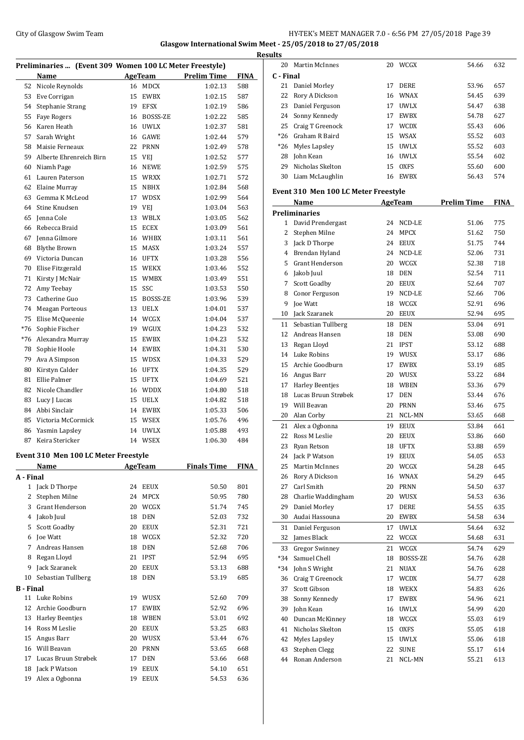## City of Glasgow Swim Team Team Team Fermi Manager 2.0 - 6:56 PM 27/05/2018 Page 39 **Glasgow International Swim Meet - 25/05/2018 to 27/05/2018**

| Preliminaries  (Event 309 Women 100 LC Meter Freestyle) |                         |    |             |                    |             |  |  |
|---------------------------------------------------------|-------------------------|----|-------------|--------------------|-------------|--|--|
|                                                         | Name                    |    | AgeTeam     | <b>Prelim Time</b> | <b>FINA</b> |  |  |
| 52                                                      | Nicole Reynolds         | 16 | <b>MDCX</b> | 1:02.13            | 588         |  |  |
| 53                                                      | Eve Corrigan            | 15 | <b>EWBX</b> | 1:02.15            | 587         |  |  |
| 54                                                      | Stephanie Strang        | 19 | <b>EFSX</b> | 1:02.19            | 586         |  |  |
| 55                                                      | <b>Faye Rogers</b>      | 16 | BOSSS-ZE    | 1:02.22            | 585         |  |  |
| 56                                                      | Karen Heath             | 16 | <b>UWLX</b> | 1:02.37            | 581         |  |  |
| 57                                                      | Sarah Wright            | 16 | <b>GAWE</b> | 1:02.44            | 579         |  |  |
| 58                                                      | Maisie Ferneaux         | 22 | <b>PRNN</b> | 1:02.49            | 578         |  |  |
| 59                                                      | Alberte Ehrenreich Birn | 15 | VEJ         | 1:02.52            | 577         |  |  |
| 60                                                      | Niamh Page              | 16 | <b>NEWE</b> | 1:02.59            | 575         |  |  |
| 61                                                      | Lauren Paterson         | 15 | <b>WRXX</b> | 1:02.71            | 572         |  |  |
| 62                                                      | Elaine Murray           | 15 | <b>NBHX</b> | 1:02.84            | 568         |  |  |
| 63                                                      | Gemma K McLeod          | 17 | <b>WDSX</b> | 1:02.99            | 564         |  |  |
| 64                                                      | Stine Knudsen           | 19 | VEJ         | 1:03.04            | 563         |  |  |
| 65                                                      | Jenna Cole              | 13 | WBLX        | 1:03.05            | 562         |  |  |
| 66                                                      | Rebecca Braid           | 15 | ECEX        | 1:03.09            | 561         |  |  |
| 67                                                      | Jenna Gilmore           | 16 | WHBX        | 1:03.11            | 561         |  |  |
| 68                                                      | <b>Blythe Brown</b>     | 15 | <b>MASX</b> | 1:03.24            | 557         |  |  |
| 69                                                      | Victoria Duncan         | 16 | UFTX        | 1:03.28            | 556         |  |  |
| 70                                                      | Elise Fitzgerald        | 15 | <b>WEKX</b> | 1:03.46            | 552         |  |  |
| 71                                                      | Kirsty J McNair         | 15 | <b>WMBX</b> | 1:03.49            | 551         |  |  |
| 72                                                      | Amy Teebay              | 15 | SSC         | 1:03.53            | 550         |  |  |
| 73                                                      | Catherine Guo           | 15 | BOSSS-ZE    | 1:03.96            | 539         |  |  |
| 74                                                      | <b>Meagan Porteous</b>  | 13 | <b>UELX</b> | 1:04.01            | 537         |  |  |
| 75                                                      | Elise McQueenie         | 14 | WCGX        | 1:04.04            | 537         |  |  |
| $*76$                                                   | Sophie Fischer          | 19 | WGUX        | 1:04.23            | 532         |  |  |
| $*76$                                                   | Alexandra Murray        | 15 | <b>EWBX</b> | 1:04.23            | 532         |  |  |
| 78                                                      | Sophie Hoole            | 14 | <b>EWBX</b> | 1:04.31            | 530         |  |  |
| 79                                                      | Ava A Simpson           | 15 | <b>WDSX</b> | 1:04.33            | 529         |  |  |
| 80                                                      | Kirstyn Calder          | 16 | <b>UFTX</b> | 1:04.35            | 529         |  |  |
| 81                                                      | <b>Ellie Palmer</b>     | 15 | <b>UFTX</b> | 1:04.69            | 521         |  |  |
| 82                                                      | Nicole Chandler         | 16 | <b>WDDX</b> | 1:04.80            | 518         |  |  |
| 83                                                      | Lucy J Lucas            | 15 | <b>UELX</b> | 1:04.82            | 518         |  |  |
| 84                                                      | Abbi Sinclair           | 14 | <b>EWBX</b> | 1:05.33            | 506         |  |  |
| 85                                                      | Victoria McCormick      | 15 | <b>WSEX</b> | 1:05.76            | 496         |  |  |
| 86                                                      | Yasmin Lapsley          | 14 | <b>UWLX</b> | 1:05.88            | 493         |  |  |
| 87                                                      | Keira Stericker         | 14 | WSEX        | 1:06.30            | 484         |  |  |
|                                                         |                         |    |             |                    |             |  |  |

## **Event 310 Men 100 LC Meter Freestyle**

|                  | Name                   |    | <b>AgeTeam</b> | <b>Finals Time</b> | <b>FINA</b> |
|------------------|------------------------|----|----------------|--------------------|-------------|
| A - Final        |                        |    |                |                    |             |
| 1                | Jack D Thorpe          | 24 | <b>EEUX</b>    | 50.50              | 801         |
| 2                | Stephen Milne          | 24 | <b>MPCX</b>    | 50.95              | 780         |
| 3                | <b>Grant Henderson</b> | 20 | WCGX           | 51.74              | 745         |
| 4                | Jakob Juul             | 18 | <b>DEN</b>     | 52.03              | 732         |
| 5                | Scott Goadby           | 20 | <b>EEUX</b>    | 52.31              | 721         |
| 6                | Joe Watt               | 18 | WCGX           | 52.32              | 720         |
| 7                | Andreas Hansen         | 18 | <b>DEN</b>     | 52.68              | 706         |
| 8                | Regan Lloyd            | 21 | <b>IPST</b>    | 52.94              | 695         |
| 9                | Jack Szaranek          | 20 | <b>EEUX</b>    | 53.13              | 688         |
| 10               | Sebastian Tullberg     | 18 | <b>DEN</b>     | 53.19              | 685         |
| <b>B</b> - Final |                        |    |                |                    |             |
| 11               | Luke Robins            | 19 | <b>WUSX</b>    | 52.60              | 709         |
| 12               | Archie Goodburn        | 17 | <b>EWBX</b>    | 52.92              | 696         |
| 13               | Harley Beentjes        | 18 | <b>WBEN</b>    | 53.01              | 692         |
| 14               | Ross M Leslie          | 20 | <b>EEUX</b>    | 53.25              | 683         |
| 15               | Angus Barr             | 20 | WUSX           | 53.44              | 676         |
| 16               | Will Beavan            | 20 | <b>PRNN</b>    | 53.65              | 668         |
| 17               | Lucas Bruun Strøbek    | 17 | <b>DEN</b>     | 53.66              | 668         |
| 18               | Jack P Watson          | 19 | <b>EEUX</b>    | 54.10              | 651         |
| 19               | Alex a Ogbonna         | 19 | <b>EEUX</b>    | 54.53              | 636         |

| <b>Results</b> |                     |    |             |       |     |
|----------------|---------------------|----|-------------|-------|-----|
| 20             | Martin McInnes      | 20 | WCGX        | 54.66 | 632 |
| C - Final      |                     |    |             |       |     |
|                | 21 Daniel Morley    | 17 | <b>DERE</b> | 53.96 | 657 |
|                | 22 Rory A Dickson   |    | 16 WNAX     | 54.45 | 639 |
|                | 23 Daniel Ferguson  | 17 | <b>UWLX</b> | 54.47 | 638 |
|                | 24 Sonny Kennedy    | 17 | <b>EWBX</b> | 54.78 | 627 |
|                | 25 Craig T Greenock | 17 | <b>WCDX</b> | 55.43 | 606 |
|                | *26 Graham R Baird  |    | 15 WSAX     | 55.52 | 603 |
|                | *26 Myles Lapsley   | 15 | UWLX        | 55.52 | 603 |
|                | 28 John Kean        | 16 | UWLX        | 55.54 | 602 |
| 29             | Nicholas Skelton    | 15 | <b>OXFS</b> | 55.60 | 600 |
|                | 30 Liam McLaughlin  | 16 | EWBX        | 56.43 | 574 |

### **Event 310 Men 100 LC Meter Freestyle**

|    | Name                  | <b>AgeTeam</b> |             | <b>Prelim Time</b> | <b>FINA</b> |
|----|-----------------------|----------------|-------------|--------------------|-------------|
|    | <b>Preliminaries</b>  |                |             |                    |             |
| 1  | David Prendergast     | 24             | NCD-LE      | 51.06              | 775         |
| 2  | Stephen Milne         | 24             | MPCX        | 51.62              | 750         |
|    | 3 Jack D Thorpe       | 24             | <b>EEUX</b> | 51.75              | 744         |
|    | 4 Brendan Hyland      | 24             | NCD-LE      | 52.06              | 731         |
|    | 5 Grant Henderson     | 20             | WCGX        | 52.38              | 718         |
| 6  | Jakob Juul            | 18             | <b>DEN</b>  | 52.54              | 711         |
| 7  | <b>Scott Goadby</b>   | 20             | <b>EEUX</b> | 52.64              | 707         |
| 8  | Conor Ferguson        | 19             | NCD-LE      | 52.66              | 706         |
| 9  | Joe Watt              | 18             | WCGX        | 52.91              | 696         |
| 10 | Jack Szaranek         | 20             | <b>EEUX</b> | 52.94              | 695         |
| 11 | Sebastian Tullberg    | 18             | <b>DEN</b>  | 53.04              | 691         |
|    | 12 Andreas Hansen     | 18             | <b>DEN</b>  | 53.08              | 690         |
|    | 13 Regan Lloyd        | 21             | <b>IPST</b> | 53.12              | 688         |
|    | 14 Luke Robins        | 19             | WUSX        | 53.17              | 686         |
|    | 15 Archie Goodburn    | 17             | <b>EWBX</b> | 53.19              | 685         |
|    | 16 Angus Barr         | 20             | WUSX        | 53.22              | 684         |
|    | 17 Harley Beentjes    | 18             | WBEN        | 53.36              | 679         |
| 18 | Lucas Bruun Strøbek   | 17             | <b>DEN</b>  | 53.44              | 676         |
| 19 | Will Beavan           | 20             | <b>PRNN</b> | 53.46              | 675         |
|    | 20 Alan Corby         | 21             | NCL-MN      | 53.65              | 668         |
| 21 | Alex a Ogbonna        | 19             | <b>EEUX</b> | 53.84              | 661         |
| 22 | Ross M Leslie         | 20             | <b>EEUX</b> | 53.86              | 660         |
| 23 | Ryan Retson           | 18             | <b>UFTX</b> | 53.88              | 659         |
|    | 24 Jack P Watson      | 19             | <b>EEUX</b> | 54.05              | 653         |
| 25 | <b>Martin McInnes</b> | 20             | WCGX        | 54.28              | 645         |
| 26 | Rory A Dickson        | 16             | <b>WNAX</b> | 54.29              | 645         |
| 27 | Carl Smith            | 20             | <b>PRNN</b> | 54.50              | 637         |
|    | 28 Charlie Waddingham |                | 20 WUSX     | 54.53              | 636         |
| 29 | Daniel Morley         | 17             | <b>DERE</b> | 54.55              | 635         |
| 30 | Audai Hassouna        | 20             | <b>EWBX</b> | 54.58              | 634         |
| 31 | Daniel Ferguson       | 17             | <b>UWLX</b> | 54.64              | 632         |
| 32 | James Black           | 22             | WCGX        | 54.68              | 631         |
|    | 33 Gregor Swinney     | 21             | WCGX        | 54.74              | 629         |
|    | *34 Samuel Chell      | 18             | BOSSS-ZE    | 54.76              | 628         |
|    | *34 John S Wright     | 21             | <b>NUAX</b> | 54.76              | 628         |
| 36 | Craig T Greenock      | 17             | <b>WCDX</b> | 54.77              | 628         |
| 37 | Scott Gibson          | 18             | WEKX        | 54.83              | 626         |
| 38 | Sonny Kennedy         | 17             | EWBX        | 54.96              | 621         |
| 39 | John Kean             | 16             | <b>UWLX</b> | 54.99              | 620         |
| 40 | Duncan McKinney       | 18             | WCGX        | 55.03              | 619         |
| 41 | Nicholas Skelton      | 15             | OXFS        | 55.05              | 618         |
| 42 | Myles Lapsley         | 15             | <b>UWLX</b> | 55.06              | 618         |
| 43 | Stephen Clegg         | 22             | <b>SUNE</b> | 55.17              | 614         |
| 44 | Ronan Anderson        | 21             | NCL-MN      | 55.21              | 613         |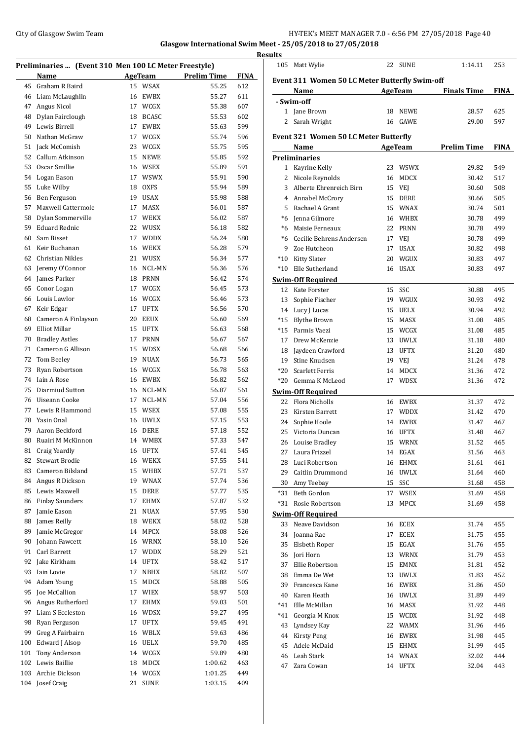## City of Glasgow Swim Team Team Frameters Music City of Glasgow Swim Team Frameters Music City of Glasgow Swim Team Frameters Music City of Glasgow Swim Team Frameters Music City of Glasgow Swim Team Frameters Music City of

**Glasgow International Swim Meet - 25/05/2018 to 27/05/2018**

|            |                                                       |          |                    |                                       |            | <u>Resul</u> |
|------------|-------------------------------------------------------|----------|--------------------|---------------------------------------|------------|--------------|
|            | Preliminaries  (Event 310 Men 100 LC Meter Freestyle) |          |                    |                                       |            |              |
|            | Name                                                  |          |                    | <b>Example 21 AgeTeam</b> Prelim Time | FINA       | I            |
| 45         | Graham R Baird                                        |          | 15 WSAX            | 55.25                                 | 612        |              |
|            | 46 Liam McLaughlin                                    |          | 16 EWBX            | 55.27                                 | 611        |              |
| 47         | Angus Nicol                                           |          | 17 WCGX            | 55.38                                 | 607        |              |
| 48         | Dylan Fairclough                                      | 18       | <b>BCASC</b>       | 55.53                                 | 602        |              |
|            | 49 Lewis Birrell                                      | 17       | EWBX               | 55.63                                 | 599        |              |
| 50         | Nathan McGraw                                         | 17       | WCGX               | 55.74                                 | 596        | I            |
| 51         | Jack McComish                                         |          | 23 WCGX            | 55.75                                 | 595        |              |
| 52         | Callum Atkinson                                       |          | 15 NEWE            | 55.85                                 | 592        | I            |
| 53         | Oscar Smillie                                         |          | 16 WSEX            | 55.89                                 | 591        |              |
|            | 54 Logan Eason                                        |          | 17 WSWX            | 55.91                                 | 590        |              |
| 55         | Luke Wilby                                            |          | 18 OXFS            | 55.94                                 | 589        |              |
|            | 56 Ben Ferguson                                       |          | 19 USAX            | 55.98                                 | 588        |              |
| 57         | Maxwell Cattermole                                    | 17       | <b>MASX</b>        | 56.01                                 | 587        |              |
|            | 58 Dylan Sommerville<br><b>Eduard Rednic</b>          |          | 17 WEKX            | 56.02                                 | 587        |              |
| 59         |                                                       |          | 22 WUSX            | 56.18                                 | 582        |              |
| 60         | Sam Bisset                                            |          | 17 WDDX            | 56.24                                 | 580        |              |
| 61         | Keir Buchanan                                         |          | 16 WEKX            | 56.28                                 | 579        |              |
| 62         | Christian Nikles                                      |          | 21 WUSX            | 56.34                                 | 577        |              |
| 63         | Jeremy O'Connor                                       |          | 16 NCL-MN          | 56.36                                 | 576        |              |
| 64         | James Parker                                          |          | 18 PRNN            | 56.42                                 | 574        | Š            |
| 65         | Conor Logan                                           |          | 17 WCGX            | 56.45                                 | 573        |              |
|            | 66 Louis Lawlor                                       |          | 16 WCGX            | 56.46                                 | 573        |              |
| 67         | Keir Edgar                                            | 17       | UFTX               | 56.56                                 | 570        |              |
| 68         | Cameron A Finlayson                                   | 20       | EEUX               | 56.60                                 | 569        |              |
| 69         | Elliot Millar                                         |          | 15 UFTX            | 56.63                                 | 568        |              |
| 70         | Bradley Astles                                        |          | 17 PRNN            | 56.67                                 | 567        |              |
| 71         | Cameron G Allison                                     |          | 15 WDSX            | 56.68                                 | 566        |              |
| 72         | Tom Beeley                                            |          | 19 NUAX            | 56.73                                 | 565        |              |
| 73         | Ryan Robertson                                        |          | 16 WCGX            | 56.78                                 | 563        |              |
| 74         | Iain A Rose                                           |          | 16 EWBX            | 56.82                                 | 562        |              |
| 75         | Diarmiud Sutton                                       |          | 16 NCL-MN          | 56.87                                 | 561        | Š            |
| 76         | Uiseann Cooke                                         | 17       | NCL-MN             | 57.04                                 | 556        |              |
| 77         | Lewis R Hammond                                       |          | 15 WSEX            | 57.08                                 | 555        |              |
| 78         | Yasin Onal                                            |          | 16 UWLX            | 57.15                                 | 553        |              |
| 79<br>80   | Aaron Beckford                                        | 16<br>14 | DERE<br>WMBX       | 57.18                                 | 552        |              |
|            | Ruairi M McKinnon                                     |          |                    | 57.33                                 | 547        |              |
| 81         | Craig Yeardly<br><b>Stewart Brodie</b>                | 16       | UFTX<br>16 WEKX    | 57.41                                 | 545        |              |
| 82         | Cameron Bilsland                                      |          |                    | 57.55                                 | 541        |              |
| 83         | Angus R Dickson                                       |          | 15 WHBX            | 57.71                                 | 537        |              |
| 84         | Lewis Maxwell                                         |          | 19 WNAX<br>DERE    | 57.74                                 | 536<br>535 |              |
| 85<br>86   | <b>Finlay Saunders</b>                                | 15<br>17 | EHMX               | 57.77<br>57.87                        | 532        |              |
| 87         | Jamie Eason                                           | 21       | NUAX               | 57.95                                 | 530        |              |
| 88         | James Reilly                                          |          | 18 WEKX            | 58.02                                 | 528        | Š            |
| 89         | Jamie McGregor                                        | 14       | MPCX               | 58.08                                 | 526        |              |
| 90         | Johann Fawcett                                        |          | 16 WRNX            | 58.10                                 | 526        |              |
| 91         | Carl Barrett                                          |          | 17 WDDX            | 58.29                                 | 521        |              |
| 92         | Jake Kirkham                                          |          | 14 UFTX            | 58.42                                 | 517        |              |
| 93         | Iain Lovie                                            | 17       | NBHX               | 58.82                                 | 507        |              |
| 94         | Adam Young                                            |          | 15 MDCX            | 58.88                                 | 505        |              |
| 95         | Joe McCallion                                         |          | 17 WIEX            | 58.97                                 | 503        |              |
| 96         | Angus Rutherford                                      | 17       | EHMX               | 59.03                                 | 501        |              |
| 97         | Liam S Eccleston                                      |          |                    |                                       | 495        |              |
| 98         | Ryan Ferguson                                         |          | 16 WDSX<br>17 UFTX | 59.27<br>59.45                        | 491        |              |
| 99         | Greg A Fairbairn                                      |          | 16 WBLX            | 59.63                                 | 486        |              |
|            | Edward J Alsop                                        |          |                    |                                       |            |              |
| 100<br>101 | Tony Anderson                                         |          | 16 UELX<br>14 WCGX | 59.70                                 | 485        |              |
| 102        | Lewis Baillie                                         | 18       | MDCX               | 59.89                                 | 480<br>463 |              |
| 103        | Archie Dickson                                        |          | 14 WCGX            | 1:00.62<br>1:01.25                    | 449        |              |
| 104        | Josef Craig                                           | 21       | SUNE               | 1:03.15                               | 409        |              |
|            |                                                       |          |                    |                                       |            |              |

| ults  |                                                |    |                    |                    |             |
|-------|------------------------------------------------|----|--------------------|--------------------|-------------|
| 105   | Matt Wylie                                     |    | 22 SUNE            | 1:14.11            | 253         |
|       | Event 311 Women 50 LC Meter Butterfly Swim-off |    |                    |                    |             |
|       | Name                                           |    | <b>AgeTeam</b>     | <b>Finals Time</b> | <b>FINA</b> |
|       | - Swim-off                                     |    |                    |                    |             |
|       | 1 Jane Brown                                   |    | 18 NEWE            | 28.57              | 625         |
| 2     | Sarah Wright                                   |    | 16 GAWE            | 29.00              | 597         |
|       | <b>Event 321 Women 50 LC Meter Butterfly</b>   |    |                    |                    |             |
|       | Name                                           |    | AgeTeam            | <b>Prelim Time</b> | <b>FINA</b> |
|       | <b>Preliminaries</b>                           |    |                    |                    |             |
|       | 1 Kayrine Kelly                                |    | 23 WSWX            | 29.82              | 549         |
| 2     | Nicole Reynolds                                | 16 | MDCX               | 30.42              | 517         |
| 3     | Alberte Ehrenreich Birn                        |    | 15 VEJ             | 30.60              | 508         |
|       | 4 Annabel McCrory                              | 15 | <b>DERE</b>        | 30.66              | 505         |
| 5     | Rachael A Grant                                |    | 15 WNAX            | 30.74              | 501         |
|       | *6 Jenna Gilmore                               |    | 16 WHBX            | 30.78              | 499         |
|       | *6 Maisie Ferneaux                             |    | 22 PRNN            | 30.78              | 499         |
|       | *6 Cecilie Behrens Andersen                    |    | 17 VEJ             | 30.78              | 499         |
| 9     | Zoe Hutcheon                                   | 17 | <b>USAX</b>        | 30.82              | 498         |
| $*10$ | Kitty Slater                                   |    | 20 WGUX            | 30.83              | 497         |
| $*10$ | Elle Sutherland                                |    | 16 USAX            | 30.83              | 497         |
|       | <b>Swim-Off Required</b>                       |    |                    |                    |             |
|       | 12 Kate Forster                                |    | 15 SSC             | 30.88              | 495         |
|       | 13 Sophie Fischer                              |    | 19 WGUX            | 30.93              | 492         |
|       | 14 Lucy J Lucas                                | 15 | <b>UELX</b>        | 30.94              | 492         |
|       | *15 Blythe Brown                               | 15 | <b>MASX</b>        | 31.08              | 485         |
|       | *15 Parmis Vaezi                               |    | 15 WCGX            | 31.08              | 485         |
| 17    | Drew McKenzie                                  | 13 | <b>UWLX</b>        | 31.18              | 480         |
|       | 18 Jaydeen Crawford                            | 13 | <b>UFTX</b>        | 31.20              | 480         |
|       | 19 Stine Knudsen                               |    | 19 VEJ             | 31.24              | 478         |
|       | *20 Scarlett Ferris                            | 14 | MDCX               | 31.36              | 472         |
| $*20$ | Gemma K McLeod                                 | 17 | <b>WDSX</b>        | 31.36              | 472         |
|       | <b>Swim-Off Required</b>                       |    |                    |                    |             |
|       | 22 Flora Nicholls                              |    | 16 EWBX            | 31.37              | 472         |
| 23    | Kirsten Barrett                                |    | 17 WDDX            | 31.42              | 470         |
|       | 24 Sophie Hoole<br>25 Victoria Duncan          |    | 14 EWBX            | 31.47              | 467         |
|       | 26 Louise Bradley                              |    | 16 UFTX<br>15 WRNX | 31.48<br>31.52     | 467<br>465  |
| 27    | Laura Frizzel                                  | 14 | EGAX               | 31.56              | 463         |
| 28    | Luci Robertson                                 | 16 | EHMX               | 31.61              | 461         |
| 29    | Caitlin Drummond                               | 16 | <b>UWLX</b>        | 31.64              | 460         |
| 30    | Amy Teebay                                     | 15 | SSC                | 31.68              | 458         |
| *31   | Beth Gordon                                    | 17 | WSEX               | 31.69              | 458         |
| *31   | Rosie Robertson                                | 13 | MPCX               | 31.69              | 458         |
|       | <b>Swim-Off Required</b>                       |    |                    |                    |             |
| 33    | Neave Davidson                                 | 16 | ECEX               | 31.74              | 455         |
| 34    | Joanna Rae                                     | 17 | ECEX               | 31.75              | 455         |
| 35    | Elsbeth Roper                                  | 15 | EGAX               | 31.76              | 455         |
| 36    | Jori Horn                                      | 13 | WRNX               | 31.79              | 453         |
| 37    | Ellie Robertson                                | 15 | EMNX               | 31.81              | 452         |
| 38    | Emma De Wet                                    | 13 | <b>UWLX</b>        | 31.83              | 452         |
| 39    | Francesca Kane                                 | 16 | EWBX               | 31.86              | 450         |
| 40    | Karen Heath                                    | 16 | <b>UWLX</b>        | 31.89              | 449         |
| *41   | Elle McMillan                                  | 16 | MASX               | 31.92              | 448         |
| *41   | Georgia M Knox                                 | 15 | <b>WCDX</b>        | 31.92              | 448         |
| 43    | Lyndsey Kay                                    | 22 | <b>WAMX</b>        | 31.96              | 446         |
| 44    | <b>Kirsty Peng</b>                             | 16 | EWBX               | 31.98              | 445         |
| 45    | Adele McDaid                                   | 15 | EHMX               | 31.99              | 445         |
| 46    | Leah Stark                                     | 14 | <b>WNAX</b>        | 32.02              | 444         |
| 47    | Zara Cowan                                     | 14 | <b>UFTX</b>        | 32.04              | 443         |
|       |                                                |    |                    |                    |             |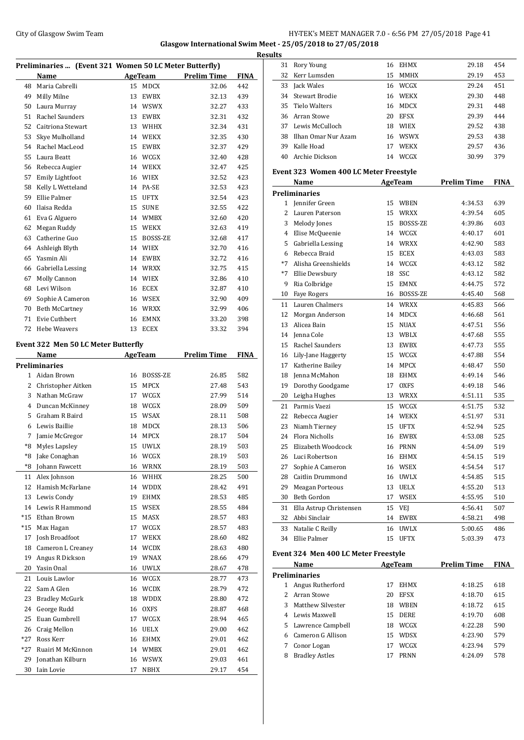## City of Glasgow Swim Team HY-TEK's MEET MANAGER 7.0 - 6:56 PM 27/05/2018 Page 41 **Glasgow International Swim Meet - 25/05/2018 to 27/05/2018**

**Results**

| Preliminaries  (Event 321 Women 50 LC Meter Butterfly) |    |             |                    |             |
|--------------------------------------------------------|----|-------------|--------------------|-------------|
| Name                                                   |    |             | <b>Prelim Time</b> | <b>FINA</b> |
| Maria Cabrelli                                         |    |             | 32.06              | 442         |
| Milly Milne                                            | 13 | EWBX        | 32.13              | 439         |
| Laura Murray                                           | 14 | <b>WSWX</b> | 32.27              | 433         |
| <b>Rachel Saunders</b>                                 | 13 | <b>EWBX</b> | 32.31              | 432         |
| Caitriona Stewart                                      | 13 | WHHX        | 32.34              | 431         |
| Skye Mulholland                                        | 14 | <b>WEKX</b> | 32.35              | 430         |
| Rachel MacLeod                                         | 15 | <b>EWBX</b> | 32.37              | 429         |
| Laura Beatt                                            | 16 | WCGX        | 32.40              | 428         |
| Rebecca Augier                                         | 14 | <b>WEKX</b> | 32.47              | 425         |
| <b>Emily Lightfoot</b>                                 | 16 | <b>WIEX</b> | 32.52              | 423         |
| Kelly L Wetteland                                      | 14 | PA-SE       | 32.53              | 423         |
| Ellie Palmer                                           | 15 | <b>UFTX</b> | 32.54              | 423         |
| Ilaisa Redda                                           | 15 | <b>SUNE</b> | 32.55              | 422         |
| Eva G Alguero                                          | 14 | <b>WMBX</b> | 32.60              | 420         |
| Megan Ruddy                                            | 15 | <b>WEKX</b> | 32.63              | 419         |
| Catherine Guo                                          | 15 | BOSSS-ZE    | 32.68              | 417         |
| Ashleigh Blyth                                         | 14 | <b>WIEX</b> | 32.70              | 416         |
| Yasmin Ali                                             | 14 | EWBX        | 32.72              | 416         |
| Gabriella Lessing                                      | 14 | <b>WRXX</b> | 32.75              | 415         |
| Molly Cannon                                           | 14 | <b>WIEX</b> | 32.86              | 410         |
| Levi Wilson                                            | 16 | <b>ECEX</b> | 32.87              | 410         |
| Sophie A Cameron                                       | 16 | <b>WSEX</b> | 32.90              | 409         |
| <b>Beth McCartney</b>                                  | 16 | <b>WRXX</b> | 32.99              | 406         |
| Evie Cuthbert                                          | 16 | <b>EMNX</b> | 33.20              | 398         |
| <b>Hebe Weavers</b>                                    | 13 | <b>ECEX</b> | 33.32              | 394         |
|                                                        |    |             | AgeTeam<br>15 MDCX |             |

#### **Event 322 Men 50 LC Meter Butterfly**

|       | Name                  |    | <b>AgeTeam</b> | <b>Prelim Time</b> | <b>FINA</b> |
|-------|-----------------------|----|----------------|--------------------|-------------|
|       | <b>Preliminaries</b>  |    |                |                    |             |
| 1     | Aidan Brown           | 16 | BOSSS-ZE       | 26.85              | 582         |
| 2     | Christopher Aitken    | 15 | <b>MPCX</b>    | 27.48              | 543         |
| 3     | Nathan McGraw         | 17 | WCGX           | 27.99              | 514         |
| 4     | Duncan McKinney       | 18 | WCGX           | 28.09              | 509         |
| 5     | Graham R Baird        | 15 | <b>WSAX</b>    | 28.11              | 508         |
| 6     | Lewis Baillie         | 18 | <b>MDCX</b>    | 28.13              | 506         |
| 7     | Jamie McGregor        | 14 | <b>MPCX</b>    | 28.17              | 504         |
| *8    | <b>Myles Lapsley</b>  | 15 | <b>UWLX</b>    | 28.19              | 503         |
| $*8$  | Jake Conaghan         | 16 | WCGX           | 28.19              | 503         |
| $*8$  | Johann Fawcett        | 16 | <b>WRNX</b>    | 28.19              | 503         |
| 11    | Alex Johnson          | 16 | <b>WHHX</b>    | 28.25              | 500         |
| 12    | Hamish McFarlane      | 14 | <b>WDDX</b>    | 28.42              | 491         |
| 13    | Lewis Condy           | 19 | <b>EHMX</b>    | 28.53              | 485         |
| 14    | Lewis R Hammond       | 15 | <b>WSEX</b>    | 28.55              | 484         |
| $*15$ | Ethan Brown           | 15 | <b>MASX</b>    | 28.57              | 483         |
| $*15$ | Max Hagan             | 17 | WCGX           | 28.57              | 483         |
| 17    | Josh Broadfoot        | 17 | <b>WEKX</b>    | 28.60              | 482         |
| 18    | Cameron L Creaney     | 14 | <b>WCDX</b>    | 28.63              | 480         |
| 19    | Angus R Dickson       | 19 | <b>WNAX</b>    | 28.66              | 479         |
| 20    | Yasin Onal            | 16 | <b>UWLX</b>    | 28.67              | 478         |
| 21    | Louis Lawlor          | 16 | WCGX           | 28.77              | 473         |
| 22    | Sam A Glen            | 16 | WCDX           | 28.79              | 472         |
| 23    | <b>Bradley McGurk</b> | 18 | <b>WDDX</b>    | 28.80              | 472         |
| 24    | George Rudd           | 16 | <b>OXFS</b>    | 28.87              | 468         |
| 25    | Euan Gumbrell         | 17 | WCGX           | 28.94              | 465         |
| 26    | Craig Mellon          | 16 | <b>UELX</b>    | 29.00              | 462         |
| $*27$ | Ross Kerr             | 16 | <b>EHMX</b>    | 29.01              | 462         |
| $*27$ | Ruairi M McKinnon     | 14 | WMBX           | 29.01              | 462         |
| 29    | Jonathan Kilburn      | 16 | <b>WSWX</b>    | 29.03              | 461         |
| 30    | <b>Iain Lovie</b>     | 17 | <b>NBHX</b>    | 29.17              | 454         |

| 31        | Rory Young                                        | 16       | <b>EHMX</b>    | 29.18              | 454         |  |  |  |  |
|-----------|---------------------------------------------------|----------|----------------|--------------------|-------------|--|--|--|--|
| 32        | Kerr Lumsden                                      | 15       | <b>MMHX</b>    | 29.19              | 453         |  |  |  |  |
| 33        | Jack Wales                                        | 16       | WCGX           | 29.24              | 451         |  |  |  |  |
| 34        | <b>Stewart Brodie</b>                             | 16       | <b>WEKX</b>    | 29.30              | 448         |  |  |  |  |
| 35        | <b>Tielo Walters</b>                              | 16       | <b>MDCX</b>    | 29.31              | 448         |  |  |  |  |
| 36        | Arran Stowe                                       | 20       | <b>EFSX</b>    | 29.39              | 444         |  |  |  |  |
| 37        | Lewis McCulloch                                   | 18       | <b>WIEX</b>    | 29.52              | 438         |  |  |  |  |
| 38        | Ilhan Omar Nur Azam                               |          | 16 WSWX        | 29.53              | 438         |  |  |  |  |
| 39        | Kalle Hoad                                        | 17       | <b>WEKX</b>    | 29.57              | 436         |  |  |  |  |
| 40        | Archie Dickson                                    | 14       | WCGX           | 30.99              | 379         |  |  |  |  |
|           |                                                   |          |                |                    |             |  |  |  |  |
|           | Event 323 Women 400 LC Meter Freestyle<br>AgeTeam |          |                |                    |             |  |  |  |  |
|           | Name<br>Preliminaries                             |          |                | <b>Prelim Time</b> | <b>FINA</b> |  |  |  |  |
|           | 1 Jennifer Green                                  | 15       | WBEN           | 4:34.53            | 639         |  |  |  |  |
| 2         | Lauren Paterson                                   | 15       | <b>WRXX</b>    | 4:39.54            | 605         |  |  |  |  |
|           |                                                   |          |                |                    | 603         |  |  |  |  |
| 3         | Melody Jones                                      | 15<br>14 | BOSSS-ZE       | 4:39.86            | 601         |  |  |  |  |
| 4         | Elise McQueenie                                   |          | WCGX           | 4:40.17            |             |  |  |  |  |
| 5         | Gabriella Lessing                                 | 14       | <b>WRXX</b>    | 4:42.90            | 583         |  |  |  |  |
| 6<br>$*7$ | Rebecca Braid<br>Alisha Greenshields              | 15       | <b>ECEX</b>    | 4:43.03            | 583         |  |  |  |  |
|           |                                                   | 14       | WCGX           | 4:43.12            | 582         |  |  |  |  |
| $*7$      | Ellie Dewsbury                                    | 18       | SSC            | 4:43.12            | 582         |  |  |  |  |
| 9         | Ria Colbridge                                     | 15       | <b>EMNX</b>    | 4:44.75            | 572         |  |  |  |  |
| 10        | <b>Faye Rogers</b>                                | 16       | BOSSS-ZE       | 4:45.40            | 568         |  |  |  |  |
| 11        | Lauren Chalmers                                   |          | 14 WRXX        | 4:45.83            | 566         |  |  |  |  |
| 12        | Morgan Anderson                                   | 14       | <b>MDCX</b>    | 4:46.68            | 561         |  |  |  |  |
| 13        | Alicea Bain                                       | 15       | <b>NUAX</b>    | 4:47.51            | 556         |  |  |  |  |
| 14        | Jenna Cole                                        | 13       | WBLX           | 4:47.68            | 555         |  |  |  |  |
| 15        | Rachel Saunders                                   | 13       | <b>EWBX</b>    | 4:47.73            | 555         |  |  |  |  |
| 16        | Lily-Jane Haggerty                                | 15       | WCGX           | 4:47.88            | 554         |  |  |  |  |
| 17        | Katherine Bailey                                  | 14       | <b>MPCX</b>    | 4:48.47            | 550         |  |  |  |  |
| 18        | Jenna McMahon                                     | 18       | <b>EHMX</b>    | 4:49.14            | 546         |  |  |  |  |
| 19        | Dorothy Goodgame                                  | 17       | <b>OXFS</b>    | 4:49.18            | 546         |  |  |  |  |
| 20        | Leigha Hughes                                     | 13       | WRXX           | 4:51.11            | 535         |  |  |  |  |
| 21        | Parmis Vaezi                                      | 15       | WCGX           | 4:51.75            | 532         |  |  |  |  |
| 22        | Rebecca Augier                                    | 14       | <b>WEKX</b>    | 4:51.97            | 531         |  |  |  |  |
| 23        | Niamh Tierney                                     | 15       | <b>UFTX</b>    | 4:52.94            | 525         |  |  |  |  |
| 24        | <b>Flora Nicholls</b>                             | 16       | <b>EWBX</b>    | 4:53.08            | 525         |  |  |  |  |
| 25        | Elizabeth Woodcock                                | 16       | <b>PRNN</b>    | 4:54.09            | 519         |  |  |  |  |
|           | 26 Luci Robertson                                 |          | 16 EHMX        | 4:54.15            | 519         |  |  |  |  |
| 27        | Sophie A Cameron                                  |          | 16 WSEX        | 4:54.54            | 517         |  |  |  |  |
| 28        | Caitlin Drummond                                  | 16       | <b>UWLX</b>    | 4:54.85            | 515         |  |  |  |  |
| 29        | <b>Meagan Porteous</b>                            | 13       | UELX           | 4:55.20            | 513         |  |  |  |  |
| 30        | Beth Gordon                                       | 17       | WSEX           | 4:55.95            | 510         |  |  |  |  |
| 31        | Ella Astrup Christensen                           | 15       | VEJ            | 4:56.41            | 507         |  |  |  |  |
| 32        | Abbi Sinclair                                     | 14       | EWBX           | 4:58.21            | 498         |  |  |  |  |
| 33        | Natalie C Reilly                                  | 16       | <b>UWLX</b>    | 5:00.65            | 486         |  |  |  |  |
| 34        | Ellie Palmer                                      | 15       | UFTX           | 5:03.39            | 473         |  |  |  |  |
|           | Event 324 Men 400 LC Meter Freestyle              |          |                |                    |             |  |  |  |  |
|           | Name                                              |          | <b>AgeTeam</b> | <b>Prelim Time</b> | FINA        |  |  |  |  |
|           | <b>Preliminaries</b>                              |          |                |                    |             |  |  |  |  |

1 Angus Rutherford 17 EHMX 4:18.25 618<br>2 Arran Stowe 20 EFSX 4:18.70 615 2 Arran Stowe 20 EFSX 4:18.70 615<br>
3 Matthew Silvester 18 WBEN 4:18.72 615<br>
4 Lewis Maxwell 15 DERE 4:19.70 608 Matthew Silvester 18 WBEN 4:18.72 615 Lewis Maxwell 15 DERE 4:19.70 608 Lawrence Campbell 18 WCGX 4:22.28 590 Cameron G Allison 15 WDSX 4:23.90 579 Conor Logan 17 WCGX 4:23.94 579 Bradley Astles 17 PRNN 4:24.09 578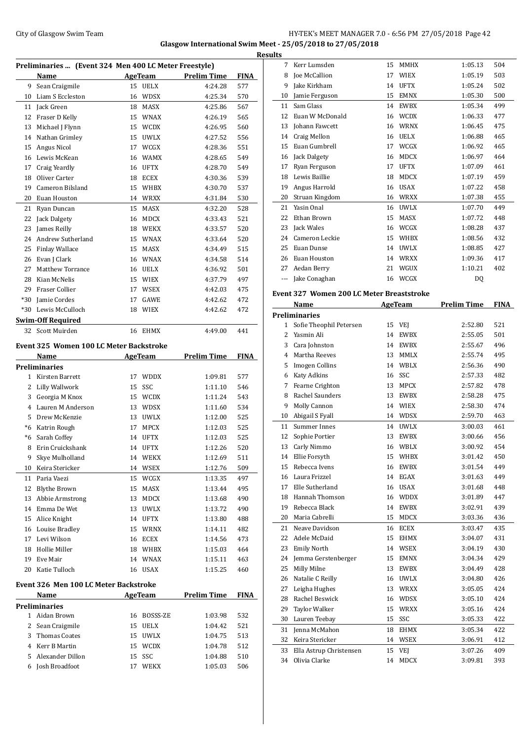## City of Glasgow Swim Team Team Feam Fermi Management of the HY-TEK's MEET MANAGER 7.0 - 6:56 PM 27/05/2018 Page 42 **Glasgow International Swim Meet - 25/05/2018 to 27/05/2018**

|      |                                                       |                   |                     | <b>Results</b> |
|------|-------------------------------------------------------|-------------------|---------------------|----------------|
|      | Preliminaries  (Event 324 Men 400 LC Meter Freestyle) |                   |                     |                |
|      | Name                                                  |                   | AgeTeam Prelim Time | FINA           |
|      | 9 Sean Craigmile                                      | 15 UELX           | 4:24.28             | 577            |
|      | 10 Liam S Eccleston                                   | 16 WDSX           | 4:25.34             | 570            |
|      | 11 Jack Green                                         | 18 MASX           | 4:25.86             | 567            |
|      | 12 Fraser D Kelly                                     | 15 WNAX           | 4:26.19             | 565            |
|      | 13 Michael J Flynn                                    | 15 WCDX           | 4:26.95             | 560            |
|      | 14 Nathan Grimley                                     | 15 UWLX           | 4:27.52             | 556            |
| 15   | Angus Nicol                                           | 17 WCGX           | 4:28.36             | 551            |
|      | 16 Lewis McKean                                       | 16 WAMX           | 4:28.65             | 549            |
| 17   | Craig Yeardly                                         | 16 UFTX           | 4:28.70             | 549            |
| 18   | Oliver Carter                                         | 18 ECEX           | 4:30.36             | 539            |
| 19   | Cameron Bilsland                                      | 15 WHBX           | 4:30.70             | 537            |
|      | 20 Euan Houston                                       | 14 WRXX           | 4:31.84             | 530            |
|      | 21 Ryan Duncan                                        | 15 MASX           | 4:32.20             | 528            |
|      | 22 Jack Dalgety                                       | 16 MDCX           | 4:33.43             | 521            |
|      | 23 James Reilly                                       | 18 WEKX           | 4:33.57             | 520            |
|      | 24 Andrew Sutherland                                  | 15 WNAX           | 4:33.64             | 520            |
|      | 25 Finlay Wallace                                     | 15 MASX           | 4:34.49             | 515            |
|      | 26 Evan J Clark                                       | 16 WNAX           | 4:34.58             | 514            |
| 27   | Matthew Torrance                                      | 16 UELX           | 4:36.92             | 501            |
|      | 28 Kian McNelis                                       | 15 WIEX           | 4:37.79             | 497            |
|      | 29 Fraser Collier                                     | 17 WSEX           | 4:42.03             | 475            |
|      | *30 Jamie Cordes                                      | 17 GAWE           | 4:42.62             | Eve<br>472     |
|      | *30 Lewis McCulloch                                   | 18 WIEX           | 4:42.62             | 472            |
|      |                                                       |                   |                     | Pre            |
|      | <b>Swim-Off Required</b>                              |                   |                     |                |
|      | 32 Scott Muirden                                      | 16 EHMX           | 4:49.00             | 441            |
|      | <b>Event 325 Women 100 LC Meter Backstroke</b>        |                   |                     |                |
|      | <b>Name</b>                                           | <b>AgeTeam</b>    | <b>Prelim Time</b>  | FINA           |
|      | <b>Preliminaries</b>                                  |                   |                     |                |
|      | 1 Kirsten Barrett                                     | 17 WDDX           | 1:09.81             | 577            |
|      | 2 Lilly Wallwork                                      | 15 SSC            | 1:11.10             | 546            |
|      | 3 Georgia M Knox                                      | 15 WCDX           | 1:11.24             | 543            |
|      | 4 Lauren M Anderson                                   | 13 WDSX           | 1:11.60             | 534            |
|      | 5 Drew McKenzie                                       | 13 UWLX           | 1:12.00             | 525            |
|      | *6 Katrin Rough                                       | <b>MPCX</b><br>17 | 1:12.03             | 525            |
| $*6$ | Sarah Coffey                                          | 14 UFTX           | 1:12.03             | 525            |
| 8    | Erin Cruickshank                                      | 14 UFTX           | 1:12.26             | 520            |
| 9    | Skye Mulholland                                       | WEKX<br>14        | 1:12.69             | 511            |
| 10   | Keira Stericker                                       | <b>WSEX</b><br>14 | 1:12.76             | 509            |
|      |                                                       |                   |                     |                |
|      | 11 Paria Vaezi                                        | 15 WCGX           | 1:13.35             | 497            |
| 12   | <b>Blythe Brown</b>                                   | 15 MASX           | 1:13.44             | 495            |
| 13   | Abbie Armstrong                                       | 13 MDCX           | 1:13.68             | 490            |
|      | 14 Emma De Wet                                        | 13 UWLX           | 1:13.72             | 490            |
|      | 15 Alice Knight                                       | 14 UFTX           | 1:13.80             | 488            |
|      | 16 Louise Bradley                                     | 15 WRNX           | 1:14.11             | 482            |
| 17   | Levi Wilson                                           | 16 ECEX           | 1:14.56             | 473            |
| 18   | Hollie Miller                                         | 18 WHBX           | 1:15.03             | 464            |
| 19   | Eve Mair                                              | 14 WNAX           | 1:15.11             | 463            |
|      | 20 Katie Tulloch                                      | 16 USAX           | 1:15.25             | 460            |
|      | <b>Event 326 Men 100 LC Meter Backstroke</b>          |                   |                     |                |
|      |                                                       |                   |                     |                |
|      | Name                                                  | AgeTeam           | <b>Prelim Time</b>  | <b>FINA</b>    |
|      | <b>Preliminaries</b>                                  |                   |                     |                |
|      | 1 Aidan Brown                                         | 16 BOSSS-ZE       | 1:03.98             | 532            |
|      | 2 Sean Craigmile                                      | 15 UELX           | 1:04.42             | 521            |
| 3    | <b>Thomas Coates</b>                                  | 15 UWLX           | 1:04.75             | 513            |
| 4    | Kerr B Martin                                         | 15 WCDX           | 1:04.78             | 512            |
| 5    | Alexander Dillon                                      | SSC<br>15         | 1:04.88             | 510            |
| 6    | Josh Broadfoot                                        | <b>WEKX</b><br>17 | 1:05.03             | 506            |

| 8                                      | Joe McCallion                                   |          | 17 WIEX        | 1:05.19            | 503         |
|----------------------------------------|-------------------------------------------------|----------|----------------|--------------------|-------------|
| 9                                      | Jake Kirkham                                    | 14       | <b>UFTX</b>    | 1:05.24            | 502         |
| 10                                     | Jamie Ferguson                                  | 15       | <b>EMNX</b>    | 1:05.30            | 500         |
| 11                                     | Sam Glass                                       | 14       | EWBX           | 1:05.34            | 499         |
|                                        | 12 Euan W McDonald                              |          | 16 WCDX        | 1:06.33            | 477         |
| 13                                     | Johann Fawcett                                  | 16       | <b>WRNX</b>    | 1:06.45            | 475         |
|                                        | 14 Craig Mellon                                 | 16       | <b>UELX</b>    | 1:06.88            | 465         |
| 15                                     | Euan Gumbrell                                   | 17       | WCGX           | 1:06.92            | 465         |
| 16                                     | Jack Dalgety                                    | 16       | <b>MDCX</b>    | 1:06.97            | 464         |
| 17                                     | Ryan Ferguson                                   | 17       | <b>UFTX</b>    | 1:07.09            | 461         |
|                                        | 18 Lewis Baillie                                | 18       | MDCX           | 1:07.19            | 459         |
|                                        | 19 Angus Harrold                                | 16       | <b>USAX</b>    | 1:07.22            | 458         |
| 20                                     | Struan Kingdom                                  |          | 16 WRXX        | 1:07.38            | 455         |
| 21                                     | Yasin Onal                                      |          | 16 UWLX        | 1:07.70            | 449         |
| 22                                     | Ethan Brown                                     | 15       | MASX           | 1:07.72            | 448         |
| 23                                     | Jack Wales                                      |          | 16 WCGX        | 1:08.28            | 437         |
|                                        | 24 Cameron Leckie                               |          | 15 WHBX        | 1:08.56            | 432         |
| 25                                     | Euan Dunse                                      |          | 14 UWLX        | 1:08.85            | 427         |
|                                        | 26 Euan Houston                                 |          | 14 WRXX        | 1:09.36            | 417         |
|                                        | 27 Aedan Berry                                  | 21       | WGUX           | 1:10.21            | 402         |
| $\scriptstyle\cdots\scriptstyle\cdots$ | Jake Conaghan                                   |          | 16 WCGX        | DQ                 |             |
|                                        |                                                 |          |                |                    |             |
|                                        | Event 327 Women 200 LC Meter Breaststroke       |          |                |                    |             |
|                                        | Name                                            |          | AgeTeam        | <b>Prelim Time</b> | <b>FINA</b> |
|                                        | <b>Preliminaries</b><br>Sofie Theophil Petersen |          |                |                    |             |
| 1<br>2                                 | Yasmin Ali                                      | 14       | 15 VEI<br>EWBX | 2:52.80            | 521<br>501  |
|                                        |                                                 |          |                | 2:55.05            |             |
| 3                                      | Cara Johnston                                   |          | 14 EWBX        | 2:55.67            | 496         |
| 4                                      | Martha Reeves                                   | 13       | MMLX           | 2:55.74            | 495         |
| 5                                      | Imogen Collins                                  |          | 14 WBLX        | 2:56.36            | 490         |
|                                        | 6 Katy Adkins                                   | 16       | SSC            | 2:57.33            | 482         |
|                                        |                                                 |          |                |                    |             |
| 7                                      | Fearne Crighton                                 | 13       | MPCX           | 2:57.82            | 478         |
| 8                                      | Rachel Saunders                                 | 13       | EWBX           | 2:58.28            | 475         |
| 9                                      | Molly Cannon                                    | 14       | WIEX           | 2:58.30            | 474         |
| 10                                     | Abigail S Fyall                                 |          | 14 WDSX        | 2:59.70            | 463         |
| 11                                     | Summer Innes                                    | 14       | <b>UWLX</b>    | 3:00.03            | 461         |
| 12                                     | Sophie Portier                                  | 13       | <b>EWBX</b>    | 3:00.66            | 456         |
| 13                                     | Carly Nimmo                                     | 16       | WBLX           | 3:00.92            | 454         |
| 14                                     | Ellie Forsyth                                   |          | 15 WHBX        | 3:01.42            | 450         |
| 15                                     | Rebecca Ivens                                   | 16       | EWBX           | 3:01.54            | 449         |
| 16                                     | Laura Frizzel                                   | 14       | EGAX           | 3:01.63            | 449         |
| 17                                     | Elle Sutherland                                 | 16       | USAX           | 3:01.68            | 448         |
| 18                                     | Hannah Thomson                                  |          | 16 WDDX        | 3:01.89            | 447         |
| 19                                     | Rebecca Black                                   | 14       | EWBX           | 3:02.91            | 439         |
| 20                                     | Maria Cabrelli                                  | 15       | MDCX           | 3:03.36            | 436         |
| 21                                     | Neave Davidson                                  | 16       | ECEX           | 3:03.47            | 435         |
| 22                                     | Adele McDaid                                    | 15       | EHMX           | 3:04.07            | 431         |
| 23                                     | <b>Emily North</b>                              | 14       | WSEX           | 3:04.19            | 430         |
| 24                                     | Jemma Gerstenberger                             | 15       | EMNX           | 3:04.34            | 429         |
| 25                                     | Milly Milne                                     | 13       | EWBX           | 3:04.49            | 428         |
| 26                                     | Natalie C Reilly                                | 16       | <b>UWLX</b>    | 3:04.80            | 426         |
| 27                                     | Leigha Hughes                                   | 13       | <b>WRXX</b>    | 3:05.05            | 424         |
| 28                                     | Rachel Beswick                                  | 16       | WDSX           | 3:05.10            | 424         |
| 29                                     | <b>Taylor Walker</b>                            | 15       | <b>WRXX</b>    | 3:05.16            | 424         |
| 30                                     | Lauren Teebay                                   | 15       | SSC            | 3:05.33            | 422         |
| 31                                     | Jenna McMahon                                   | 18       | EHMX           | 3:05.34            | 422         |
| 32                                     | Keira Stericker                                 | 14       | WSEX           | 3:06.91            | 412         |
| 33<br>34                               | Ella Astrup Christensen<br>Olivia Clarke        | 15<br>14 | VEJ<br>MDCX    | 3:07.26<br>3:09.81 | 409<br>393  |

Kerr Lumsden 15 MMHX 1:05.13 504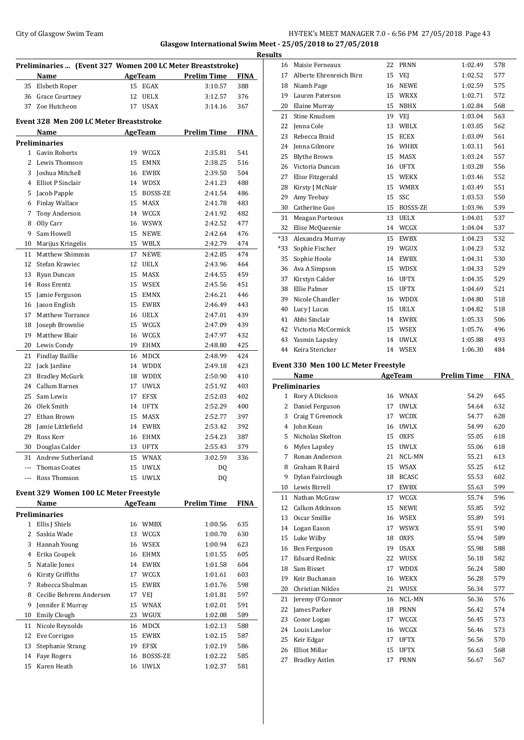## City of Glasgow Swim Team **HY-TEK's MEET MANAGER 7.0 - 6:56 PM 27/05/2018** Page 43 **Glasgow International Swim Meet - 25/05/2018 to 27/05/2018**

|       |                                                            |    |                |                     | <b>Resu</b> |
|-------|------------------------------------------------------------|----|----------------|---------------------|-------------|
|       | Preliminaries  (Event 327 Women 200 LC Meter Breaststroke) |    |                |                     |             |
|       | Name                                                       |    |                | AgeTeam Prelim Time | <b>FINA</b> |
|       | 35 Elsbeth Roper                                           |    | 15 EGAX        | 3:10.57             | 388         |
|       | 36 Grace Courtney                                          | 12 | UELX           | 3:12.57             | 376         |
| 37    | Zoe Hutcheon                                               | 17 | USAX           | 3:14.16             | 367         |
|       | Event 328 Men 200 LC Meter Breaststroke                    |    |                |                     |             |
|       | Name                                                       |    | <b>AgeTeam</b> | <b>Prelim Time</b>  | FINA        |
|       | <b>Preliminaries</b>                                       |    |                |                     |             |
|       | 1 Gavin Roberts                                            |    | 19 WCGX        | 2:35.81             | 541         |
| 2     | Lewis Thomson                                              |    | 15 EMNX        | 2:38.25             | 516         |
| 3     | Joshua Mitchell                                            |    | 16 EWBX        | 2:39.50             | 504         |
| 4     | Elliot P Sinclair                                          |    | 14 WDSX        | 2:41.23             | 488         |
| 5     | Jacob Papple                                               |    | 15 BOSSS-ZE    | 2:41.54             | 486         |
| 6     | <b>Finlay Wallace</b>                                      |    | 15 MASX        | 2:41.78             | 483         |
| 7     | Tony Anderson                                              |    | 14 WCGX        | 2:41.92             | 482         |
| 8     | Olly Carr                                                  |    | 16 WSWX        | 2:42.52             | 477         |
| 9     | Sam Howell                                                 |    | 15 NEWE        | 2:42.64             | 476         |
| 10    | Marijus Kringelis                                          |    | 15 WBLX        | 2:42.79             | 474         |
| 11    | Matthew Shimmin                                            | 17 | <b>NEWE</b>    | 2:42.85             | 474         |
| 12    | Stefan Krawiec                                             |    | 12 UELX        | 2:43.96             | 464         |
| 13    | Ryan Duncan                                                |    | 15 MASX        | 2:44.55             | 459         |
| 14    | Ross Erentz                                                |    | 15 WSEX        | 2:45.56             | 451         |
| 15    | Jamie Ferguson                                             |    | 15 EMNX        | 2:46.21             | 446         |
| 16    | Jason English                                              |    | 15 EWBX        | 2:46.49             | 443         |
| 17    | Matthew Torrance                                           |    | 16 UELX        | 2:47.01             | 439         |
| 18    | Joseph Brownlie                                            |    | 15 WCGX        | 2:47.09             | 439         |
| 19    | Matthew Blair                                              |    | 16 WCGX        | 2:47.97             | 432         |
| 20    | Lewis Condy                                                |    | 19 EHMX        | 2:48.80             | 425         |
| 21    | <b>Findlay Baillie</b>                                     |    | 16 MDCX        | 2:48.99             | 424         |
| 22    | Jack Jardine                                               |    | 14 WDDX        | 2:49.18             | 423         |
| 23    | <b>Bradley McGurk</b>                                      |    | 18 WDDX        | 2:50.90             | 410         |
| 24    | Callum Barnes                                              | 17 | UWLX           | 2:51.92             | 403         |
| 25    | Sam Lewis                                                  | 17 | <b>EFSX</b>    | 2:52.03             | 402         |
| 26    | Olek Smith                                                 |    | 14 UFTX        |                     |             |
| 27    | Ethan Brown                                                | 15 | MASX           | 2:52.29<br>2:52.77  | 400<br>397  |
| 28    | Jamie Littlefield                                          |    | 14 EWBX        | 2:53.42             | 392         |
| 29    | Ross Kerr                                                  |    | 16 EHMX        |                     | 387         |
| 30    | Douglas Calder                                             | 13 | <b>UFTX</b>    | 2:54.23<br>2:55.43  | 379         |
|       |                                                            |    | WNAX           |                     |             |
| 31    | Andrew Sutherland                                          | 15 |                | 3:02.59             | 336         |
| $---$ | Thomas Coates                                              | 15 | <b>UWLX</b>    | DQ                  |             |
| ---   | Ross Thomson                                               | 15 | <b>UWLX</b>    | DQ                  |             |
|       | Event 329 Women 100 LC Meter Freestyle                     |    |                |                     |             |
|       | Name                                                       |    | AgeTeam        | <b>Prelim Time</b>  | FINA        |
|       | <b>Preliminaries</b>                                       |    |                |                     |             |
|       | 1 Ellis J Shiels                                           | 16 | WMBX           | 1:00.56             | 635         |
| 2     | Saskia Wade                                                |    | 13 WCGX        | 1:00.70             | 630         |
| 3     | Hannah Young                                               |    | 16 WSEX        | 1:00.94             | 623         |
| 4     | Erika Coupek                                               |    | 16 EHMX        | 1:01.55             | 605         |
| 5     | Natalie Jones                                              |    | 14 EWBX        | 1:01.58             | 604         |
| 6     | Kirsty Griffiths                                           |    | 17 WCGX        | 1:01.61             | 603         |
| 7     | Rebecca Shulman                                            |    | 15 EWBX        | 1:01.76             | 598         |
| 8     | Cecilie Behrens Andersen                                   |    | 17 VEJ         | 1:01.81             | 597         |
| 9     | Jennifer E Murray                                          |    | 15 WNAX        | 1:02.01             | 591         |
| 10    | <b>Emily Clough</b>                                        |    | 23 WGUX        | 1:02.08             | 589         |
| 11    | Nicole Reynolds                                            |    | 16 MDCX        | 1:02.13             | 588         |
| 12    | Eve Corrigan                                               |    | 15 EWBX        | 1:02.15             | 587         |
| 13    | Stephanie Strang                                           |    | 19 EFSX        | 1:02.19             | 586         |
| 14    | <b>Faye Rogers</b>                                         | 16 | BOSSS-ZE       | 1:02.22             | 585         |
| 15    | Karen Heath                                                | 16 | <b>UWLX</b>    | 1:02.37             | 581         |

| ults |                                      |    |                |                    |             |
|------|--------------------------------------|----|----------------|--------------------|-------------|
|      | 16 Maisie Ferneaux                   | 22 | <b>PRNN</b>    | 1:02.49            | 578         |
| 17   | Alberte Ehrenreich Birn              | 15 | VEJ            | 1:02.52            | 577         |
|      | 18 Niamh Page                        |    | 16 NEWE        | 1:02.59            | 575         |
|      | 19 Lauren Paterson                   |    | 15 WRXX        | 1:02.71            | 572         |
| 20   | Elaine Murray                        |    | 15 NBHX        | 1:02.84            | 568         |
| 21   | Stine Knudsen                        |    | 19 VEJ         | 1:03.04            | 563         |
| 22   | Jenna Cole                           | 13 | WBLX           | 1:03.05            | 562         |
| 23   | Rebecca Braid                        | 15 | ECEX           | 1:03.09            | 561         |
| 24   | Jenna Gilmore                        |    | 16 WHBX        | 1:03.11            | 561         |
| 25   | Blythe Brown                         | 15 | MASX           | 1:03.24            | 557         |
|      | 26 Victoria Duncan                   |    | 16 UFTX        | 1:03.28            | 556         |
| 27   | Elise Fitzgerald                     | 15 | WEKX           | 1:03.46            | 552         |
| 28   | Kirsty J McNair                      | 15 | WMBX           | 1:03.49            | 551         |
| 29   | Amy Teebay                           | 15 | SSC            | 1:03.53            | 550         |
| 30   | Catherine Guo                        | 15 | BOSSS-ZE       | 1:03.96            | 539         |
| 31   | <b>Meagan Porteous</b>               | 13 | <b>UELX</b>    | 1:04.01            | 537         |
| 32   | Elise McQueenie                      |    | 14 WCGX        | 1:04.04            | 537         |
| *33  | Alexandra Murray                     | 15 | EWBX           | 1:04.23            | 532         |
| *33  | Sophie Fischer                       |    | 19 WGUX        | 1:04.23            | 532         |
| 35   | Sophie Hoole                         | 14 | EWBX           | 1:04.31            | 530         |
| 36   | Ava A Simpson                        | 15 | WDSX           | 1:04.33            | 529         |
|      | 37 Kirstyn Calder                    |    | 16 UFTX        | 1:04.35            | 529         |
| 38   | Ellie Palmer                         | 15 | UFTX           | 1:04.69            | 521         |
|      | 39 Nicole Chandler                   |    | 16 WDDX        | 1:04.80            | 518         |
| 40   | Lucy J Lucas                         |    | 15 UELX        | 1:04.82            | 518         |
| 41   | Abbi Sinclair                        |    | 14 EWBX        | 1:05.33            | 506         |
|      | 42 Victoria McCormick                |    | 15 WSEX        | 1:05.76            | 496         |
|      | 43 Yasmin Lapsley                    | 14 | <b>UWLX</b>    | 1:05.88            | 493         |
| 44   | Keira Stericker                      | 14 | WSEX           | 1:06.30            | 484         |
|      | Event 330 Men 100 LC Meter Freestyle |    |                |                    |             |
|      | Name                                 |    | <b>AgeTeam</b> | <b>Prelim Time</b> | <b>FINA</b> |
|      | <b>Preliminaries</b>                 |    |                |                    |             |
| 1    | Rory A Dickson                       |    | 16 WNAX        | 54.29              | 645         |
| 2    | Daniel Ferguson                      | 17 | UWLX           | 54.64              | 632         |
| 3    | Craig T Greenock                     | 17 | WCDX           | 54.77              | 628         |
|      | 4 John Kean                          | 16 | UWLX           | 54.99              | 620         |
| 5    | Nicholas Skelton                     | 15 | <b>OXFS</b>    | 55.05              | 618         |
|      | 6 Myles Lapsley                      |    | 15 UWLX        | 55.06              | 618         |
| 7    | Ronan Anderson                       | 21 | NCL-MN         | 55.21              | 613         |
| 8    | Graham R Baird                       | 15 | WSAX           | 55.25              | 612         |
| 9    | Dylan Fairclough                     | 18 | <b>BCASC</b>   | 55.53              | 602         |
| 10   | Lewis Birrell                        | 17 | <b>EWBX</b>    | 55.63              | 599         |
| 11   | Nathan McGraw                        | 17 | WCGX           | 55.74              | 596         |
| 12   | Callum Atkinson                      | 15 | NEWE           | 55.85              | 592         |
| 13   | Oscar Smillie                        | 16 | WSEX           | 55.89              | 591         |
|      | 14 Logan Eason                       | 17 | <b>WSWX</b>    | 55.91              | 590         |

 Luke Wilby 18 OXFS 55.94 589 Ben Ferguson 19 USAX 55.98 588 17 Eduard Rednic 22 WUSX 56.18 582 Sam Bisset 17 WDDX 56.24 580 Keir Buchanan 16 WEKX 56.28 579 Christian Nikles 21 WUSX 56.34 577 Jeremy O'Connor 16 NCL-MN 56.36 576 James Parker 18 PRNN 56.42 574 Conor Logan 17 WCGX 56.45 573 Louis Lawlor 16 WCGX 56.46 573 Keir Edgar 17 UFTX 56.56 570 Elliot Millar 15 UFTX 56.63 568 27 Bradley Astles 17 PRNN 56.67 567